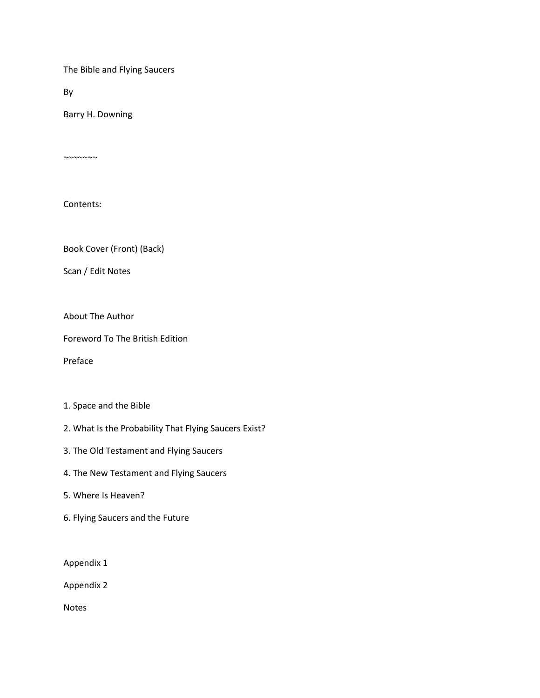The Bible and Flying Saucers

By

Barry H. Downing

~~~~~~~

Contents:

Book Cover (Front) (Back)

Scan / Edit Notes

About The Author

Foreword To The British Edition

Preface

- 1. Space and the Bible
- 2. What Is the Probability That Flying Saucers Exist?
- 3. The Old Testament and Flying Saucers
- 4. The New Testament and Flying Saucers
- 5. Where Is Heaven?
- 6. Flying Saucers and the Future

Appendix 1

Appendix 2

Notes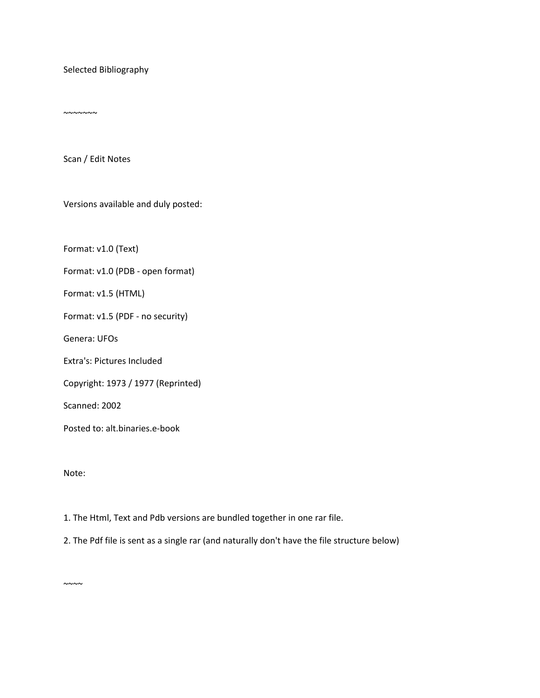Selected Bibliography

 $~\sim$   $\sim$   $\sim$   $\sim$   $\sim$ 

Scan / Edit Notes

Versions available and duly posted:

Format: v1.0 (Text)

Format: v1.0 (PDB - open format)

Format: v1.5 (HTML)

Format: v1.5 (PDF - no security)

Genera: UFOs

Extra's: Pictures Included

Copyright: 1973 / 1977 (Reprinted)

Scanned: 2002

Posted to: alt.binaries.e-book

Note:

1. The Html, Text and Pdb versions are bundled together in one rar file.

2. The Pdf file is sent as a single rar (and naturally don't have the file structure below)

 $~\sim~$ ~~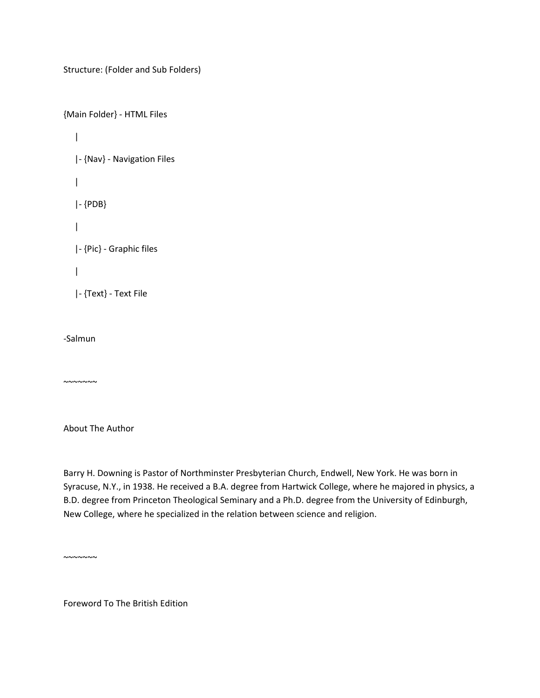```
Structure: (Folder and Sub Folders)
```

```
{Main Folder} - HTML Files 
\overline{\phantom{a}} |- {Nav} - Navigation Files 
 |
 |- {PDB}
 |
 |- {Pic} - Graphic files 
\overline{\phantom{a}} |- {Text} - Text File
```
-Salmun

 $~\sim$   $\sim$   $\sim$   $\sim$   $\sim$ 

~~~~~~~

About The Author

Barry H. Downing is Pastor of Northminster Presbyterian Church, Endwell, New York. He was born in Syracuse, N.Y., in 1938. He received a B.A. degree from Hartwick College, where he majored in physics, a B.D. degree from Princeton Theological Seminary and a Ph.D. degree from the University of Edinburgh, New College, where he specialized in the relation between science and religion.

Foreword To The British Edition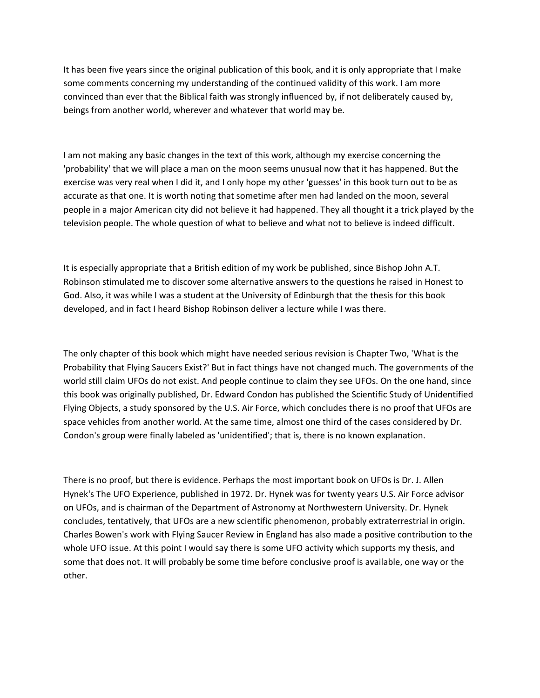It has been five years since the original publication of this book, and it is only appropriate that I make some comments concerning my understanding of the continued validity of this work. I am more convinced than ever that the Biblical faith was strongly influenced by, if not deliberately caused by, beings from another world, wherever and whatever that world may be.

I am not making any basic changes in the text of this work, although my exercise concerning the 'probability' that we will place a man on the moon seems unusual now that it has happened. But the exercise was very real when I did it, and I only hope my other 'guesses' in this book turn out to be as accurate as that one. It is worth noting that sometime after men had landed on the moon, several people in a major American city did not believe it had happened. They all thought it a trick played by the television people. The whole question of what to believe and what not to believe is indeed difficult.

It is especially appropriate that a British edition of my work be published, since Bishop John A.T. Robinson stimulated me to discover some alternative answers to the questions he raised in Honest to God. Also, it was while I was a student at the University of Edinburgh that the thesis for this book developed, and in fact I heard Bishop Robinson deliver a lecture while I was there.

The only chapter of this book which might have needed serious revision is Chapter Two, 'What is the Probability that Flying Saucers Exist?' But in fact things have not changed much. The governments of the world still claim UFOs do not exist. And people continue to claim they see UFOs. On the one hand, since this book was originally published, Dr. Edward Condon has published the Scientific Study of Unidentified Flying Objects, a study sponsored by the U.S. Air Force, which concludes there is no proof that UFOs are space vehicles from another world. At the same time, almost one third of the cases considered by Dr. Condon's group were finally labeled as 'unidentified'; that is, there is no known explanation.

There is no proof, but there is evidence. Perhaps the most important book on UFOs is Dr. J. Allen Hynek's The UFO Experience, published in 1972. Dr. Hynek was for twenty years U.S. Air Force advisor on UFOs, and is chairman of the Department of Astronomy at Northwestern University. Dr. Hynek concludes, tentatively, that UFOs are a new scientific phenomenon, probably extraterrestrial in origin. Charles Bowen's work with Flying Saucer Review in England has also made a positive contribution to the whole UFO issue. At this point I would say there is some UFO activity which supports my thesis, and some that does not. It will probably be some time before conclusive proof is available, one way or the other.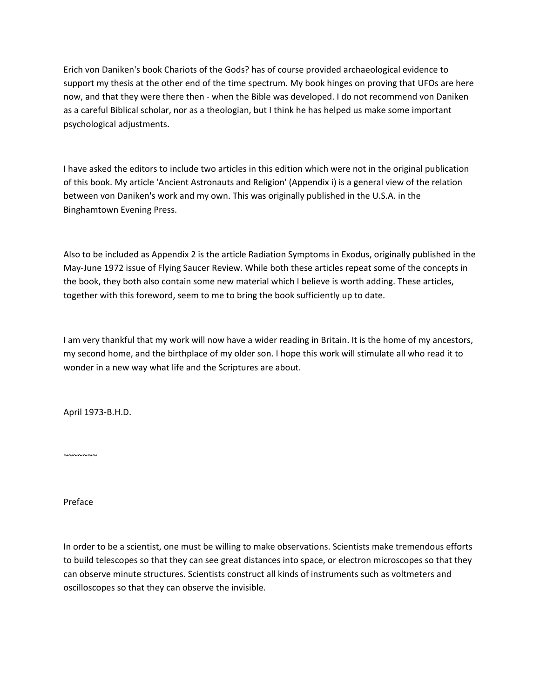Erich von Daniken's book Chariots of the Gods? has of course provided archaeological evidence to support my thesis at the other end of the time spectrum. My book hinges on proving that UFOs are here now, and that they were there then - when the Bible was developed. I do not recommend von Daniken as a careful Biblical scholar, nor as a theologian, but I think he has helped us make some important psychological adjustments.

I have asked the editors to include two articles in this edition which were not in the original publication of this book. My article 'Ancient Astronauts and Religion' (Appendix i) is a general view of the relation between von Daniken's work and my own. This was originally published in the U.S.A. in the Binghamtown Evening Press.

Also to be included as Appendix 2 is the article Radiation Symptoms in Exodus, originally published in the May-June 1972 issue of Flying Saucer Review. While both these articles repeat some of the concepts in the book, they both also contain some new material which I believe is worth adding. These articles, together with this foreword, seem to me to bring the book sufficiently up to date.

I am very thankful that my work will now have a wider reading in Britain. It is the home of my ancestors, my second home, and the birthplace of my older son. I hope this work will stimulate all who read it to wonder in a new way what life and the Scriptures are about.

April 1973-B.H.D.

Preface

~~~~~~~

In order to be a scientist, one must be willing to make observations. Scientists make tremendous efforts to build telescopes so that they can see great distances into space, or electron microscopes so that they can observe minute structures. Scientists construct all kinds of instruments such as voltmeters and oscilloscopes so that they can observe the invisible.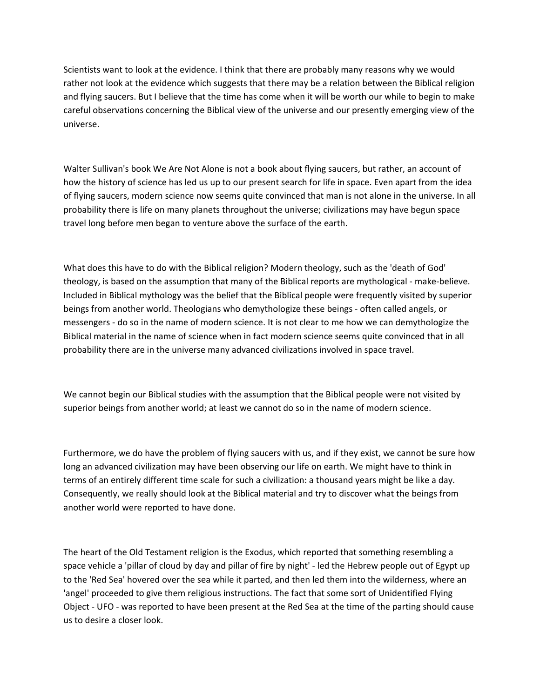Scientists want to look at the evidence. I think that there are probably many reasons why we would rather not look at the evidence which suggests that there may be a relation between the Biblical religion and flying saucers. But I believe that the time has come when it will be worth our while to begin to make careful observations concerning the Biblical view of the universe and our presently emerging view of the universe.

Walter Sullivan's book We Are Not Alone is not a book about flying saucers, but rather, an account of how the history of science has led us up to our present search for life in space. Even apart from the idea of flying saucers, modern science now seems quite convinced that man is not alone in the universe. In all probability there is life on many planets throughout the universe; civilizations may have begun space travel long before men began to venture above the surface of the earth.

What does this have to do with the Biblical religion? Modern theology, such as the 'death of God' theology, is based on the assumption that many of the Biblical reports are mythological - make-believe. Included in Biblical mythology was the belief that the Biblical people were frequently visited by superior beings from another world. Theologians who demythologize these beings - often called angels, or messengers - do so in the name of modern science. It is not clear to me how we can demythologize the Biblical material in the name of science when in fact modern science seems quite convinced that in all probability there are in the universe many advanced civilizations involved in space travel.

We cannot begin our Biblical studies with the assumption that the Biblical people were not visited by superior beings from another world; at least we cannot do so in the name of modern science.

Furthermore, we do have the problem of flying saucers with us, and if they exist, we cannot be sure how long an advanced civilization may have been observing our life on earth. We might have to think in terms of an entirely different time scale for such a civilization: a thousand years might be like a day. Consequently, we really should look at the Biblical material and try to discover what the beings from another world were reported to have done.

The heart of the Old Testament religion is the Exodus, which reported that something resembling a space vehicle a 'pillar of cloud by day and pillar of fire by night' - led the Hebrew people out of Egypt up to the 'Red Sea' hovered over the sea while it parted, and then led them into the wilderness, where an 'angel' proceeded to give them religious instructions. The fact that some sort of Unidentified Flying Object - UFO - was reported to have been present at the Red Sea at the time of the parting should cause us to desire a closer look.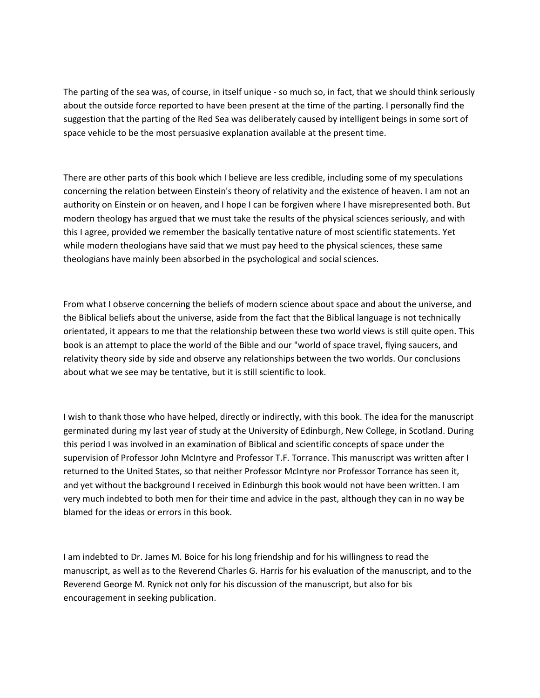The parting of the sea was, of course, in itself unique - so much so, in fact, that we should think seriously about the outside force reported to have been present at the time of the parting. I personally find the suggestion that the parting of the Red Sea was deliberately caused by intelligent beings in some sort of space vehicle to be the most persuasive explanation available at the present time.

There are other parts of this book which I believe are less credible, including some of my speculations concerning the relation between Einstein's theory of relativity and the existence of heaven. I am not an authority on Einstein or on heaven, and I hope I can be forgiven where I have misrepresented both. But modern theology has argued that we must take the results of the physical sciences seriously, and with this I agree, provided we remember the basically tentative nature of most scientific statements. Yet while modern theologians have said that we must pay heed to the physical sciences, these same theologians have mainly been absorbed in the psychological and social sciences.

From what I observe concerning the beliefs of modern science about space and about the universe, and the Biblical beliefs about the universe, aside from the fact that the Biblical language is not technically orientated, it appears to me that the relationship between these two world views is still quite open. This book is an attempt to place the world of the Bible and our "world of space travel, flying saucers, and relativity theory side by side and observe any relationships between the two worlds. Our conclusions about what we see may be tentative, but it is still scientific to look.

I wish to thank those who have helped, directly or indirectly, with this book. The idea for the manuscript germinated during my last year of study at the University of Edinburgh, New College, in Scotland. During this period I was involved in an examination of Biblical and scientific concepts of space under the supervision of Professor John McIntyre and Professor T.F. Torrance. This manuscript was written after I returned to the United States, so that neither Professor McIntyre nor Professor Torrance has seen it, and yet without the background I received in Edinburgh this book would not have been written. I am very much indebted to both men for their time and advice in the past, although they can in no way be blamed for the ideas or errors in this book.

I am indebted to Dr. James M. Boice for his long friendship and for his willingness to read the manuscript, as well as to the Reverend Charles G. Harris for his evaluation of the manuscript, and to the Reverend George M. Rynick not only for his discussion of the manuscript, but also for bis encouragement in seeking publication.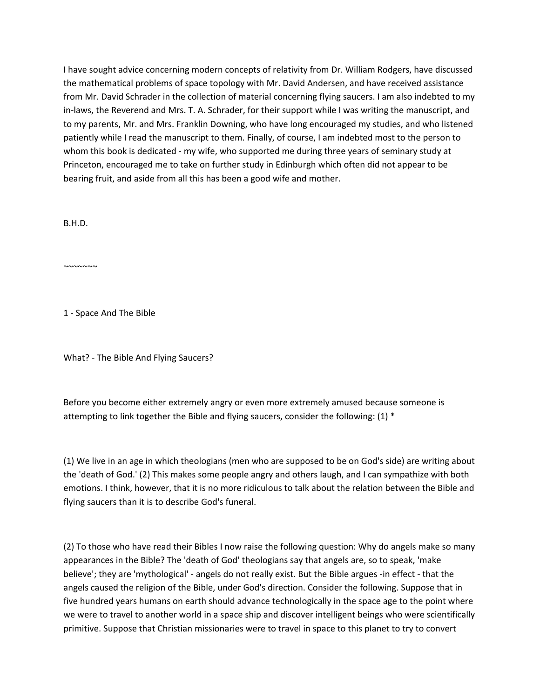I have sought advice concerning modern concepts of relativity from Dr. William Rodgers, have discussed the mathematical problems of space topology with Mr. David Andersen, and have received assistance from Mr. David Schrader in the collection of material concerning flying saucers. I am also indebted to my in-laws, the Reverend and Mrs. T. A. Schrader, for their support while I was writing the manuscript, and to my parents, Mr. and Mrs. Franklin Downing, who have long encouraged my studies, and who listened patiently while I read the manuscript to them. Finally, of course, I am indebted most to the person to whom this book is dedicated - my wife, who supported me during three years of seminary study at Princeton, encouraged me to take on further study in Edinburgh which often did not appear to be bearing fruit, and aside from all this has been a good wife and mother.

B.H.D.

 $~\sim\sim\sim\sim\sim\sim$ 

1 - Space And The Bible

What? - The Bible And Flying Saucers?

Before you become either extremely angry or even more extremely amused because someone is attempting to link together the Bible and flying saucers, consider the following: (1) \*

(1) We live in an age in which theologians (men who are supposed to be on God's side) are writing about the 'death of God.' (2) This makes some people angry and others laugh, and I can sympathize with both emotions. I think, however, that it is no more ridiculous to talk about the relation between the Bible and flying saucers than it is to describe God's funeral.

(2) To those who have read their Bibles I now raise the following question: Why do angels make so many appearances in the Bible? The 'death of God' theologians say that angels are, so to speak, 'make believe'; they are 'mythological' - angels do not really exist. But the Bible argues -in effect - that the angels caused the religion of the Bible, under God's direction. Consider the following. Suppose that in five hundred years humans on earth should advance technologically in the space age to the point where we were to travel to another world in a space ship and discover intelligent beings who were scientifically primitive. Suppose that Christian missionaries were to travel in space to this planet to try to convert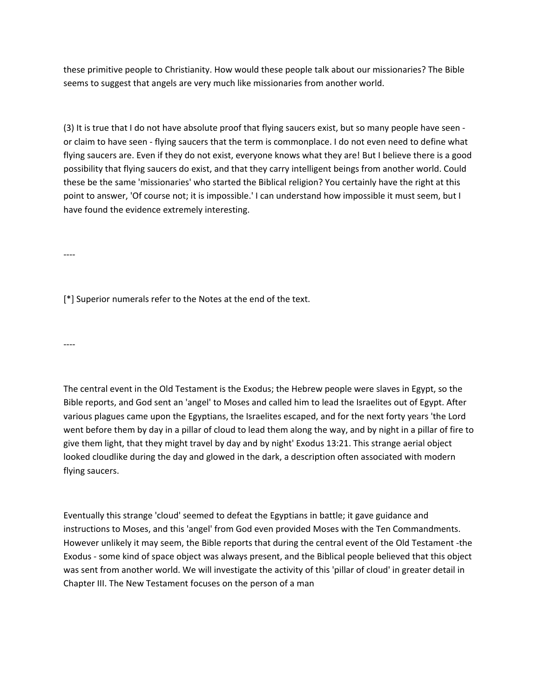these primitive people to Christianity. How would these people talk about our missionaries? The Bible seems to suggest that angels are very much like missionaries from another world.

(3) It is true that I do not have absolute proof that flying saucers exist, but so many people have seen or claim to have seen - flying saucers that the term is commonplace. I do not even need to define what flying saucers are. Even if they do not exist, everyone knows what they are! But I believe there is a good possibility that flying saucers do exist, and that they carry intelligent beings from another world. Could these be the same 'missionaries' who started the Biblical religion? You certainly have the right at this point to answer, 'Of course not; it is impossible.' I can understand how impossible it must seem, but I have found the evidence extremely interesting.

----

[\*] Superior numerals refer to the Notes at the end of the text.

----

The central event in the Old Testament is the Exodus; the Hebrew people were slaves in Egypt, so the Bible reports, and God sent an 'angel' to Moses and called him to lead the Israelites out of Egypt. After various plagues came upon the Egyptians, the Israelites escaped, and for the next forty years 'the Lord went before them by day in a pillar of cloud to lead them along the way, and by night in a pillar of fire to give them light, that they might travel by day and by night' Exodus 13:21. This strange aerial object looked cloudlike during the day and glowed in the dark, a description often associated with modern flying saucers.

Eventually this strange 'cloud' seemed to defeat the Egyptians in battle; it gave guidance and instructions to Moses, and this 'angel' from God even provided Moses with the Ten Commandments. However unlikely it may seem, the Bible reports that during the central event of the Old Testament -the Exodus - some kind of space object was always present, and the Biblical people believed that this object was sent from another world. We will investigate the activity of this 'pillar of cloud' in greater detail in Chapter III. The New Testament focuses on the person of a man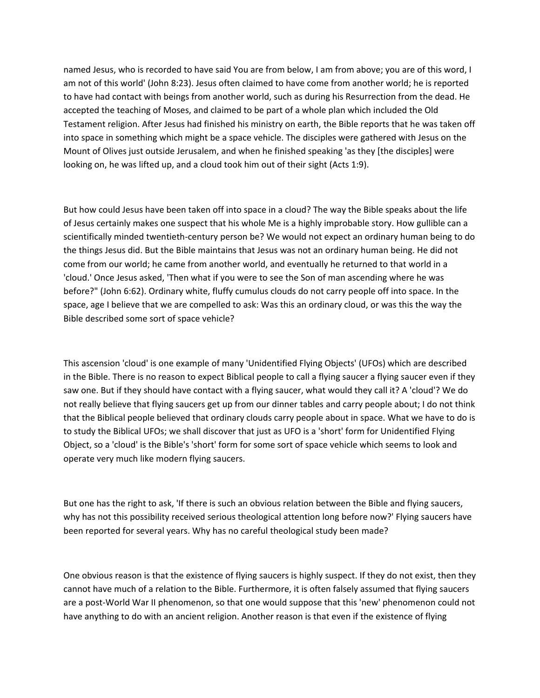named Jesus, who is recorded to have said You are from below, I am from above; you are of this word, I am not of this world' (John 8:23). Jesus often claimed to have come from another world; he is reported to have had contact with beings from another world, such as during his Resurrection from the dead. He accepted the teaching of Moses, and claimed to be part of a whole plan which included the Old Testament religion. After Jesus had finished his ministry on earth, the Bible reports that he was taken off into space in something which might be a space vehicle. The disciples were gathered with Jesus on the Mount of Olives just outside Jerusalem, and when he finished speaking 'as they [the disciples] were looking on, he was lifted up, and a cloud took him out of their sight (Acts 1:9).

But how could Jesus have been taken off into space in a cloud? The way the Bible speaks about the life of Jesus certainly makes one suspect that his whole Me is a highly improbable story. How gullible can a scientifically minded twentieth-century person be? We would not expect an ordinary human being to do the things Jesus did. But the Bible maintains that Jesus was not an ordinary human being. He did not come from our world; he came from another world, and eventually he returned to that world in a 'cloud.' Once Jesus asked, 'Then what if you were to see the Son of man ascending where he was before?" (John 6:62). Ordinary white, fluffy cumulus clouds do not carry people off into space. In the space, age I believe that we are compelled to ask: Was this an ordinary cloud, or was this the way the Bible described some sort of space vehicle?

This ascension 'cloud' is one example of many 'Unidentified Flying Objects' (UFOs) which are described in the Bible. There is no reason to expect Biblical people to call a flying saucer a flying saucer even if they saw one. But if they should have contact with a flying saucer, what would they call it? A 'cloud'? We do not really believe that flying saucers get up from our dinner tables and carry people about; I do not think that the Biblical people believed that ordinary clouds carry people about in space. What we have to do is to study the Biblical UFOs; we shall discover that just as UFO is a 'short' form for Unidentified Flying Object, so a 'cloud' is the Bible's 'short' form for some sort of space vehicle which seems to look and operate very much like modern flying saucers.

But one has the right to ask, 'If there is such an obvious relation between the Bible and flying saucers, why has not this possibility received serious theological attention long before now?' Flying saucers have been reported for several years. Why has no careful theological study been made?

One obvious reason is that the existence of flying saucers is highly suspect. If they do not exist, then they cannot have much of a relation to the Bible. Furthermore, it is often falsely assumed that flying saucers are a post-World War II phenomenon, so that one would suppose that this 'new' phenomenon could not have anything to do with an ancient religion. Another reason is that even if the existence of flying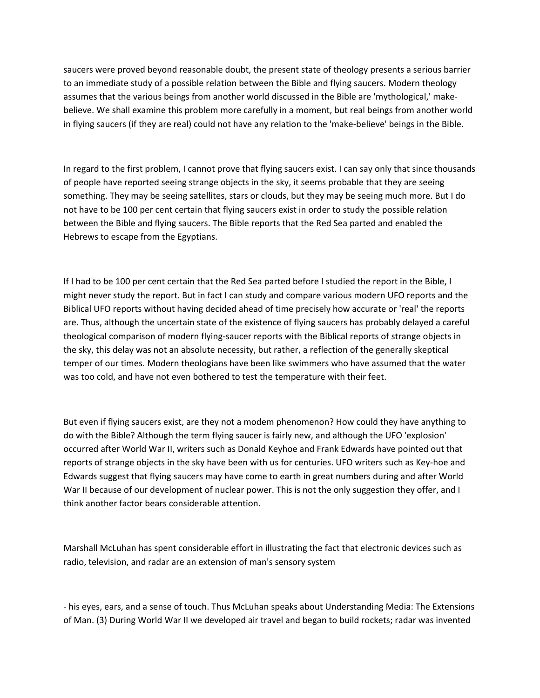saucers were proved beyond reasonable doubt, the present state of theology presents a serious barrier to an immediate study of a possible relation between the Bible and flying saucers. Modern theology assumes that the various beings from another world discussed in the Bible are 'mythological,' makebelieve. We shall examine this problem more carefully in a moment, but real beings from another world in flying saucers (if they are real) could not have any relation to the 'make-believe' beings in the Bible.

In regard to the first problem, I cannot prove that flying saucers exist. I can say only that since thousands of people have reported seeing strange objects in the sky, it seems probable that they are seeing something. They may be seeing satellites, stars or clouds, but they may be seeing much more. But I do not have to be 100 per cent certain that flying saucers exist in order to study the possible relation between the Bible and flying saucers. The Bible reports that the Red Sea parted and enabled the Hebrews to escape from the Egyptians.

If I had to be 100 per cent certain that the Red Sea parted before I studied the report in the Bible, I might never study the report. But in fact I can study and compare various modern UFO reports and the Biblical UFO reports without having decided ahead of time precisely how accurate or 'real' the reports are. Thus, although the uncertain state of the existence of flying saucers has probably delayed a careful theological comparison of modern flying-saucer reports with the Biblical reports of strange objects in the sky, this delay was not an absolute necessity, but rather, a reflection of the generally skeptical temper of our times. Modern theologians have been like swimmers who have assumed that the water was too cold, and have not even bothered to test the temperature with their feet.

But even if flying saucers exist, are they not a modem phenomenon? How could they have anything to do with the Bible? Although the term flying saucer is fairly new, and although the UFO 'explosion' occurred after World War II, writers such as Donald Keyhoe and Frank Edwards have pointed out that reports of strange objects in the sky have been with us for centuries. UFO writers such as Key-hoe and Edwards suggest that flying saucers may have come to earth in great numbers during and after World War II because of our development of nuclear power. This is not the only suggestion they offer, and I think another factor bears considerable attention.

Marshall McLuhan has spent considerable effort in illustrating the fact that electronic devices such as radio, television, and radar are an extension of man's sensory system

- his eyes, ears, and a sense of touch. Thus McLuhan speaks about Understanding Media: The Extensions of Man. (3) During World War II we developed air travel and began to build rockets; radar was invented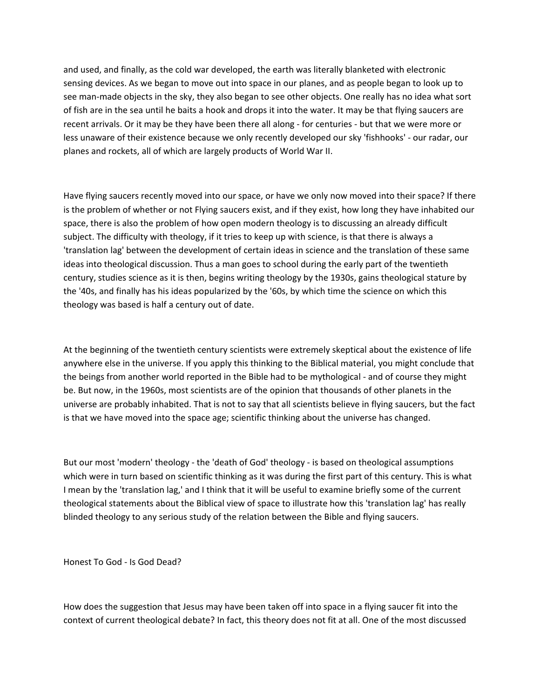and used, and finally, as the cold war developed, the earth was literally blanketed with electronic sensing devices. As we began to move out into space in our planes, and as people began to look up to see man-made objects in the sky, they also began to see other objects. One really has no idea what sort of fish are in the sea until he baits a hook and drops it into the water. It may be that flying saucers are recent arrivals. Or it may be they have been there all along - for centuries - but that we were more or less unaware of their existence because we only recently developed our sky 'fishhooks' - our radar, our planes and rockets, all of which are largely products of World War II.

Have flying saucers recently moved into our space, or have we only now moved into their space? If there is the problem of whether or not Flying saucers exist, and if they exist, how long they have inhabited our space, there is also the problem of how open modern theology is to discussing an already difficult subject. The difficulty with theology, if it tries to keep up with science, is that there is always a 'translation lag' between the development of certain ideas in science and the translation of these same ideas into theological discussion. Thus a man goes to school during the early part of the twentieth century, studies science as it is then, begins writing theology by the 1930s, gains theological stature by the '40s, and finally has his ideas popularized by the '60s, by which time the science on which this theology was based is half a century out of date.

At the beginning of the twentieth century scientists were extremely skeptical about the existence of life anywhere else in the universe. If you apply this thinking to the Biblical material, you might conclude that the beings from another world reported in the Bible had to be mythological - and of course they might be. But now, in the 1960s, most scientists are of the opinion that thousands of other planets in the universe are probably inhabited. That is not to say that all scientists believe in flying saucers, but the fact is that we have moved into the space age; scientific thinking about the universe has changed.

But our most 'modern' theology - the 'death of God' theology - is based on theological assumptions which were in turn based on scientific thinking as it was during the first part of this century. This is what I mean by the 'translation lag,' and I think that it will be useful to examine briefly some of the current theological statements about the Biblical view of space to illustrate how this 'translation lag' has really blinded theology to any serious study of the relation between the Bible and flying saucers.

Honest To God - Is God Dead?

How does the suggestion that Jesus may have been taken off into space in a flying saucer fit into the context of current theological debate? In fact, this theory does not fit at all. One of the most discussed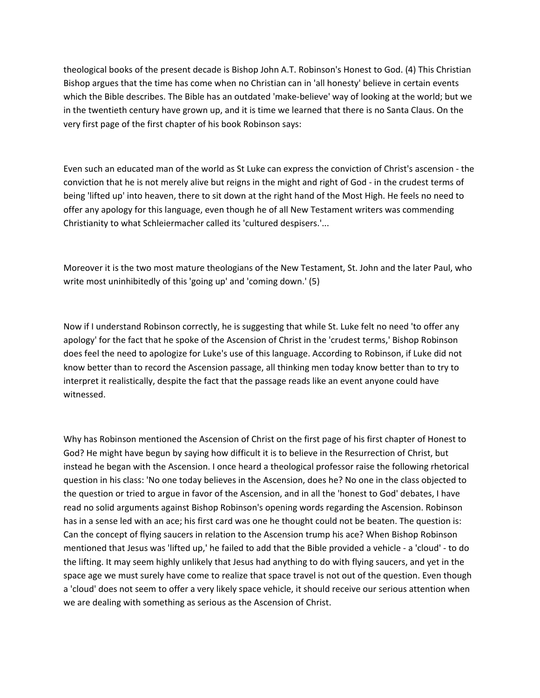theological books of the present decade is Bishop John A.T. Robinson's Honest to God. (4) This Christian Bishop argues that the time has come when no Christian can in 'all honesty' believe in certain events which the Bible describes. The Bible has an outdated 'make-believe' way of looking at the world; but we in the twentieth century have grown up, and it is time we learned that there is no Santa Claus. On the very first page of the first chapter of his book Robinson says:

Even such an educated man of the world as St Luke can express the conviction of Christ's ascension - the conviction that he is not merely alive but reigns in the might and right of God - in the crudest terms of being 'lifted up' into heaven, there to sit down at the right hand of the Most High. He feels no need to offer any apology for this language, even though he of all New Testament writers was commending Christianity to what Schleiermacher called its 'cultured despisers.'...

Moreover it is the two most mature theologians of the New Testament, St. John and the later Paul, who write most uninhibitedly of this 'going up' and 'coming down.' (5)

Now if I understand Robinson correctly, he is suggesting that while St. Luke felt no need 'to offer any apology' for the fact that he spoke of the Ascension of Christ in the 'crudest terms,' Bishop Robinson does feel the need to apologize for Luke's use of this language. According to Robinson, if Luke did not know better than to record the Ascension passage, all thinking men today know better than to try to interpret it realistically, despite the fact that the passage reads like an event anyone could have witnessed.

Why has Robinson mentioned the Ascension of Christ on the first page of his first chapter of Honest to God? He might have begun by saying how difficult it is to believe in the Resurrection of Christ, but instead he began with the Ascension. I once heard a theological professor raise the following rhetorical question in his class: 'No one today believes in the Ascension, does he? No one in the class objected to the question or tried to argue in favor of the Ascension, and in all the 'honest to God' debates, I have read no solid arguments against Bishop Robinson's opening words regarding the Ascension. Robinson has in a sense led with an ace; his first card was one he thought could not be beaten. The question is: Can the concept of flying saucers in relation to the Ascension trump his ace? When Bishop Robinson mentioned that Jesus was 'lifted up,' he failed to add that the Bible provided a vehicle - a 'cloud' - to do the lifting. It may seem highly unlikely that Jesus had anything to do with flying saucers, and yet in the space age we must surely have come to realize that space travel is not out of the question. Even though a 'cloud' does not seem to offer a very likely space vehicle, it should receive our serious attention when we are dealing with something as serious as the Ascension of Christ.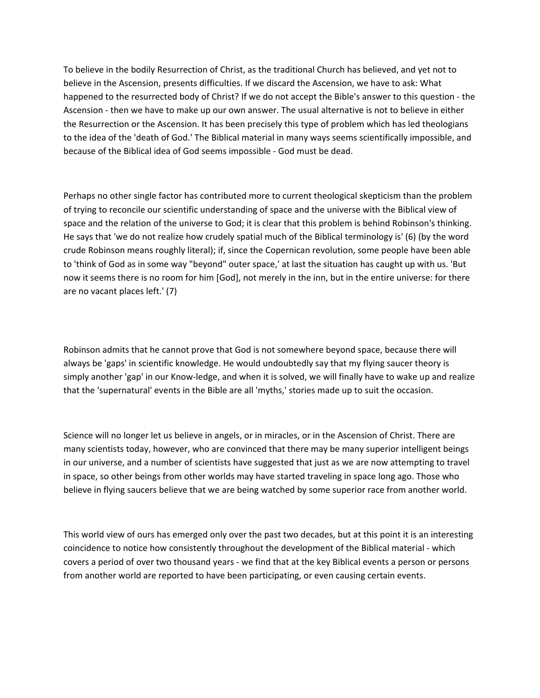To believe in the bodily Resurrection of Christ, as the traditional Church has believed, and yet not to believe in the Ascension, presents difficulties. If we discard the Ascension, we have to ask: What happened to the resurrected body of Christ? If we do not accept the Bible's answer to this question - the Ascension - then we have to make up our own answer. The usual alternative is not to believe in either the Resurrection or the Ascension. It has been precisely this type of problem which has led theologians to the idea of the 'death of God.' The Biblical material in many ways seems scientifically impossible, and because of the Biblical idea of God seems impossible - God must be dead.

Perhaps no other single factor has contributed more to current theological skepticism than the problem of trying to reconcile our scientific understanding of space and the universe with the Biblical view of space and the relation of the universe to God; it is clear that this problem is behind Robinson's thinking. He says that 'we do not realize how crudely spatial much of the Biblical terminology is' (6) (by the word crude Robinson means roughly literal); if, since the Copernican revolution, some people have been able to 'think of God as in some way "beyond" outer space,' at last the situation has caught up with us. 'But now it seems there is no room for him [God], not merely in the inn, but in the entire universe: for there are no vacant places left.' (7)

Robinson admits that he cannot prove that God is not somewhere beyond space, because there will always be 'gaps' in scientific knowledge. He would undoubtedly say that my flying saucer theory is simply another 'gap' in our Know-ledge, and when it is solved, we will finally have to wake up and realize that the 'supernatural' events in the Bible are all 'myths,' stories made up to suit the occasion.

Science will no longer let us believe in angels, or in miracles, or in the Ascension of Christ. There are many scientists today, however, who are convinced that there may be many superior intelligent beings in our universe, and a number of scientists have suggested that just as we are now attempting to travel in space, so other beings from other worlds may have started traveling in space long ago. Those who believe in flying saucers believe that we are being watched by some superior race from another world.

This world view of ours has emerged only over the past two decades, but at this point it is an interesting coincidence to notice how consistently throughout the development of the Biblical material - which covers a period of over two thousand years - we find that at the key Biblical events a person or persons from another world are reported to have been participating, or even causing certain events.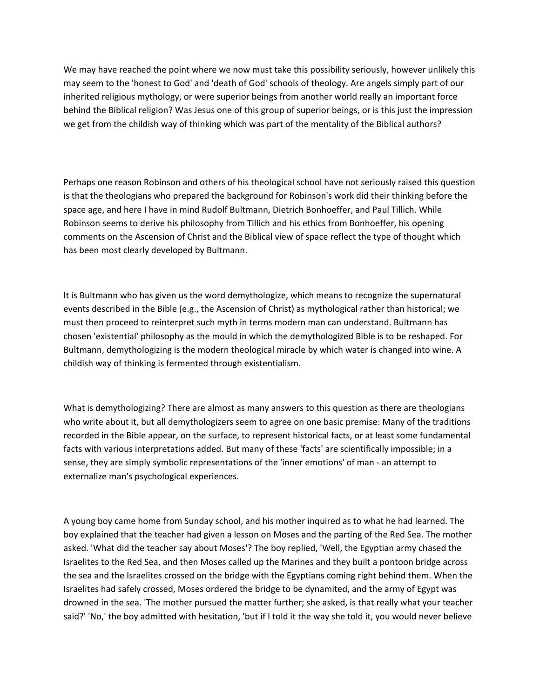We may have reached the point where we now must take this possibility seriously, however unlikely this may seem to the 'honest to God' and 'death of God' schools of theology. Are angels simply part of our inherited religious mythology, or were superior beings from another world really an important force behind the Biblical religion? Was Jesus one of this group of superior beings, or is this just the impression we get from the childish way of thinking which was part of the mentality of the Biblical authors?

Perhaps one reason Robinson and others of his theological school have not seriously raised this question is that the theologians who prepared the background for Robinson's work did their thinking before the space age, and here I have in mind Rudolf Bultmann, Dietrich Bonhoeffer, and Paul Tillich. While Robinson seems to derive his philosophy from Tillich and his ethics from Bonhoeffer, his opening comments on the Ascension of Christ and the Biblical view of space reflect the type of thought which has been most clearly developed by Bultmann.

It is Bultmann who has given us the word demythologize, which means to recognize the supernatural events described in the Bible (e.g., the Ascension of Christ) as mythological rather than historical; we must then proceed to reinterpret such myth in terms modern man can understand. Bultmann has chosen 'existential' philosophy as the mould in which the demythologized Bible is to be reshaped. For Bultmann, demythologizing is the modern theological miracle by which water is changed into wine. A childish way of thinking is fermented through existentialism.

What is demythologizing? There are almost as many answers to this question as there are theologians who write about it, but all demythologizers seem to agree on one basic premise: Many of the traditions recorded in the Bible appear, on the surface, to represent historical facts, or at least some fundamental facts with various interpretations added. But many of these 'facts' are scientifically impossible; in a sense, they are simply symbolic representations of the 'inner emotions' of man - an attempt to externalize man's psychological experiences.

A young boy came home from Sunday school, and his mother inquired as to what he had learned. The boy explained that the teacher had given a lesson on Moses and the parting of the Red Sea. The mother asked. 'What did the teacher say about Moses'? The boy replied, 'Well, the Egyptian army chased the Israelites to the Red Sea, and then Moses called up the Marines and they built a pontoon bridge across the sea and the Israelites crossed on the bridge with the Egyptians coming right behind them. When the Israelites had safely crossed, Moses ordered the bridge to be dynamited, and the army of Egypt was drowned in the sea. 'The mother pursued the matter further; she asked, is that really what your teacher said?' 'No,' the boy admitted with hesitation, 'but if I told it the way she told it, you would never believe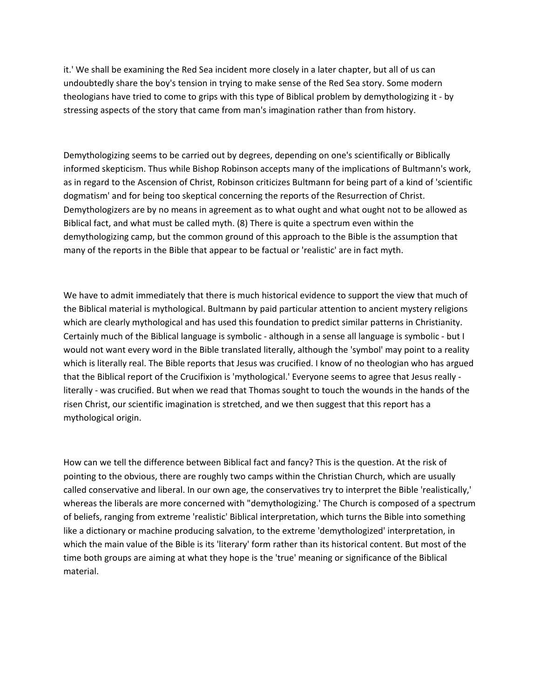it.' We shall be examining the Red Sea incident more closely in a later chapter, but all of us can undoubtedly share the boy's tension in trying to make sense of the Red Sea story. Some modern theologians have tried to come to grips with this type of Biblical problem by demythologizing it - by stressing aspects of the story that came from man's imagination rather than from history.

Demythologizing seems to be carried out by degrees, depending on one's scientifically or Biblically informed skepticism. Thus while Bishop Robinson accepts many of the implications of Bultmann's work, as in regard to the Ascension of Christ, Robinson criticizes Bultmann for being part of a kind of 'scientific dogmatism' and for being too skeptical concerning the reports of the Resurrection of Christ. Demythologizers are by no means in agreement as to what ought and what ought not to be allowed as Biblical fact, and what must be called myth. (8) There is quite a spectrum even within the demythologizing camp, but the common ground of this approach to the Bible is the assumption that many of the reports in the Bible that appear to be factual or 'realistic' are in fact myth.

We have to admit immediately that there is much historical evidence to support the view that much of the Biblical material is mythological. Bultmann by paid particular attention to ancient mystery religions which are clearly mythological and has used this foundation to predict similar patterns in Christianity. Certainly much of the Biblical language is symbolic - although in a sense all language is symbolic - but I would not want every word in the Bible translated literally, although the 'symbol' may point to a reality which is literally real. The Bible reports that Jesus was crucified. I know of no theologian who has argued that the Biblical report of the Crucifixion is 'mythological.' Everyone seems to agree that Jesus really literally - was crucified. But when we read that Thomas sought to touch the wounds in the hands of the risen Christ, our scientific imagination is stretched, and we then suggest that this report has a mythological origin.

How can we tell the difference between Biblical fact and fancy? This is the question. At the risk of pointing to the obvious, there are roughly two camps within the Christian Church, which are usually called conservative and liberal. In our own age, the conservatives try to interpret the Bible 'realistically,' whereas the liberals are more concerned with "demythologizing.' The Church is composed of a spectrum of beliefs, ranging from extreme 'realistic' Biblical interpretation, which turns the Bible into something like a dictionary or machine producing salvation, to the extreme 'demythologized' interpretation, in which the main value of the Bible is its 'literary' form rather than its historical content. But most of the time both groups are aiming at what they hope is the 'true' meaning or significance of the Biblical material.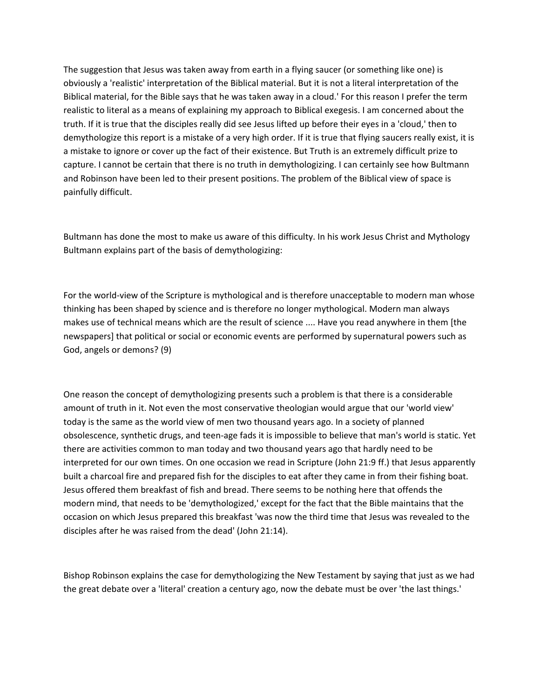The suggestion that Jesus was taken away from earth in a flying saucer (or something like one) is obviously a 'realistic' interpretation of the Biblical material. But it is not a literal interpretation of the Biblical material, for the Bible says that he was taken away in a cloud.' For this reason I prefer the term realistic to literal as a means of explaining my approach to Biblical exegesis. I am concerned about the truth. If it is true that the disciples really did see Jesus lifted up before their eyes in a 'cloud,' then to demythologize this report is a mistake of a very high order. If it is true that flying saucers really exist, it is a mistake to ignore or cover up the fact of their existence. But Truth is an extremely difficult prize to capture. I cannot be certain that there is no truth in demythologizing. I can certainly see how Bultmann and Robinson have been led to their present positions. The problem of the Biblical view of space is painfully difficult.

Bultmann has done the most to make us aware of this difficulty. In his work Jesus Christ and Mythology Bultmann explains part of the basis of demythologizing:

For the world-view of the Scripture is mythological and is therefore unacceptable to modern man whose thinking has been shaped by science and is therefore no longer mythological. Modern man always makes use of technical means which are the result of science .... Have you read anywhere in them [the newspapers] that political or social or economic events are performed by supernatural powers such as God, angels or demons? (9)

One reason the concept of demythologizing presents such a problem is that there is a considerable amount of truth in it. Not even the most conservative theologian would argue that our 'world view' today is the same as the world view of men two thousand years ago. In a society of planned obsolescence, synthetic drugs, and teen-age fads it is impossible to believe that man's world is static. Yet there are activities common to man today and two thousand years ago that hardly need to be interpreted for our own times. On one occasion we read in Scripture (John 21:9 ff.) that Jesus apparently built a charcoal fire and prepared fish for the disciples to eat after they came in from their fishing boat. Jesus offered them breakfast of fish and bread. There seems to be nothing here that offends the modern mind, that needs to be 'demythologized,' except for the fact that the Bible maintains that the occasion on which Jesus prepared this breakfast 'was now the third time that Jesus was revealed to the disciples after he was raised from the dead' (John 21:14).

Bishop Robinson explains the case for demythologizing the New Testament by saying that just as we had the great debate over a 'literal' creation a century ago, now the debate must be over 'the last things.'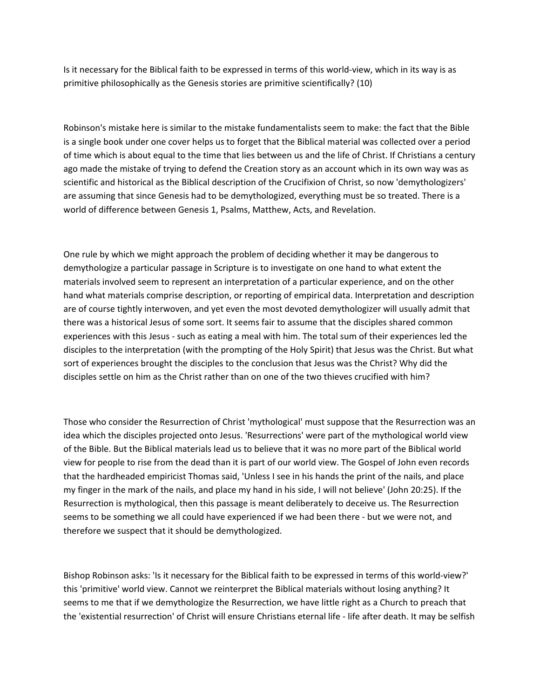Is it necessary for the Biblical faith to be expressed in terms of this world-view, which in its way is as primitive philosophically as the Genesis stories are primitive scientifically? (10)

Robinson's mistake here is similar to the mistake fundamentalists seem to make: the fact that the Bible is a single book under one cover helps us to forget that the Biblical material was collected over a period of time which is about equal to the time that lies between us and the life of Christ. If Christians a century ago made the mistake of trying to defend the Creation story as an account which in its own way was as scientific and historical as the Biblical description of the Crucifixion of Christ, so now 'demythologizers' are assuming that since Genesis had to be demythologized, everything must be so treated. There is a world of difference between Genesis 1, Psalms, Matthew, Acts, and Revelation.

One rule by which we might approach the problem of deciding whether it may be dangerous to demythologize a particular passage in Scripture is to investigate on one hand to what extent the materials involved seem to represent an interpretation of a particular experience, and on the other hand what materials comprise description, or reporting of empirical data. Interpretation and description are of course tightly interwoven, and yet even the most devoted demythologizer will usually admit that there was a historical Jesus of some sort. It seems fair to assume that the disciples shared common experiences with this Jesus - such as eating a meal with him. The total sum of their experiences led the disciples to the interpretation (with the prompting of the Holy Spirit) that Jesus was the Christ. But what sort of experiences brought the disciples to the conclusion that Jesus was the Christ? Why did the disciples settle on him as the Christ rather than on one of the two thieves crucified with him?

Those who consider the Resurrection of Christ 'mythological' must suppose that the Resurrection was an idea which the disciples projected onto Jesus. 'Resurrections' were part of the mythological world view of the Bible. But the Biblical materials lead us to believe that it was no more part of the Biblical world view for people to rise from the dead than it is part of our world view. The Gospel of John even records that the hardheaded empiricist Thomas said, 'Unless I see in his hands the print of the nails, and place my finger in the mark of the nails, and place my hand in his side, I will not believe' (John 20:25). If the Resurrection is mythological, then this passage is meant deliberately to deceive us. The Resurrection seems to be something we all could have experienced if we had been there - but we were not, and therefore we suspect that it should be demythologized.

Bishop Robinson asks: 'Is it necessary for the Biblical faith to be expressed in terms of this world-view?' this 'primitive' world view. Cannot we reinterpret the Biblical materials without losing anything? It seems to me that if we demythologize the Resurrection, we have little right as a Church to preach that the 'existential resurrection' of Christ will ensure Christians eternal life - life after death. It may be selfish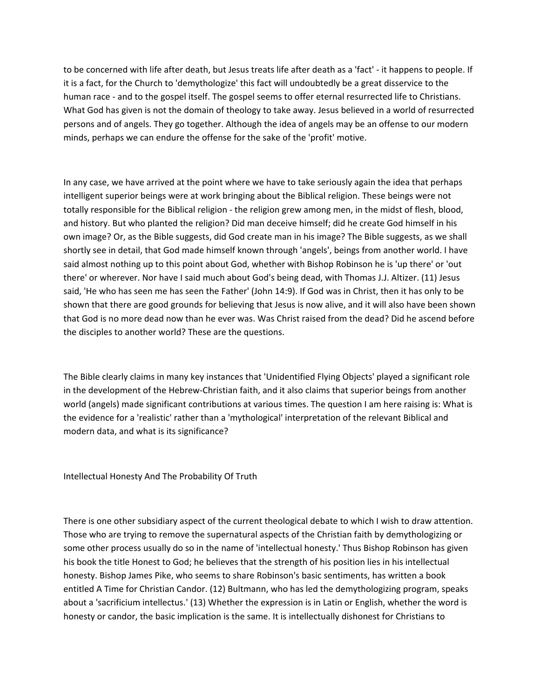to be concerned with life after death, but Jesus treats life after death as a 'fact' - it happens to people. If it is a fact, for the Church to 'demythologize' this fact will undoubtedly be a great disservice to the human race - and to the gospel itself. The gospel seems to offer eternal resurrected life to Christians. What God has given is not the domain of theology to take away. Jesus believed in a world of resurrected persons and of angels. They go together. Although the idea of angels may be an offense to our modern minds, perhaps we can endure the offense for the sake of the 'profit' motive.

In any case, we have arrived at the point where we have to take seriously again the idea that perhaps intelligent superior beings were at work bringing about the Biblical religion. These beings were not totally responsible for the Biblical religion - the religion grew among men, in the midst of flesh, blood, and history. But who planted the religion? Did man deceive himself; did he create God himself in his own image? Or, as the Bible suggests, did God create man in his image? The Bible suggests, as we shall shortly see in detail, that God made himself known through 'angels', beings from another world. I have said almost nothing up to this point about God, whether with Bishop Robinson he is 'up there' or 'out there' or wherever. Nor have I said much about God's being dead, with Thomas J.J. Altizer. (11) Jesus said, 'He who has seen me has seen the Father' (John 14:9). If God was in Christ, then it has only to be shown that there are good grounds for believing that Jesus is now alive, and it will also have been shown that God is no more dead now than he ever was. Was Christ raised from the dead? Did he ascend before the disciples to another world? These are the questions.

The Bible clearly claims in many key instances that 'Unidentified Flying Objects' played a significant role in the development of the Hebrew-Christian faith, and it also claims that superior beings from another world (angels) made significant contributions at various times. The question I am here raising is: What is the evidence for a 'realistic' rather than a 'mythological' interpretation of the relevant Biblical and modern data, and what is its significance?

Intellectual Honesty And The Probability Of Truth

There is one other subsidiary aspect of the current theological debate to which I wish to draw attention. Those who are trying to remove the supernatural aspects of the Christian faith by demythologizing or some other process usually do so in the name of 'intellectual honesty.' Thus Bishop Robinson has given his book the title Honest to God; he believes that the strength of his position lies in his intellectual honesty. Bishop James Pike, who seems to share Robinson's basic sentiments, has written a book entitled A Time for Christian Candor. (12) Bultmann, who has led the demythologizing program, speaks about a 'sacrificium intellectus.' (13) Whether the expression is in Latin or English, whether the word is honesty or candor, the basic implication is the same. It is intellectually dishonest for Christians to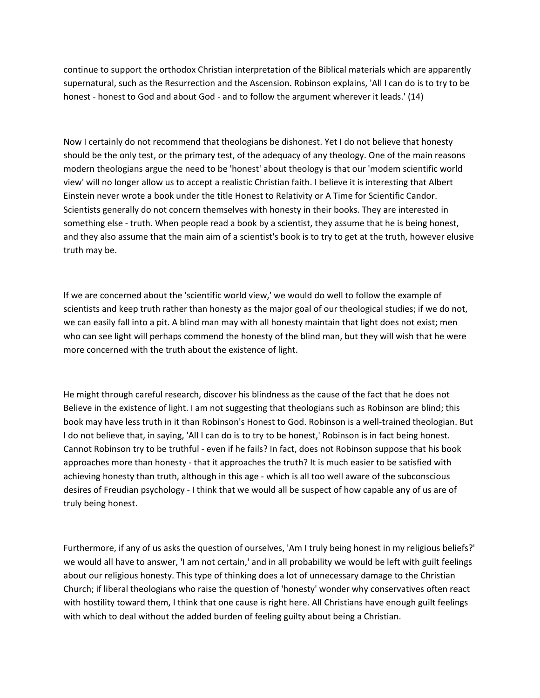continue to support the orthodox Christian interpretation of the Biblical materials which are apparently supernatural, such as the Resurrection and the Ascension. Robinson explains, 'All I can do is to try to be honest - honest to God and about God - and to follow the argument wherever it leads.' (14)

Now I certainly do not recommend that theologians be dishonest. Yet I do not believe that honesty should be the only test, or the primary test, of the adequacy of any theology. One of the main reasons modern theologians argue the need to be 'honest' about theology is that our 'modem scientific world view' will no longer allow us to accept a realistic Christian faith. I believe it is interesting that Albert Einstein never wrote a book under the title Honest to Relativity or A Time for Scientific Candor. Scientists generally do not concern themselves with honesty in their books. They are interested in something else - truth. When people read a book by a scientist, they assume that he is being honest, and they also assume that the main aim of a scientist's book is to try to get at the truth, however elusive truth may be.

If we are concerned about the 'scientific world view,' we would do well to follow the example of scientists and keep truth rather than honesty as the major goal of our theological studies; if we do not, we can easily fall into a pit. A blind man may with all honesty maintain that light does not exist; men who can see light will perhaps commend the honesty of the blind man, but they will wish that he were more concerned with the truth about the existence of light.

He might through careful research, discover his blindness as the cause of the fact that he does not Believe in the existence of light. I am not suggesting that theologians such as Robinson are blind; this book may have less truth in it than Robinson's Honest to God. Robinson is a well-trained theologian. But I do not believe that, in saying, 'All I can do is to try to be honest,' Robinson is in fact being honest. Cannot Robinson try to be truthful - even if he fails? In fact, does not Robinson suppose that his book approaches more than honesty - that it approaches the truth? It is much easier to be satisfied with achieving honesty than truth, although in this age - which is all too well aware of the subconscious desires of Freudian psychology - I think that we would all be suspect of how capable any of us are of truly being honest.

Furthermore, if any of us asks the question of ourselves, 'Am I truly being honest in my religious beliefs?' we would all have to answer, 'I am not certain,' and in all probability we would be left with guilt feelings about our religious honesty. This type of thinking does a lot of unnecessary damage to the Christian Church; if liberal theologians who raise the question of 'honesty' wonder why conservatives often react with hostility toward them, I think that one cause is right here. All Christians have enough guilt feelings with which to deal without the added burden of feeling guilty about being a Christian.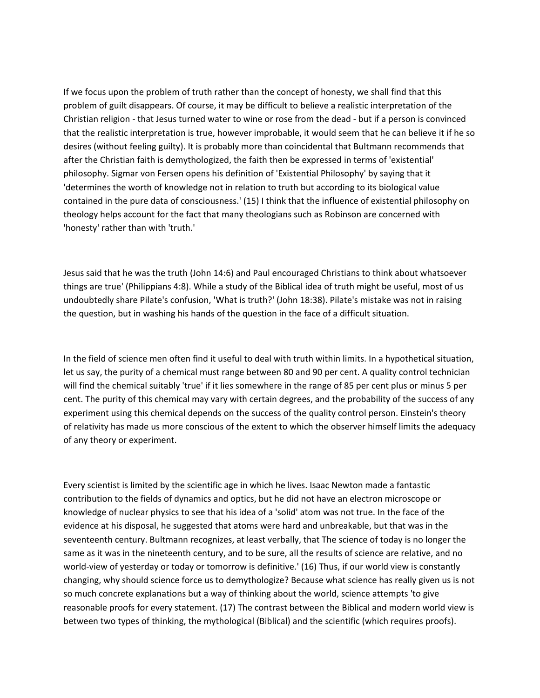If we focus upon the problem of truth rather than the concept of honesty, we shall find that this problem of guilt disappears. Of course, it may be difficult to believe a realistic interpretation of the Christian religion - that Jesus turned water to wine or rose from the dead - but if a person is convinced that the realistic interpretation is true, however improbable, it would seem that he can believe it if he so desires (without feeling guilty). It is probably more than coincidental that Bultmann recommends that after the Christian faith is demythologized, the faith then be expressed in terms of 'existential' philosophy. Sigmar von Fersen opens his definition of 'Existential Philosophy' by saying that it 'determines the worth of knowledge not in relation to truth but according to its biological value contained in the pure data of consciousness.' (15) I think that the influence of existential philosophy on theology helps account for the fact that many theologians such as Robinson are concerned with 'honesty' rather than with 'truth.'

Jesus said that he was the truth (John 14:6) and Paul encouraged Christians to think about whatsoever things are true' (Philippians 4:8). While a study of the Biblical idea of truth might be useful, most of us undoubtedly share Pilate's confusion, 'What is truth?' (John 18:38). Pilate's mistake was not in raising the question, but in washing his hands of the question in the face of a difficult situation.

In the field of science men often find it useful to deal with truth within limits. In a hypothetical situation, let us say, the purity of a chemical must range between 80 and 90 per cent. A quality control technician will find the chemical suitably 'true' if it lies somewhere in the range of 85 per cent plus or minus 5 per cent. The purity of this chemical may vary with certain degrees, and the probability of the success of any experiment using this chemical depends on the success of the quality control person. Einstein's theory of relativity has made us more conscious of the extent to which the observer himself limits the adequacy of any theory or experiment.

Every scientist is limited by the scientific age in which he lives. Isaac Newton made a fantastic contribution to the fields of dynamics and optics, but he did not have an electron microscope or knowledge of nuclear physics to see that his idea of a 'solid' atom was not true. In the face of the evidence at his disposal, he suggested that atoms were hard and unbreakable, but that was in the seventeenth century. Bultmann recognizes, at least verbally, that The science of today is no longer the same as it was in the nineteenth century, and to be sure, all the results of science are relative, and no world-view of yesterday or today or tomorrow is definitive.' (16) Thus, if our world view is constantly changing, why should science force us to demythologize? Because what science has really given us is not so much concrete explanations but a way of thinking about the world, science attempts 'to give reasonable proofs for every statement. (17) The contrast between the Biblical and modern world view is between two types of thinking, the mythological (Biblical) and the scientific (which requires proofs).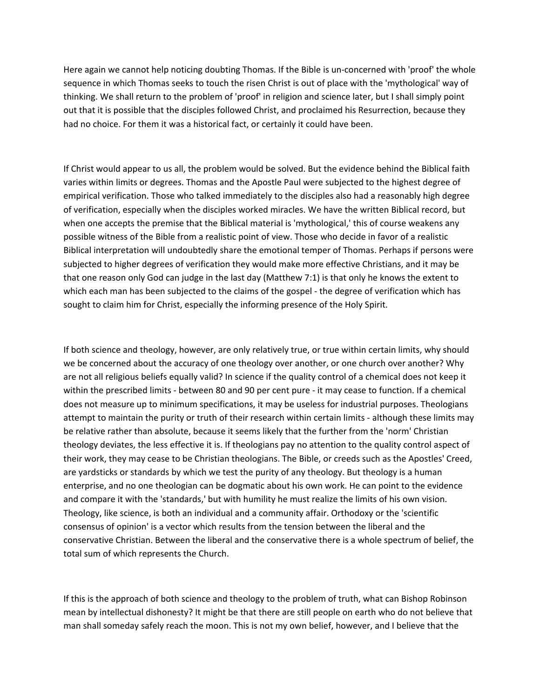Here again we cannot help noticing doubting Thomas. If the Bible is un-concerned with 'proof' the whole sequence in which Thomas seeks to touch the risen Christ is out of place with the 'mythological' way of thinking. We shall return to the problem of 'proof' in religion and science later, but I shall simply point out that it is possible that the disciples followed Christ, and proclaimed his Resurrection, because they had no choice. For them it was a historical fact, or certainly it could have been.

If Christ would appear to us all, the problem would be solved. But the evidence behind the Biblical faith varies within limits or degrees. Thomas and the Apostle Paul were subjected to the highest degree of empirical verification. Those who talked immediately to the disciples also had a reasonably high degree of verification, especially when the disciples worked miracles. We have the written Biblical record, but when one accepts the premise that the Biblical material is 'mythological,' this of course weakens any possible witness of the Bible from a realistic point of view. Those who decide in favor of a realistic Biblical interpretation will undoubtedly share the emotional temper of Thomas. Perhaps if persons were subjected to higher degrees of verification they would make more effective Christians, and it may be that one reason only God can judge in the last day (Matthew 7:1) is that only he knows the extent to which each man has been subjected to the claims of the gospel - the degree of verification which has sought to claim him for Christ, especially the informing presence of the Holy Spirit.

If both science and theology, however, are only relatively true, or true within certain limits, why should we be concerned about the accuracy of one theology over another, or one church over another? Why are not all religious beliefs equally valid? In science if the quality control of a chemical does not keep it within the prescribed limits - between 80 and 90 per cent pure - it may cease to function. If a chemical does not measure up to minimum specifications, it may be useless for industrial purposes. Theologians attempt to maintain the purity or truth of their research within certain limits - although these limits may be relative rather than absolute, because it seems likely that the further from the 'norm' Christian theology deviates, the less effective it is. If theologians pay no attention to the quality control aspect of their work, they may cease to be Christian theologians. The Bible, or creeds such as the Apostles' Creed, are yardsticks or standards by which we test the purity of any theology. But theology is a human enterprise, and no one theologian can be dogmatic about his own work. He can point to the evidence and compare it with the 'standards,' but with humility he must realize the limits of his own vision. Theology, like science, is both an individual and a community affair. Orthodoxy or the 'scientific consensus of opinion' is a vector which results from the tension between the liberal and the conservative Christian. Between the liberal and the conservative there is a whole spectrum of belief, the total sum of which represents the Church.

If this is the approach of both science and theology to the problem of truth, what can Bishop Robinson mean by intellectual dishonesty? It might be that there are still people on earth who do not believe that man shall someday safely reach the moon. This is not my own belief, however, and I believe that the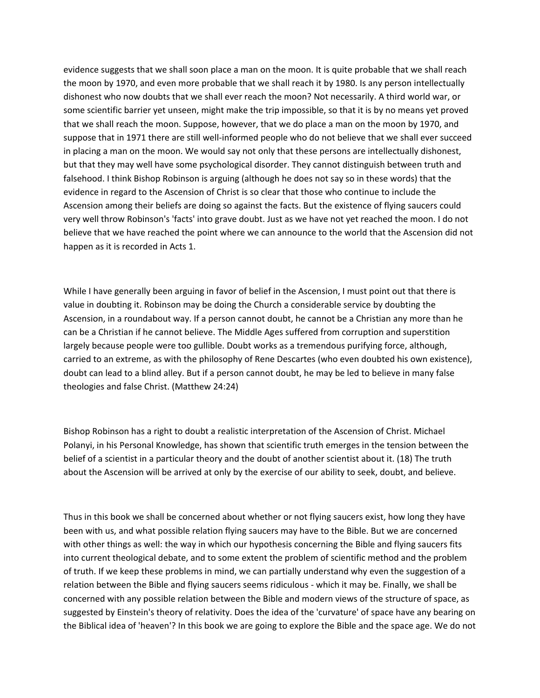evidence suggests that we shall soon place a man on the moon. It is quite probable that we shall reach the moon by 1970, and even more probable that we shall reach it by 1980. Is any person intellectually dishonest who now doubts that we shall ever reach the moon? Not necessarily. A third world war, or some scientific barrier yet unseen, might make the trip impossible, so that it is by no means yet proved that we shall reach the moon. Suppose, however, that we do place a man on the moon by 1970, and suppose that in 1971 there are still well-informed people who do not believe that we shall ever succeed in placing a man on the moon. We would say not only that these persons are intellectually dishonest, but that they may well have some psychological disorder. They cannot distinguish between truth and falsehood. I think Bishop Robinson is arguing (although he does not say so in these words) that the evidence in regard to the Ascension of Christ is so clear that those who continue to include the Ascension among their beliefs are doing so against the facts. But the existence of flying saucers could very well throw Robinson's 'facts' into grave doubt. Just as we have not yet reached the moon. I do not believe that we have reached the point where we can announce to the world that the Ascension did not happen as it is recorded in Acts 1.

While I have generally been arguing in favor of belief in the Ascension, I must point out that there is value in doubting it. Robinson may be doing the Church a considerable service by doubting the Ascension, in a roundabout way. If a person cannot doubt, he cannot be a Christian any more than he can be a Christian if he cannot believe. The Middle Ages suffered from corruption and superstition largely because people were too gullible. Doubt works as a tremendous purifying force, although, carried to an extreme, as with the philosophy of Rene Descartes (who even doubted his own existence), doubt can lead to a blind alley. But if a person cannot doubt, he may be led to believe in many false theologies and false Christ. (Matthew 24:24)

Bishop Robinson has a right to doubt a realistic interpretation of the Ascension of Christ. Michael Polanyi, in his Personal Knowledge, has shown that scientific truth emerges in the tension between the belief of a scientist in a particular theory and the doubt of another scientist about it. (18) The truth about the Ascension will be arrived at only by the exercise of our ability to seek, doubt, and believe.

Thus in this book we shall be concerned about whether or not flying saucers exist, how long they have been with us, and what possible relation flying saucers may have to the Bible. But we are concerned with other things as well: the way in which our hypothesis concerning the Bible and flying saucers fits into current theological debate, and to some extent the problem of scientific method and the problem of truth. If we keep these problems in mind, we can partially understand why even the suggestion of a relation between the Bible and flying saucers seems ridiculous - which it may be. Finally, we shall be concerned with any possible relation between the Bible and modern views of the structure of space, as suggested by Einstein's theory of relativity. Does the idea of the 'curvature' of space have any bearing on the Biblical idea of 'heaven'? In this book we are going to explore the Bible and the space age. We do not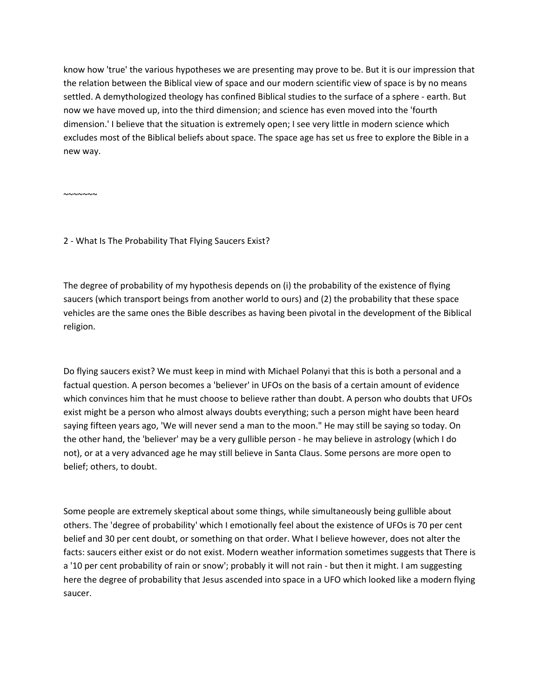know how 'true' the various hypotheses we are presenting may prove to be. But it is our impression that the relation between the Biblical view of space and our modern scientific view of space is by no means settled. A demythologized theology has confined Biblical studies to the surface of a sphere - earth. But now we have moved up, into the third dimension; and science has even moved into the 'fourth dimension.' I believe that the situation is extremely open; I see very little in modern science which excludes most of the Biblical beliefs about space. The space age has set us free to explore the Bible in a new way.

2 - What Is The Probability That Flying Saucers Exist?

~~~~~~~

The degree of probability of my hypothesis depends on (i) the probability of the existence of flying saucers (which transport beings from another world to ours) and (2) the probability that these space vehicles are the same ones the Bible describes as having been pivotal in the development of the Biblical religion.

Do flying saucers exist? We must keep in mind with Michael Polanyi that this is both a personal and a factual question. A person becomes a 'believer' in UFOs on the basis of a certain amount of evidence which convinces him that he must choose to believe rather than doubt. A person who doubts that UFOs exist might be a person who almost always doubts everything; such a person might have been heard saying fifteen years ago, 'We will never send a man to the moon." He may still be saying so today. On the other hand, the 'believer' may be a very gullible person - he may believe in astrology (which I do not), or at a very advanced age he may still believe in Santa Claus. Some persons are more open to belief; others, to doubt.

Some people are extremely skeptical about some things, while simultaneously being gullible about others. The 'degree of probability' which I emotionally feel about the existence of UFOs is 70 per cent belief and 30 per cent doubt, or something on that order. What I believe however, does not alter the facts: saucers either exist or do not exist. Modern weather information sometimes suggests that There is a '10 per cent probability of rain or snow'; probably it will not rain - but then it might. I am suggesting here the degree of probability that Jesus ascended into space in a UFO which looked like a modern flying saucer.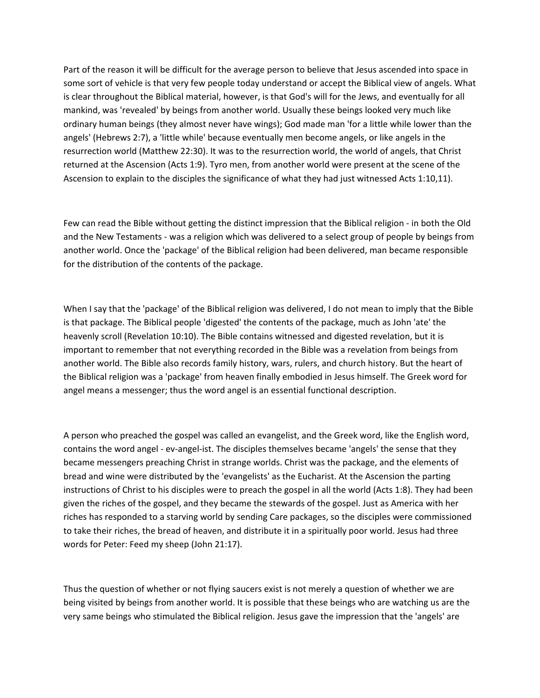Part of the reason it will be difficult for the average person to believe that Jesus ascended into space in some sort of vehicle is that very few people today understand or accept the Biblical view of angels. What is clear throughout the Biblical material, however, is that God's will for the Jews, and eventually for all mankind, was 'revealed' by beings from another world. Usually these beings looked very much like ordinary human beings (they almost never have wings); God made man 'for a little while lower than the angels' (Hebrews 2:7), a 'little while' because eventually men become angels, or like angels in the resurrection world (Matthew 22:30). It was to the resurrection world, the world of angels, that Christ returned at the Ascension (Acts 1:9). Tyro men, from another world were present at the scene of the Ascension to explain to the disciples the significance of what they had just witnessed Acts 1:10,11).

Few can read the Bible without getting the distinct impression that the Biblical religion - in both the Old and the New Testaments - was a religion which was delivered to a select group of people by beings from another world. Once the 'package' of the Biblical religion had been delivered, man became responsible for the distribution of the contents of the package.

When I say that the 'package' of the Biblical religion was delivered, I do not mean to imply that the Bible is that package. The Biblical people 'digested' the contents of the package, much as John 'ate' the heavenly scroll (Revelation 10:10). The Bible contains witnessed and digested revelation, but it is important to remember that not everything recorded in the Bible was a revelation from beings from another world. The Bible also records family history, wars, rulers, and church history. But the heart of the Biblical religion was a 'package' from heaven finally embodied in Jesus himself. The Greek word for angel means a messenger; thus the word angel is an essential functional description.

A person who preached the gospel was called an evangelist, and the Greek word, like the English word, contains the word angel - ev-angel-ist. The disciples themselves became 'angels' the sense that they became messengers preaching Christ in strange worlds. Christ was the package, and the elements of bread and wine were distributed by the 'evangelists' as the Eucharist. At the Ascension the parting instructions of Christ to his disciples were to preach the gospel in all the world (Acts 1:8). They had been given the riches of the gospel, and they became the stewards of the gospel. Just as America with her riches has responded to a starving world by sending Care packages, so the disciples were commissioned to take their riches, the bread of heaven, and distribute it in a spiritually poor world. Jesus had three words for Peter: Feed my sheep (John 21:17).

Thus the question of whether or not flying saucers exist is not merely a question of whether we are being visited by beings from another world. It is possible that these beings who are watching us are the very same beings who stimulated the Biblical religion. Jesus gave the impression that the 'angels' are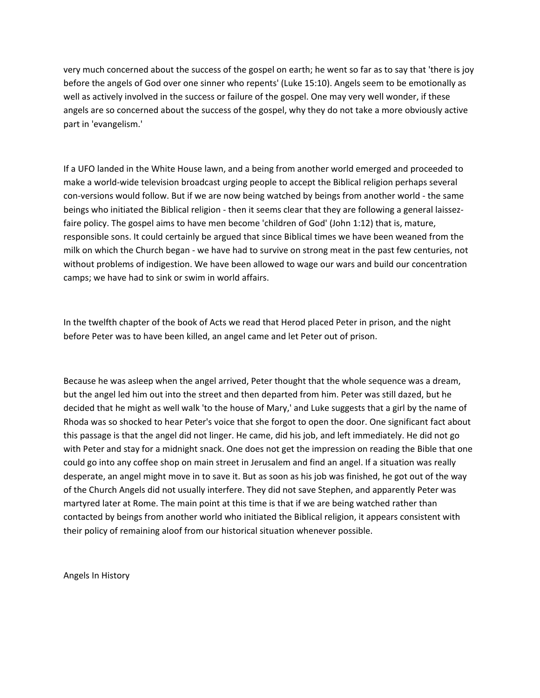very much concerned about the success of the gospel on earth; he went so far as to say that 'there is joy before the angels of God over one sinner who repents' (Luke 15:10). Angels seem to be emotionally as well as actively involved in the success or failure of the gospel. One may very well wonder, if these angels are so concerned about the success of the gospel, why they do not take a more obviously active part in 'evangelism.'

If a UFO landed in the White House lawn, and a being from another world emerged and proceeded to make a world-wide television broadcast urging people to accept the Biblical religion perhaps several con-versions would follow. But if we are now being watched by beings from another world - the same beings who initiated the Biblical religion - then it seems clear that they are following a general laissezfaire policy. The gospel aims to have men become 'children of God' (John 1:12) that is, mature, responsible sons. It could certainly be argued that since Biblical times we have been weaned from the milk on which the Church began - we have had to survive on strong meat in the past few centuries, not without problems of indigestion. We have been allowed to wage our wars and build our concentration camps; we have had to sink or swim in world affairs.

In the twelfth chapter of the book of Acts we read that Herod placed Peter in prison, and the night before Peter was to have been killed, an angel came and let Peter out of prison.

Because he was asleep when the angel arrived, Peter thought that the whole sequence was a dream, but the angel led him out into the street and then departed from him. Peter was still dazed, but he decided that he might as well walk 'to the house of Mary,' and Luke suggests that a girl by the name of Rhoda was so shocked to hear Peter's voice that she forgot to open the door. One significant fact about this passage is that the angel did not linger. He came, did his job, and left immediately. He did not go with Peter and stay for a midnight snack. One does not get the impression on reading the Bible that one could go into any coffee shop on main street in Jerusalem and find an angel. If a situation was really desperate, an angel might move in to save it. But as soon as his job was finished, he got out of the way of the Church Angels did not usually interfere. They did not save Stephen, and apparently Peter was martyred later at Rome. The main point at this time is that if we are being watched rather than contacted by beings from another world who initiated the Biblical religion, it appears consistent with their policy of remaining aloof from our historical situation whenever possible.

Angels In History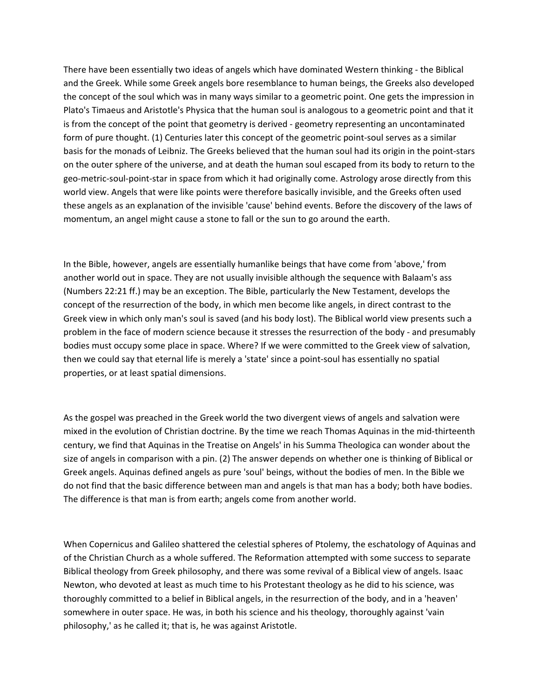There have been essentially two ideas of angels which have dominated Western thinking - the Biblical and the Greek. While some Greek angels bore resemblance to human beings, the Greeks also developed the concept of the soul which was in many ways similar to a geometric point. One gets the impression in Plato's Timaeus and Aristotle's Physica that the human soul is analogous to a geometric point and that it is from the concept of the point that geometry is derived - geometry representing an uncontaminated form of pure thought. (1) Centuries later this concept of the geometric point-soul serves as a similar basis for the monads of Leibniz. The Greeks believed that the human soul had its origin in the point-stars on the outer sphere of the universe, and at death the human soul escaped from its body to return to the geo-metric-soul-point-star in space from which it had originally come. Astrology arose directly from this world view. Angels that were like points were therefore basically invisible, and the Greeks often used these angels as an explanation of the invisible 'cause' behind events. Before the discovery of the laws of momentum, an angel might cause a stone to fall or the sun to go around the earth.

In the Bible, however, angels are essentially humanlike beings that have come from 'above,' from another world out in space. They are not usually invisible although the sequence with Balaam's ass (Numbers 22:21 ff.) may be an exception. The Bible, particularly the New Testament, develops the concept of the resurrection of the body, in which men become like angels, in direct contrast to the Greek view in which only man's soul is saved (and his body lost). The Biblical world view presents such a problem in the face of modern science because it stresses the resurrection of the body - and presumably bodies must occupy some place in space. Where? If we were committed to the Greek view of salvation, then we could say that eternal life is merely a 'state' since a point-soul has essentially no spatial properties, or at least spatial dimensions.

As the gospel was preached in the Greek world the two divergent views of angels and salvation were mixed in the evolution of Christian doctrine. By the time we reach Thomas Aquinas in the mid-thirteenth century, we find that Aquinas in the Treatise on Angels' in his Summa Theologica can wonder about the size of angels in comparison with a pin. (2) The answer depends on whether one is thinking of Biblical or Greek angels. Aquinas defined angels as pure 'soul' beings, without the bodies of men. In the Bible we do not find that the basic difference between man and angels is that man has a body; both have bodies. The difference is that man is from earth; angels come from another world.

When Copernicus and Galileo shattered the celestial spheres of Ptolemy, the eschatology of Aquinas and of the Christian Church as a whole suffered. The Reformation attempted with some success to separate Biblical theology from Greek philosophy, and there was some revival of a Biblical view of angels. Isaac Newton, who devoted at least as much time to his Protestant theology as he did to his science, was thoroughly committed to a belief in Biblical angels, in the resurrection of the body, and in a 'heaven' somewhere in outer space. He was, in both his science and his theology, thoroughly against 'vain philosophy,' as he called it; that is, he was against Aristotle.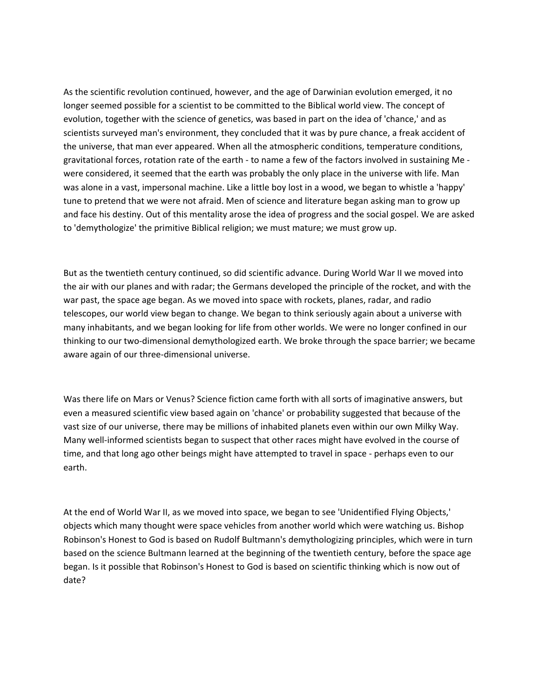As the scientific revolution continued, however, and the age of Darwinian evolution emerged, it no longer seemed possible for a scientist to be committed to the Biblical world view. The concept of evolution, together with the science of genetics, was based in part on the idea of 'chance,' and as scientists surveyed man's environment, they concluded that it was by pure chance, a freak accident of the universe, that man ever appeared. When all the atmospheric conditions, temperature conditions, gravitational forces, rotation rate of the earth - to name a few of the factors involved in sustaining Me were considered, it seemed that the earth was probably the only place in the universe with life. Man was alone in a vast, impersonal machine. Like a little boy lost in a wood, we began to whistle a 'happy' tune to pretend that we were not afraid. Men of science and literature began asking man to grow up and face his destiny. Out of this mentality arose the idea of progress and the social gospel. We are asked to 'demythologize' the primitive Biblical religion; we must mature; we must grow up.

But as the twentieth century continued, so did scientific advance. During World War II we moved into the air with our planes and with radar; the Germans developed the principle of the rocket, and with the war past, the space age began. As we moved into space with rockets, planes, radar, and radio telescopes, our world view began to change. We began to think seriously again about a universe with many inhabitants, and we began looking for life from other worlds. We were no longer confined in our thinking to our two-dimensional demythologized earth. We broke through the space barrier; we became aware again of our three-dimensional universe.

Was there life on Mars or Venus? Science fiction came forth with all sorts of imaginative answers, but even a measured scientific view based again on 'chance' or probability suggested that because of the vast size of our universe, there may be millions of inhabited planets even within our own Milky Way. Many well-informed scientists began to suspect that other races might have evolved in the course of time, and that long ago other beings might have attempted to travel in space - perhaps even to our earth.

At the end of World War II, as we moved into space, we began to see 'Unidentified Flying Objects,' objects which many thought were space vehicles from another world which were watching us. Bishop Robinson's Honest to God is based on Rudolf Bultmann's demythologizing principles, which were in turn based on the science Bultmann learned at the beginning of the twentieth century, before the space age began. Is it possible that Robinson's Honest to God is based on scientific thinking which is now out of date?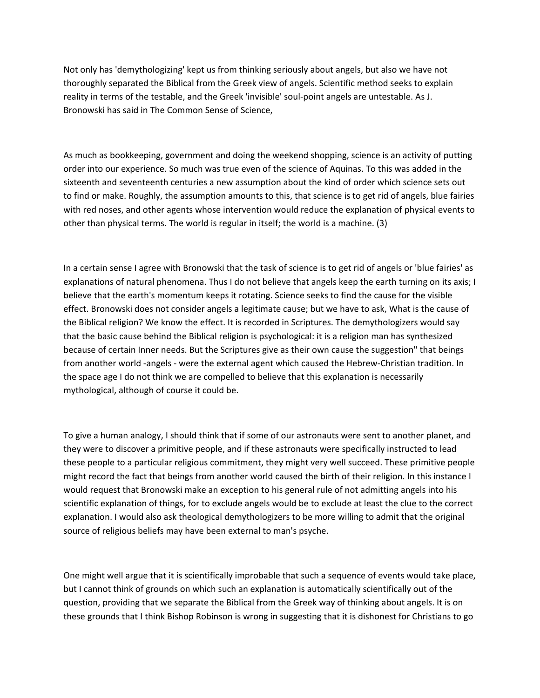Not only has 'demythologizing' kept us from thinking seriously about angels, but also we have not thoroughly separated the Biblical from the Greek view of angels. Scientific method seeks to explain reality in terms of the testable, and the Greek 'invisible' soul-point angels are untestable. As J. Bronowski has said in The Common Sense of Science,

As much as bookkeeping, government and doing the weekend shopping, science is an activity of putting order into our experience. So much was true even of the science of Aquinas. To this was added in the sixteenth and seventeenth centuries a new assumption about the kind of order which science sets out to find or make. Roughly, the assumption amounts to this, that science is to get rid of angels, blue fairies with red noses, and other agents whose intervention would reduce the explanation of physical events to other than physical terms. The world is regular in itself; the world is a machine. (3)

In a certain sense I agree with Bronowski that the task of science is to get rid of angels or 'blue fairies' as explanations of natural phenomena. Thus I do not believe that angels keep the earth turning on its axis; I believe that the earth's momentum keeps it rotating. Science seeks to find the cause for the visible effect. Bronowski does not consider angels a legitimate cause; but we have to ask, What is the cause of the Biblical religion? We know the effect. It is recorded in Scriptures. The demythologizers would say that the basic cause behind the Biblical religion is psychological: it is a religion man has synthesized because of certain Inner needs. But the Scriptures give as their own cause the suggestion" that beings from another world -angels - were the external agent which caused the Hebrew-Christian tradition. In the space age I do not think we are compelled to believe that this explanation is necessarily mythological, although of course it could be.

To give a human analogy, I should think that if some of our astronauts were sent to another planet, and they were to discover a primitive people, and if these astronauts were specifically instructed to lead these people to a particular religious commitment, they might very well succeed. These primitive people might record the fact that beings from another world caused the birth of their religion. In this instance I would request that Bronowski make an exception to his general rule of not admitting angels into his scientific explanation of things, for to exclude angels would be to exclude at least the clue to the correct explanation. I would also ask theological demythologizers to be more willing to admit that the original source of religious beliefs may have been external to man's psyche.

One might well argue that it is scientifically improbable that such a sequence of events would take place, but I cannot think of grounds on which such an explanation is automatically scientifically out of the question, providing that we separate the Biblical from the Greek way of thinking about angels. It is on these grounds that I think Bishop Robinson is wrong in suggesting that it is dishonest for Christians to go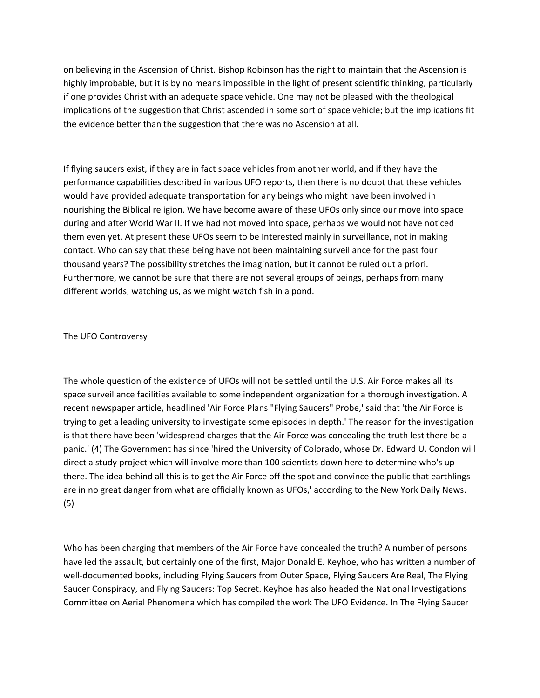on believing in the Ascension of Christ. Bishop Robinson has the right to maintain that the Ascension is highly improbable, but it is by no means impossible in the light of present scientific thinking, particularly if one provides Christ with an adequate space vehicle. One may not be pleased with the theological implications of the suggestion that Christ ascended in some sort of space vehicle; but the implications fit the evidence better than the suggestion that there was no Ascension at all.

If flying saucers exist, if they are in fact space vehicles from another world, and if they have the performance capabilities described in various UFO reports, then there is no doubt that these vehicles would have provided adequate transportation for any beings who might have been involved in nourishing the Biblical religion. We have become aware of these UFOs only since our move into space during and after World War II. If we had not moved into space, perhaps we would not have noticed them even yet. At present these UFOs seem to be Interested mainly in surveillance, not in making contact. Who can say that these being have not been maintaining surveillance for the past four thousand years? The possibility stretches the imagination, but it cannot be ruled out a priori. Furthermore, we cannot be sure that there are not several groups of beings, perhaps from many different worlds, watching us, as we might watch fish in a pond.

The UFO Controversy

The whole question of the existence of UFOs will not be settled until the U.S. Air Force makes all its space surveillance facilities available to some independent organization for a thorough investigation. A recent newspaper article, headlined 'Air Force Plans "Flying Saucers" Probe,' said that 'the Air Force is trying to get a leading university to investigate some episodes in depth.' The reason for the investigation is that there have been 'widespread charges that the Air Force was concealing the truth lest there be a panic.' (4) The Government has since 'hired the University of Colorado, whose Dr. Edward U. Condon will direct a study project which will involve more than 100 scientists down here to determine who's up there. The idea behind all this is to get the Air Force off the spot and convince the public that earthlings are in no great danger from what are officially known as UFOs,' according to the New York Daily News. (5)

Who has been charging that members of the Air Force have concealed the truth? A number of persons have led the assault, but certainly one of the first, Major Donald E. Keyhoe, who has written a number of well-documented books, including Flying Saucers from Outer Space, Flying Saucers Are Real, The Flying Saucer Conspiracy, and Flying Saucers: Top Secret. Keyhoe has also headed the National Investigations Committee on Aerial Phenomena which has compiled the work The UFO Evidence. In The Flying Saucer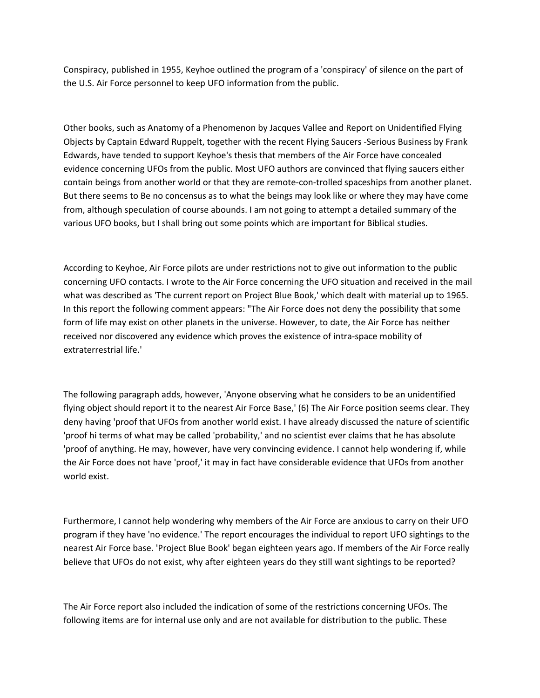Conspiracy, published in 1955, Keyhoe outlined the program of a 'conspiracy' of silence on the part of the U.S. Air Force personnel to keep UFO information from the public.

Other books, such as Anatomy of a Phenomenon by Jacques Vallee and Report on Unidentified Flying Objects by Captain Edward Ruppelt, together with the recent Flying Saucers -Serious Business by Frank Edwards, have tended to support Keyhoe's thesis that members of the Air Force have concealed evidence concerning UFOs from the public. Most UFO authors are convinced that flying saucers either contain beings from another world or that they are remote-con-trolled spaceships from another planet. But there seems to Be no concensus as to what the beings may look like or where they may have come from, although speculation of course abounds. I am not going to attempt a detailed summary of the various UFO books, but I shall bring out some points which are important for Biblical studies.

According to Keyhoe, Air Force pilots are under restrictions not to give out information to the public concerning UFO contacts. I wrote to the Air Force concerning the UFO situation and received in the mail what was described as 'The current report on Project Blue Book,' which dealt with material up to 1965. In this report the following comment appears: "The Air Force does not deny the possibility that some form of life may exist on other planets in the universe. However, to date, the Air Force has neither received nor discovered any evidence which proves the existence of intra-space mobility of extraterrestrial life.'

The following paragraph adds, however, 'Anyone observing what he considers to be an unidentified flying object should report it to the nearest Air Force Base,' (6) The Air Force position seems clear. They deny having 'proof that UFOs from another world exist. I have already discussed the nature of scientific 'proof hi terms of what may be called 'probability,' and no scientist ever claims that he has absolute 'proof of anything. He may, however, have very convincing evidence. I cannot help wondering if, while the Air Force does not have 'proof,' it may in fact have considerable evidence that UFOs from another world exist.

Furthermore, I cannot help wondering why members of the Air Force are anxious to carry on their UFO program if they have 'no evidence.' The report encourages the individual to report UFO sightings to the nearest Air Force base. 'Project Blue Book' began eighteen years ago. If members of the Air Force really believe that UFOs do not exist, why after eighteen years do they still want sightings to be reported?

The Air Force report also included the indication of some of the restrictions concerning UFOs. The following items are for internal use only and are not available for distribution to the public. These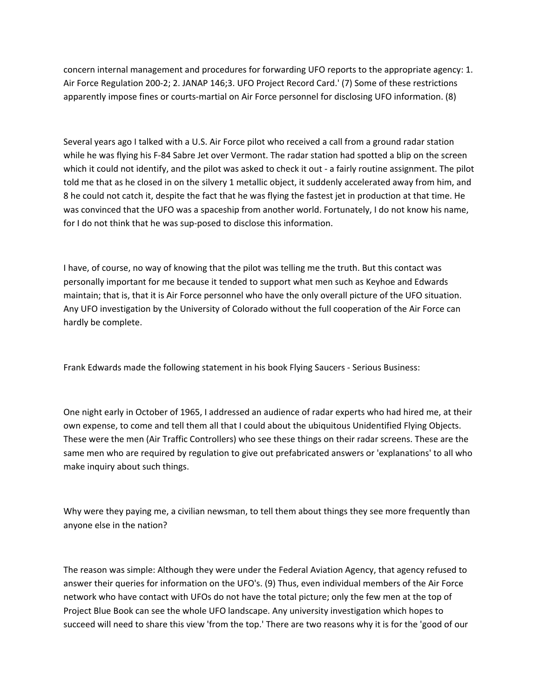concern internal management and procedures for forwarding UFO reports to the appropriate agency: 1. Air Force Regulation 200-2; 2. JANAP 146;3. UFO Project Record Card.' (7) Some of these restrictions apparently impose fines or courts-martial on Air Force personnel for disclosing UFO information. (8)

Several years ago I talked with a U.S. Air Force pilot who received a call from a ground radar station while he was flying his F-84 Sabre Jet over Vermont. The radar station had spotted a blip on the screen which it could not identify, and the pilot was asked to check it out - a fairly routine assignment. The pilot told me that as he closed in on the silvery 1 metallic object, it suddenly accelerated away from him, and 8 he could not catch it, despite the fact that he was flying the fastest jet in production at that time. He was convinced that the UFO was a spaceship from another world. Fortunately, I do not know his name, for I do not think that he was sup-posed to disclose this information.

I have, of course, no way of knowing that the pilot was telling me the truth. But this contact was personally important for me because it tended to support what men such as Keyhoe and Edwards maintain; that is, that it is Air Force personnel who have the only overall picture of the UFO situation. Any UFO investigation by the University of Colorado without the full cooperation of the Air Force can hardly be complete.

Frank Edwards made the following statement in his book Flying Saucers - Serious Business:

One night early in October of 1965, I addressed an audience of radar experts who had hired me, at their own expense, to come and tell them all that I could about the ubiquitous Unidentified Flying Objects. These were the men (Air Traffic Controllers) who see these things on their radar screens. These are the same men who are required by regulation to give out prefabricated answers or 'explanations' to all who make inquiry about such things.

Why were they paying me, a civilian newsman, to tell them about things they see more frequently than anyone else in the nation?

The reason was simple: Although they were under the Federal Aviation Agency, that agency refused to answer their queries for information on the UFO's. (9) Thus, even individual members of the Air Force network who have contact with UFOs do not have the total picture; only the few men at the top of Project Blue Book can see the whole UFO landscape. Any university investigation which hopes to succeed will need to share this view 'from the top.' There are two reasons why it is for the 'good of our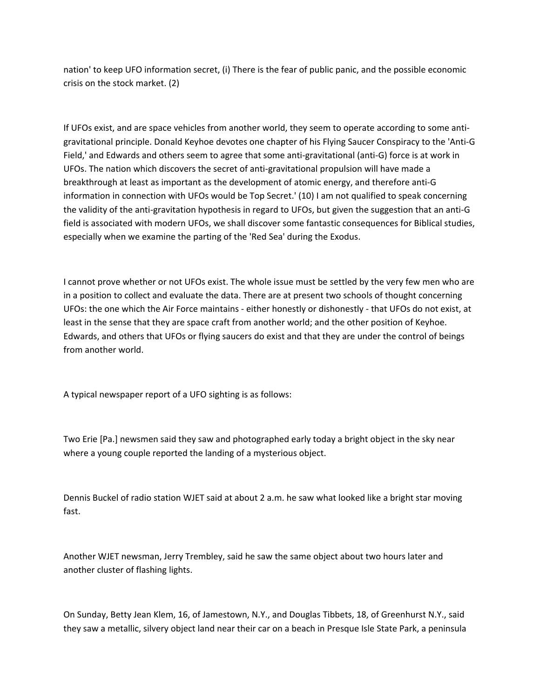nation' to keep UFO information secret, (i) There is the fear of public panic, and the possible economic crisis on the stock market. (2)

If UFOs exist, and are space vehicles from another world, they seem to operate according to some antigravitational principle. Donald Keyhoe devotes one chapter of his Flying Saucer Conspiracy to the 'Anti-G Field,' and Edwards and others seem to agree that some anti-gravitational (anti-G) force is at work in UFOs. The nation which discovers the secret of anti-gravitational propulsion will have made a breakthrough at least as important as the development of atomic energy, and therefore anti-G information in connection with UFOs would be Top Secret.' (10) I am not qualified to speak concerning the validity of the anti-gravitation hypothesis in regard to UFOs, but given the suggestion that an anti-G field is associated with modern UFOs, we shall discover some fantastic consequences for Biblical studies, especially when we examine the parting of the 'Red Sea' during the Exodus.

I cannot prove whether or not UFOs exist. The whole issue must be settled by the very few men who are in a position to collect and evaluate the data. There are at present two schools of thought concerning UFOs: the one which the Air Force maintains - either honestly or dishonestly - that UFOs do not exist, at least in the sense that they are space craft from another world; and the other position of Keyhoe. Edwards, and others that UFOs or flying saucers do exist and that they are under the control of beings from another world.

A typical newspaper report of a UFO sighting is as follows:

Two Erie [Pa.] newsmen said they saw and photographed early today a bright object in the sky near where a young couple reported the landing of a mysterious object.

Dennis Buckel of radio station WJET said at about 2 a.m. he saw what looked like a bright star moving fast.

Another WJET newsman, Jerry Trembley, said he saw the same object about two hours later and another cluster of flashing lights.

On Sunday, Betty Jean Klem, 16, of Jamestown, N.Y., and Douglas Tibbets, 18, of Greenhurst N.Y., said they saw a metallic, silvery object land near their car on a beach in Presque Isle State Park, a peninsula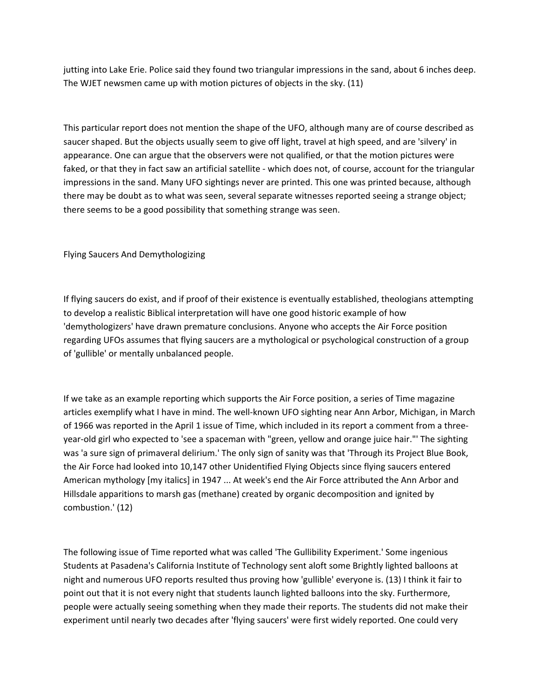jutting into Lake Erie. Police said they found two triangular impressions in the sand, about 6 inches deep. The WJET newsmen came up with motion pictures of objects in the sky. (11)

This particular report does not mention the shape of the UFO, although many are of course described as saucer shaped. But the objects usually seem to give off light, travel at high speed, and are 'silvery' in appearance. One can argue that the observers were not qualified, or that the motion pictures were faked, or that they in fact saw an artificial satellite - which does not, of course, account for the triangular impressions in the sand. Many UFO sightings never are printed. This one was printed because, although there may be doubt as to what was seen, several separate witnesses reported seeing a strange object; there seems to be a good possibility that something strange was seen.

Flying Saucers And Demythologizing

If flying saucers do exist, and if proof of their existence is eventually established, theologians attempting to develop a realistic Biblical interpretation will have one good historic example of how 'demythologizers' have drawn premature conclusions. Anyone who accepts the Air Force position regarding UFOs assumes that flying saucers are a mythological or psychological construction of a group of 'gullible' or mentally unbalanced people.

If we take as an example reporting which supports the Air Force position, a series of Time magazine articles exemplify what I have in mind. The well-known UFO sighting near Ann Arbor, Michigan, in March of 1966 was reported in the April 1 issue of Time, which included in its report a comment from a threeyear-old girl who expected to 'see a spaceman with "green, yellow and orange juice hair."' The sighting was 'a sure sign of primaveral delirium.' The only sign of sanity was that 'Through its Project Blue Book, the Air Force had looked into 10,147 other Unidentified Flying Objects since flying saucers entered American mythology [my italics] in 1947 ... At week's end the Air Force attributed the Ann Arbor and Hillsdale apparitions to marsh gas (methane) created by organic decomposition and ignited by combustion.' (12)

The following issue of Time reported what was called 'The Gullibility Experiment.' Some ingenious Students at Pasadena's California Institute of Technology sent aloft some Brightly lighted balloons at night and numerous UFO reports resulted thus proving how 'gullible' everyone is. (13) I think it fair to point out that it is not every night that students launch lighted balloons into the sky. Furthermore, people were actually seeing something when they made their reports. The students did not make their experiment until nearly two decades after 'flying saucers' were first widely reported. One could very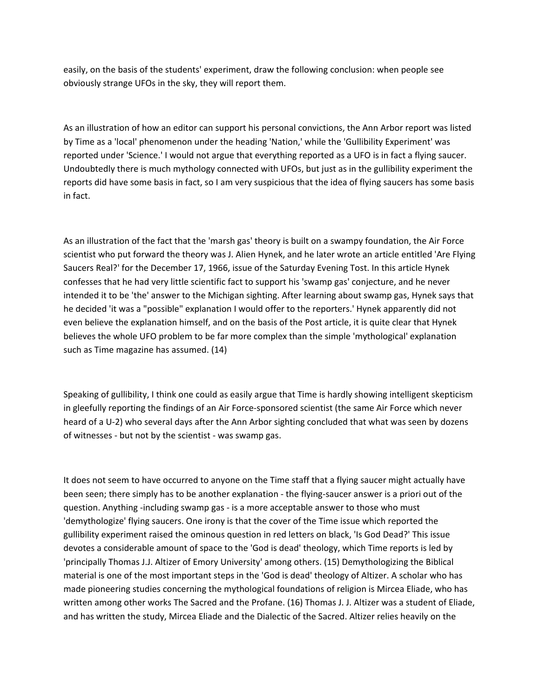easily, on the basis of the students' experiment, draw the following conclusion: when people see obviously strange UFOs in the sky, they will report them.

As an illustration of how an editor can support his personal convictions, the Ann Arbor report was listed by Time as a 'local' phenomenon under the heading 'Nation,' while the 'Gullibility Experiment' was reported under 'Science.' I would not argue that everything reported as a UFO is in fact a flying saucer. Undoubtedly there is much mythology connected with UFOs, but just as in the gullibility experiment the reports did have some basis in fact, so I am very suspicious that the idea of flying saucers has some basis in fact.

As an illustration of the fact that the 'marsh gas' theory is built on a swampy foundation, the Air Force scientist who put forward the theory was J. Alien Hynek, and he later wrote an article entitled 'Are Flying Saucers Real?' for the December 17, 1966, issue of the Saturday Evening Tost. In this article Hynek confesses that he had very little scientific fact to support his 'swamp gas' conjecture, and he never intended it to be 'the' answer to the Michigan sighting. After learning about swamp gas, Hynek says that he decided 'it was a "possible" explanation I would offer to the reporters.' Hynek apparently did not even believe the explanation himself, and on the basis of the Post article, it is quite clear that Hynek believes the whole UFO problem to be far more complex than the simple 'mythological' explanation such as Time magazine has assumed. (14)

Speaking of gullibility, I think one could as easily argue that Time is hardly showing intelligent skepticism in gleefully reporting the findings of an Air Force-sponsored scientist (the same Air Force which never heard of a U-2) who several days after the Ann Arbor sighting concluded that what was seen by dozens of witnesses - but not by the scientist - was swamp gas.

It does not seem to have occurred to anyone on the Time staff that a flying saucer might actually have been seen; there simply has to be another explanation - the flying-saucer answer is a priori out of the question. Anything -including swamp gas - is a more acceptable answer to those who must 'demythologize' flying saucers. One irony is that the cover of the Time issue which reported the gullibility experiment raised the ominous question in red letters on black, 'Is God Dead?' This issue devotes a considerable amount of space to the 'God is dead' theology, which Time reports is led by 'principally Thomas J.J. Altizer of Emory University' among others. (15) Demythologizing the Biblical material is one of the most important steps in the 'God is dead' theology of Altizer. A scholar who has made pioneering studies concerning the mythological foundations of religion is Mircea Eliade, who has written among other works The Sacred and the Profane. (16) Thomas J. J. Altizer was a student of Eliade, and has written the study, Mircea Eliade and the Dialectic of the Sacred. Altizer relies heavily on the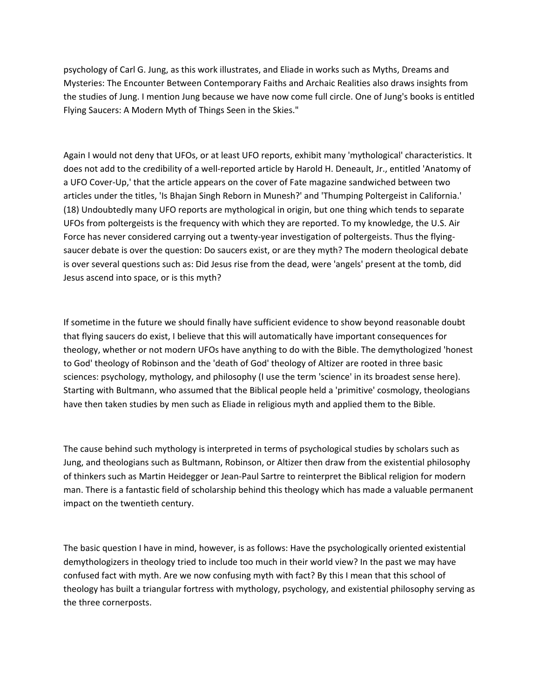psychology of Carl G. Jung, as this work illustrates, and Eliade in works such as Myths, Dreams and Mysteries: The Encounter Between Contemporary Faiths and Archaic Realities also draws insights from the studies of Jung. I mention Jung because we have now come full circle. One of Jung's books is entitled Flying Saucers: A Modern Myth of Things Seen in the Skies."

Again I would not deny that UFOs, or at least UFO reports, exhibit many 'mythological' characteristics. It does not add to the credibility of a well-reported article by Harold H. Deneault, Jr., entitled 'Anatomy of a UFO Cover-Up,' that the article appears on the cover of Fate magazine sandwiched between two articles under the titles, 'Is Bhajan Singh Reborn in Munesh?' and 'Thumping Poltergeist in California.' (18) Undoubtedly many UFO reports are mythological in origin, but one thing which tends to separate UFOs from poltergeists is the frequency with which they are reported. To my knowledge, the U.S. Air Force has never considered carrying out a twenty-year investigation of poltergeists. Thus the flyingsaucer debate is over the question: Do saucers exist, or are they myth? The modern theological debate is over several questions such as: Did Jesus rise from the dead, were 'angels' present at the tomb, did Jesus ascend into space, or is this myth?

If sometime in the future we should finally have sufficient evidence to show beyond reasonable doubt that flying saucers do exist, I believe that this will automatically have important consequences for theology, whether or not modern UFOs have anything to do with the Bible. The demythologized 'honest to God' theology of Robinson and the 'death of God' theology of Altizer are rooted in three basic sciences: psychology, mythology, and philosophy (I use the term 'science' in its broadest sense here). Starting with Bultmann, who assumed that the Biblical people held a 'primitive' cosmology, theologians have then taken studies by men such as Eliade in religious myth and applied them to the Bible.

The cause behind such mythology is interpreted in terms of psychological studies by scholars such as Jung, and theologians such as Bultmann, Robinson, or Altizer then draw from the existential philosophy of thinkers such as Martin Heidegger or Jean-Paul Sartre to reinterpret the Biblical religion for modern man. There is a fantastic field of scholarship behind this theology which has made a valuable permanent impact on the twentieth century.

The basic question I have in mind, however, is as follows: Have the psychologically oriented existential demythologizers in theology tried to include too much in their world view? In the past we may have confused fact with myth. Are we now confusing myth with fact? By this I mean that this school of theology has built a triangular fortress with mythology, psychology, and existential philosophy serving as the three cornerposts.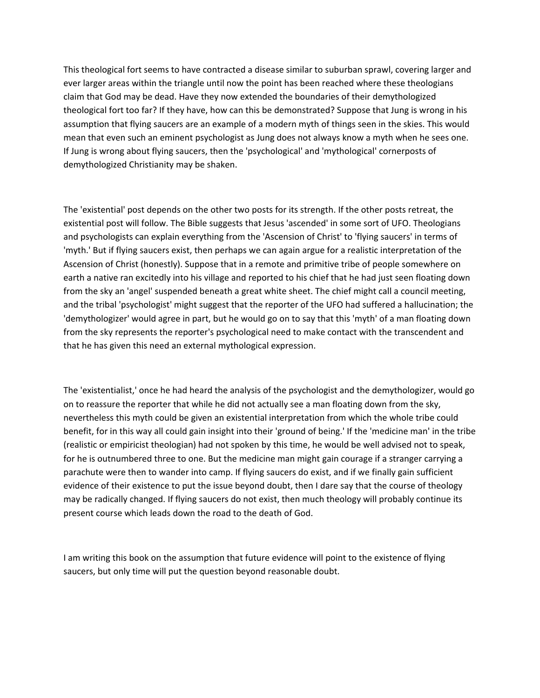This theological fort seems to have contracted a disease similar to suburban sprawl, covering larger and ever larger areas within the triangle until now the point has been reached where these theologians claim that God may be dead. Have they now extended the boundaries of their demythologized theological fort too far? If they have, how can this be demonstrated? Suppose that Jung is wrong in his assumption that flying saucers are an example of a modern myth of things seen in the skies. This would mean that even such an eminent psychologist as Jung does not always know a myth when he sees one. If Jung is wrong about flying saucers, then the 'psychological' and 'mythological' cornerposts of demythologized Christianity may be shaken.

The 'existential' post depends on the other two posts for its strength. If the other posts retreat, the existential post will follow. The Bible suggests that Jesus 'ascended' in some sort of UFO. Theologians and psychologists can explain everything from the 'Ascension of Christ' to 'flying saucers' in terms of 'myth.' But if flying saucers exist, then perhaps we can again argue for a realistic interpretation of the Ascension of Christ (honestly). Suppose that in a remote and primitive tribe of people somewhere on earth a native ran excitedly into his village and reported to his chief that he had just seen floating down from the sky an 'angel' suspended beneath a great white sheet. The chief might call a council meeting, and the tribal 'psychologist' might suggest that the reporter of the UFO had suffered a hallucination; the 'demythologizer' would agree in part, but he would go on to say that this 'myth' of a man floating down from the sky represents the reporter's psychological need to make contact with the transcendent and that he has given this need an external mythological expression.

The 'existentialist,' once he had heard the analysis of the psychologist and the demythologizer, would go on to reassure the reporter that while he did not actually see a man floating down from the sky, nevertheless this myth could be given an existential interpretation from which the whole tribe could benefit, for in this way all could gain insight into their 'ground of being.' If the 'medicine man' in the tribe (realistic or empiricist theologian) had not spoken by this time, he would be well advised not to speak, for he is outnumbered three to one. But the medicine man might gain courage if a stranger carrying a parachute were then to wander into camp. If flying saucers do exist, and if we finally gain sufficient evidence of their existence to put the issue beyond doubt, then I dare say that the course of theology may be radically changed. If flying saucers do not exist, then much theology will probably continue its present course which leads down the road to the death of God.

I am writing this book on the assumption that future evidence will point to the existence of flying saucers, but only time will put the question beyond reasonable doubt.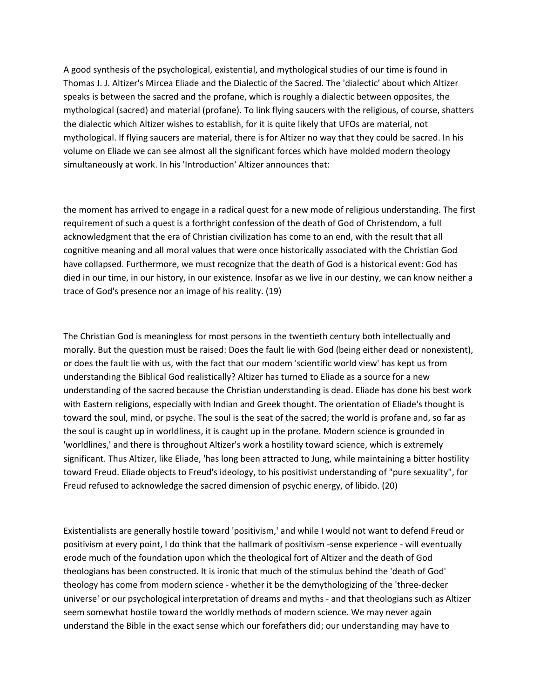A good synthesis of the psychological, existential, and mythological studies of our time is found in Thomas J. J. Altizer's Mircea Eliade and the Dialectic of the Sacred. The 'dialectic' about which Altizer speaks is between the sacred and the profane, which is roughly a dialectic between opposites, the mythological (sacred) and material (profane). To link flying saucers with the religious, of course, shatters the dialectic which Altizer wishes to establish, for it is quite likely that UFOs are material, not mythological. If flying saucers are material, there is for Altizer no way that they could be sacred. In his volume on Eliade we can see almost all the significant forces which have molded modern theology simultaneously at work. In his 'Introduction' Altizer announces that:

the moment has arrived to engage in a radical quest for a new mode of religious understanding. The first requirement of such a quest is a forthright confession of the death of God of Christendom, a full acknowledgment that the era of Christian civilization has come to an end, with the result that all cognitive meaning and all moral values that were once historically associated with the Christian God have collapsed. Furthermore, we must recognize that the death of God is a historical event: God has died in our time, in our history, in our existence. Insofar as we live in our destiny, we can know neither a trace of God's presence nor an image of his reality. (19)

The Christian God is meaningless for most persons in the twentieth century both intellectually and morally. But the question must be raised: Does the fault lie with God (being either dead or nonexistent), or does the fault lie with us, with the fact that our modem 'scientific world view' has kept us from understanding the Biblical God realistically? Altizer has turned to Eliade as a source for a new understanding of the sacred because the Christian understanding is dead. Eliade has done his best work with Eastern religions, especially with Indian and Greek thought. The orientation of Eliade's thought is toward the soul, mind, or psyche. The soul is the seat of the sacred; the world is profane and, so far as the soul is caught up in worldliness, it is caught up in the profane. Modern science is grounded in 'worldlines,' and there is throughout Altizer's work a hostility toward science, which is extremely significant. Thus Altizer, like Eliade, 'has long been attracted to Jung, while maintaining a bitter hostility toward Freud. Eliade objects to Freud's ideology, to his positivist understanding of "pure sexuality", for Freud refused to acknowledge the sacred dimension of psychic energy, of libido. (20)

Existentialists are generally hostile toward 'positivism,' and while I would not want to defend Freud or positivism at every point, I do think that the hallmark of positivism -sense experience - will eventually erode much of the foundation upon which the theological fort of Altizer and the death of God theologians has been constructed. It is ironic that much of the stimulus behind the 'death of God' theology has come from modern science - whether it be the demythologizing of the 'three-decker universe' or our psychological interpretation of dreams and myths - and that theologians such as Altizer seem somewhat hostile toward the worldly methods of modern science. We may never again understand the Bible in the exact sense which our forefathers did; our understanding may have to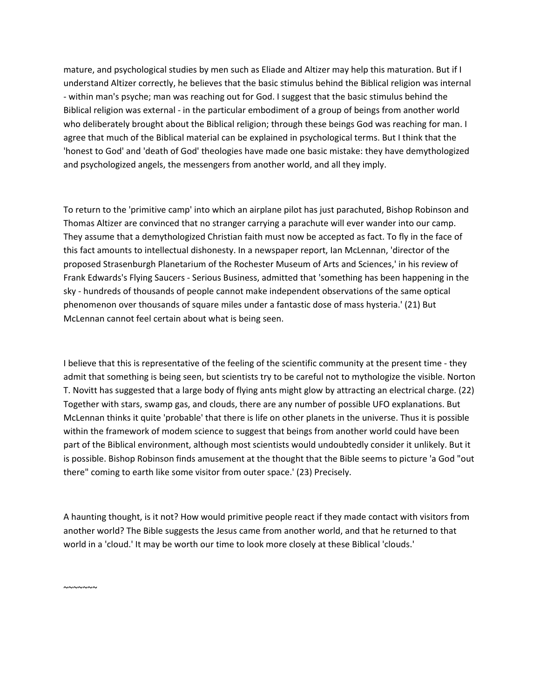mature, and psychological studies by men such as Eliade and Altizer may help this maturation. But if I understand Altizer correctly, he believes that the basic stimulus behind the Biblical religion was internal - within man's psyche; man was reaching out for God. I suggest that the basic stimulus behind the Biblical religion was external - in the particular embodiment of a group of beings from another world who deliberately brought about the Biblical religion; through these beings God was reaching for man. I agree that much of the Biblical material can be explained in psychological terms. But I think that the 'honest to God' and 'death of God' theologies have made one basic mistake: they have demythologized and psychologized angels, the messengers from another world, and all they imply.

To return to the 'primitive camp' into which an airplane pilot has just parachuted, Bishop Robinson and Thomas Altizer are convinced that no stranger carrying a parachute will ever wander into our camp. They assume that a demythologized Christian faith must now be accepted as fact. To fly in the face of this fact amounts to intellectual dishonesty. In a newspaper report, Ian McLennan, 'director of the proposed Strasenburgh Planetarium of the Rochester Museum of Arts and Sciences,' in his review of Frank Edwards's Flying Saucers - Serious Business, admitted that 'something has been happening in the sky - hundreds of thousands of people cannot make independent observations of the same optical phenomenon over thousands of square miles under a fantastic dose of mass hysteria.' (21) But McLennan cannot feel certain about what is being seen.

I believe that this is representative of the feeling of the scientific community at the present time - they admit that something is being seen, but scientists try to be careful not to mythologize the visible. Norton T. Novitt has suggested that a large body of flying ants might glow by attracting an electrical charge. (22) Together with stars, swamp gas, and clouds, there are any number of possible UFO explanations. But McLennan thinks it quite 'probable' that there is life on other planets in the universe. Thus it is possible within the framework of modem science to suggest that beings from another world could have been part of the Biblical environment, although most scientists would undoubtedly consider it unlikely. But it is possible. Bishop Robinson finds amusement at the thought that the Bible seems to picture 'a God "out there" coming to earth like some visitor from outer space.' (23) Precisely.

A haunting thought, is it not? How would primitive people react if they made contact with visitors from another world? The Bible suggests the Jesus came from another world, and that he returned to that world in a 'cloud.' It may be worth our time to look more closely at these Biblical 'clouds.'

~~~~~~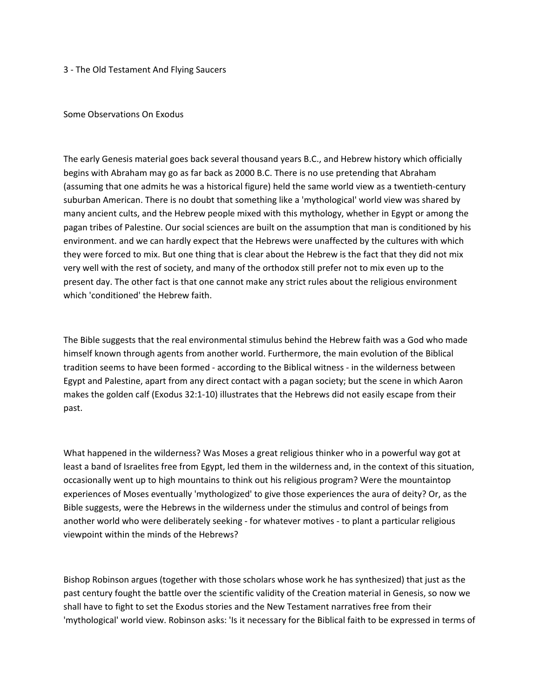3 - The Old Testament And Flying Saucers

Some Observations On Exodus

The early Genesis material goes back several thousand years B.C., and Hebrew history which officially begins with Abraham may go as far back as 2000 B.C. There is no use pretending that Abraham (assuming that one admits he was a historical figure) held the same world view as a twentieth-century suburban American. There is no doubt that something like a 'mythological' world view was shared by many ancient cults, and the Hebrew people mixed with this mythology, whether in Egypt or among the pagan tribes of Palestine. Our social sciences are built on the assumption that man is conditioned by his environment. and we can hardly expect that the Hebrews were unaffected by the cultures with which they were forced to mix. But one thing that is clear about the Hebrew is the fact that they did not mix very well with the rest of society, and many of the orthodox still prefer not to mix even up to the present day. The other fact is that one cannot make any strict rules about the religious environment which 'conditioned' the Hebrew faith.

The Bible suggests that the real environmental stimulus behind the Hebrew faith was a God who made himself known through agents from another world. Furthermore, the main evolution of the Biblical tradition seems to have been formed - according to the Biblical witness - in the wilderness between Egypt and Palestine, apart from any direct contact with a pagan society; but the scene in which Aaron makes the golden calf (Exodus 32:1-10) illustrates that the Hebrews did not easily escape from their past.

What happened in the wilderness? Was Moses a great religious thinker who in a powerful way got at least a band of Israelites free from Egypt, led them in the wilderness and, in the context of this situation, occasionally went up to high mountains to think out his religious program? Were the mountaintop experiences of Moses eventually 'mythologized' to give those experiences the aura of deity? Or, as the Bible suggests, were the Hebrews in the wilderness under the stimulus and control of beings from another world who were deliberately seeking - for whatever motives - to plant a particular religious viewpoint within the minds of the Hebrews?

Bishop Robinson argues (together with those scholars whose work he has synthesized) that just as the past century fought the battle over the scientific validity of the Creation material in Genesis, so now we shall have to fight to set the Exodus stories and the New Testament narratives free from their 'mythological' world view. Robinson asks: 'Is it necessary for the Biblical faith to be expressed in terms of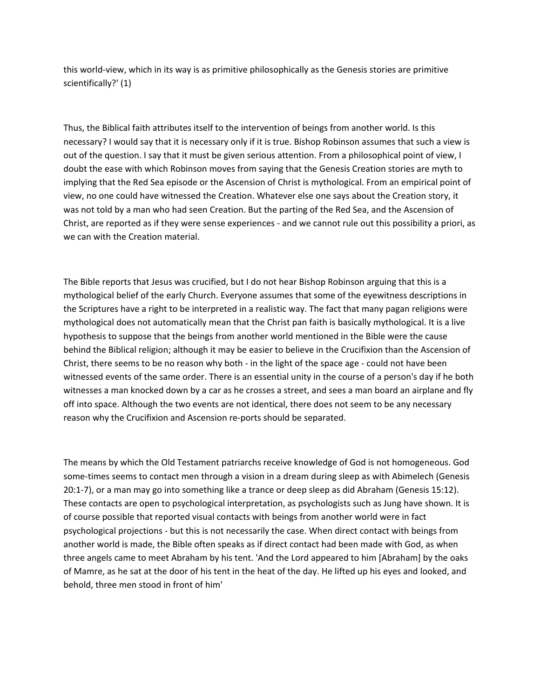this world-view, which in its way is as primitive philosophically as the Genesis stories are primitive scientifically?' (1)

Thus, the Biblical faith attributes itself to the intervention of beings from another world. Is this necessary? I would say that it is necessary only if it is true. Bishop Robinson assumes that such a view is out of the question. I say that it must be given serious attention. From a philosophical point of view, I doubt the ease with which Robinson moves from saying that the Genesis Creation stories are myth to implying that the Red Sea episode or the Ascension of Christ is mythological. From an empirical point of view, no one could have witnessed the Creation. Whatever else one says about the Creation story, it was not told by a man who had seen Creation. But the parting of the Red Sea, and the Ascension of Christ, are reported as if they were sense experiences - and we cannot rule out this possibility a priori, as we can with the Creation material.

The Bible reports that Jesus was crucified, but I do not hear Bishop Robinson arguing that this is a mythological belief of the early Church. Everyone assumes that some of the eyewitness descriptions in the Scriptures have a right to be interpreted in a realistic way. The fact that many pagan religions were mythological does not automatically mean that the Christ pan faith is basically mythological. It is a live hypothesis to suppose that the beings from another world mentioned in the Bible were the cause behind the Biblical religion; although it may be easier to believe in the Crucifixion than the Ascension of Christ, there seems to be no reason why both - in the light of the space age - could not have been witnessed events of the same order. There is an essential unity in the course of a person's day if he both witnesses a man knocked down by a car as he crosses a street, and sees a man board an airplane and fly off into space. Although the two events are not identical, there does not seem to be any necessary reason why the Crucifixion and Ascension re-ports should be separated.

The means by which the Old Testament patriarchs receive knowledge of God is not homogeneous. God some-times seems to contact men through a vision in a dream during sleep as with Abimelech (Genesis 20:1-7), or a man may go into something like a trance or deep sleep as did Abraham (Genesis 15:12). These contacts are open to psychological interpretation, as psychologists such as Jung have shown. It is of course possible that reported visual contacts with beings from another world were in fact psychological projections - but this is not necessarily the case. When direct contact with beings from another world is made, the Bible often speaks as if direct contact had been made with God, as when three angels came to meet Abraham by his tent. 'And the Lord appeared to him [Abraham] by the oaks of Mamre, as he sat at the door of his tent in the heat of the day. He lifted up his eyes and looked, and behold, three men stood in front of him'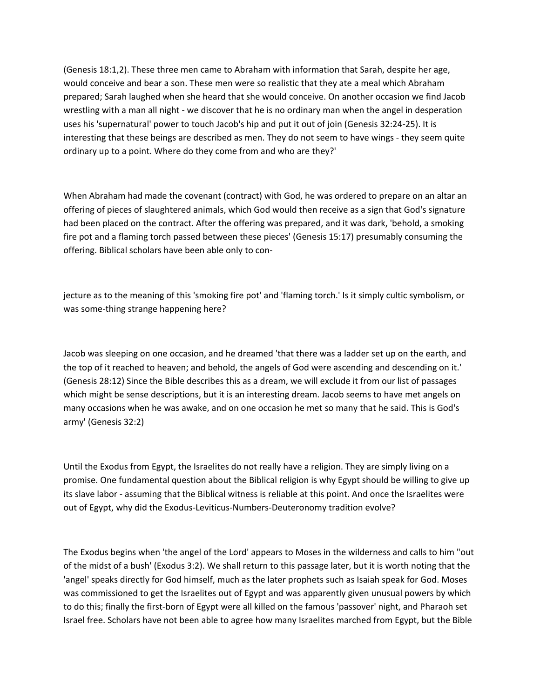(Genesis 18:1,2). These three men came to Abraham with information that Sarah, despite her age, would conceive and bear a son. These men were so realistic that they ate a meal which Abraham prepared; Sarah laughed when she heard that she would conceive. On another occasion we find Jacob wrestling with a man all night - we discover that he is no ordinary man when the angel in desperation uses his 'supernatural' power to touch Jacob's hip and put it out of join (Genesis 32:24-25). It is interesting that these beings are described as men. They do not seem to have wings - they seem quite ordinary up to a point. Where do they come from and who are they?'

When Abraham had made the covenant (contract) with God, he was ordered to prepare on an altar an offering of pieces of slaughtered animals, which God would then receive as a sign that God's signature had been placed on the contract. After the offering was prepared, and it was dark, 'behold, a smoking fire pot and a flaming torch passed between these pieces' (Genesis 15:17) presumably consuming the offering. Biblical scholars have been able only to con-

jecture as to the meaning of this 'smoking fire pot' and 'flaming torch.' Is it simply cultic symbolism, or was some-thing strange happening here?

Jacob was sleeping on one occasion, and he dreamed 'that there was a ladder set up on the earth, and the top of it reached to heaven; and behold, the angels of God were ascending and descending on it.' (Genesis 28:12) Since the Bible describes this as a dream, we will exclude it from our list of passages which might be sense descriptions, but it is an interesting dream. Jacob seems to have met angels on many occasions when he was awake, and on one occasion he met so many that he said. This is God's army' (Genesis 32:2)

Until the Exodus from Egypt, the Israelites do not really have a religion. They are simply living on a promise. One fundamental question about the Biblical religion is why Egypt should be willing to give up its slave labor - assuming that the Biblical witness is reliable at this point. And once the Israelites were out of Egypt, why did the Exodus-Leviticus-Numbers-Deuteronomy tradition evolve?

The Exodus begins when 'the angel of the Lord' appears to Moses in the wilderness and calls to him "out of the midst of a bush' (Exodus 3:2). We shall return to this passage later, but it is worth noting that the 'angel' speaks directly for God himself, much as the later prophets such as Isaiah speak for God. Moses was commissioned to get the Israelites out of Egypt and was apparently given unusual powers by which to do this; finally the first-born of Egypt were all killed on the famous 'passover' night, and Pharaoh set Israel free. Scholars have not been able to agree how many Israelites marched from Egypt, but the Bible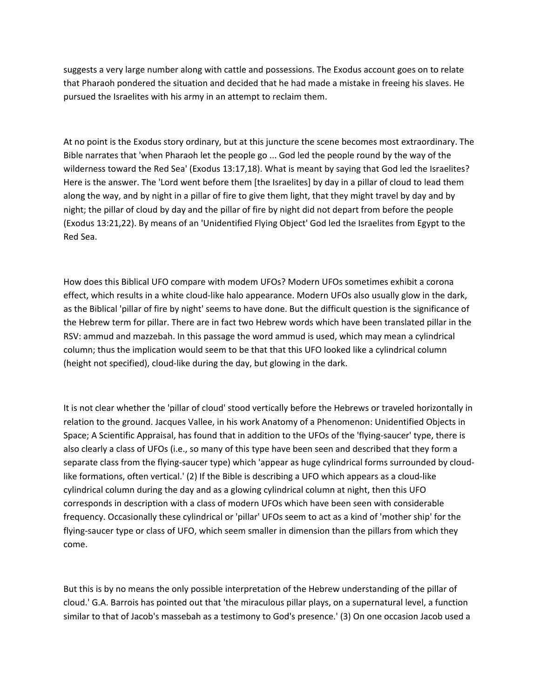suggests a very large number along with cattle and possessions. The Exodus account goes on to relate that Pharaoh pondered the situation and decided that he had made a mistake in freeing his slaves. He pursued the Israelites with his army in an attempt to reclaim them.

At no point is the Exodus story ordinary, but at this juncture the scene becomes most extraordinary. The Bible narrates that 'when Pharaoh let the people go ... God led the people round by the way of the wilderness toward the Red Sea' (Exodus 13:17,18). What is meant by saying that God led the Israelites? Here is the answer. The 'Lord went before them [the Israelites] by day in a pillar of cloud to lead them along the way, and by night in a pillar of fire to give them light, that they might travel by day and by night; the pillar of cloud by day and the pillar of fire by night did not depart from before the people (Exodus 13:21,22). By means of an 'Unidentified Flying Object' God led the Israelites from Egypt to the Red Sea.

How does this Biblical UFO compare with modem UFOs? Modern UFOs sometimes exhibit a corona effect, which results in a white cloud-like halo appearance. Modern UFOs also usually glow in the dark, as the Biblical 'pillar of fire by night' seems to have done. But the difficult question is the significance of the Hebrew term for pillar. There are in fact two Hebrew words which have been translated pillar in the RSV: ammud and mazzebah. In this passage the word ammud is used, which may mean a cylindrical column; thus the implication would seem to be that that this UFO looked like a cylindrical column (height not specified), cloud-like during the day, but glowing in the dark.

It is not clear whether the 'pillar of cloud' stood vertically before the Hebrews or traveled horizontally in relation to the ground. Jacques Vallee, in his work Anatomy of a Phenomenon: Unidentified Objects in Space; A Scientific Appraisal, has found that in addition to the UFOs of the 'flying-saucer' type, there is also clearly a class of UFOs (i.e., so many of this type have been seen and described that they form a separate class from the flying-saucer type) which 'appear as huge cylindrical forms surrounded by cloudlike formations, often vertical.' (2) If the Bible is describing a UFO which appears as a cloud-like cylindrical column during the day and as a glowing cylindrical column at night, then this UFO corresponds in description with a class of modern UFOs which have been seen with considerable frequency. Occasionally these cylindrical or 'pillar' UFOs seem to act as a kind of 'mother ship' for the flying-saucer type or class of UFO, which seem smaller in dimension than the pillars from which they come.

But this is by no means the only possible interpretation of the Hebrew understanding of the pillar of cloud.' G.A. Barrois has pointed out that 'the miraculous pillar plays, on a supernatural level, a function similar to that of Jacob's massebah as a testimony to God's presence.' (3) On one occasion Jacob used a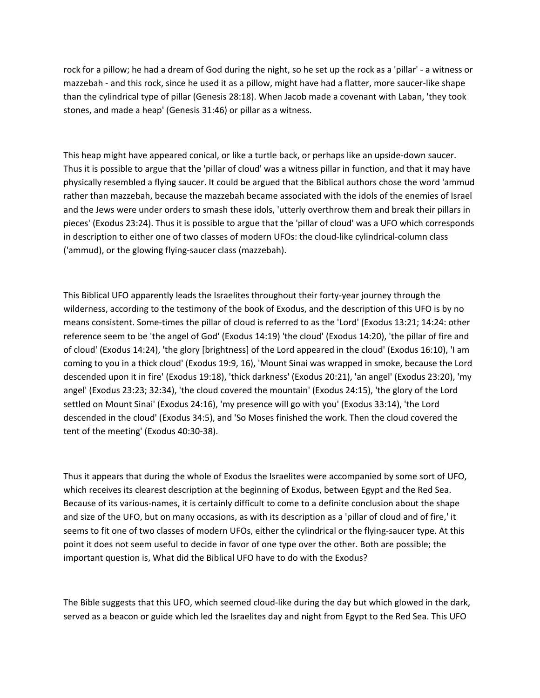rock for a pillow; he had a dream of God during the night, so he set up the rock as a 'pillar' - a witness or mazzebah - and this rock, since he used it as a pillow, might have had a flatter, more saucer-like shape than the cylindrical type of pillar (Genesis 28:18). When Jacob made a covenant with Laban, 'they took stones, and made a heap' (Genesis 31:46) or pillar as a witness.

This heap might have appeared conical, or like a turtle back, or perhaps like an upside-down saucer. Thus it is possible to argue that the 'pillar of cloud' was a witness pillar in function, and that it may have physically resembled a flying saucer. It could be argued that the Biblical authors chose the word 'ammud rather than mazzebah, because the mazzebah became associated with the idols of the enemies of Israel and the Jews were under orders to smash these idols, 'utterly overthrow them and break their pillars in pieces' (Exodus 23:24). Thus it is possible to argue that the 'pillar of cloud' was a UFO which corresponds in description to either one of two classes of modern UFOs: the cloud-like cylindrical-column class ('ammud), or the glowing flying-saucer class (mazzebah).

This Biblical UFO apparently leads the Israelites throughout their forty-year journey through the wilderness, according to the testimony of the book of Exodus, and the description of this UFO is by no means consistent. Some-times the pillar of cloud is referred to as the 'Lord' (Exodus 13:21; 14:24: other reference seem to be 'the angel of God' (Exodus 14:19) 'the cloud' (Exodus 14:20), 'the pillar of fire and of cloud' (Exodus 14:24), 'the glory [brightness] of the Lord appeared in the cloud' (Exodus 16:10), 'I am coming to you in a thick cloud' (Exodus 19:9, 16), 'Mount Sinai was wrapped in smoke, because the Lord descended upon it in fire' (Exodus 19:18), 'thick darkness' (Exodus 20:21), 'an angel' (Exodus 23:20), 'my angel' (Exodus 23:23; 32:34), 'the cloud covered the mountain' (Exodus 24:15), 'the glory of the Lord settled on Mount Sinai' (Exodus 24:16), 'my presence will go with you' (Exodus 33:14), 'the Lord descended in the cloud' (Exodus 34:5), and 'So Moses finished the work. Then the cloud covered the tent of the meeting' (Exodus 40:30-38).

Thus it appears that during the whole of Exodus the Israelites were accompanied by some sort of UFO, which receives its clearest description at the beginning of Exodus, between Egypt and the Red Sea. Because of its various-names, it is certainly difficult to come to a definite conclusion about the shape and size of the UFO, but on many occasions, as with its description as a 'pillar of cloud and of fire,' it seems to fit one of two classes of modern UFOs, either the cylindrical or the flying-saucer type. At this point it does not seem useful to decide in favor of one type over the other. Both are possible; the important question is, What did the Biblical UFO have to do with the Exodus?

The Bible suggests that this UFO, which seemed cloud-like during the day but which glowed in the dark, served as a beacon or guide which led the Israelites day and night from Egypt to the Red Sea. This UFO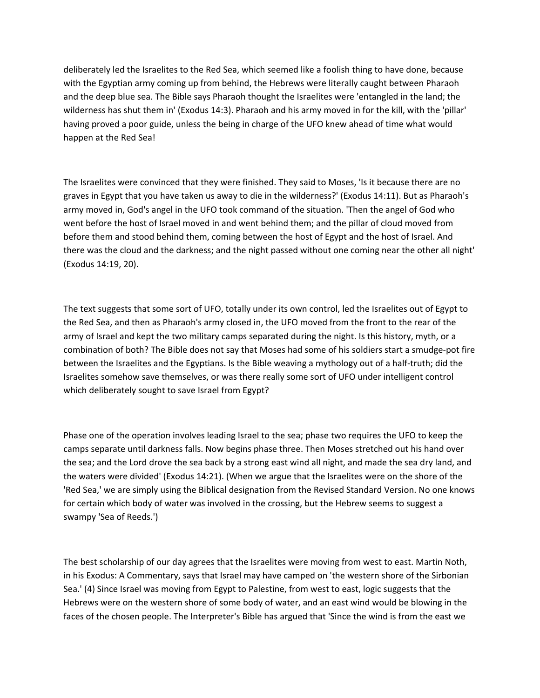deliberately led the Israelites to the Red Sea, which seemed like a foolish thing to have done, because with the Egyptian army coming up from behind, the Hebrews were literally caught between Pharaoh and the deep blue sea. The Bible says Pharaoh thought the Israelites were 'entangled in the land; the wilderness has shut them in' (Exodus 14:3). Pharaoh and his army moved in for the kill, with the 'pillar' having proved a poor guide, unless the being in charge of the UFO knew ahead of time what would happen at the Red Sea!

The Israelites were convinced that they were finished. They said to Moses, 'Is it because there are no graves in Egypt that you have taken us away to die in the wilderness?' (Exodus 14:11). But as Pharaoh's army moved in, God's angel in the UFO took command of the situation. 'Then the angel of God who went before the host of Israel moved in and went behind them; and the pillar of cloud moved from before them and stood behind them, coming between the host of Egypt and the host of Israel. And there was the cloud and the darkness; and the night passed without one coming near the other all night' (Exodus 14:19, 20).

The text suggests that some sort of UFO, totally under its own control, led the Israelites out of Egypt to the Red Sea, and then as Pharaoh's army closed in, the UFO moved from the front to the rear of the army of Israel and kept the two military camps separated during the night. Is this history, myth, or a combination of both? The Bible does not say that Moses had some of his soldiers start a smudge-pot fire between the Israelites and the Egyptians. Is the Bible weaving a mythology out of a half-truth; did the Israelites somehow save themselves, or was there really some sort of UFO under intelligent control which deliberately sought to save Israel from Egypt?

Phase one of the operation involves leading Israel to the sea; phase two requires the UFO to keep the camps separate until darkness falls. Now begins phase three. Then Moses stretched out his hand over the sea; and the Lord drove the sea back by a strong east wind all night, and made the sea dry land, and the waters were divided' (Exodus 14:21). (When we argue that the Israelites were on the shore of the 'Red Sea,' we are simply using the Biblical designation from the Revised Standard Version. No one knows for certain which body of water was involved in the crossing, but the Hebrew seems to suggest a swampy 'Sea of Reeds.')

The best scholarship of our day agrees that the Israelites were moving from west to east. Martin Noth, in his Exodus: A Commentary, says that Israel may have camped on 'the western shore of the Sirbonian Sea.' (4) Since Israel was moving from Egypt to Palestine, from west to east, logic suggests that the Hebrews were on the western shore of some body of water, and an east wind would be blowing in the faces of the chosen people. The Interpreter's Bible has argued that 'Since the wind is from the east we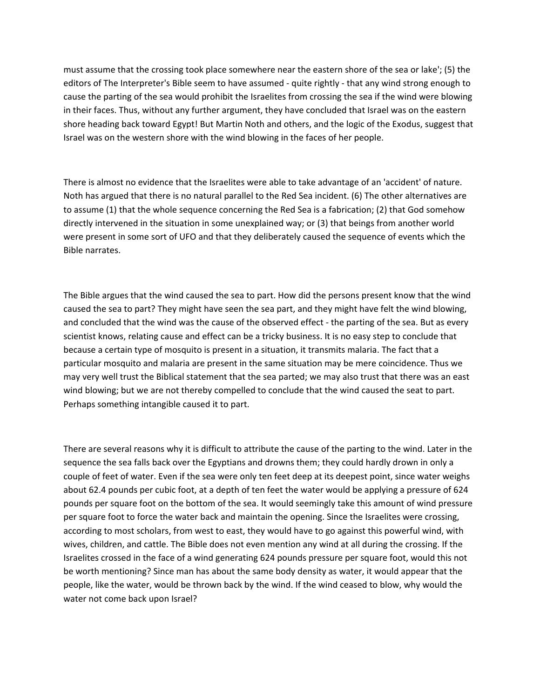must assume that the crossing took place somewhere near the eastern shore of the sea or lake'; (5) the editors of The Interpreter's Bible seem to have assumed - quite rightly - that any wind strong enough to cause the parting of the sea would prohibit the Israelites from crossing the sea if the wind were blowing in their faces. Thus, without any further argument, they have concluded that Israel was on the eastern shore heading back toward Egypt! But Martin Noth and others, and the logic of the Exodus, suggest that Israel was on the western shore with the wind blowing in the faces of her people.

There is almost no evidence that the Israelites were able to take advantage of an 'accident' of nature. Noth has argued that there is no natural parallel to the Red Sea incident. (6) The other alternatives are to assume (1) that the whole sequence concerning the Red Sea is a fabrication; (2) that God somehow directly intervened in the situation in some unexplained way; or (3) that beings from another world were present in some sort of UFO and that they deliberately caused the sequence of events which the Bible narrates.

The Bible argues that the wind caused the sea to part. How did the persons present know that the wind caused the sea to part? They might have seen the sea part, and they might have felt the wind blowing, and concluded that the wind was the cause of the observed effect - the parting of the sea. But as every scientist knows, relating cause and effect can be a tricky business. It is no easy step to conclude that because a certain type of mosquito is present in a situation, it transmits malaria. The fact that a particular mosquito and malaria are present in the same situation may be mere coincidence. Thus we may very well trust the Biblical statement that the sea parted; we may also trust that there was an east wind blowing; but we are not thereby compelled to conclude that the wind caused the seat to part. Perhaps something intangible caused it to part.

There are several reasons why it is difficult to attribute the cause of the parting to the wind. Later in the sequence the sea falls back over the Egyptians and drowns them; they could hardly drown in only a couple of feet of water. Even if the sea were only ten feet deep at its deepest point, since water weighs about 62.4 pounds per cubic foot, at a depth of ten feet the water would be applying a pressure of 624 pounds per square foot on the bottom of the sea. It would seemingly take this amount of wind pressure per square foot to force the water back and maintain the opening. Since the Israelites were crossing, according to most scholars, from west to east, they would have to go against this powerful wind, with wives, children, and cattle. The Bible does not even mention any wind at all during the crossing. If the Israelites crossed in the face of a wind generating 624 pounds pressure per square foot, would this not be worth mentioning? Since man has about the same body density as water, it would appear that the people, like the water, would be thrown back by the wind. If the wind ceased to blow, why would the water not come back upon Israel?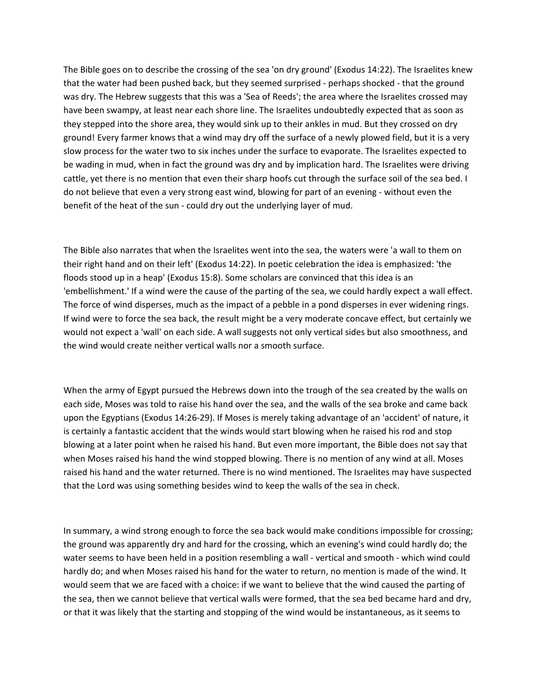The Bible goes on to describe the crossing of the sea 'on dry ground' (Exodus 14:22). The Israelites knew that the water had been pushed back, but they seemed surprised - perhaps shocked - that the ground was dry. The Hebrew suggests that this was a 'Sea of Reeds'; the area where the Israelites crossed may have been swampy, at least near each shore line. The Israelites undoubtedly expected that as soon as they stepped into the shore area, they would sink up to their ankles in mud. But they crossed on dry ground! Every farmer knows that a wind may dry off the surface of a newly plowed field, but it is a very slow process for the water two to six inches under the surface to evaporate. The Israelites expected to be wading in mud, when in fact the ground was dry and by implication hard. The Israelites were driving cattle, yet there is no mention that even their sharp hoofs cut through the surface soil of the sea bed. I do not believe that even a very strong east wind, blowing for part of an evening - without even the benefit of the heat of the sun - could dry out the underlying layer of mud.

The Bible also narrates that when the Israelites went into the sea, the waters were 'a wall to them on their right hand and on their left' (Exodus 14:22). In poetic celebration the idea is emphasized: 'the floods stood up in a heap' (Exodus 15:8). Some scholars are convinced that this idea is an 'embellishment.' If a wind were the cause of the parting of the sea, we could hardly expect a wall effect. The force of wind disperses, much as the impact of a pebble in a pond disperses in ever widening rings. If wind were to force the sea back, the result might be a very moderate concave effect, but certainly we would not expect a 'wall' on each side. A wall suggests not only vertical sides but also smoothness, and the wind would create neither vertical walls nor a smooth surface.

When the army of Egypt pursued the Hebrews down into the trough of the sea created by the walls on each side, Moses was told to raise his hand over the sea, and the walls of the sea broke and came back upon the Egyptians (Exodus 14:26-29). If Moses is merely taking advantage of an 'accident' of nature, it is certainly a fantastic accident that the winds would start blowing when he raised his rod and stop blowing at a later point when he raised his hand. But even more important, the Bible does not say that when Moses raised his hand the wind stopped blowing. There is no mention of any wind at all. Moses raised his hand and the water returned. There is no wind mentioned. The Israelites may have suspected that the Lord was using something besides wind to keep the walls of the sea in check.

In summary, a wind strong enough to force the sea back would make conditions impossible for crossing; the ground was apparently dry and hard for the crossing, which an evening's wind could hardly do; the water seems to have been held in a position resembling a wall - vertical and smooth - which wind could hardly do; and when Moses raised his hand for the water to return, no mention is made of the wind. It would seem that we are faced with a choice: if we want to believe that the wind caused the parting of the sea, then we cannot believe that vertical walls were formed, that the sea bed became hard and dry, or that it was likely that the starting and stopping of the wind would be instantaneous, as it seems to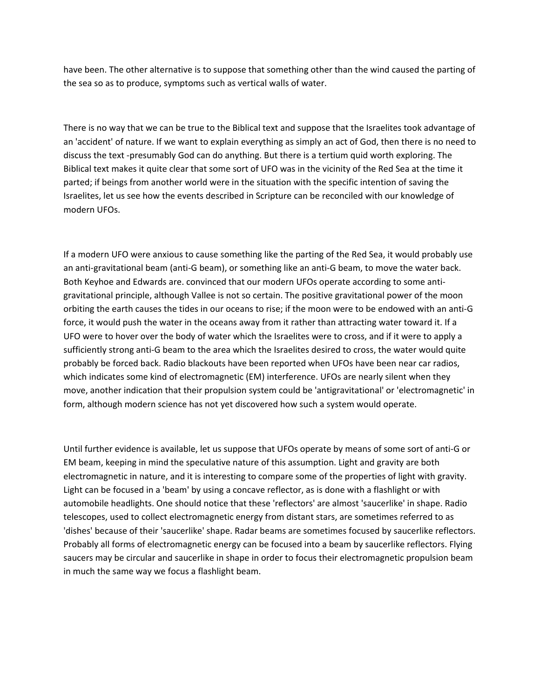have been. The other alternative is to suppose that something other than the wind caused the parting of the sea so as to produce, symptoms such as vertical walls of water.

There is no way that we can be true to the Biblical text and suppose that the Israelites took advantage of an 'accident' of nature. If we want to explain everything as simply an act of God, then there is no need to discuss the text -presumably God can do anything. But there is a tertium quid worth exploring. The Biblical text makes it quite clear that some sort of UFO was in the vicinity of the Red Sea at the time it parted; if beings from another world were in the situation with the specific intention of saving the Israelites, let us see how the events described in Scripture can be reconciled with our knowledge of modern UFOs.

If a modern UFO were anxious to cause something like the parting of the Red Sea, it would probably use an anti-gravitational beam (anti-G beam), or something like an anti-G beam, to move the water back. Both Keyhoe and Edwards are. convinced that our modern UFOs operate according to some antigravitational principle, although Vallee is not so certain. The positive gravitational power of the moon orbiting the earth causes the tides in our oceans to rise; if the moon were to be endowed with an anti-G force, it would push the water in the oceans away from it rather than attracting water toward it. If a UFO were to hover over the body of water which the Israelites were to cross, and if it were to apply a sufficiently strong anti-G beam to the area which the Israelites desired to cross, the water would quite probably be forced back. Radio blackouts have been reported when UFOs have been near car radios, which indicates some kind of electromagnetic (EM) interference. UFOs are nearly silent when they move, another indication that their propulsion system could be 'antigravitational' or 'electromagnetic' in form, although modern science has not yet discovered how such a system would operate.

Until further evidence is available, let us suppose that UFOs operate by means of some sort of anti-G or EM beam, keeping in mind the speculative nature of this assumption. Light and gravity are both electromagnetic in nature, and it is interesting to compare some of the properties of light with gravity. Light can be focused in a 'beam' by using a concave reflector, as is done with a flashlight or with automobile headlights. One should notice that these 'reflectors' are almost 'saucerlike' in shape. Radio telescopes, used to collect electromagnetic energy from distant stars, are sometimes referred to as 'dishes' because of their 'saucerlike' shape. Radar beams are sometimes focused by saucerlike reflectors. Probably all forms of electromagnetic energy can be focused into a beam by saucerlike reflectors. Flying saucers may be circular and saucerlike in shape in order to focus their electromagnetic propulsion beam in much the same way we focus a flashlight beam.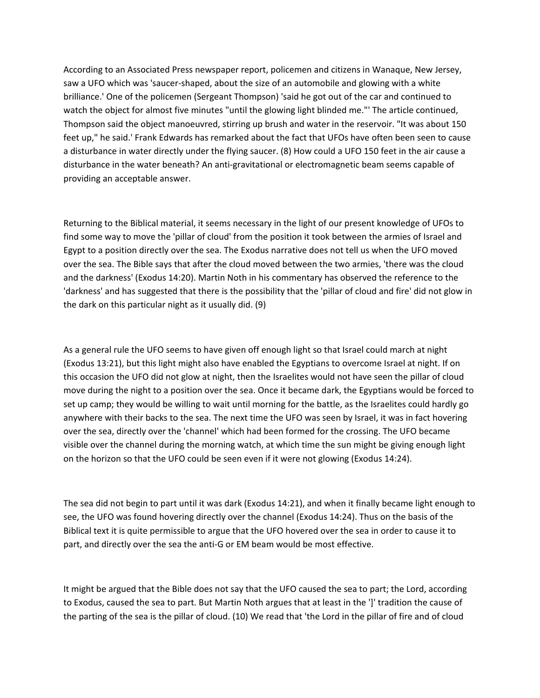According to an Associated Press newspaper report, policemen and citizens in Wanaque, New Jersey, saw a UFO which was 'saucer-shaped, about the size of an automobile and glowing with a white brilliance.' One of the policemen (Sergeant Thompson) 'said he got out of the car and continued to watch the object for almost five minutes "until the glowing light blinded me."' The article continued, Thompson said the object manoeuvred, stirring up brush and water in the reservoir. "It was about 150 feet up," he said.' Frank Edwards has remarked about the fact that UFOs have often been seen to cause a disturbance in water directly under the flying saucer. (8) How could a UFO 150 feet in the air cause a disturbance in the water beneath? An anti-gravitational or electromagnetic beam seems capable of providing an acceptable answer.

Returning to the Biblical material, it seems necessary in the light of our present knowledge of UFOs to find some way to move the 'pillar of cloud' from the position it took between the armies of Israel and Egypt to a position directly over the sea. The Exodus narrative does not tell us when the UFO moved over the sea. The Bible says that after the cloud moved between the two armies, 'there was the cloud and the darkness' (Exodus 14:20). Martin Noth in his commentary has observed the reference to the 'darkness' and has suggested that there is the possibility that the 'pillar of cloud and fire' did not glow in the dark on this particular night as it usually did. (9)

As a general rule the UFO seems to have given off enough light so that Israel could march at night (Exodus 13:21), but this light might also have enabled the Egyptians to overcome Israel at night. If on this occasion the UFO did not glow at night, then the Israelites would not have seen the pillar of cloud move during the night to a position over the sea. Once it became dark, the Egyptians would be forced to set up camp; they would be willing to wait until morning for the battle, as the Israelites could hardly go anywhere with their backs to the sea. The next time the UFO was seen by Israel, it was in fact hovering over the sea, directly over the 'channel' which had been formed for the crossing. The UFO became visible over the channel during the morning watch, at which time the sun might be giving enough light on the horizon so that the UFO could be seen even if it were not glowing (Exodus 14:24).

The sea did not begin to part until it was dark (Exodus 14:21), and when it finally became light enough to see, the UFO was found hovering directly over the channel (Exodus 14:24). Thus on the basis of the Biblical text it is quite permissible to argue that the UFO hovered over the sea in order to cause it to part, and directly over the sea the anti-G or EM beam would be most effective.

It might be argued that the Bible does not say that the UFO caused the sea to part; the Lord, according to Exodus, caused the sea to part. But Martin Noth argues that at least in the ']' tradition the cause of the parting of the sea is the pillar of cloud. (10) We read that 'the Lord in the pillar of fire and of cloud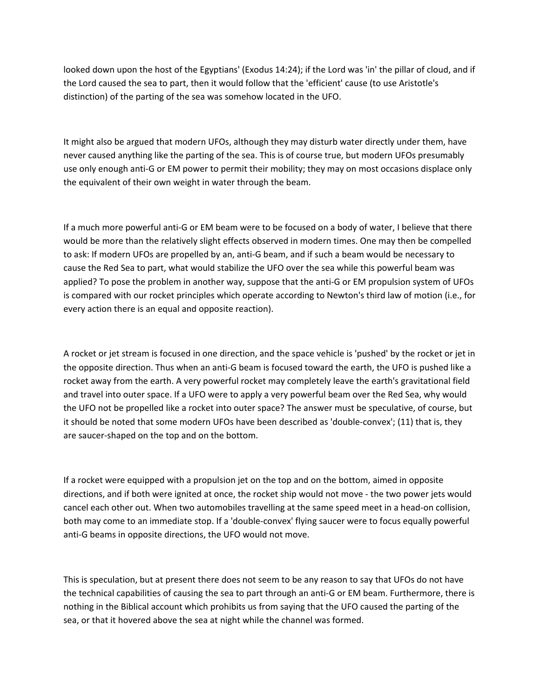looked down upon the host of the Egyptians' (Exodus 14:24); if the Lord was 'in' the pillar of cloud, and if the Lord caused the sea to part, then it would follow that the 'efficient' cause (to use Aristotle's distinction) of the parting of the sea was somehow located in the UFO.

It might also be argued that modern UFOs, although they may disturb water directly under them, have never caused anything like the parting of the sea. This is of course true, but modern UFOs presumably use only enough anti-G or EM power to permit their mobility; they may on most occasions displace only the equivalent of their own weight in water through the beam.

If a much more powerful anti-G or EM beam were to be focused on a body of water, I believe that there would be more than the relatively slight effects observed in modern times. One may then be compelled to ask: If modern UFOs are propelled by an, anti-G beam, and if such a beam would be necessary to cause the Red Sea to part, what would stabilize the UFO over the sea while this powerful beam was applied? To pose the problem in another way, suppose that the anti-G or EM propulsion system of UFOs is compared with our rocket principles which operate according to Newton's third law of motion (i.e., for every action there is an equal and opposite reaction).

A rocket or jet stream is focused in one direction, and the space vehicle is 'pushed' by the rocket or jet in the opposite direction. Thus when an anti-G beam is focused toward the earth, the UFO is pushed like a rocket away from the earth. A very powerful rocket may completely leave the earth's gravitational field and travel into outer space. If a UFO were to apply a very powerful beam over the Red Sea, why would the UFO not be propelled like a rocket into outer space? The answer must be speculative, of course, but it should be noted that some modern UFOs have been described as 'double-convex'; (11) that is, they are saucer-shaped on the top and on the bottom.

If a rocket were equipped with a propulsion jet on the top and on the bottom, aimed in opposite directions, and if both were ignited at once, the rocket ship would not move - the two power jets would cancel each other out. When two automobiles travelling at the same speed meet in a head-on collision, both may come to an immediate stop. If a 'double-convex' flying saucer were to focus equally powerful anti-G beams in opposite directions, the UFO would not move.

This is speculation, but at present there does not seem to be any reason to say that UFOs do not have the technical capabilities of causing the sea to part through an anti-G or EM beam. Furthermore, there is nothing in the Biblical account which prohibits us from saying that the UFO caused the parting of the sea, or that it hovered above the sea at night while the channel was formed.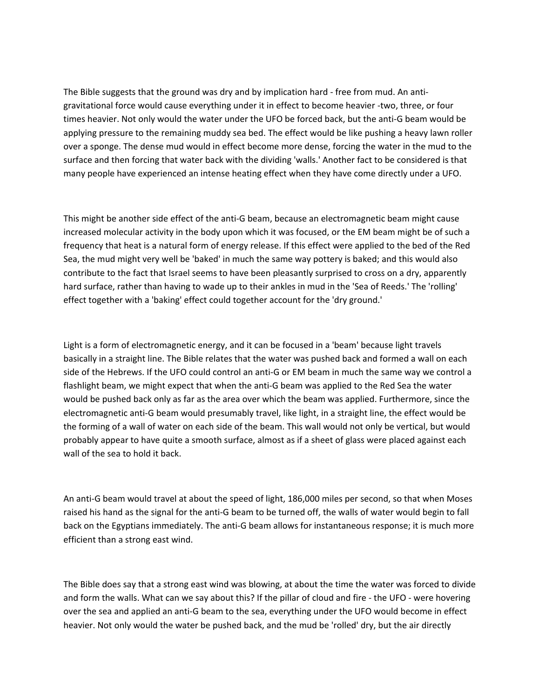The Bible suggests that the ground was dry and by implication hard - free from mud. An antigravitational force would cause everything under it in effect to become heavier -two, three, or four times heavier. Not only would the water under the UFO be forced back, but the anti-G beam would be applying pressure to the remaining muddy sea bed. The effect would be like pushing a heavy lawn roller over a sponge. The dense mud would in effect become more dense, forcing the water in the mud to the surface and then forcing that water back with the dividing 'walls.' Another fact to be considered is that many people have experienced an intense heating effect when they have come directly under a UFO.

This might be another side effect of the anti-G beam, because an electromagnetic beam might cause increased molecular activity in the body upon which it was focused, or the EM beam might be of such a frequency that heat is a natural form of energy release. If this effect were applied to the bed of the Red Sea, the mud might very well be 'baked' in much the same way pottery is baked; and this would also contribute to the fact that Israel seems to have been pleasantly surprised to cross on a dry, apparently hard surface, rather than having to wade up to their ankles in mud in the 'Sea of Reeds.' The 'rolling' effect together with a 'baking' effect could together account for the 'dry ground.'

Light is a form of electromagnetic energy, and it can be focused in a 'beam' because light travels basically in a straight line. The Bible relates that the water was pushed back and formed a wall on each side of the Hebrews. If the UFO could control an anti-G or EM beam in much the same way we control a flashlight beam, we might expect that when the anti-G beam was applied to the Red Sea the water would be pushed back only as far as the area over which the beam was applied. Furthermore, since the electromagnetic anti-G beam would presumably travel, like light, in a straight line, the effect would be the forming of a wall of water on each side of the beam. This wall would not only be vertical, but would probably appear to have quite a smooth surface, almost as if a sheet of glass were placed against each wall of the sea to hold it back.

An anti-G beam would travel at about the speed of light, 186,000 miles per second, so that when Moses raised his hand as the signal for the anti-G beam to be turned off, the walls of water would begin to fall back on the Egyptians immediately. The anti-G beam allows for instantaneous response; it is much more efficient than a strong east wind.

The Bible does say that a strong east wind was blowing, at about the time the water was forced to divide and form the walls. What can we say about this? If the pillar of cloud and fire - the UFO - were hovering over the sea and applied an anti-G beam to the sea, everything under the UFO would become in effect heavier. Not only would the water be pushed back, and the mud be 'rolled' dry, but the air directly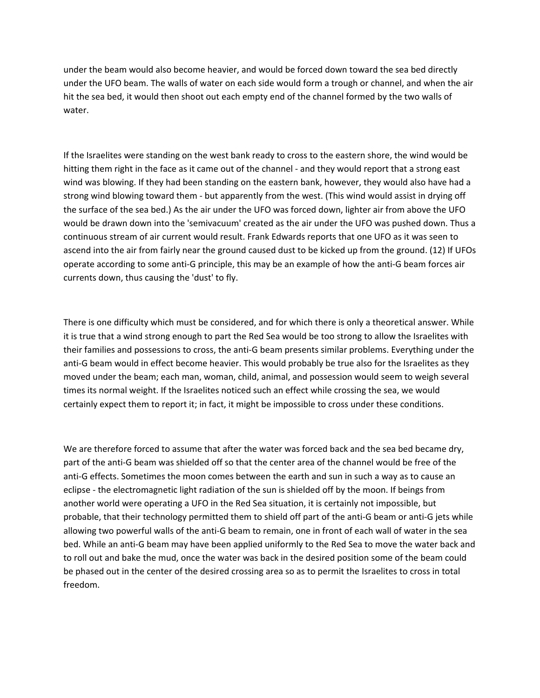under the beam would also become heavier, and would be forced down toward the sea bed directly under the UFO beam. The walls of water on each side would form a trough or channel, and when the air hit the sea bed, it would then shoot out each empty end of the channel formed by the two walls of water.

If the Israelites were standing on the west bank ready to cross to the eastern shore, the wind would be hitting them right in the face as it came out of the channel - and they would report that a strong east wind was blowing. If they had been standing on the eastern bank, however, they would also have had a strong wind blowing toward them - but apparently from the west. (This wind would assist in drying off the surface of the sea bed.) As the air under the UFO was forced down, lighter air from above the UFO would be drawn down into the 'semivacuum' created as the air under the UFO was pushed down. Thus a continuous stream of air current would result. Frank Edwards reports that one UFO as it was seen to ascend into the air from fairly near the ground caused dust to be kicked up from the ground. (12) If UFOs operate according to some anti-G principle, this may be an example of how the anti-G beam forces air currents down, thus causing the 'dust' to fly.

There is one difficulty which must be considered, and for which there is only a theoretical answer. While it is true that a wind strong enough to part the Red Sea would be too strong to allow the Israelites with their families and possessions to cross, the anti-G beam presents similar problems. Everything under the anti-G beam would in effect become heavier. This would probably be true also for the Israelites as they moved under the beam; each man, woman, child, animal, and possession would seem to weigh several times its normal weight. If the Israelites noticed such an effect while crossing the sea, we would certainly expect them to report it; in fact, it might be impossible to cross under these conditions.

We are therefore forced to assume that after the water was forced back and the sea bed became dry, part of the anti-G beam was shielded off so that the center area of the channel would be free of the anti-G effects. Sometimes the moon comes between the earth and sun in such a way as to cause an eclipse - the electromagnetic light radiation of the sun is shielded off by the moon. If beings from another world were operating a UFO in the Red Sea situation, it is certainly not impossible, but probable, that their technology permitted them to shield off part of the anti-G beam or anti-G jets while allowing two powerful walls of the anti-G beam to remain, one in front of each wall of water in the sea bed. While an anti-G beam may have been applied uniformly to the Red Sea to move the water back and to roll out and bake the mud, once the water was back in the desired position some of the beam could be phased out in the center of the desired crossing area so as to permit the Israelites to cross in total freedom.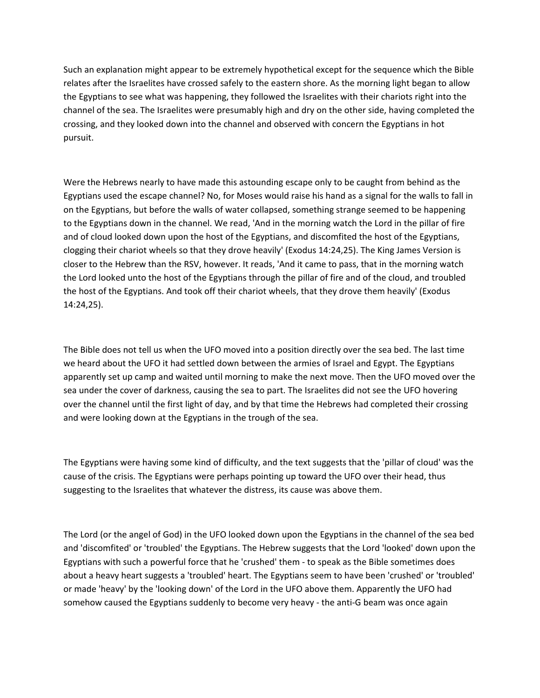Such an explanation might appear to be extremely hypothetical except for the sequence which the Bible relates after the Israelites have crossed safely to the eastern shore. As the morning light began to allow the Egyptians to see what was happening, they followed the Israelites with their chariots right into the channel of the sea. The Israelites were presumably high and dry on the other side, having completed the crossing, and they looked down into the channel and observed with concern the Egyptians in hot pursuit.

Were the Hebrews nearly to have made this astounding escape only to be caught from behind as the Egyptians used the escape channel? No, for Moses would raise his hand as a signal for the walls to fall in on the Egyptians, but before the walls of water collapsed, something strange seemed to be happening to the Egyptians down in the channel. We read, 'And in the morning watch the Lord in the pillar of fire and of cloud looked down upon the host of the Egyptians, and discomfited the host of the Egyptians, clogging their chariot wheels so that they drove heavily' (Exodus 14:24,25). The King James Version is closer to the Hebrew than the RSV, however. It reads, 'And it came to pass, that in the morning watch the Lord looked unto the host of the Egyptians through the pillar of fire and of the cloud, and troubled the host of the Egyptians. And took off their chariot wheels, that they drove them heavily' (Exodus 14:24,25).

The Bible does not tell us when the UFO moved into a position directly over the sea bed. The last time we heard about the UFO it had settled down between the armies of Israel and Egypt. The Egyptians apparently set up camp and waited until morning to make the next move. Then the UFO moved over the sea under the cover of darkness, causing the sea to part. The Israelites did not see the UFO hovering over the channel until the first light of day, and by that time the Hebrews had completed their crossing and were looking down at the Egyptians in the trough of the sea.

The Egyptians were having some kind of difficulty, and the text suggests that the 'pillar of cloud' was the cause of the crisis. The Egyptians were perhaps pointing up toward the UFO over their head, thus suggesting to the Israelites that whatever the distress, its cause was above them.

The Lord (or the angel of God) in the UFO looked down upon the Egyptians in the channel of the sea bed and 'discomfited' or 'troubled' the Egyptians. The Hebrew suggests that the Lord 'looked' down upon the Egyptians with such a powerful force that he 'crushed' them - to speak as the Bible sometimes does about a heavy heart suggests a 'troubled' heart. The Egyptians seem to have been 'crushed' or 'troubled' or made 'heavy' by the 'looking down' of the Lord in the UFO above them. Apparently the UFO had somehow caused the Egyptians suddenly to become very heavy - the anti-G beam was once again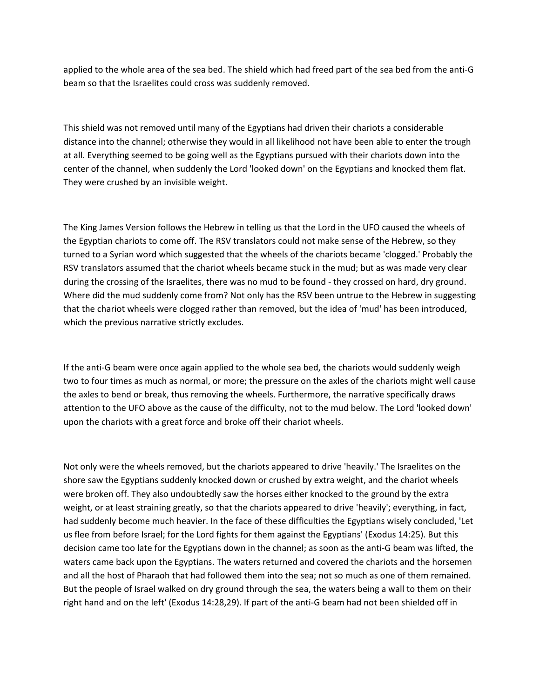applied to the whole area of the sea bed. The shield which had freed part of the sea bed from the anti-G beam so that the Israelites could cross was suddenly removed.

This shield was not removed until many of the Egyptians had driven their chariots a considerable distance into the channel; otherwise they would in all likelihood not have been able to enter the trough at all. Everything seemed to be going well as the Egyptians pursued with their chariots down into the center of the channel, when suddenly the Lord 'looked down' on the Egyptians and knocked them flat. They were crushed by an invisible weight.

The King James Version follows the Hebrew in telling us that the Lord in the UFO caused the wheels of the Egyptian chariots to come off. The RSV translators could not make sense of the Hebrew, so they turned to a Syrian word which suggested that the wheels of the chariots became 'clogged.' Probably the RSV translators assumed that the chariot wheels became stuck in the mud; but as was made very clear during the crossing of the Israelites, there was no mud to be found - they crossed on hard, dry ground. Where did the mud suddenly come from? Not only has the RSV been untrue to the Hebrew in suggesting that the chariot wheels were clogged rather than removed, but the idea of 'mud' has been introduced, which the previous narrative strictly excludes.

If the anti-G beam were once again applied to the whole sea bed, the chariots would suddenly weigh two to four times as much as normal, or more; the pressure on the axles of the chariots might well cause the axles to bend or break, thus removing the wheels. Furthermore, the narrative specifically draws attention to the UFO above as the cause of the difficulty, not to the mud below. The Lord 'looked down' upon the chariots with a great force and broke off their chariot wheels.

Not only were the wheels removed, but the chariots appeared to drive 'heavily.' The Israelites on the shore saw the Egyptians suddenly knocked down or crushed by extra weight, and the chariot wheels were broken off. They also undoubtedly saw the horses either knocked to the ground by the extra weight, or at least straining greatly, so that the chariots appeared to drive 'heavily'; everything, in fact, had suddenly become much heavier. In the face of these difficulties the Egyptians wisely concluded, 'Let us flee from before Israel; for the Lord fights for them against the Egyptians' (Exodus 14:25). But this decision came too late for the Egyptians down in the channel; as soon as the anti-G beam was lifted, the waters came back upon the Egyptians. The waters returned and covered the chariots and the horsemen and all the host of Pharaoh that had followed them into the sea; not so much as one of them remained. But the people of Israel walked on dry ground through the sea, the waters being a wall to them on their right hand and on the left' (Exodus 14:28,29). If part of the anti-G beam had not been shielded off in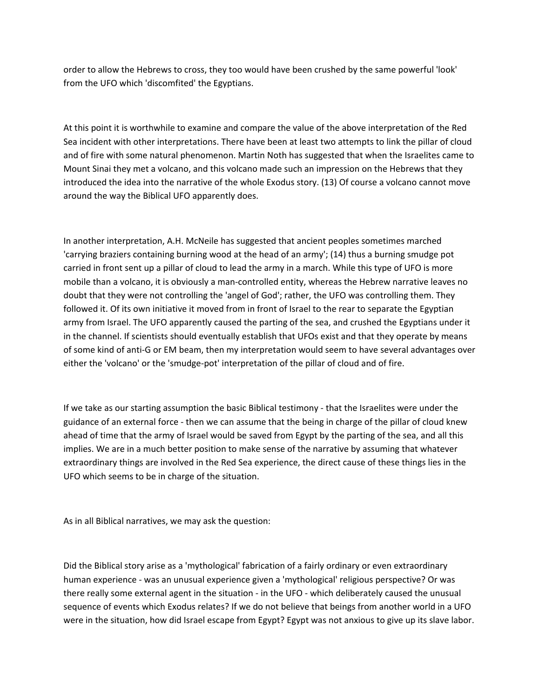order to allow the Hebrews to cross, they too would have been crushed by the same powerful 'look' from the UFO which 'discomfited' the Egyptians.

At this point it is worthwhile to examine and compare the value of the above interpretation of the Red Sea incident with other interpretations. There have been at least two attempts to link the pillar of cloud and of fire with some natural phenomenon. Martin Noth has suggested that when the Israelites came to Mount Sinai they met a volcano, and this volcano made such an impression on the Hebrews that they introduced the idea into the narrative of the whole Exodus story. (13) Of course a volcano cannot move around the way the Biblical UFO apparently does.

In another interpretation, A.H. McNeile has suggested that ancient peoples sometimes marched 'carrying braziers containing burning wood at the head of an army'; (14) thus a burning smudge pot carried in front sent up a pillar of cloud to lead the army in a march. While this type of UFO is more mobile than a volcano, it is obviously a man-controlled entity, whereas the Hebrew narrative leaves no doubt that they were not controlling the 'angel of God'; rather, the UFO was controlling them. They followed it. Of its own initiative it moved from in front of Israel to the rear to separate the Egyptian army from Israel. The UFO apparently caused the parting of the sea, and crushed the Egyptians under it in the channel. If scientists should eventually establish that UFOs exist and that they operate by means of some kind of anti-G or EM beam, then my interpretation would seem to have several advantages over either the 'volcano' or the 'smudge-pot' interpretation of the pillar of cloud and of fire.

If we take as our starting assumption the basic Biblical testimony - that the Israelites were under the guidance of an external force - then we can assume that the being in charge of the pillar of cloud knew ahead of time that the army of Israel would be saved from Egypt by the parting of the sea, and all this implies. We are in a much better position to make sense of the narrative by assuming that whatever extraordinary things are involved in the Red Sea experience, the direct cause of these things lies in the UFO which seems to be in charge of the situation.

As in all Biblical narratives, we may ask the question:

Did the Biblical story arise as a 'mythological' fabrication of a fairly ordinary or even extraordinary human experience - was an unusual experience given a 'mythological' religious perspective? Or was there really some external agent in the situation - in the UFO - which deliberately caused the unusual sequence of events which Exodus relates? If we do not believe that beings from another world in a UFO were in the situation, how did Israel escape from Egypt? Egypt was not anxious to give up its slave labor.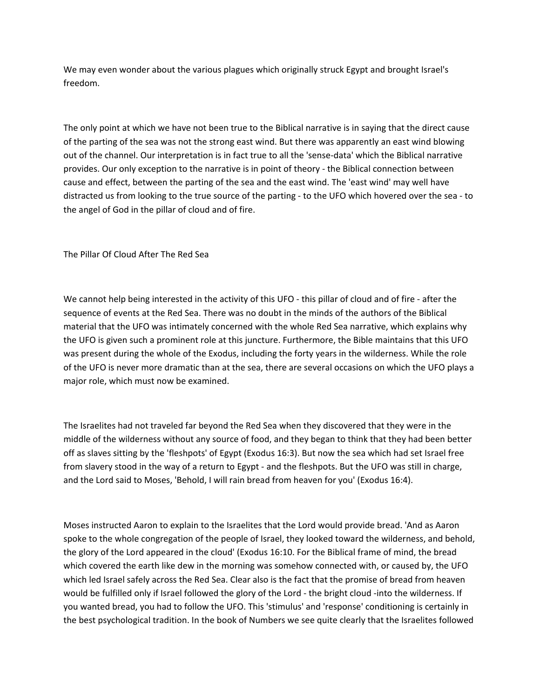We may even wonder about the various plagues which originally struck Egypt and brought Israel's freedom.

The only point at which we have not been true to the Biblical narrative is in saying that the direct cause of the parting of the sea was not the strong east wind. But there was apparently an east wind blowing out of the channel. Our interpretation is in fact true to all the 'sense-data' which the Biblical narrative provides. Our only exception to the narrative is in point of theory - the Biblical connection between cause and effect, between the parting of the sea and the east wind. The 'east wind' may well have distracted us from looking to the true source of the parting - to the UFO which hovered over the sea - to the angel of God in the pillar of cloud and of fire.

The Pillar Of Cloud After The Red Sea

We cannot help being interested in the activity of this UFO - this pillar of cloud and of fire - after the sequence of events at the Red Sea. There was no doubt in the minds of the authors of the Biblical material that the UFO was intimately concerned with the whole Red Sea narrative, which explains why the UFO is given such a prominent role at this juncture. Furthermore, the Bible maintains that this UFO was present during the whole of the Exodus, including the forty years in the wilderness. While the role of the UFO is never more dramatic than at the sea, there are several occasions on which the UFO plays a major role, which must now be examined.

The Israelites had not traveled far beyond the Red Sea when they discovered that they were in the middle of the wilderness without any source of food, and they began to think that they had been better off as slaves sitting by the 'fleshpots' of Egypt (Exodus 16:3). But now the sea which had set Israel free from slavery stood in the way of a return to Egypt - and the fleshpots. But the UFO was still in charge, and the Lord said to Moses, 'Behold, I will rain bread from heaven for you' (Exodus 16:4).

Moses instructed Aaron to explain to the Israelites that the Lord would provide bread. 'And as Aaron spoke to the whole congregation of the people of Israel, they looked toward the wilderness, and behold, the glory of the Lord appeared in the cloud' (Exodus 16:10. For the Biblical frame of mind, the bread which covered the earth like dew in the morning was somehow connected with, or caused by, the UFO which led Israel safely across the Red Sea. Clear also is the fact that the promise of bread from heaven would be fulfilled only if Israel followed the glory of the Lord - the bright cloud -into the wilderness. If you wanted bread, you had to follow the UFO. This 'stimulus' and 'response' conditioning is certainly in the best psychological tradition. In the book of Numbers we see quite clearly that the Israelites followed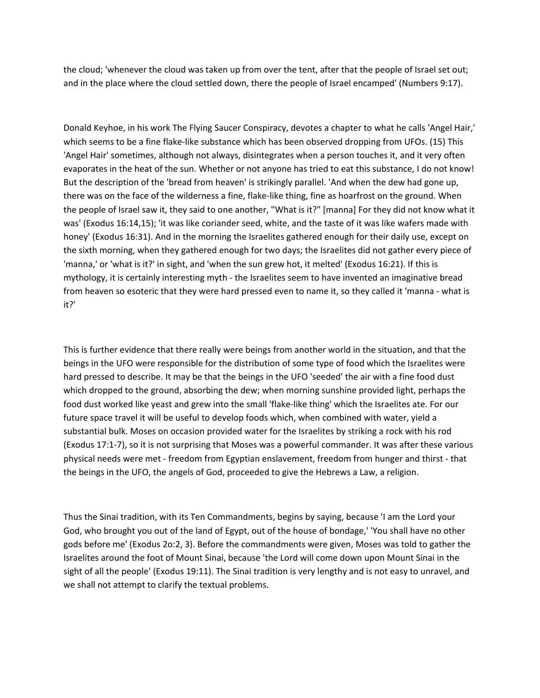the cloud; 'whenever the cloud was taken up from over the tent, after that the people of Israel set out; and in the place where the cloud settled down, there the people of Israel encamped' (Numbers 9:17).

Donald Keyhoe, in his work The Flying Saucer Conspiracy, devotes a chapter to what he calls 'Angel Hair,' which seems to be a fine flake-like substance which has been observed dropping from UFOs. (15) This 'Angel Hair' sometimes, although not always, disintegrates when a person touches it, and it very often evaporates in the heat of the sun. Whether or not anyone has tried to eat this substance, I do not know! But the description of the 'bread from heaven' is strikingly parallel. 'And when the dew had gone up, there was on the face of the wilderness a fine, flake-like thing, fine as hoarfrost on the ground. When the people of Israel saw it, they said to one another, "What is it?" [manna] For they did not know what it was' (Exodus 16:14,15); 'it was like coriander seed, white, and the taste of it was like wafers made with honey' (Exodus 16:31). And in the morning the Israelites gathered enough for their daily use, except on the sixth morning, when they gathered enough for two days; the Israelites did not gather every piece of 'manna,' or 'what is it?' in sight, and 'when the sun grew hot, it melted' (Exodus 16:21). If this is mythology, it is certainly interesting myth - the Israelites seem to have invented an imaginative bread from heaven so esoteric that they were hard pressed even to name it, so they called it 'manna - what is it?'

This is further evidence that there really were beings from another world in the situation, and that the beings in the UFO were responsible for the distribution of some type of food which the Israelites were hard pressed to describe. It may be that the beings in the UFO 'seeded' the air with a fine food dust which dropped to the ground, absorbing the dew; when morning sunshine provided light, perhaps the food dust worked like yeast and grew into the small 'flake-like thing' which the Israelites ate. For our future space travel it will be useful to develop foods which, when combined with water, yield a substantial bulk. Moses on occasion provided water for the Israelites by striking a rock with his rod (Exodus 17:1-7), so it is not surprising that Moses was a powerful commander. It was after these various physical needs were met - freedom from Egyptian enslavement, freedom from hunger and thirst - that the beings in the UFO, the angels of God, proceeded to give the Hebrews a Law, a religion.

Thus the Sinai tradition, with its Ten Commandments, begins by saying, because 'I am the Lord your God, who brought you out of the land of Egypt, out of the house of bondage,' 'You shall have no other gods before me' (Exodus 2o:2, 3). Before the commandments were given, Moses was told to gather the Israelites around the foot of Mount Sinai, because 'the Lord will come down upon Mount Sinai in the sight of all the people' (Exodus 19:11). The Sinai tradition is very lengthy and is not easy to unravel, and we shall not attempt to clarify the textual problems.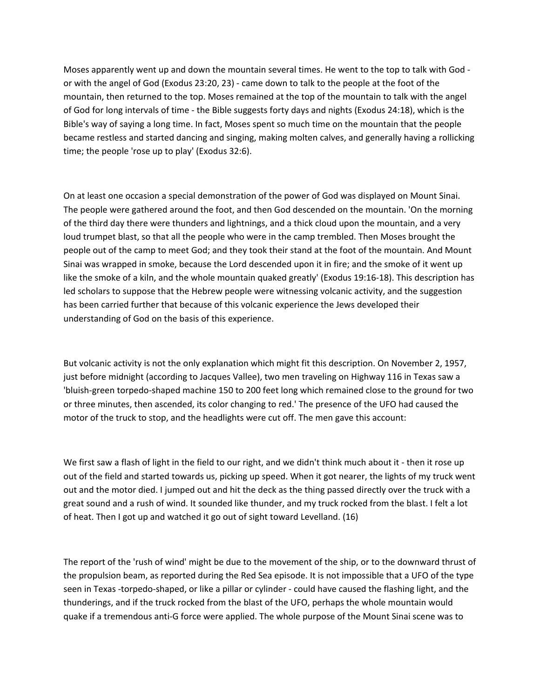Moses apparently went up and down the mountain several times. He went to the top to talk with God or with the angel of God (Exodus 23:20, 23) - came down to talk to the people at the foot of the mountain, then returned to the top. Moses remained at the top of the mountain to talk with the angel of God for long intervals of time - the Bible suggests forty days and nights (Exodus 24:18), which is the Bible's way of saying a long time. In fact, Moses spent so much time on the mountain that the people became restless and started dancing and singing, making molten calves, and generally having a rollicking time; the people 'rose up to play' (Exodus 32:6).

On at least one occasion a special demonstration of the power of God was displayed on Mount Sinai. The people were gathered around the foot, and then God descended on the mountain. 'On the morning of the third day there were thunders and lightnings, and a thick cloud upon the mountain, and a very loud trumpet blast, so that all the people who were in the camp trembled. Then Moses brought the people out of the camp to meet God; and they took their stand at the foot of the mountain. And Mount Sinai was wrapped in smoke, because the Lord descended upon it in fire; and the smoke of it went up like the smoke of a kiln, and the whole mountain quaked greatly' (Exodus 19:16-18). This description has led scholars to suppose that the Hebrew people were witnessing volcanic activity, and the suggestion has been carried further that because of this volcanic experience the Jews developed their understanding of God on the basis of this experience.

But volcanic activity is not the only explanation which might fit this description. On November 2, 1957, just before midnight (according to Jacques Vallee), two men traveling on Highway 116 in Texas saw a 'bluish-green torpedo-shaped machine 150 to 200 feet long which remained close to the ground for two or three minutes, then ascended, its color changing to red.' The presence of the UFO had caused the motor of the truck to stop, and the headlights were cut off. The men gave this account:

We first saw a flash of light in the field to our right, and we didn't think much about it - then it rose up out of the field and started towards us, picking up speed. When it got nearer, the lights of my truck went out and the motor died. I jumped out and hit the deck as the thing passed directly over the truck with a great sound and a rush of wind. It sounded like thunder, and my truck rocked from the blast. I felt a lot of heat. Then I got up and watched it go out of sight toward Levelland. (16)

The report of the 'rush of wind' might be due to the movement of the ship, or to the downward thrust of the propulsion beam, as reported during the Red Sea episode. It is not impossible that a UFO of the type seen in Texas -torpedo-shaped, or like a pillar or cylinder - could have caused the flashing light, and the thunderings, and if the truck rocked from the blast of the UFO, perhaps the whole mountain would quake if a tremendous anti-G force were applied. The whole purpose of the Mount Sinai scene was to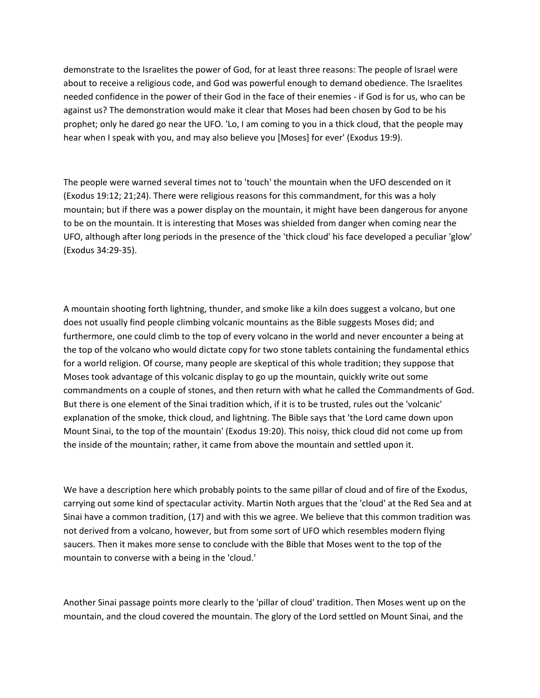demonstrate to the Israelites the power of God, for at least three reasons: The people of Israel were about to receive a religious code, and God was powerful enough to demand obedience. The Israelites needed confidence in the power of their God in the face of their enemies - if God is for us, who can be against us? The demonstration would make it clear that Moses had been chosen by God to be his prophet; only he dared go near the UFO. 'Lo, I am coming to you in a thick cloud, that the people may hear when I speak with you, and may also believe you [Moses] for ever' (Exodus 19:9).

The people were warned several times not to 'touch' the mountain when the UFO descended on it (Exodus 19:12; 21;24). There were religious reasons for this commandment, for this was a holy mountain; but if there was a power display on the mountain, it might have been dangerous for anyone to be on the mountain. It is interesting that Moses was shielded from danger when coming near the UFO, although after long periods in the presence of the 'thick cloud' his face developed a peculiar 'glow' (Exodus 34:29-35).

A mountain shooting forth lightning, thunder, and smoke like a kiln does suggest a volcano, but one does not usually find people climbing volcanic mountains as the Bible suggests Moses did; and furthermore, one could climb to the top of every volcano in the world and never encounter a being at the top of the volcano who would dictate copy for two stone tablets containing the fundamental ethics for a world religion. Of course, many people are skeptical of this whole tradition; they suppose that Moses took advantage of this volcanic display to go up the mountain, quickly write out some commandments on a couple of stones, and then return with what he called the Commandments of God. But there is one element of the Sinai tradition which, if it is to be trusted, rules out the 'volcanic' explanation of the smoke, thick cloud, and lightning. The Bible says that 'the Lord came down upon Mount Sinai, to the top of the mountain' (Exodus 19:20). This noisy, thick cloud did not come up from the inside of the mountain; rather, it came from above the mountain and settled upon it.

We have a description here which probably points to the same pillar of cloud and of fire of the Exodus, carrying out some kind of spectacular activity. Martin Noth argues that the 'cloud' at the Red Sea and at Sinai have a common tradition, (17) and with this we agree. We believe that this common tradition was not derived from a volcano, however, but from some sort of UFO which resembles modern flying saucers. Then it makes more sense to conclude with the Bible that Moses went to the top of the mountain to converse with a being in the 'cloud.'

Another Sinai passage points more clearly to the 'pillar of cloud' tradition. Then Moses went up on the mountain, and the cloud covered the mountain. The glory of the Lord settled on Mount Sinai, and the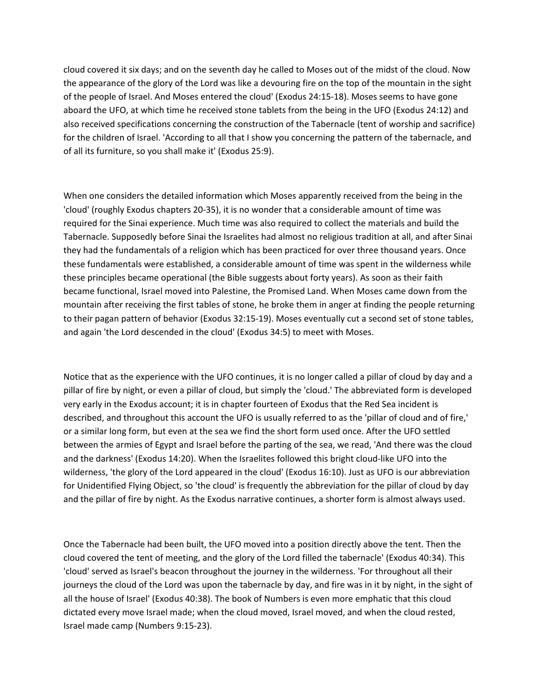cloud covered it six days; and on the seventh day he called to Moses out of the midst of the cloud. Now the appearance of the glory of the Lord was like a devouring fire on the top of the mountain in the sight of the people of Israel. And Moses entered the cloud' (Exodus 24:15-18). Moses seems to have gone aboard the UFO, at which time he received stone tablets from the being in the UFO (Exodus 24:12) and also received specifications concerning the construction of the Tabernacle (tent of worship and sacrifice) for the children of Israel. 'According to all that I show you concerning the pattern of the tabernacle, and of all its furniture, so you shall make it' (Exodus 25:9).

When one considers the detailed information which Moses apparently received from the being in the 'cloud' (roughly Exodus chapters 20-35), it is no wonder that a considerable amount of time was required for the Sinai experience. Much time was also required to collect the materials and build the Tabernacle. Supposedly before Sinai the Israelites had almost no religious tradition at all, and after Sinai they had the fundamentals of a religion which has been practiced for over three thousand years. Once these fundamentals were established, a considerable amount of time was spent in the wilderness while these principles became operational (the Bible suggests about forty years). As soon as their faith became functional, Israel moved into Palestine, the Promised Land. When Moses came down from the mountain after receiving the first tables of stone, he broke them in anger at finding the people returning to their pagan pattern of behavior (Exodus 32:15-19). Moses eventually cut a second set of stone tables, and again 'the Lord descended in the cloud' (Exodus 34:5) to meet with Moses.

Notice that as the experience with the UFO continues, it is no longer called a pillar of cloud by day and a pillar of fire by night, or even a pillar of cloud, but simply the 'cloud.' The abbreviated form is developed very early in the Exodus account; it is in chapter fourteen of Exodus that the Red Sea incident is described, and throughout this account the UFO is usually referred to as the 'pillar of cloud and of fire,' or a similar long form, but even at the sea we find the short form used once. After the UFO settled between the armies of Egypt and Israel before the parting of the sea, we read, 'And there was the cloud and the darkness' (Exodus 14:20). When the Israelites followed this bright cloud-like UFO into the wilderness, 'the glory of the Lord appeared in the cloud' (Exodus 16:10). Just as UFO is our abbreviation for Unidentified Flying Object, so 'the cloud' is frequently the abbreviation for the pillar of cloud by day and the pillar of fire by night. As the Exodus narrative continues, a shorter form is almost always used.

Once the Tabernacle had been built, the UFO moved into a position directly above the tent. Then the cloud covered the tent of meeting, and the glory of the Lord filled the tabernacle' (Exodus 40:34). This 'cloud' served as Israel's beacon throughout the journey in the wilderness. 'For throughout all their journeys the cloud of the Lord was upon the tabernacle by day, and fire was in it by night, in the sight of all the house of Israel' (Exodus 40:38). The book of Numbers is even more emphatic that this cloud dictated every move Israel made; when the cloud moved, Israel moved, and when the cloud rested, Israel made camp (Numbers 9:15-23).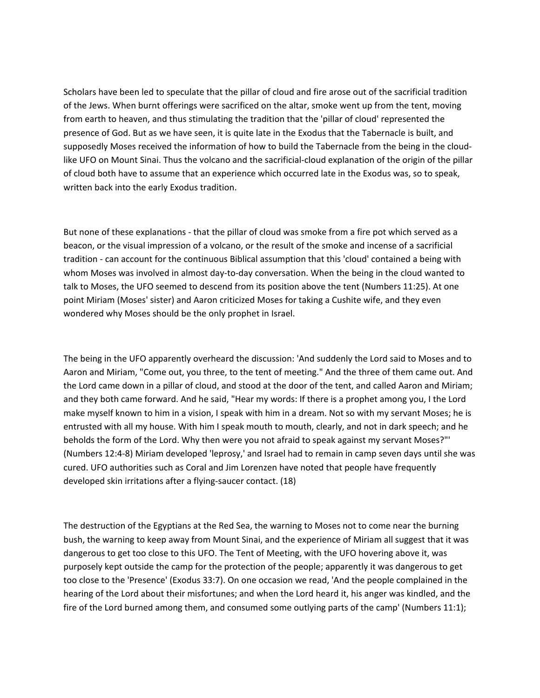Scholars have been led to speculate that the pillar of cloud and fire arose out of the sacrificial tradition of the Jews. When burnt offerings were sacrificed on the altar, smoke went up from the tent, moving from earth to heaven, and thus stimulating the tradition that the 'pillar of cloud' represented the presence of God. But as we have seen, it is quite late in the Exodus that the Tabernacle is built, and supposedly Moses received the information of how to build the Tabernacle from the being in the cloudlike UFO on Mount Sinai. Thus the volcano and the sacrificial-cloud explanation of the origin of the pillar of cloud both have to assume that an experience which occurred late in the Exodus was, so to speak, written back into the early Exodus tradition.

But none of these explanations - that the pillar of cloud was smoke from a fire pot which served as a beacon, or the visual impression of a volcano, or the result of the smoke and incense of a sacrificial tradition - can account for the continuous Biblical assumption that this 'cloud' contained a being with whom Moses was involved in almost day-to-day conversation. When the being in the cloud wanted to talk to Moses, the UFO seemed to descend from its position above the tent (Numbers 11:25). At one point Miriam (Moses' sister) and Aaron criticized Moses for taking a Cushite wife, and they even wondered why Moses should be the only prophet in Israel.

The being in the UFO apparently overheard the discussion: 'And suddenly the Lord said to Moses and to Aaron and Miriam, "Come out, you three, to the tent of meeting." And the three of them came out. And the Lord came down in a pillar of cloud, and stood at the door of the tent, and called Aaron and Miriam; and they both came forward. And he said, "Hear my words: If there is a prophet among you, I the Lord make myself known to him in a vision, I speak with him in a dream. Not so with my servant Moses; he is entrusted with all my house. With him I speak mouth to mouth, clearly, and not in dark speech; and he beholds the form of the Lord. Why then were you not afraid to speak against my servant Moses?"' (Numbers 12:4-8) Miriam developed 'leprosy,' and Israel had to remain in camp seven days until she was cured. UFO authorities such as Coral and Jim Lorenzen have noted that people have frequently developed skin irritations after a flying-saucer contact. (18)

The destruction of the Egyptians at the Red Sea, the warning to Moses not to come near the burning bush, the warning to keep away from Mount Sinai, and the experience of Miriam all suggest that it was dangerous to get too close to this UFO. The Tent of Meeting, with the UFO hovering above it, was purposely kept outside the camp for the protection of the people; apparently it was dangerous to get too close to the 'Presence' (Exodus 33:7). On one occasion we read, 'And the people complained in the hearing of the Lord about their misfortunes; and when the Lord heard it, his anger was kindled, and the fire of the Lord burned among them, and consumed some outlying parts of the camp' (Numbers 11:1);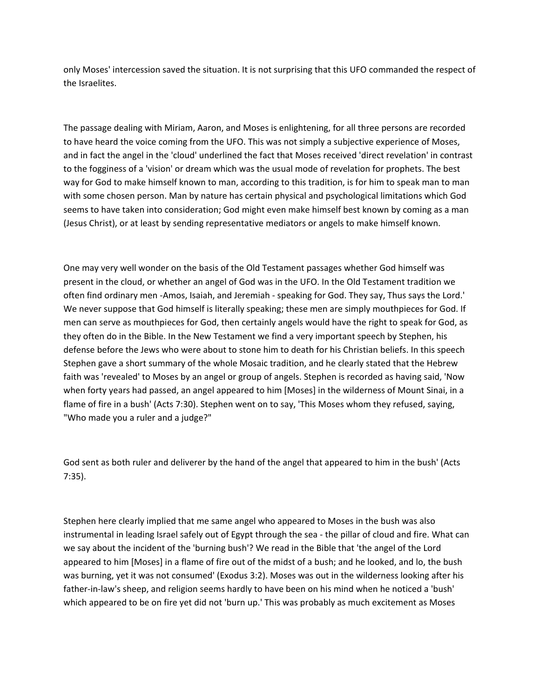only Moses' intercession saved the situation. It is not surprising that this UFO commanded the respect of the Israelites.

The passage dealing with Miriam, Aaron, and Moses is enlightening, for all three persons are recorded to have heard the voice coming from the UFO. This was not simply a subjective experience of Moses, and in fact the angel in the 'cloud' underlined the fact that Moses received 'direct revelation' in contrast to the fogginess of a 'vision' or dream which was the usual mode of revelation for prophets. The best way for God to make himself known to man, according to this tradition, is for him to speak man to man with some chosen person. Man by nature has certain physical and psychological limitations which God seems to have taken into consideration; God might even make himself best known by coming as a man (Jesus Christ), or at least by sending representative mediators or angels to make himself known.

One may very well wonder on the basis of the Old Testament passages whether God himself was present in the cloud, or whether an angel of God was in the UFO. In the Old Testament tradition we often find ordinary men -Amos, Isaiah, and Jeremiah - speaking for God. They say, Thus says the Lord.' We never suppose that God himself is literally speaking; these men are simply mouthpieces for God. If men can serve as mouthpieces for God, then certainly angels would have the right to speak for God, as they often do in the Bible. In the New Testament we find a very important speech by Stephen, his defense before the Jews who were about to stone him to death for his Christian beliefs. In this speech Stephen gave a short summary of the whole Mosaic tradition, and he clearly stated that the Hebrew faith was 'revealed' to Moses by an angel or group of angels. Stephen is recorded as having said, 'Now when forty years had passed, an angel appeared to him [Moses] in the wilderness of Mount Sinai, in a flame of fire in a bush' (Acts 7:30). Stephen went on to say, 'This Moses whom they refused, saying, "Who made you a ruler and a judge?"

God sent as both ruler and deliverer by the hand of the angel that appeared to him in the bush' (Acts 7:35).

Stephen here clearly implied that me same angel who appeared to Moses in the bush was also instrumental in leading Israel safely out of Egypt through the sea - the pillar of cloud and fire. What can we say about the incident of the 'burning bush'? We read in the Bible that 'the angel of the Lord appeared to him [Moses] in a flame of fire out of the midst of a bush; and he looked, and lo, the bush was burning, yet it was not consumed' (Exodus 3:2). Moses was out in the wilderness looking after his father-in-law's sheep, and religion seems hardly to have been on his mind when he noticed a 'bush' which appeared to be on fire yet did not 'burn up.' This was probably as much excitement as Moses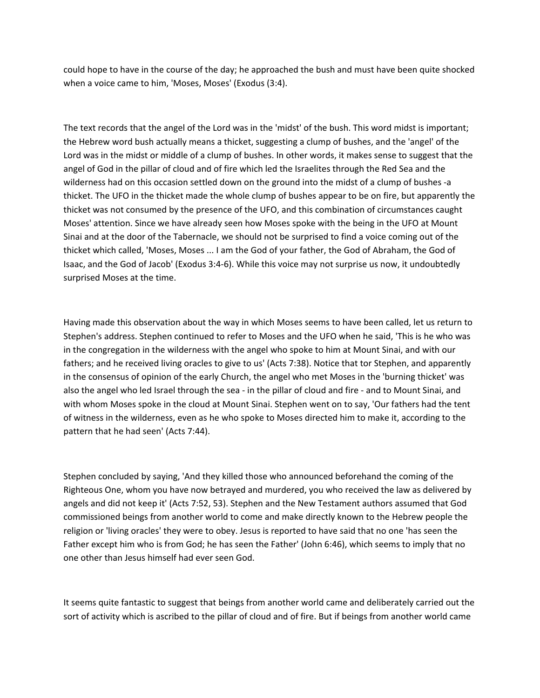could hope to have in the course of the day; he approached the bush and must have been quite shocked when a voice came to him, 'Moses, Moses' (Exodus (3:4).

The text records that the angel of the Lord was in the 'midst' of the bush. This word midst is important; the Hebrew word bush actually means a thicket, suggesting a clump of bushes, and the 'angel' of the Lord was in the midst or middle of a clump of bushes. In other words, it makes sense to suggest that the angel of God in the pillar of cloud and of fire which led the Israelites through the Red Sea and the wilderness had on this occasion settled down on the ground into the midst of a clump of bushes -a thicket. The UFO in the thicket made the whole clump of bushes appear to be on fire, but apparently the thicket was not consumed by the presence of the UFO, and this combination of circumstances caught Moses' attention. Since we have already seen how Moses spoke with the being in the UFO at Mount Sinai and at the door of the Tabernacle, we should not be surprised to find a voice coming out of the thicket which called, 'Moses, Moses ... I am the God of your father, the God of Abraham, the God of Isaac, and the God of Jacob' (Exodus 3:4-6). While this voice may not surprise us now, it undoubtedly surprised Moses at the time.

Having made this observation about the way in which Moses seems to have been called, let us return to Stephen's address. Stephen continued to refer to Moses and the UFO when he said, 'This is he who was in the congregation in the wilderness with the angel who spoke to him at Mount Sinai, and with our fathers; and he received living oracles to give to us' (Acts 7:38). Notice that tor Stephen, and apparently in the consensus of opinion of the early Church, the angel who met Moses in the 'burning thicket' was also the angel who led Israel through the sea - in the pillar of cloud and fire - and to Mount Sinai, and with whom Moses spoke in the cloud at Mount Sinai. Stephen went on to say, 'Our fathers had the tent of witness in the wilderness, even as he who spoke to Moses directed him to make it, according to the pattern that he had seen' (Acts 7:44).

Stephen concluded by saying, 'And they killed those who announced beforehand the coming of the Righteous One, whom you have now betrayed and murdered, you who received the law as delivered by angels and did not keep it' (Acts 7:52, 53). Stephen and the New Testament authors assumed that God commissioned beings from another world to come and make directly known to the Hebrew people the religion or 'living oracles' they were to obey. Jesus is reported to have said that no one 'has seen the Father except him who is from God; he has seen the Father' (John 6:46), which seems to imply that no one other than Jesus himself had ever seen God.

It seems quite fantastic to suggest that beings from another world came and deliberately carried out the sort of activity which is ascribed to the pillar of cloud and of fire. But if beings from another world came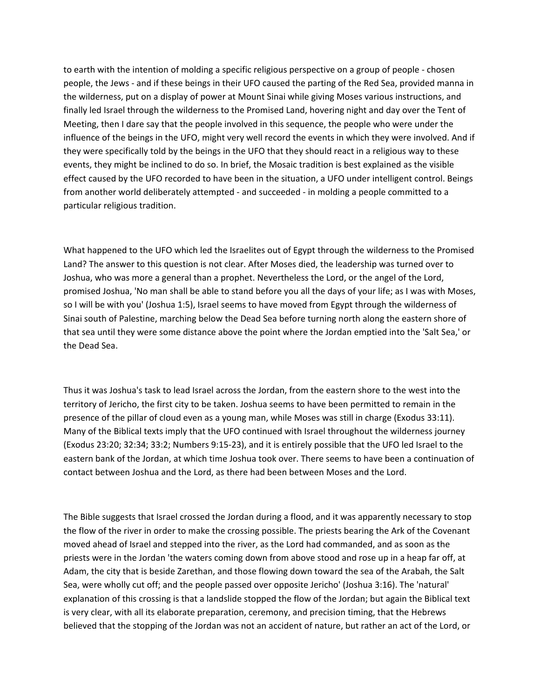to earth with the intention of molding a specific religious perspective on a group of people - chosen people, the Jews - and if these beings in their UFO caused the parting of the Red Sea, provided manna in the wilderness, put on a display of power at Mount Sinai while giving Moses various instructions, and finally led Israel through the wilderness to the Promised Land, hovering night and day over the Tent of Meeting, then I dare say that the people involved in this sequence, the people who were under the influence of the beings in the UFO, might very well record the events in which they were involved. And if they were specifically told by the beings in the UFO that they should react in a religious way to these events, they might be inclined to do so. In brief, the Mosaic tradition is best explained as the visible effect caused by the UFO recorded to have been in the situation, a UFO under intelligent control. Beings from another world deliberately attempted - and succeeded - in molding a people committed to a particular religious tradition.

What happened to the UFO which led the Israelites out of Egypt through the wilderness to the Promised Land? The answer to this question is not clear. After Moses died, the leadership was turned over to Joshua, who was more a general than a prophet. Nevertheless the Lord, or the angel of the Lord, promised Joshua, 'No man shall be able to stand before you all the days of your life; as I was with Moses, so I will be with you' (Joshua 1:5), Israel seems to have moved from Egypt through the wilderness of Sinai south of Palestine, marching below the Dead Sea before turning north along the eastern shore of that sea until they were some distance above the point where the Jordan emptied into the 'Salt Sea,' or the Dead Sea.

Thus it was Joshua's task to lead Israel across the Jordan, from the eastern shore to the west into the territory of Jericho, the first city to be taken. Joshua seems to have been permitted to remain in the presence of the pillar of cloud even as a young man, while Moses was still in charge (Exodus 33:11). Many of the Biblical texts imply that the UFO continued with Israel throughout the wilderness journey (Exodus 23:20; 32:34; 33:2; Numbers 9:15-23), and it is entirely possible that the UFO led Israel to the eastern bank of the Jordan, at which time Joshua took over. There seems to have been a continuation of contact between Joshua and the Lord, as there had been between Moses and the Lord.

The Bible suggests that Israel crossed the Jordan during a flood, and it was apparently necessary to stop the flow of the river in order to make the crossing possible. The priests bearing the Ark of the Covenant moved ahead of Israel and stepped into the river, as the Lord had commanded, and as soon as the priests were in the Jordan 'the waters coming down from above stood and rose up in a heap far off, at Adam, the city that is beside Zarethan, and those flowing down toward the sea of the Arabah, the Salt Sea, were wholly cut off; and the people passed over opposite Jericho' (Joshua 3:16). The 'natural' explanation of this crossing is that a landslide stopped the flow of the Jordan; but again the Biblical text is very clear, with all its elaborate preparation, ceremony, and precision timing, that the Hebrews believed that the stopping of the Jordan was not an accident of nature, but rather an act of the Lord, or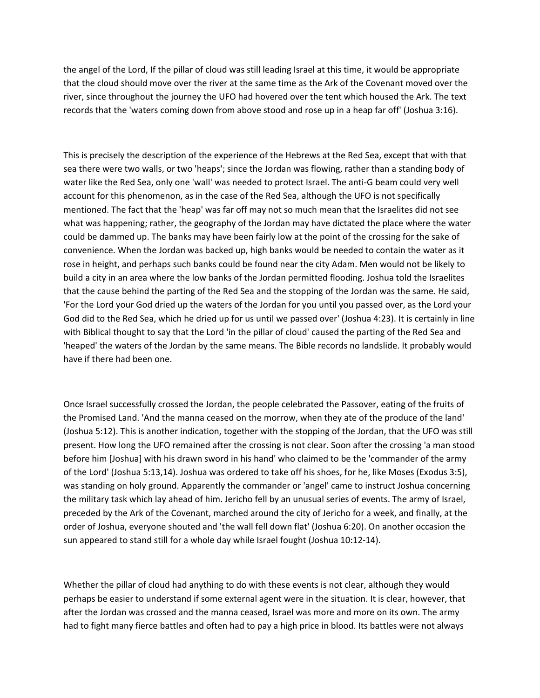the angel of the Lord, If the pillar of cloud was still leading Israel at this time, it would be appropriate that the cloud should move over the river at the same time as the Ark of the Covenant moved over the river, since throughout the journey the UFO had hovered over the tent which housed the Ark. The text records that the 'waters coming down from above stood and rose up in a heap far off' (Joshua 3:16).

This is precisely the description of the experience of the Hebrews at the Red Sea, except that with that sea there were two walls, or two 'heaps'; since the Jordan was flowing, rather than a standing body of water like the Red Sea, only one 'wall' was needed to protect Israel. The anti-G beam could very well account for this phenomenon, as in the case of the Red Sea, although the UFO is not specifically mentioned. The fact that the 'heap' was far off may not so much mean that the Israelites did not see what was happening; rather, the geography of the Jordan may have dictated the place where the water could be dammed up. The banks may have been fairly low at the point of the crossing for the sake of convenience. When the Jordan was backed up, high banks would be needed to contain the water as it rose in height, and perhaps such banks could be found near the city Adam. Men would not be likely to build a city in an area where the low banks of the Jordan permitted flooding. Joshua told the Israelites that the cause behind the parting of the Red Sea and the stopping of the Jordan was the same. He said, 'For the Lord your God dried up the waters of the Jordan for you until you passed over, as the Lord your God did to the Red Sea, which he dried up for us until we passed over' (Joshua 4:23). It is certainly in line with Biblical thought to say that the Lord 'in the pillar of cloud' caused the parting of the Red Sea and 'heaped' the waters of the Jordan by the same means. The Bible records no landslide. It probably would have if there had been one.

Once Israel successfully crossed the Jordan, the people celebrated the Passover, eating of the fruits of the Promised Land. 'And the manna ceased on the morrow, when they ate of the produce of the land' (Joshua 5:12). This is another indication, together with the stopping of the Jordan, that the UFO was still present. How long the UFO remained after the crossing is not clear. Soon after the crossing 'a man stood before him [Joshua] with his drawn sword in his hand' who claimed to be the 'commander of the army of the Lord' (Joshua 5:13,14). Joshua was ordered to take off his shoes, for he, like Moses (Exodus 3:5), was standing on holy ground. Apparently the commander or 'angel' came to instruct Joshua concerning the military task which lay ahead of him. Jericho fell by an unusual series of events. The army of Israel, preceded by the Ark of the Covenant, marched around the city of Jericho for a week, and finally, at the order of Joshua, everyone shouted and 'the wall fell down flat' (Joshua 6:20). On another occasion the sun appeared to stand still for a whole day while Israel fought (Joshua 10:12-14).

Whether the pillar of cloud had anything to do with these events is not clear, although they would perhaps be easier to understand if some external agent were in the situation. It is clear, however, that after the Jordan was crossed and the manna ceased, Israel was more and more on its own. The army had to fight many fierce battles and often had to pay a high price in blood. Its battles were not always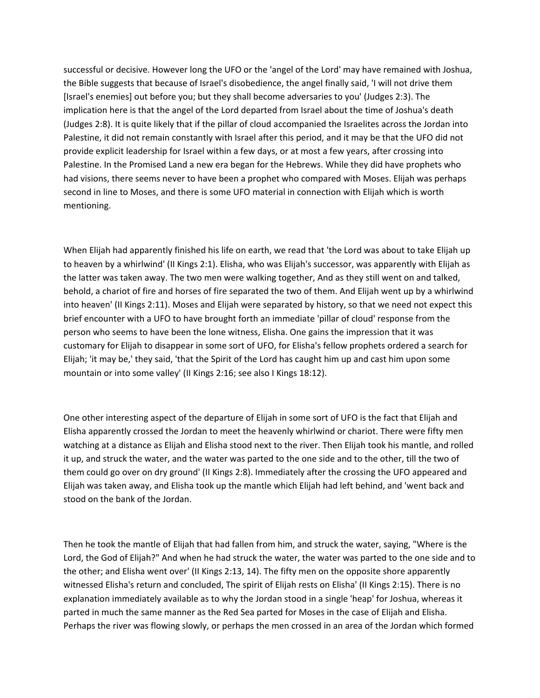successful or decisive. However long the UFO or the 'angel of the Lord' may have remained with Joshua, the Bible suggests that because of Israel's disobedience, the angel finally said, 'I will not drive them [Israel's enemies] out before you; but they shall become adversaries to you' (Judges 2:3). The implication here is that the angel of the Lord departed from Israel about the time of Joshua's death (Judges 2:8). It is quite likely that if the pillar of cloud accompanied the Israelites across the Jordan into Palestine, it did not remain constantly with Israel after this period, and it may be that the UFO did not provide explicit leadership for Israel within a few days, or at most a few years, after crossing into Palestine. In the Promised Land a new era began for the Hebrews. While they did have prophets who had visions, there seems never to have been a prophet who compared with Moses. Elijah was perhaps second in line to Moses, and there is some UFO material in connection with Elijah which is worth mentioning.

When Elijah had apparently finished his life on earth, we read that 'the Lord was about to take Elijah up to heaven by a whirlwind' (II Kings 2:1). Elisha, who was Elijah's successor, was apparently with Elijah as the latter was taken away. The two men were walking together, And as they still went on and talked, behold, a chariot of fire and horses of fire separated the two of them. And Elijah went up by a whirlwind into heaven' (II Kings 2:11). Moses and Elijah were separated by history, so that we need not expect this brief encounter with a UFO to have brought forth an immediate 'pillar of cloud' response from the person who seems to have been the lone witness, Elisha. One gains the impression that it was customary for Elijah to disappear in some sort of UFO, for Elisha's fellow prophets ordered a search for Elijah; 'it may be,' they said, 'that the Spirit of the Lord has caught him up and cast him upon some mountain or into some valley' (II Kings 2:16; see also I Kings 18:12).

One other interesting aspect of the departure of Elijah in some sort of UFO is the fact that Elijah and Elisha apparently crossed the Jordan to meet the heavenly whirlwind or chariot. There were fifty men watching at a distance as Elijah and Elisha stood next to the river. Then Elijah took his mantle, and rolled it up, and struck the water, and the water was parted to the one side and to the other, till the two of them could go over on dry ground' (II Kings 2:8). Immediately after the crossing the UFO appeared and Elijah was taken away, and Elisha took up the mantle which Elijah had left behind, and 'went back and stood on the bank of the Jordan.

Then he took the mantle of Elijah that had fallen from him, and struck the water, saying, "Where is the Lord, the God of Elijah?" And when he had struck the water, the water was parted to the one side and to the other; and Elisha went over' (II Kings 2:13, 14). The fifty men on the opposite shore apparently witnessed Elisha's return and concluded, The spirit of Elijah rests on Elisha' (II Kings 2:15). There is no explanation immediately available as to why the Jordan stood in a single 'heap' for Joshua, whereas it parted in much the same manner as the Red Sea parted for Moses in the case of Elijah and Elisha. Perhaps the river was flowing slowly, or perhaps the men crossed in an area of the Jordan which formed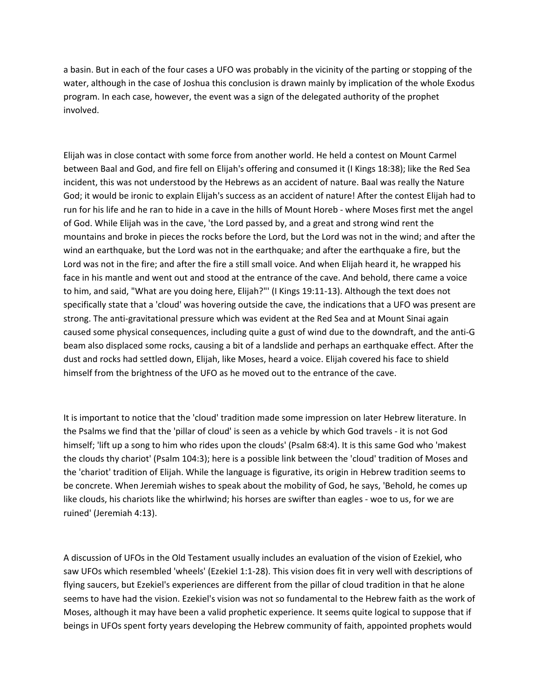a basin. But in each of the four cases a UFO was probably in the vicinity of the parting or stopping of the water, although in the case of Joshua this conclusion is drawn mainly by implication of the whole Exodus program. In each case, however, the event was a sign of the delegated authority of the prophet involved.

Elijah was in close contact with some force from another world. He held a contest on Mount Carmel between Baal and God, and fire fell on Elijah's offering and consumed it (I Kings 18:38); like the Red Sea incident, this was not understood by the Hebrews as an accident of nature. Baal was really the Nature God; it would be ironic to explain Elijah's success as an accident of nature! After the contest Elijah had to run for his life and he ran to hide in a cave in the hills of Mount Horeb - where Moses first met the angel of God. While Elijah was in the cave, 'the Lord passed by, and a great and strong wind rent the mountains and broke in pieces the rocks before the Lord, but the Lord was not in the wind; and after the wind an earthquake, but the Lord was not in the earthquake; and after the earthquake a fire, but the Lord was not in the fire; and after the fire a still small voice. And when Elijah heard it, he wrapped his face in his mantle and went out and stood at the entrance of the cave. And behold, there came a voice to him, and said, "What are you doing here, Elijah?"' (I Kings 19:11-13). Although the text does not specifically state that a 'cloud' was hovering outside the cave, the indications that a UFO was present are strong. The anti-gravitational pressure which was evident at the Red Sea and at Mount Sinai again caused some physical consequences, including quite a gust of wind due to the downdraft, and the anti-G beam also displaced some rocks, causing a bit of a landslide and perhaps an earthquake effect. After the dust and rocks had settled down, Elijah, like Moses, heard a voice. Elijah covered his face to shield himself from the brightness of the UFO as he moved out to the entrance of the cave.

It is important to notice that the 'cloud' tradition made some impression on later Hebrew literature. In the Psalms we find that the 'pillar of cloud' is seen as a vehicle by which God travels - it is not God himself; 'lift up a song to him who rides upon the clouds' (Psalm 68:4). It is this same God who 'makest the clouds thy chariot' (Psalm 104:3); here is a possible link between the 'cloud' tradition of Moses and the 'chariot' tradition of Elijah. While the language is figurative, its origin in Hebrew tradition seems to be concrete. When Jeremiah wishes to speak about the mobility of God, he says, 'Behold, he comes up like clouds, his chariots like the whirlwind; his horses are swifter than eagles - woe to us, for we are ruined' (Jeremiah 4:13).

A discussion of UFOs in the Old Testament usually includes an evaluation of the vision of Ezekiel, who saw UFOs which resembled 'wheels' (Ezekiel 1:1-28). This vision does fit in very well with descriptions of flying saucers, but Ezekiel's experiences are different from the pillar of cloud tradition in that he alone seems to have had the vision. Ezekiel's vision was not so fundamental to the Hebrew faith as the work of Moses, although it may have been a valid prophetic experience. It seems quite logical to suppose that if beings in UFOs spent forty years developing the Hebrew community of faith, appointed prophets would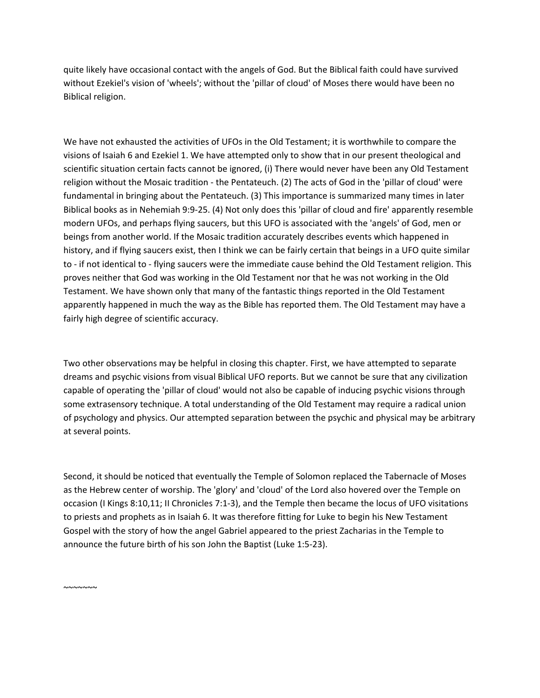quite likely have occasional contact with the angels of God. But the Biblical faith could have survived without Ezekiel's vision of 'wheels'; without the 'pillar of cloud' of Moses there would have been no Biblical religion.

We have not exhausted the activities of UFOs in the Old Testament; it is worthwhile to compare the visions of Isaiah 6 and Ezekiel 1. We have attempted only to show that in our present theological and scientific situation certain facts cannot be ignored, (i) There would never have been any Old Testament religion without the Mosaic tradition - the Pentateuch. (2) The acts of God in the 'pillar of cloud' were fundamental in bringing about the Pentateuch. (3) This importance is summarized many times in later Biblical books as in Nehemiah 9:9-25. (4) Not only does this 'pillar of cloud and fire' apparently resemble modern UFOs, and perhaps flying saucers, but this UFO is associated with the 'angels' of God, men or beings from another world. If the Mosaic tradition accurately describes events which happened in history, and if flying saucers exist, then I think we can be fairly certain that beings in a UFO quite similar to - if not identical to - flying saucers were the immediate cause behind the Old Testament religion. This proves neither that God was working in the Old Testament nor that he was not working in the Old Testament. We have shown only that many of the fantastic things reported in the Old Testament apparently happened in much the way as the Bible has reported them. The Old Testament may have a fairly high degree of scientific accuracy.

Two other observations may be helpful in closing this chapter. First, we have attempted to separate dreams and psychic visions from visual Biblical UFO reports. But we cannot be sure that any civilization capable of operating the 'pillar of cloud' would not also be capable of inducing psychic visions through some extrasensory technique. A total understanding of the Old Testament may require a radical union of psychology and physics. Our attempted separation between the psychic and physical may be arbitrary at several points.

Second, it should be noticed that eventually the Temple of Solomon replaced the Tabernacle of Moses as the Hebrew center of worship. The 'glory' and 'cloud' of the Lord also hovered over the Temple on occasion (I Kings 8:10,11; II Chronicles 7:1-3), and the Temple then became the locus of UFO visitations to priests and prophets as in Isaiah 6. It was therefore fitting for Luke to begin his New Testament Gospel with the story of how the angel Gabriel appeared to the priest Zacharias in the Temple to announce the future birth of his son John the Baptist (Luke 1:5-23).

 $~\sim$  $\sim$  $\sim$  $\sim$  $\sim$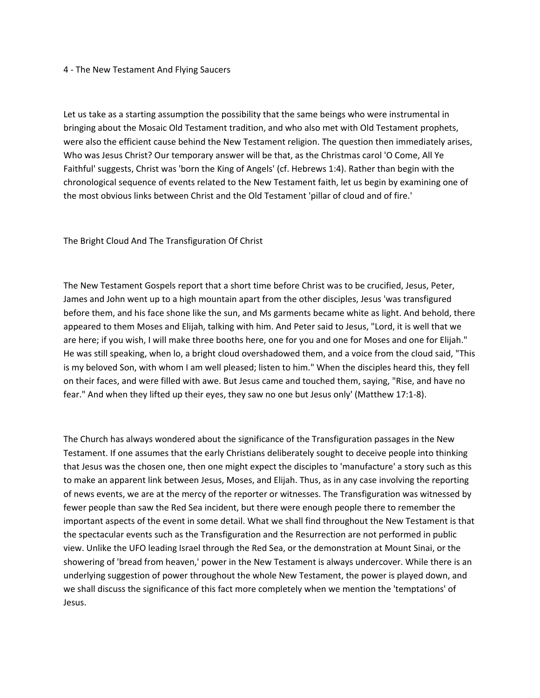## 4 - The New Testament And Flying Saucers

Let us take as a starting assumption the possibility that the same beings who were instrumental in bringing about the Mosaic Old Testament tradition, and who also met with Old Testament prophets, were also the efficient cause behind the New Testament religion. The question then immediately arises, Who was Jesus Christ? Our temporary answer will be that, as the Christmas carol 'O Come, All Ye Faithful' suggests, Christ was 'born the King of Angels' (cf. Hebrews 1:4). Rather than begin with the chronological sequence of events related to the New Testament faith, let us begin by examining one of the most obvious links between Christ and the Old Testament 'pillar of cloud and of fire.'

The Bright Cloud And The Transfiguration Of Christ

The New Testament Gospels report that a short time before Christ was to be crucified, Jesus, Peter, James and John went up to a high mountain apart from the other disciples, Jesus 'was transfigured before them, and his face shone like the sun, and Ms garments became white as light. And behold, there appeared to them Moses and Elijah, talking with him. And Peter said to Jesus, "Lord, it is well that we are here; if you wish, I will make three booths here, one for you and one for Moses and one for Elijah." He was still speaking, when lo, a bright cloud overshadowed them, and a voice from the cloud said, "This is my beloved Son, with whom I am well pleased; listen to him." When the disciples heard this, they fell on their faces, and were filled with awe. But Jesus came and touched them, saying, "Rise, and have no fear." And when they lifted up their eyes, they saw no one but Jesus only' (Matthew 17:1-8).

The Church has always wondered about the significance of the Transfiguration passages in the New Testament. If one assumes that the early Christians deliberately sought to deceive people into thinking that Jesus was the chosen one, then one might expect the disciples to 'manufacture' a story such as this to make an apparent link between Jesus, Moses, and Elijah. Thus, as in any case involving the reporting of news events, we are at the mercy of the reporter or witnesses. The Transfiguration was witnessed by fewer people than saw the Red Sea incident, but there were enough people there to remember the important aspects of the event in some detail. What we shall find throughout the New Testament is that the spectacular events such as the Transfiguration and the Resurrection are not performed in public view. Unlike the UFO leading Israel through the Red Sea, or the demonstration at Mount Sinai, or the showering of 'bread from heaven,' power in the New Testament is always undercover. While there is an underlying suggestion of power throughout the whole New Testament, the power is played down, and we shall discuss the significance of this fact more completely when we mention the 'temptations' of Jesus.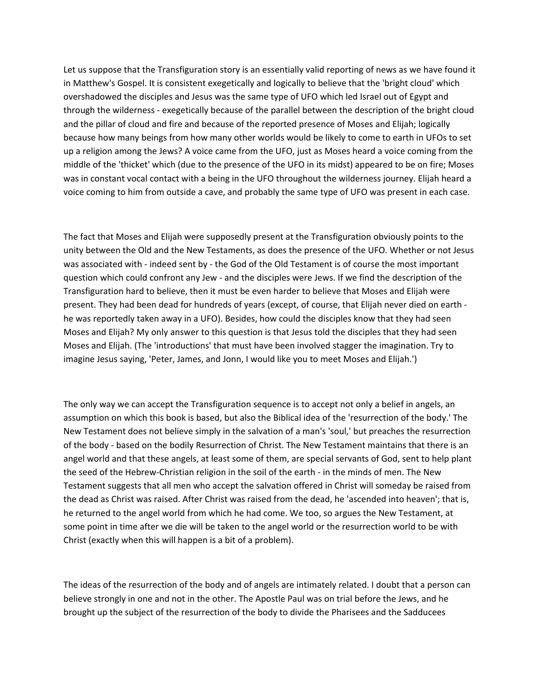Let us suppose that the Transfiguration story is an essentially valid reporting of news as we have found it in Matthew's Gospel. It is consistent exegetically and logically to believe that the 'bright cloud' which overshadowed the disciples and Jesus was the same type of UFO which led Israel out of Egypt and through the wilderness - exegetically because of the parallel between the description of the bright cloud and the pillar of cloud and fire and because of the reported presence of Moses and Elijah; logically because how many beings from how many other worlds would be likely to come to earth in UFOs to set up a religion among the Jews? A voice came from the UFO, just as Moses heard a voice coming from the middle of the 'thicket' which (due to the presence of the UFO in its midst) appeared to be on fire; Moses was in constant vocal contact with a being in the UFO throughout the wilderness journey. Elijah heard a voice coming to him from outside a cave, and probably the same type of UFO was present in each case.

The fact that Moses and Elijah were supposedly present at the Transfiguration obviously points to the unity between the Old and the New Testaments, as does the presence of the UFO. Whether or not Jesus was associated with - indeed sent by - the God of the Old Testament is of course the most important question which could confront any Jew - and the disciples were Jews. If we find the description of the Transfiguration hard to believe, then it must be even harder to believe that Moses and Elijah were present. They had been dead for hundreds of years (except, of course, that Elijah never died on earth he was reportedly taken away in a UFO). Besides, how could the disciples know that they had seen Moses and Elijah? My only answer to this question is that Jesus told the disciples that they had seen Moses and Elijah. (The 'introductions' that must have been involved stagger the imagination. Try to imagine Jesus saying, 'Peter, James, and Jonn, I would like you to meet Moses and Elijah.')

The only way we can accept the Transfiguration sequence is to accept not only a belief in angels, an assumption on which this book is based, but also the Biblical idea of the 'resurrection of the body.' The New Testament does not believe simply in the salvation of a man's 'soul,' but preaches the resurrection of the body - based on the bodily Resurrection of Christ. The New Testament maintains that there is an angel world and that these angels, at least some of them, are special servants of God, sent to help plant the seed of the Hebrew-Christian religion in the soil of the earth - in the minds of men. The New Testament suggests that all men who accept the salvation offered in Christ will someday be raised from the dead as Christ was raised. After Christ was raised from the dead, he 'ascended into heaven'; that is, he returned to the angel world from which he had come. We too, so argues the New Testament, at some point in time after we die will be taken to the angel world or the resurrection world to be with Christ (exactly when this will happen is a bit of a problem).

The ideas of the resurrection of the body and of angels are intimately related. I doubt that a person can believe strongly in one and not in the other. The Apostle Paul was on trial before the Jews, and he brought up the subject of the resurrection of the body to divide the Pharisees and the Sadducees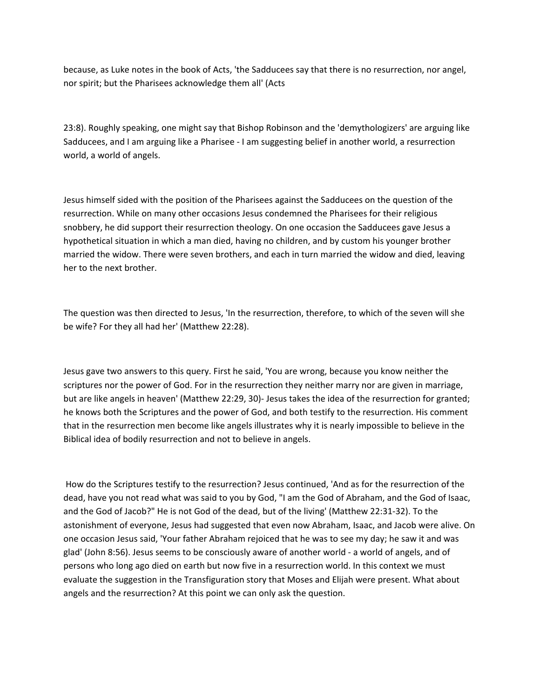because, as Luke notes in the book of Acts, 'the Sadducees say that there is no resurrection, nor angel, nor spirit; but the Pharisees acknowledge them all' (Acts

23:8). Roughly speaking, one might say that Bishop Robinson and the 'demythologizers' are arguing like Sadducees, and I am arguing like a Pharisee - I am suggesting belief in another world, a resurrection world, a world of angels.

Jesus himself sided with the position of the Pharisees against the Sadducees on the question of the resurrection. While on many other occasions Jesus condemned the Pharisees for their religious snobbery, he did support their resurrection theology. On one occasion the Sadducees gave Jesus a hypothetical situation in which a man died, having no children, and by custom his younger brother married the widow. There were seven brothers, and each in turn married the widow and died, leaving her to the next brother.

The question was then directed to Jesus, 'In the resurrection, therefore, to which of the seven will she be wife? For they all had her' (Matthew 22:28).

Jesus gave two answers to this query. First he said, 'You are wrong, because you know neither the scriptures nor the power of God. For in the resurrection they neither marry nor are given in marriage, but are like angels in heaven' (Matthew 22:29, 30)- Jesus takes the idea of the resurrection for granted; he knows both the Scriptures and the power of God, and both testify to the resurrection. His comment that in the resurrection men become like angels illustrates why it is nearly impossible to believe in the Biblical idea of bodily resurrection and not to believe in angels.

How do the Scriptures testify to the resurrection? Jesus continued, 'And as for the resurrection of the dead, have you not read what was said to you by God, "I am the God of Abraham, and the God of Isaac, and the God of Jacob?" He is not God of the dead, but of the living' (Matthew 22:31-32). To the astonishment of everyone, Jesus had suggested that even now Abraham, Isaac, and Jacob were alive. On one occasion Jesus said, 'Your father Abraham rejoiced that he was to see my day; he saw it and was glad' (John 8:56). Jesus seems to be consciously aware of another world - a world of angels, and of persons who long ago died on earth but now five in a resurrection world. In this context we must evaluate the suggestion in the Transfiguration story that Moses and Elijah were present. What about angels and the resurrection? At this point we can only ask the question.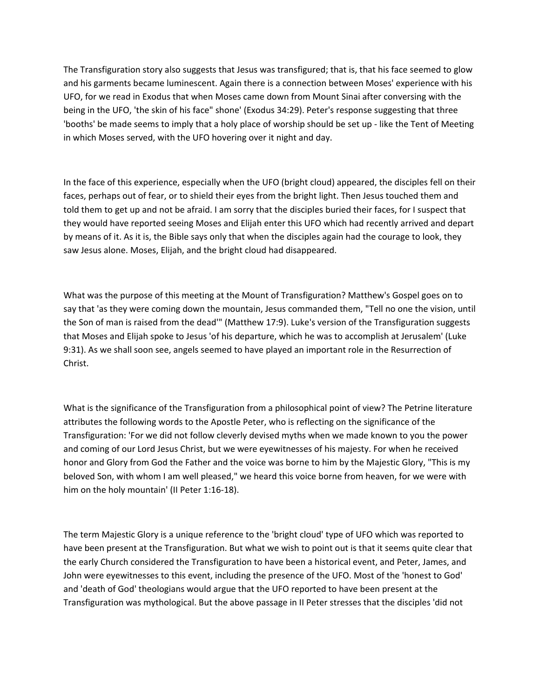The Transfiguration story also suggests that Jesus was transfigured; that is, that his face seemed to glow and his garments became luminescent. Again there is a connection between Moses' experience with his UFO, for we read in Exodus that when Moses came down from Mount Sinai after conversing with the being in the UFO, 'the skin of his face" shone' (Exodus 34:29). Peter's response suggesting that three 'booths' be made seems to imply that a holy place of worship should be set up - like the Tent of Meeting in which Moses served, with the UFO hovering over it night and day.

In the face of this experience, especially when the UFO (bright cloud) appeared, the disciples fell on their faces, perhaps out of fear, or to shield their eyes from the bright light. Then Jesus touched them and told them to get up and not be afraid. I am sorry that the disciples buried their faces, for I suspect that they would have reported seeing Moses and Elijah enter this UFO which had recently arrived and depart by means of it. As it is, the Bible says only that when the disciples again had the courage to look, they saw Jesus alone. Moses, Elijah, and the bright cloud had disappeared.

What was the purpose of this meeting at the Mount of Transfiguration? Matthew's Gospel goes on to say that 'as they were coming down the mountain, Jesus commanded them, "Tell no one the vision, until the Son of man is raised from the dead'" (Matthew 17:9). Luke's version of the Transfiguration suggests that Moses and Elijah spoke to Jesus 'of his departure, which he was to accomplish at Jerusalem' (Luke 9:31). As we shall soon see, angels seemed to have played an important role in the Resurrection of Christ.

What is the significance of the Transfiguration from a philosophical point of view? The Petrine literature attributes the following words to the Apostle Peter, who is reflecting on the significance of the Transfiguration: 'For we did not follow cleverly devised myths when we made known to you the power and coming of our Lord Jesus Christ, but we were eyewitnesses of his majesty. For when he received honor and Glory from God the Father and the voice was borne to him by the Majestic Glory, "This is my beloved Son, with whom I am well pleased," we heard this voice borne from heaven, for we were with him on the holy mountain' (II Peter 1:16-18).

The term Majestic Glory is a unique reference to the 'bright cloud' type of UFO which was reported to have been present at the Transfiguration. But what we wish to point out is that it seems quite clear that the early Church considered the Transfiguration to have been a historical event, and Peter, James, and John were eyewitnesses to this event, including the presence of the UFO. Most of the 'honest to God' and 'death of God' theologians would argue that the UFO reported to have been present at the Transfiguration was mythological. But the above passage in II Peter stresses that the disciples 'did not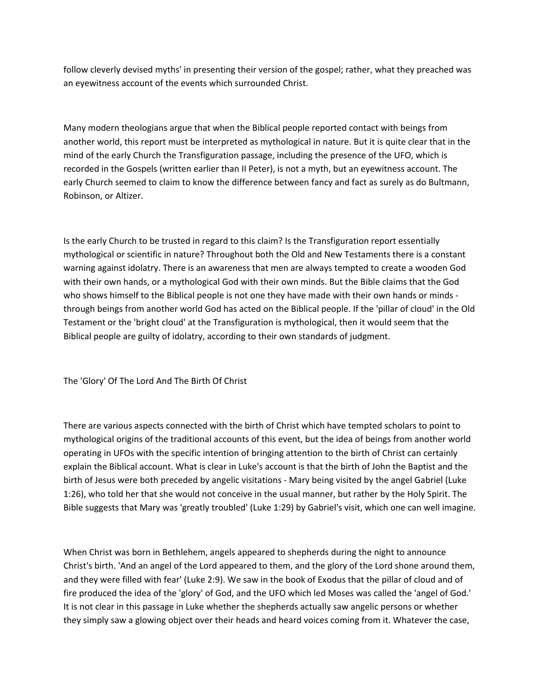follow cleverly devised myths' in presenting their version of the gospel; rather, what they preached was an eyewitness account of the events which surrounded Christ.

Many modern theologians argue that when the Biblical people reported contact with beings from another world, this report must be interpreted as mythological in nature. But it is quite clear that in the mind of the early Church the Transfiguration passage, including the presence of the UFO, which is recorded in the Gospels (written earlier than II Peter), is not a myth, but an eyewitness account. The early Church seemed to claim to know the difference between fancy and fact as surely as do Bultmann, Robinson, or Altizer.

Is the early Church to be trusted in regard to this claim? Is the Transfiguration report essentially mythological or scientific in nature? Throughout both the Old and New Testaments there is a constant warning against idolatry. There is an awareness that men are always tempted to create a wooden God with their own hands, or a mythological God with their own minds. But the Bible claims that the God who shows himself to the Biblical people is not one they have made with their own hands or minds through beings from another world God has acted on the Biblical people. If the 'pillar of cloud' in the Old Testament or the 'bright cloud' at the Transfiguration is mythological, then it would seem that the Biblical people are guilty of idolatry, according to their own standards of judgment.

The 'Glory' Of The Lord And The Birth Of Christ

There are various aspects connected with the birth of Christ which have tempted scholars to point to mythological origins of the traditional accounts of this event, but the idea of beings from another world operating in UFOs with the specific intention of bringing attention to the birth of Christ can certainly explain the Biblical account. What is clear in Luke's account is that the birth of John the Baptist and the birth of Jesus were both preceded by angelic visitations - Mary being visited by the angel Gabriel (Luke 1:26), who told her that she would not conceive in the usual manner, but rather by the Holy Spirit. The Bible suggests that Mary was 'greatly troubled' (Luke 1:29) by Gabriel's visit, which one can well imagine.

When Christ was born in Bethlehem, angels appeared to shepherds during the night to announce Christ's birth. 'And an angel of the Lord appeared to them, and the glory of the Lord shone around them, and they were filled with fear' (Luke 2:9). We saw in the book of Exodus that the pillar of cloud and of fire produced the idea of the 'glory' of God, and the UFO which led Moses was called the 'angel of God.' It is not clear in this passage in Luke whether the shepherds actually saw angelic persons or whether they simply saw a glowing object over their heads and heard voices coming from it. Whatever the case,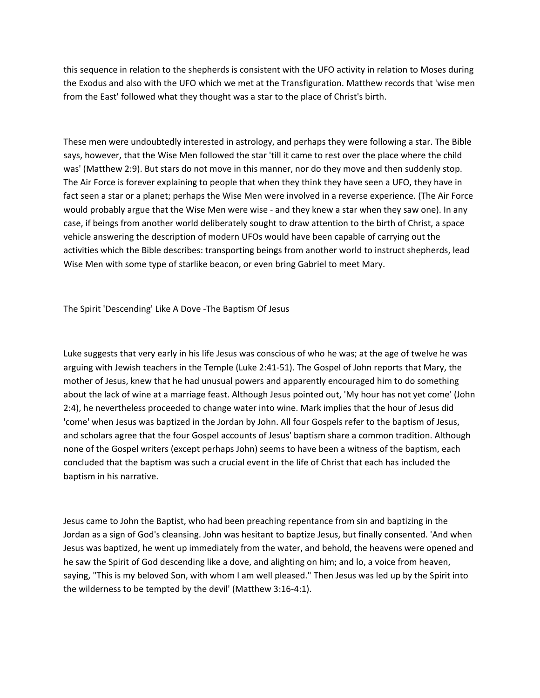this sequence in relation to the shepherds is consistent with the UFO activity in relation to Moses during the Exodus and also with the UFO which we met at the Transfiguration. Matthew records that 'wise men from the East' followed what they thought was a star to the place of Christ's birth.

These men were undoubtedly interested in astrology, and perhaps they were following a star. The Bible says, however, that the Wise Men followed the star 'till it came to rest over the place where the child was' (Matthew 2:9). But stars do not move in this manner, nor do they move and then suddenly stop. The Air Force is forever explaining to people that when they think they have seen a UFO, they have in fact seen a star or a planet; perhaps the Wise Men were involved in a reverse experience. (The Air Force would probably argue that the Wise Men were wise - and they knew a star when they saw one). In any case, if beings from another world deliberately sought to draw attention to the birth of Christ, a space vehicle answering the description of modern UFOs would have been capable of carrying out the activities which the Bible describes: transporting beings from another world to instruct shepherds, lead Wise Men with some type of starlike beacon, or even bring Gabriel to meet Mary.

The Spirit 'Descending' Like A Dove -The Baptism Of Jesus

Luke suggests that very early in his life Jesus was conscious of who he was; at the age of twelve he was arguing with Jewish teachers in the Temple (Luke 2:41-51). The Gospel of John reports that Mary, the mother of Jesus, knew that he had unusual powers and apparently encouraged him to do something about the lack of wine at a marriage feast. Although Jesus pointed out, 'My hour has not yet come' (John 2:4), he nevertheless proceeded to change water into wine. Mark implies that the hour of Jesus did 'come' when Jesus was baptized in the Jordan by John. All four Gospels refer to the baptism of Jesus, and scholars agree that the four Gospel accounts of Jesus' baptism share a common tradition. Although none of the Gospel writers (except perhaps John) seems to have been a witness of the baptism, each concluded that the baptism was such a crucial event in the life of Christ that each has included the baptism in his narrative.

Jesus came to John the Baptist, who had been preaching repentance from sin and baptizing in the Jordan as a sign of God's cleansing. John was hesitant to baptize Jesus, but finally consented. 'And when Jesus was baptized, he went up immediately from the water, and behold, the heavens were opened and he saw the Spirit of God descending like a dove, and alighting on him; and lo, a voice from heaven, saying, "This is my beloved Son, with whom I am well pleased." Then Jesus was led up by the Spirit into the wilderness to be tempted by the devil' (Matthew 3:16-4:1).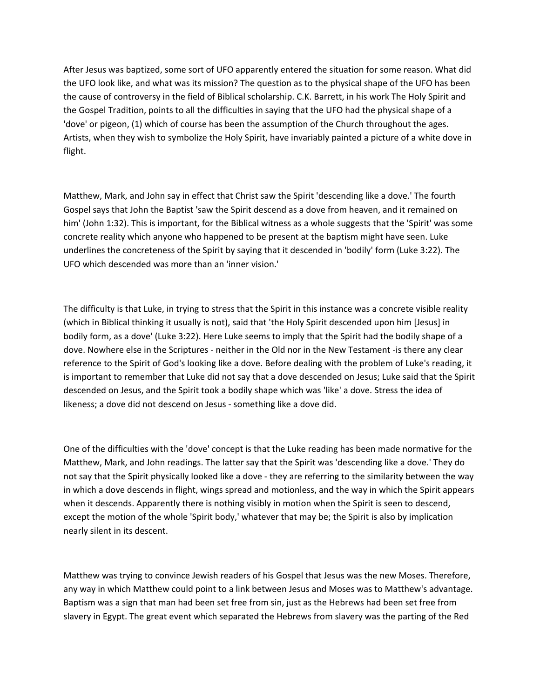After Jesus was baptized, some sort of UFO apparently entered the situation for some reason. What did the UFO look like, and what was its mission? The question as to the physical shape of the UFO has been the cause of controversy in the field of Biblical scholarship. C.K. Barrett, in his work The Holy Spirit and the Gospel Tradition, points to all the difficulties in saying that the UFO had the physical shape of a 'dove' or pigeon, (1) which of course has been the assumption of the Church throughout the ages. Artists, when they wish to symbolize the Holy Spirit, have invariably painted a picture of a white dove in flight.

Matthew, Mark, and John say in effect that Christ saw the Spirit 'descending like a dove.' The fourth Gospel says that John the Baptist 'saw the Spirit descend as a dove from heaven, and it remained on him' (John 1:32). This is important, for the Biblical witness as a whole suggests that the 'Spirit' was some concrete reality which anyone who happened to be present at the baptism might have seen. Luke underlines the concreteness of the Spirit by saying that it descended in 'bodily' form (Luke 3:22). The UFO which descended was more than an 'inner vision.'

The difficulty is that Luke, in trying to stress that the Spirit in this instance was a concrete visible reality (which in Biblical thinking it usually is not), said that 'the Holy Spirit descended upon him [Jesus] in bodily form, as a dove' (Luke 3:22). Here Luke seems to imply that the Spirit had the bodily shape of a dove. Nowhere else in the Scriptures - neither in the Old nor in the New Testament -is there any clear reference to the Spirit of God's looking like a dove. Before dealing with the problem of Luke's reading, it is important to remember that Luke did not say that a dove descended on Jesus; Luke said that the Spirit descended on Jesus, and the Spirit took a bodily shape which was 'like' a dove. Stress the idea of likeness; a dove did not descend on Jesus - something like a dove did.

One of the difficulties with the 'dove' concept is that the Luke reading has been made normative for the Matthew, Mark, and John readings. The latter say that the Spirit was 'descending like a dove.' They do not say that the Spirit physically looked like a dove - they are referring to the similarity between the way in which a dove descends in flight, wings spread and motionless, and the way in which the Spirit appears when it descends. Apparently there is nothing visibly in motion when the Spirit is seen to descend, except the motion of the whole 'Spirit body,' whatever that may be; the Spirit is also by implication nearly silent in its descent.

Matthew was trying to convince Jewish readers of his Gospel that Jesus was the new Moses. Therefore, any way in which Matthew could point to a link between Jesus and Moses was to Matthew's advantage. Baptism was a sign that man had been set free from sin, just as the Hebrews had been set free from slavery in Egypt. The great event which separated the Hebrews from slavery was the parting of the Red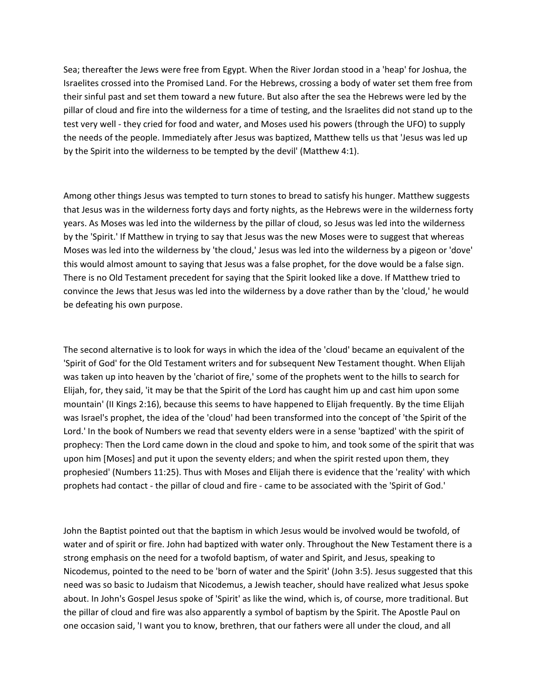Sea; thereafter the Jews were free from Egypt. When the River Jordan stood in a 'heap' for Joshua, the Israelites crossed into the Promised Land. For the Hebrews, crossing a body of water set them free from their sinful past and set them toward a new future. But also after the sea the Hebrews were led by the pillar of cloud and fire into the wilderness for a time of testing, and the Israelites did not stand up to the test very well - they cried for food and water, and Moses used his powers (through the UFO) to supply the needs of the people. Immediately after Jesus was baptized, Matthew tells us that 'Jesus was led up by the Spirit into the wilderness to be tempted by the devil' (Matthew 4:1).

Among other things Jesus was tempted to turn stones to bread to satisfy his hunger. Matthew suggests that Jesus was in the wilderness forty days and forty nights, as the Hebrews were in the wilderness forty years. As Moses was led into the wilderness by the pillar of cloud, so Jesus was led into the wilderness by the 'Spirit.' If Matthew in trying to say that Jesus was the new Moses were to suggest that whereas Moses was led into the wilderness by 'the cloud,' Jesus was led into the wilderness by a pigeon or 'dove' this would almost amount to saying that Jesus was a false prophet, for the dove would be a false sign. There is no Old Testament precedent for saying that the Spirit looked like a dove. If Matthew tried to convince the Jews that Jesus was led into the wilderness by a dove rather than by the 'cloud,' he would be defeating his own purpose.

The second alternative is to look for ways in which the idea of the 'cloud' became an equivalent of the 'Spirit of God' for the Old Testament writers and for subsequent New Testament thought. When Elijah was taken up into heaven by the 'chariot of fire,' some of the prophets went to the hills to search for Elijah, for, they said, 'it may be that the Spirit of the Lord has caught him up and cast him upon some mountain' (II Kings 2:16), because this seems to have happened to Elijah frequently. By the time Elijah was Israel's prophet, the idea of the 'cloud' had been transformed into the concept of 'the Spirit of the Lord.' In the book of Numbers we read that seventy elders were in a sense 'baptized' with the spirit of prophecy: Then the Lord came down in the cloud and spoke to him, and took some of the spirit that was upon him [Moses] and put it upon the seventy elders; and when the spirit rested upon them, they prophesied' (Numbers 11:25). Thus with Moses and Elijah there is evidence that the 'reality' with which prophets had contact - the pillar of cloud and fire - came to be associated with the 'Spirit of God.'

John the Baptist pointed out that the baptism in which Jesus would be involved would be twofold, of water and of spirit or fire. John had baptized with water only. Throughout the New Testament there is a strong emphasis on the need for a twofold baptism, of water and Spirit, and Jesus, speaking to Nicodemus, pointed to the need to be 'born of water and the Spirit' (John 3:5). Jesus suggested that this need was so basic to Judaism that Nicodemus, a Jewish teacher, should have realized what Jesus spoke about. In John's Gospel Jesus spoke of 'Spirit' as like the wind, which is, of course, more traditional. But the pillar of cloud and fire was also apparently a symbol of baptism by the Spirit. The Apostle Paul on one occasion said, 'I want you to know, brethren, that our fathers were all under the cloud, and all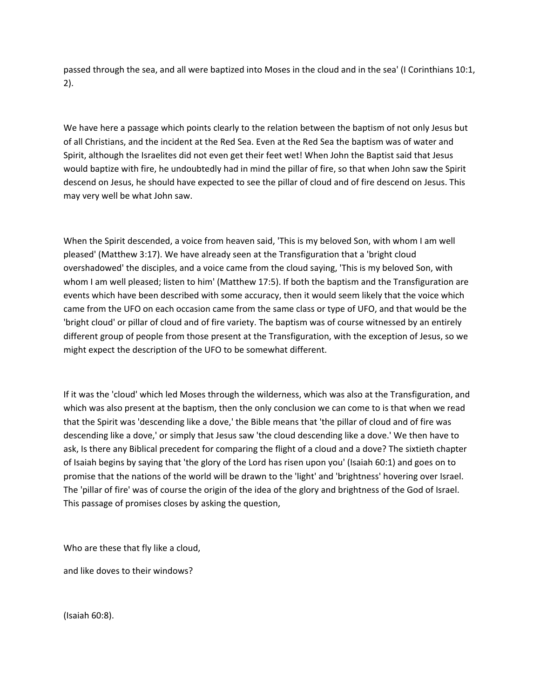passed through the sea, and all were baptized into Moses in the cloud and in the sea' (I Corinthians 10:1, 2).

We have here a passage which points clearly to the relation between the baptism of not only Jesus but of all Christians, and the incident at the Red Sea. Even at the Red Sea the baptism was of water and Spirit, although the Israelites did not even get their feet wet! When John the Baptist said that Jesus would baptize with fire, he undoubtedly had in mind the pillar of fire, so that when John saw the Spirit descend on Jesus, he should have expected to see the pillar of cloud and of fire descend on Jesus. This may very well be what John saw.

When the Spirit descended, a voice from heaven said, 'This is my beloved Son, with whom I am well pleased' (Matthew 3:17). We have already seen at the Transfiguration that a 'bright cloud overshadowed' the disciples, and a voice came from the cloud saying, 'This is my beloved Son, with whom I am well pleased; listen to him' (Matthew 17:5). If both the baptism and the Transfiguration are events which have been described with some accuracy, then it would seem likely that the voice which came from the UFO on each occasion came from the same class or type of UFO, and that would be the 'bright cloud' or pillar of cloud and of fire variety. The baptism was of course witnessed by an entirely different group of people from those present at the Transfiguration, with the exception of Jesus, so we might expect the description of the UFO to be somewhat different.

If it was the 'cloud' which led Moses through the wilderness, which was also at the Transfiguration, and which was also present at the baptism, then the only conclusion we can come to is that when we read that the Spirit was 'descending like a dove,' the Bible means that 'the pillar of cloud and of fire was descending like a dove,' or simply that Jesus saw 'the cloud descending like a dove.' We then have to ask, Is there any Biblical precedent for comparing the flight of a cloud and a dove? The sixtieth chapter of Isaiah begins by saying that 'the glory of the Lord has risen upon you' (Isaiah 60:1) and goes on to promise that the nations of the world will be drawn to the 'light' and 'brightness' hovering over Israel. The 'pillar of fire' was of course the origin of the idea of the glory and brightness of the God of Israel. This passage of promises closes by asking the question,

Who are these that fly like a cloud,

and like doves to their windows?

(Isaiah 60:8).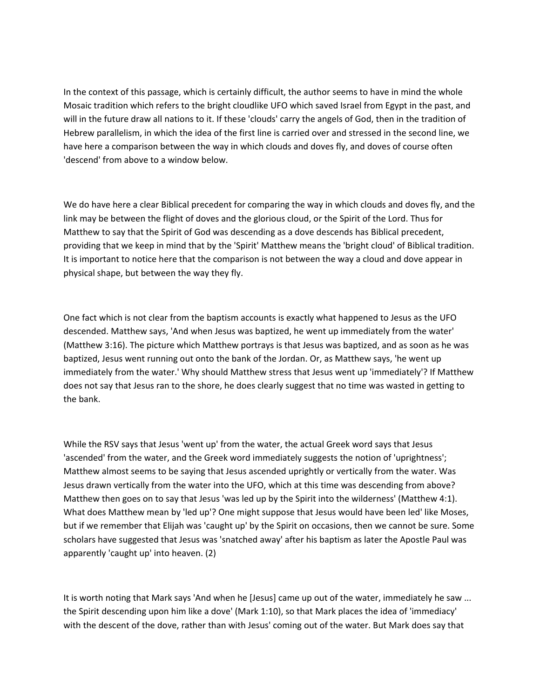In the context of this passage, which is certainly difficult, the author seems to have in mind the whole Mosaic tradition which refers to the bright cloudlike UFO which saved Israel from Egypt in the past, and will in the future draw all nations to it. If these 'clouds' carry the angels of God, then in the tradition of Hebrew parallelism, in which the idea of the first line is carried over and stressed in the second line, we have here a comparison between the way in which clouds and doves fly, and doves of course often 'descend' from above to a window below.

We do have here a clear Biblical precedent for comparing the way in which clouds and doves fly, and the link may be between the flight of doves and the glorious cloud, or the Spirit of the Lord. Thus for Matthew to say that the Spirit of God was descending as a dove descends has Biblical precedent, providing that we keep in mind that by the 'Spirit' Matthew means the 'bright cloud' of Biblical tradition. It is important to notice here that the comparison is not between the way a cloud and dove appear in physical shape, but between the way they fly.

One fact which is not clear from the baptism accounts is exactly what happened to Jesus as the UFO descended. Matthew says, 'And when Jesus was baptized, he went up immediately from the water' (Matthew 3:16). The picture which Matthew portrays is that Jesus was baptized, and as soon as he was baptized, Jesus went running out onto the bank of the Jordan. Or, as Matthew says, 'he went up immediately from the water.' Why should Matthew stress that Jesus went up 'immediately'? If Matthew does not say that Jesus ran to the shore, he does clearly suggest that no time was wasted in getting to the bank.

While the RSV says that Jesus 'went up' from the water, the actual Greek word says that Jesus 'ascended' from the water, and the Greek word immediately suggests the notion of 'uprightness'; Matthew almost seems to be saying that Jesus ascended uprightly or vertically from the water. Was Jesus drawn vertically from the water into the UFO, which at this time was descending from above? Matthew then goes on to say that Jesus 'was led up by the Spirit into the wilderness' (Matthew 4:1). What does Matthew mean by 'led up'? One might suppose that Jesus would have been led' like Moses, but if we remember that Elijah was 'caught up' by the Spirit on occasions, then we cannot be sure. Some scholars have suggested that Jesus was 'snatched away' after his baptism as later the Apostle Paul was apparently 'caught up' into heaven. (2)

It is worth noting that Mark says 'And when he [Jesus] came up out of the water, immediately he saw ... the Spirit descending upon him like a dove' (Mark 1:10), so that Mark places the idea of 'immediacy' with the descent of the dove, rather than with Jesus' coming out of the water. But Mark does say that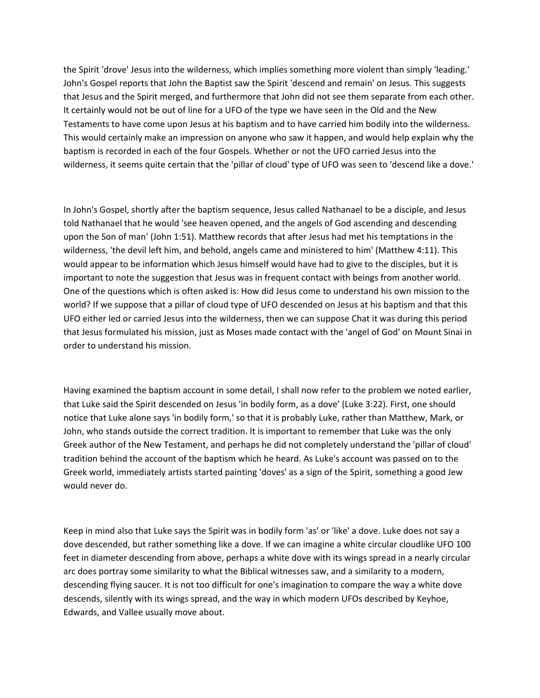the Spirit 'drove' Jesus into the wilderness, which implies something more violent than simply 'leading.' John's Gospel reports that John the Baptist saw the Spirit 'descend and remain' on Jesus. This suggests that Jesus and the Spirit merged, and furthermore that John did not see them separate from each other. It certainly would not be out of line for a UFO of the type we have seen in the Old and the New Testaments to have come upon Jesus at his baptism and to have carried him bodily into the wilderness. This would certainly make an impression on anyone who saw it happen, and would help explain why the baptism is recorded in each of the four Gospels. Whether or not the UFO carried Jesus into the wilderness, it seems quite certain that the 'pillar of cloud' type of UFO was seen to 'descend like a dove.'

In John's Gospel, shortly after the baptism sequence, Jesus called Nathanael to be a disciple, and Jesus told Nathanael that he would 'see heaven opened, and the angels of God ascending and descending upon the Son of man' (John 1:51). Matthew records that after Jesus had met his temptations in the wilderness, 'the devil left him, and behold, angels came and ministered to him' (Matthew 4:11). This would appear to be information which Jesus himself would have had to give to the disciples, but it is important to note the suggestion that Jesus was in frequent contact with beings from another world. One of the questions which is often asked is: How did Jesus come to understand his own mission to the world? If we suppose that a pillar of cloud type of UFO descended on Jesus at his baptism and that this UFO either led or carried Jesus into the wilderness, then we can suppose Chat it was during this period that Jesus formulated his mission, just as Moses made contact with the 'angel of God' on Mount Sinai in order to understand his mission.

Having examined the baptism account in some detail, I shall now refer to the problem we noted earlier, that Luke said the Spirit descended on Jesus 'in bodily form, as a dove' (Luke 3:22). First, one should notice that Luke alone says 'in bodily form,' so that it is probably Luke, rather than Matthew, Mark, or John, who stands outside the correct tradition. It is important to remember that Luke was the only Greek author of the New Testament, and perhaps he did not completely understand the 'pillar of cloud' tradition behind the account of the baptism which he heard. As Luke's account was passed on to the Greek world, immediately artists started painting 'doves' as a sign of the Spirit, something a good Jew would never do.

Keep in mind also that Luke says the Spirit was in bodily form 'as' or 'like' a dove. Luke does not say a dove descended, but rather something like a dove. If we can imagine a white circular cloudlike UFO 100 feet in diameter descending from above, perhaps a white dove with its wings spread in a nearly circular arc does portray some similarity to what the Biblical witnesses saw, and a similarity to a modern, descending flying saucer. It is not too difficult for one's imagination to compare the way a white dove descends, silently with its wings spread, and the way in which modern UFOs described by Keyhoe, Edwards, and Vallee usually move about.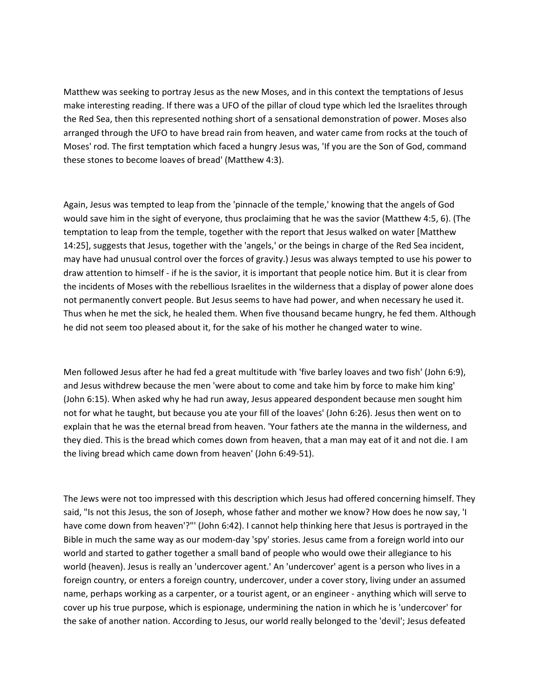Matthew was seeking to portray Jesus as the new Moses, and in this context the temptations of Jesus make interesting reading. If there was a UFO of the pillar of cloud type which led the Israelites through the Red Sea, then this represented nothing short of a sensational demonstration of power. Moses also arranged through the UFO to have bread rain from heaven, and water came from rocks at the touch of Moses' rod. The first temptation which faced a hungry Jesus was, 'If you are the Son of God, command these stones to become loaves of bread' (Matthew 4:3).

Again, Jesus was tempted to leap from the 'pinnacle of the temple,' knowing that the angels of God would save him in the sight of everyone, thus proclaiming that he was the savior (Matthew 4:5, 6). (The temptation to leap from the temple, together with the report that Jesus walked on water [Matthew 14:25], suggests that Jesus, together with the 'angels,' or the beings in charge of the Red Sea incident, may have had unusual control over the forces of gravity.) Jesus was always tempted to use his power to draw attention to himself - if he is the savior, it is important that people notice him. But it is clear from the incidents of Moses with the rebellious Israelites in the wilderness that a display of power alone does not permanently convert people. But Jesus seems to have had power, and when necessary he used it. Thus when he met the sick, he healed them. When five thousand became hungry, he fed them. Although he did not seem too pleased about it, for the sake of his mother he changed water to wine.

Men followed Jesus after he had fed a great multitude with 'five barley loaves and two fish' (John 6:9), and Jesus withdrew because the men 'were about to come and take him by force to make him king' (John 6:15). When asked why he had run away, Jesus appeared despondent because men sought him not for what he taught, but because you ate your fill of the loaves' (John 6:26). Jesus then went on to explain that he was the eternal bread from heaven. 'Your fathers ate the manna in the wilderness, and they died. This is the bread which comes down from heaven, that a man may eat of it and not die. I am the living bread which came down from heaven' (John 6:49-51).

The Jews were not too impressed with this description which Jesus had offered concerning himself. They said, "Is not this Jesus, the son of Joseph, whose father and mother we know? How does he now say, 'I have come down from heaven'?"' (John 6:42). I cannot help thinking here that Jesus is portrayed in the Bible in much the same way as our modem-day 'spy' stories. Jesus came from a foreign world into our world and started to gather together a small band of people who would owe their allegiance to his world (heaven). Jesus is really an 'undercover agent.' An 'undercover' agent is a person who lives in a foreign country, or enters a foreign country, undercover, under a cover story, living under an assumed name, perhaps working as a carpenter, or a tourist agent, or an engineer - anything which will serve to cover up his true purpose, which is espionage, undermining the nation in which he is 'undercover' for the sake of another nation. According to Jesus, our world really belonged to the 'devil'; Jesus defeated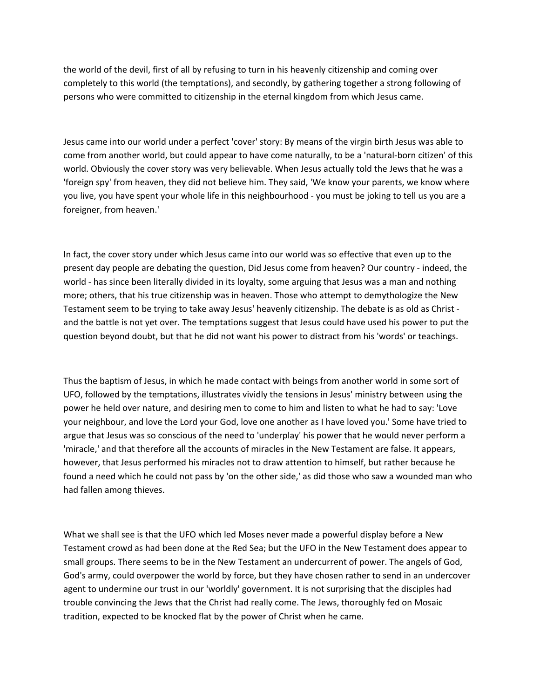the world of the devil, first of all by refusing to turn in his heavenly citizenship and coming over completely to this world (the temptations), and secondly, by gathering together a strong following of persons who were committed to citizenship in the eternal kingdom from which Jesus came.

Jesus came into our world under a perfect 'cover' story: By means of the virgin birth Jesus was able to come from another world, but could appear to have come naturally, to be a 'natural-born citizen' of this world. Obviously the cover story was very believable. When Jesus actually told the Jews that he was a 'foreign spy' from heaven, they did not believe him. They said, 'We know your parents, we know where you live, you have spent your whole life in this neighbourhood - you must be joking to tell us you are a foreigner, from heaven.'

In fact, the cover story under which Jesus came into our world was so effective that even up to the present day people are debating the question, Did Jesus come from heaven? Our country - indeed, the world - has since been literally divided in its loyalty, some arguing that Jesus was a man and nothing more; others, that his true citizenship was in heaven. Those who attempt to demythologize the New Testament seem to be trying to take away Jesus' heavenly citizenship. The debate is as old as Christ and the battle is not yet over. The temptations suggest that Jesus could have used his power to put the question beyond doubt, but that he did not want his power to distract from his 'words' or teachings.

Thus the baptism of Jesus, in which he made contact with beings from another world in some sort of UFO, followed by the temptations, illustrates vividly the tensions in Jesus' ministry between using the power he held over nature, and desiring men to come to him and listen to what he had to say: 'Love your neighbour, and love the Lord your God, love one another as I have loved you.' Some have tried to argue that Jesus was so conscious of the need to 'underplay' his power that he would never perform a 'miracle,' and that therefore all the accounts of miracles in the New Testament are false. It appears, however, that Jesus performed his miracles not to draw attention to himself, but rather because he found a need which he could not pass by 'on the other side,' as did those who saw a wounded man who had fallen among thieves.

What we shall see is that the UFO which led Moses never made a powerful display before a New Testament crowd as had been done at the Red Sea; but the UFO in the New Testament does appear to small groups. There seems to be in the New Testament an undercurrent of power. The angels of God, God's army, could overpower the world by force, but they have chosen rather to send in an undercover agent to undermine our trust in our 'worldly' government. It is not surprising that the disciples had trouble convincing the Jews that the Christ had really come. The Jews, thoroughly fed on Mosaic tradition, expected to be knocked flat by the power of Christ when he came.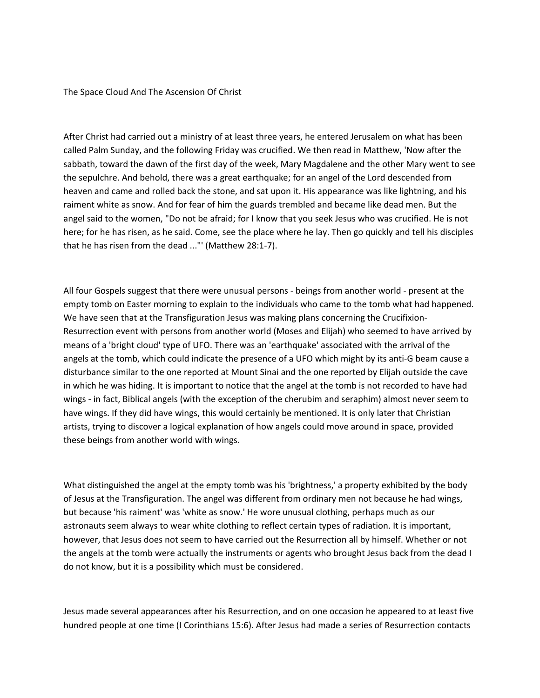The Space Cloud And The Ascension Of Christ

After Christ had carried out a ministry of at least three years, he entered Jerusalem on what has been called Palm Sunday, and the following Friday was crucified. We then read in Matthew, 'Now after the sabbath, toward the dawn of the first day of the week, Mary Magdalene and the other Mary went to see the sepulchre. And behold, there was a great earthquake; for an angel of the Lord descended from heaven and came and rolled back the stone, and sat upon it. His appearance was like lightning, and his raiment white as snow. And for fear of him the guards trembled and became like dead men. But the angel said to the women, "Do not be afraid; for I know that you seek Jesus who was crucified. He is not here; for he has risen, as he said. Come, see the place where he lay. Then go quickly and tell his disciples that he has risen from the dead ..."' (Matthew 28:1-7).

All four Gospels suggest that there were unusual persons - beings from another world - present at the empty tomb on Easter morning to explain to the individuals who came to the tomb what had happened. We have seen that at the Transfiguration Jesus was making plans concerning the Crucifixion-Resurrection event with persons from another world (Moses and Elijah) who seemed to have arrived by means of a 'bright cloud' type of UFO. There was an 'earthquake' associated with the arrival of the angels at the tomb, which could indicate the presence of a UFO which might by its anti-G beam cause a disturbance similar to the one reported at Mount Sinai and the one reported by Elijah outside the cave in which he was hiding. It is important to notice that the angel at the tomb is not recorded to have had wings - in fact, Biblical angels (with the exception of the cherubim and seraphim) almost never seem to have wings. If they did have wings, this would certainly be mentioned. It is only later that Christian artists, trying to discover a logical explanation of how angels could move around in space, provided these beings from another world with wings.

What distinguished the angel at the empty tomb was his 'brightness,' a property exhibited by the body of Jesus at the Transfiguration. The angel was different from ordinary men not because he had wings, but because 'his raiment' was 'white as snow.' He wore unusual clothing, perhaps much as our astronauts seem always to wear white clothing to reflect certain types of radiation. It is important, however, that Jesus does not seem to have carried out the Resurrection all by himself. Whether or not the angels at the tomb were actually the instruments or agents who brought Jesus back from the dead I do not know, but it is a possibility which must be considered.

Jesus made several appearances after his Resurrection, and on one occasion he appeared to at least five hundred people at one time (I Corinthians 15:6). After Jesus had made a series of Resurrection contacts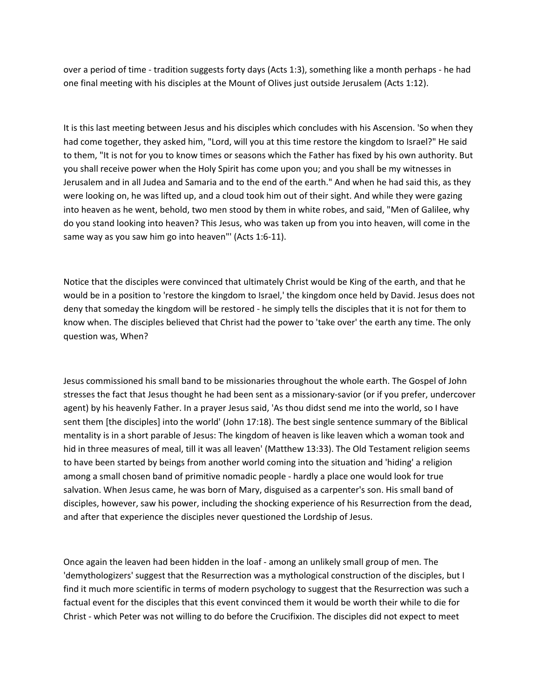over a period of time - tradition suggests forty days (Acts 1:3), something like a month perhaps - he had one final meeting with his disciples at the Mount of Olives just outside Jerusalem (Acts 1:12).

It is this last meeting between Jesus and his disciples which concludes with his Ascension. 'So when they had come together, they asked him, "Lord, will you at this time restore the kingdom to Israel?" He said to them, "It is not for you to know times or seasons which the Father has fixed by his own authority. But you shall receive power when the Holy Spirit has come upon you; and you shall be my witnesses in Jerusalem and in all Judea and Samaria and to the end of the earth." And when he had said this, as they were looking on, he was lifted up, and a cloud took him out of their sight. And while they were gazing into heaven as he went, behold, two men stood by them in white robes, and said, "Men of Galilee, why do you stand looking into heaven? This Jesus, who was taken up from you into heaven, will come in the same way as you saw him go into heaven"' (Acts 1:6-11).

Notice that the disciples were convinced that ultimately Christ would be King of the earth, and that he would be in a position to 'restore the kingdom to Israel,' the kingdom once held by David. Jesus does not deny that someday the kingdom will be restored - he simply tells the disciples that it is not for them to know when. The disciples believed that Christ had the power to 'take over' the earth any time. The only question was, When?

Jesus commissioned his small band to be missionaries throughout the whole earth. The Gospel of John stresses the fact that Jesus thought he had been sent as a missionary-savior (or if you prefer, undercover agent) by his heavenly Father. In a prayer Jesus said, 'As thou didst send me into the world, so I have sent them [the disciples] into the world' (John 17:18). The best single sentence summary of the Biblical mentality is in a short parable of Jesus: The kingdom of heaven is like leaven which a woman took and hid in three measures of meal, till it was all leaven' (Matthew 13:33). The Old Testament religion seems to have been started by beings from another world coming into the situation and 'hiding' a religion among a small chosen band of primitive nomadic people - hardly a place one would look for true salvation. When Jesus came, he was born of Mary, disguised as a carpenter's son. His small band of disciples, however, saw his power, including the shocking experience of his Resurrection from the dead, and after that experience the disciples never questioned the Lordship of Jesus.

Once again the leaven had been hidden in the loaf - among an unlikely small group of men. The 'demythologizers' suggest that the Resurrection was a mythological construction of the disciples, but I find it much more scientific in terms of modern psychology to suggest that the Resurrection was such a factual event for the disciples that this event convinced them it would be worth their while to die for Christ - which Peter was not willing to do before the Crucifixion. The disciples did not expect to meet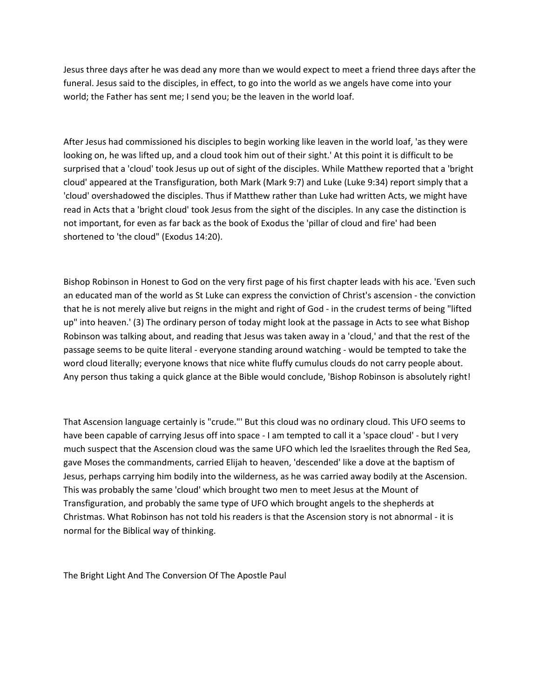Jesus three days after he was dead any more than we would expect to meet a friend three days after the funeral. Jesus said to the disciples, in effect, to go into the world as we angels have come into your world; the Father has sent me; I send you; be the leaven in the world loaf.

After Jesus had commissioned his disciples to begin working like leaven in the world loaf, 'as they were looking on, he was lifted up, and a cloud took him out of their sight.' At this point it is difficult to be surprised that a 'cloud' took Jesus up out of sight of the disciples. While Matthew reported that a 'bright cloud' appeared at the Transfiguration, both Mark (Mark 9:7) and Luke (Luke 9:34) report simply that a 'cloud' overshadowed the disciples. Thus if Matthew rather than Luke had written Acts, we might have read in Acts that a 'bright cloud' took Jesus from the sight of the disciples. In any case the distinction is not important, for even as far back as the book of Exodus the 'pillar of cloud and fire' had been shortened to 'the cloud" (Exodus 14:20).

Bishop Robinson in Honest to God on the very first page of his first chapter leads with his ace. 'Even such an educated man of the world as St Luke can express the conviction of Christ's ascension - the conviction that he is not merely alive but reigns in the might and right of God - in the crudest terms of being "lifted up" into heaven.' (3) The ordinary person of today might look at the passage in Acts to see what Bishop Robinson was talking about, and reading that Jesus was taken away in a 'cloud,' and that the rest of the passage seems to be quite literal - everyone standing around watching - would be tempted to take the word cloud literally; everyone knows that nice white fluffy cumulus clouds do not carry people about. Any person thus taking a quick glance at the Bible would conclude, 'Bishop Robinson is absolutely right!

That Ascension language certainly is "crude."' But this cloud was no ordinary cloud. This UFO seems to have been capable of carrying Jesus off into space - I am tempted to call it a 'space cloud' - but I very much suspect that the Ascension cloud was the same UFO which led the Israelites through the Red Sea, gave Moses the commandments, carried Elijah to heaven, 'descended' like a dove at the baptism of Jesus, perhaps carrying him bodily into the wilderness, as he was carried away bodily at the Ascension. This was probably the same 'cloud' which brought two men to meet Jesus at the Mount of Transfiguration, and probably the same type of UFO which brought angels to the shepherds at Christmas. What Robinson has not told his readers is that the Ascension story is not abnormal - it is normal for the Biblical way of thinking.

The Bright Light And The Conversion Of The Apostle Paul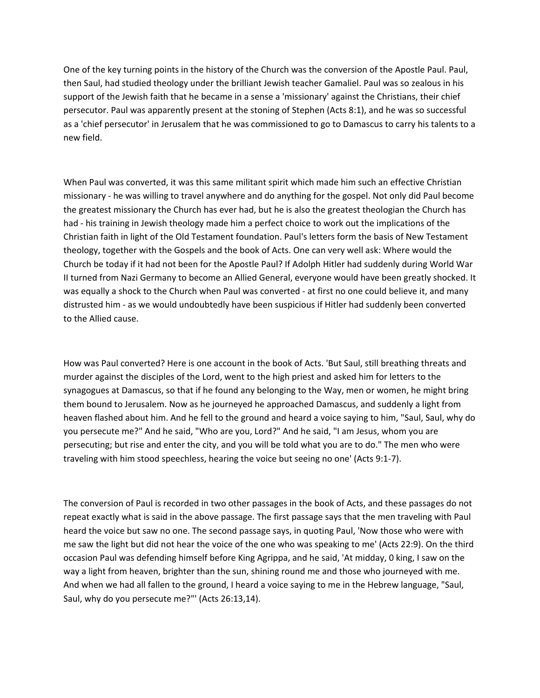One of the key turning points in the history of the Church was the conversion of the Apostle Paul. Paul, then Saul, had studied theology under the brilliant Jewish teacher Gamaliel. Paul was so zealous in his support of the Jewish faith that he became in a sense a 'missionary' against the Christians, their chief persecutor. Paul was apparently present at the stoning of Stephen (Acts 8:1), and he was so successful as a 'chief persecutor' in Jerusalem that he was commissioned to go to Damascus to carry his talents to a new field.

When Paul was converted, it was this same militant spirit which made him such an effective Christian missionary - he was willing to travel anywhere and do anything for the gospel. Not only did Paul become the greatest missionary the Church has ever had, but he is also the greatest theologian the Church has had - his training in Jewish theology made him a perfect choice to work out the implications of the Christian faith in light of the Old Testament foundation. Paul's letters form the basis of New Testament theology, together with the Gospels and the book of Acts. One can very well ask: Where would the Church be today if it had not been for the Apostle Paul? If Adolph Hitler had suddenly during World War II turned from Nazi Germany to become an Allied General, everyone would have been greatly shocked. It was equally a shock to the Church when Paul was converted - at first no one could believe it, and many distrusted him - as we would undoubtedly have been suspicious if Hitler had suddenly been converted to the Allied cause.

How was Paul converted? Here is one account in the book of Acts. 'But Saul, still breathing threats and murder against the disciples of the Lord, went to the high priest and asked him for letters to the synagogues at Damascus, so that if he found any belonging to the Way, men or women, he might bring them bound to Jerusalem. Now as he journeyed he approached Damascus, and suddenly a light from heaven flashed about him. And he fell to the ground and heard a voice saying to him, "Saul, Saul, why do you persecute me?" And he said, "Who are you, Lord?" And he said, "I am Jesus, whom you are persecuting; but rise and enter the city, and you will be told what you are to do." The men who were traveling with him stood speechless, hearing the voice but seeing no one' (Acts 9:1-7).

The conversion of Paul is recorded in two other passages in the book of Acts, and these passages do not repeat exactly what is said in the above passage. The first passage says that the men traveling with Paul heard the voice but saw no one. The second passage says, in quoting Paul, 'Now those who were with me saw the light but did not hear the voice of the one who was speaking to me' (Acts 22:9). On the third occasion Paul was defending himself before King Agrippa, and he said, 'At midday, 0 king, I saw on the way a light from heaven, brighter than the sun, shining round me and those who journeyed with me. And when we had all fallen to the ground, I heard a voice saying to me in the Hebrew language, "Saul, Saul, why do you persecute me?"' (Acts 26:13,14).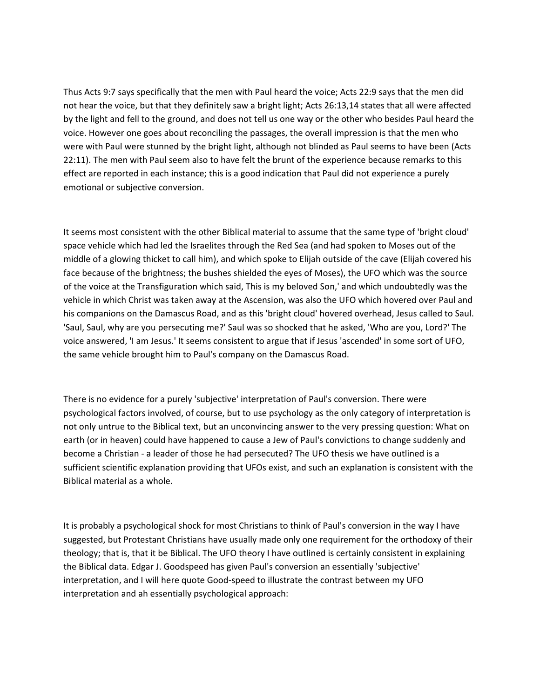Thus Acts 9:7 says specifically that the men with Paul heard the voice; Acts 22:9 says that the men did not hear the voice, but that they definitely saw a bright light; Acts 26:13,14 states that all were affected by the light and fell to the ground, and does not tell us one way or the other who besides Paul heard the voice. However one goes about reconciling the passages, the overall impression is that the men who were with Paul were stunned by the bright light, although not blinded as Paul seems to have been (Acts 22:11). The men with Paul seem also to have felt the brunt of the experience because remarks to this effect are reported in each instance; this is a good indication that Paul did not experience a purely emotional or subjective conversion.

It seems most consistent with the other Biblical material to assume that the same type of 'bright cloud' space vehicle which had led the Israelites through the Red Sea (and had spoken to Moses out of the middle of a glowing thicket to call him), and which spoke to Elijah outside of the cave (Elijah covered his face because of the brightness; the bushes shielded the eyes of Moses), the UFO which was the source of the voice at the Transfiguration which said, This is my beloved Son,' and which undoubtedly was the vehicle in which Christ was taken away at the Ascension, was also the UFO which hovered over Paul and his companions on the Damascus Road, and as this 'bright cloud' hovered overhead, Jesus called to Saul. 'Saul, Saul, why are you persecuting me?' Saul was so shocked that he asked, 'Who are you, Lord?' The voice answered, 'I am Jesus.' It seems consistent to argue that if Jesus 'ascended' in some sort of UFO, the same vehicle brought him to Paul's company on the Damascus Road.

There is no evidence for a purely 'subjective' interpretation of Paul's conversion. There were psychological factors involved, of course, but to use psychology as the only category of interpretation is not only untrue to the Biblical text, but an unconvincing answer to the very pressing question: What on earth (or in heaven) could have happened to cause a Jew of Paul's convictions to change suddenly and become a Christian - a leader of those he had persecuted? The UFO thesis we have outlined is a sufficient scientific explanation providing that UFOs exist, and such an explanation is consistent with the Biblical material as a whole.

It is probably a psychological shock for most Christians to think of Paul's conversion in the way I have suggested, but Protestant Christians have usually made only one requirement for the orthodoxy of their theology; that is, that it be Biblical. The UFO theory I have outlined is certainly consistent in explaining the Biblical data. Edgar J. Goodspeed has given Paul's conversion an essentially 'subjective' interpretation, and I will here quote Good-speed to illustrate the contrast between my UFO interpretation and ah essentially psychological approach: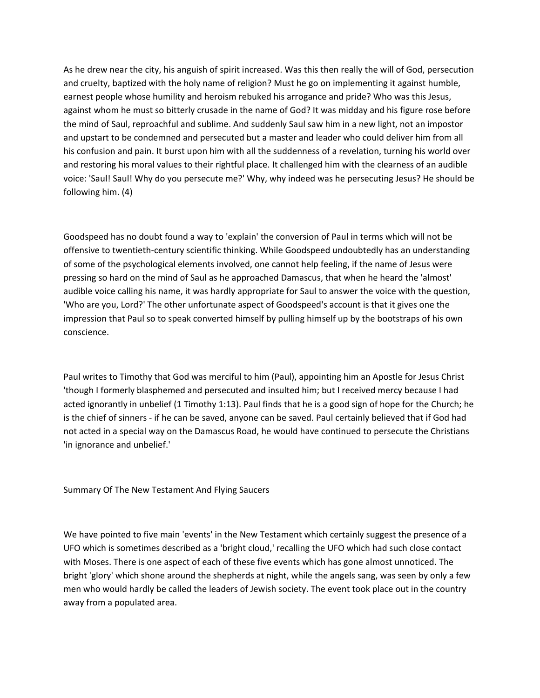As he drew near the city, his anguish of spirit increased. Was this then really the will of God, persecution and cruelty, baptized with the holy name of religion? Must he go on implementing it against humble, earnest people whose humility and heroism rebuked his arrogance and pride? Who was this Jesus, against whom he must so bitterly crusade in the name of God? It was midday and his figure rose before the mind of Saul, reproachful and sublime. And suddenly Saul saw him in a new light, not an impostor and upstart to be condemned and persecuted but a master and leader who could deliver him from all his confusion and pain. It burst upon him with all the suddenness of a revelation, turning his world over and restoring his moral values to their rightful place. It challenged him with the clearness of an audible voice: 'Saul! Saul! Why do you persecute me?' Why, why indeed was he persecuting Jesus? He should be following him. (4)

Goodspeed has no doubt found a way to 'explain' the conversion of Paul in terms which will not be offensive to twentieth-century scientific thinking. While Goodspeed undoubtedly has an understanding of some of the psychological elements involved, one cannot help feeling, if the name of Jesus were pressing so hard on the mind of Saul as he approached Damascus, that when he heard the 'almost' audible voice calling his name, it was hardly appropriate for Saul to answer the voice with the question, 'Who are you, Lord?' The other unfortunate aspect of Goodspeed's account is that it gives one the impression that Paul so to speak converted himself by pulling himself up by the bootstraps of his own conscience.

Paul writes to Timothy that God was merciful to him (Paul), appointing him an Apostle for Jesus Christ 'though I formerly blasphemed and persecuted and insulted him; but I received mercy because I had acted ignorantly in unbelief (1 Timothy 1:13). Paul finds that he is a good sign of hope for the Church; he is the chief of sinners - if he can be saved, anyone can be saved. Paul certainly believed that if God had not acted in a special way on the Damascus Road, he would have continued to persecute the Christians 'in ignorance and unbelief.'

Summary Of The New Testament And Flying Saucers

We have pointed to five main 'events' in the New Testament which certainly suggest the presence of a UFO which is sometimes described as a 'bright cloud,' recalling the UFO which had such close contact with Moses. There is one aspect of each of these five events which has gone almost unnoticed. The bright 'glory' which shone around the shepherds at night, while the angels sang, was seen by only a few men who would hardly be called the leaders of Jewish society. The event took place out in the country away from a populated area.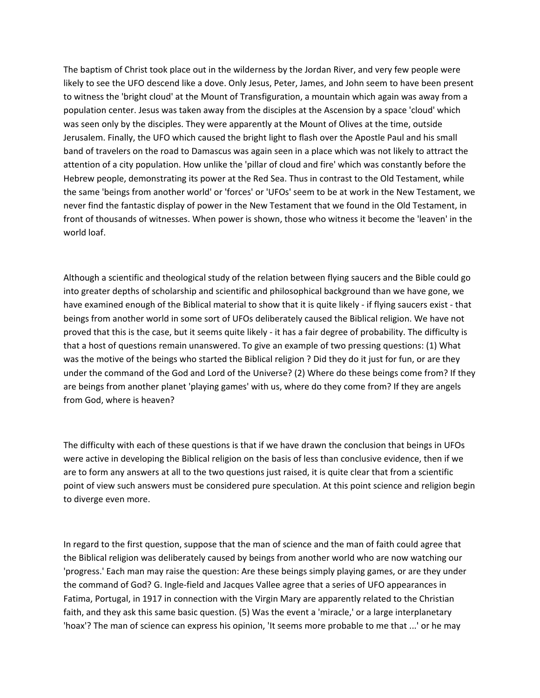The baptism of Christ took place out in the wilderness by the Jordan River, and very few people were likely to see the UFO descend like a dove. Only Jesus, Peter, James, and John seem to have been present to witness the 'bright cloud' at the Mount of Transfiguration, a mountain which again was away from a population center. Jesus was taken away from the disciples at the Ascension by a space 'cloud' which was seen only by the disciples. They were apparently at the Mount of Olives at the time, outside Jerusalem. Finally, the UFO which caused the bright light to flash over the Apostle Paul and his small band of travelers on the road to Damascus was again seen in a place which was not likely to attract the attention of a city population. How unlike the 'pillar of cloud and fire' which was constantly before the Hebrew people, demonstrating its power at the Red Sea. Thus in contrast to the Old Testament, while the same 'beings from another world' or 'forces' or 'UFOs' seem to be at work in the New Testament, we never find the fantastic display of power in the New Testament that we found in the Old Testament, in front of thousands of witnesses. When power is shown, those who witness it become the 'leaven' in the world loaf.

Although a scientific and theological study of the relation between flying saucers and the Bible could go into greater depths of scholarship and scientific and philosophical background than we have gone, we have examined enough of the Biblical material to show that it is quite likely - if flying saucers exist - that beings from another world in some sort of UFOs deliberately caused the Biblical religion. We have not proved that this is the case, but it seems quite likely - it has a fair degree of probability. The difficulty is that a host of questions remain unanswered. To give an example of two pressing questions: (1) What was the motive of the beings who started the Biblical religion ? Did they do it just for fun, or are they under the command of the God and Lord of the Universe? (2) Where do these beings come from? If they are beings from another planet 'playing games' with us, where do they come from? If they are angels from God, where is heaven?

The difficulty with each of these questions is that if we have drawn the conclusion that beings in UFOs were active in developing the Biblical religion on the basis of less than conclusive evidence, then if we are to form any answers at all to the two questions just raised, it is quite clear that from a scientific point of view such answers must be considered pure speculation. At this point science and religion begin to diverge even more.

In regard to the first question, suppose that the man of science and the man of faith could agree that the Biblical religion was deliberately caused by beings from another world who are now watching our 'progress.' Each man may raise the question: Are these beings simply playing games, or are they under the command of God? G. Ingle-field and Jacques Vallee agree that a series of UFO appearances in Fatima, Portugal, in 1917 in connection with the Virgin Mary are apparently related to the Christian faith, and they ask this same basic question. (5) Was the event a 'miracle,' or a large interplanetary 'hoax'? The man of science can express his opinion, 'It seems more probable to me that ...' or he may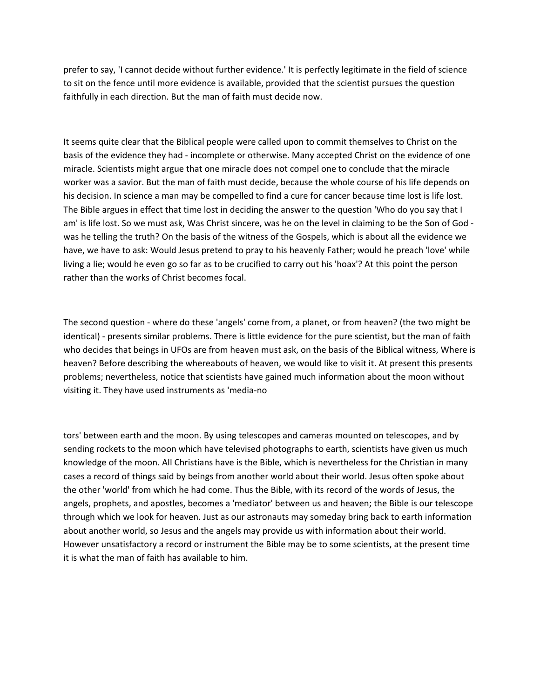prefer to say, 'I cannot decide without further evidence.' It is perfectly legitimate in the field of science to sit on the fence until more evidence is available, provided that the scientist pursues the question faithfully in each direction. But the man of faith must decide now.

It seems quite clear that the Biblical people were called upon to commit themselves to Christ on the basis of the evidence they had - incomplete or otherwise. Many accepted Christ on the evidence of one miracle. Scientists might argue that one miracle does not compel one to conclude that the miracle worker was a savior. But the man of faith must decide, because the whole course of his life depends on his decision. In science a man may be compelled to find a cure for cancer because time lost is life lost. The Bible argues in effect that time lost in deciding the answer to the question 'Who do you say that I am' is life lost. So we must ask, Was Christ sincere, was he on the level in claiming to be the Son of God was he telling the truth? On the basis of the witness of the Gospels, which is about all the evidence we have, we have to ask: Would Jesus pretend to pray to his heavenly Father; would he preach 'love' while living a lie; would he even go so far as to be crucified to carry out his 'hoax'? At this point the person rather than the works of Christ becomes focal.

The second question - where do these 'angels' come from, a planet, or from heaven? (the two might be identical) - presents similar problems. There is little evidence for the pure scientist, but the man of faith who decides that beings in UFOs are from heaven must ask, on the basis of the Biblical witness, Where is heaven? Before describing the whereabouts of heaven, we would like to visit it. At present this presents problems; nevertheless, notice that scientists have gained much information about the moon without visiting it. They have used instruments as 'media-no

tors' between earth and the moon. By using telescopes and cameras mounted on telescopes, and by sending rockets to the moon which have televised photographs to earth, scientists have given us much knowledge of the moon. All Christians have is the Bible, which is nevertheless for the Christian in many cases a record of things said by beings from another world about their world. Jesus often spoke about the other 'world' from which he had come. Thus the Bible, with its record of the words of Jesus, the angels, prophets, and apostles, becomes a 'mediator' between us and heaven; the Bible is our telescope through which we look for heaven. Just as our astronauts may someday bring back to earth information about another world, so Jesus and the angels may provide us with information about their world. However unsatisfactory a record or instrument the Bible may be to some scientists, at the present time it is what the man of faith has available to him.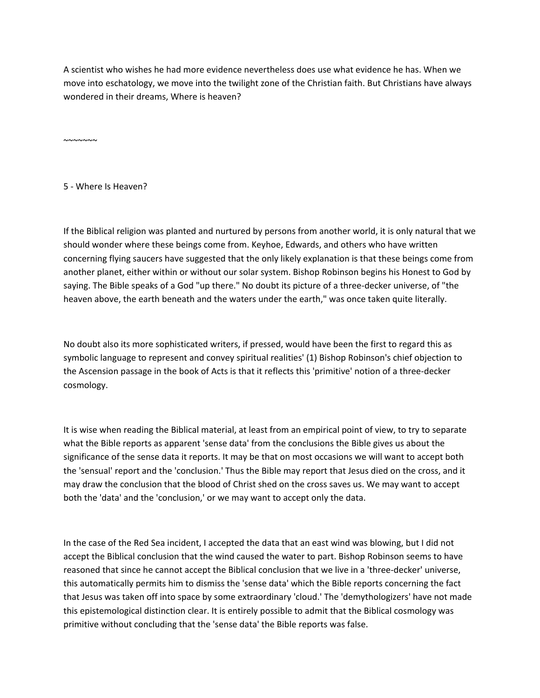A scientist who wishes he had more evidence nevertheless does use what evidence he has. When we move into eschatology, we move into the twilight zone of the Christian faith. But Christians have always wondered in their dreams, Where is heaven?

5 - Where Is Heaven?

 $~\sim\sim\sim\sim\sim\sim$ 

If the Biblical religion was planted and nurtured by persons from another world, it is only natural that we should wonder where these beings come from. Keyhoe, Edwards, and others who have written concerning flying saucers have suggested that the only likely explanation is that these beings come from another planet, either within or without our solar system. Bishop Robinson begins his Honest to God by saying. The Bible speaks of a God "up there." No doubt its picture of a three-decker universe, of "the heaven above, the earth beneath and the waters under the earth," was once taken quite literally.

No doubt also its more sophisticated writers, if pressed, would have been the first to regard this as symbolic language to represent and convey spiritual realities' (1) Bishop Robinson's chief objection to the Ascension passage in the book of Acts is that it reflects this 'primitive' notion of a three-decker cosmology.

It is wise when reading the Biblical material, at least from an empirical point of view, to try to separate what the Bible reports as apparent 'sense data' from the conclusions the Bible gives us about the significance of the sense data it reports. It may be that on most occasions we will want to accept both the 'sensual' report and the 'conclusion.' Thus the Bible may report that Jesus died on the cross, and it may draw the conclusion that the blood of Christ shed on the cross saves us. We may want to accept both the 'data' and the 'conclusion,' or we may want to accept only the data.

In the case of the Red Sea incident, I accepted the data that an east wind was blowing, but I did not accept the Biblical conclusion that the wind caused the water to part. Bishop Robinson seems to have reasoned that since he cannot accept the Biblical conclusion that we live in a 'three-decker' universe, this automatically permits him to dismiss the 'sense data' which the Bible reports concerning the fact that Jesus was taken off into space by some extraordinary 'cloud.' The 'demythologizers' have not made this epistemological distinction clear. It is entirely possible to admit that the Biblical cosmology was primitive without concluding that the 'sense data' the Bible reports was false.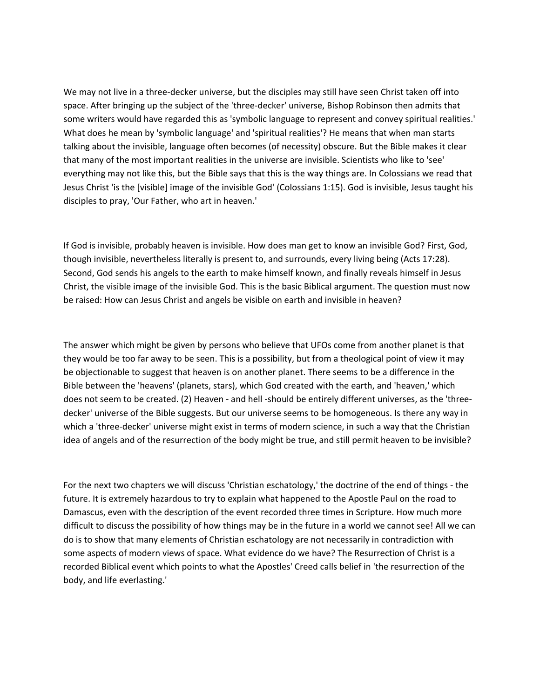We may not live in a three-decker universe, but the disciples may still have seen Christ taken off into space. After bringing up the subject of the 'three-decker' universe, Bishop Robinson then admits that some writers would have regarded this as 'symbolic language to represent and convey spiritual realities.' What does he mean by 'symbolic language' and 'spiritual realities'? He means that when man starts talking about the invisible, language often becomes (of necessity) obscure. But the Bible makes it clear that many of the most important realities in the universe are invisible. Scientists who like to 'see' everything may not like this, but the Bible says that this is the way things are. In Colossians we read that Jesus Christ 'is the [visible] image of the invisible God' (Colossians 1:15). God is invisible, Jesus taught his disciples to pray, 'Our Father, who art in heaven.'

If God is invisible, probably heaven is invisible. How does man get to know an invisible God? First, God, though invisible, nevertheless literally is present to, and surrounds, every living being (Acts 17:28). Second, God sends his angels to the earth to make himself known, and finally reveals himself in Jesus Christ, the visible image of the invisible God. This is the basic Biblical argument. The question must now be raised: How can Jesus Christ and angels be visible on earth and invisible in heaven?

The answer which might be given by persons who believe that UFOs come from another planet is that they would be too far away to be seen. This is a possibility, but from a theological point of view it may be objectionable to suggest that heaven is on another planet. There seems to be a difference in the Bible between the 'heavens' (planets, stars), which God created with the earth, and 'heaven,' which does not seem to be created. (2) Heaven - and hell -should be entirely different universes, as the 'threedecker' universe of the Bible suggests. But our universe seems to be homogeneous. Is there any way in which a 'three-decker' universe might exist in terms of modern science, in such a way that the Christian idea of angels and of the resurrection of the body might be true, and still permit heaven to be invisible?

For the next two chapters we will discuss 'Christian eschatology,' the doctrine of the end of things - the future. It is extremely hazardous to try to explain what happened to the Apostle Paul on the road to Damascus, even with the description of the event recorded three times in Scripture. How much more difficult to discuss the possibility of how things may be in the future in a world we cannot see! All we can do is to show that many elements of Christian eschatology are not necessarily in contradiction with some aspects of modern views of space. What evidence do we have? The Resurrection of Christ is a recorded Biblical event which points to what the Apostles' Creed calls belief in 'the resurrection of the body, and life everlasting.'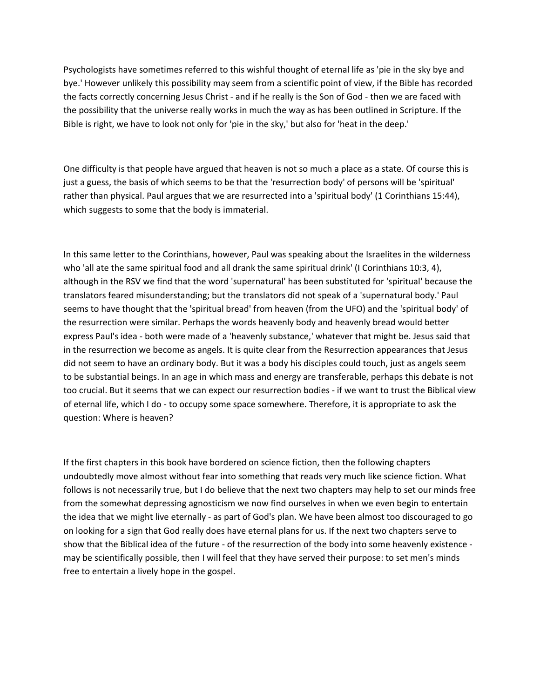Psychologists have sometimes referred to this wishful thought of eternal life as 'pie in the sky bye and bye.' However unlikely this possibility may seem from a scientific point of view, if the Bible has recorded the facts correctly concerning Jesus Christ - and if he really is the Son of God - then we are faced with the possibility that the universe really works in much the way as has been outlined in Scripture. If the Bible is right, we have to look not only for 'pie in the sky,' but also for 'heat in the deep.'

One difficulty is that people have argued that heaven is not so much a place as a state. Of course this is just a guess, the basis of which seems to be that the 'resurrection body' of persons will be 'spiritual' rather than physical. Paul argues that we are resurrected into a 'spiritual body' (1 Corinthians 15:44), which suggests to some that the body is immaterial.

In this same letter to the Corinthians, however, Paul was speaking about the Israelites in the wilderness who 'all ate the same spiritual food and all drank the same spiritual drink' (I Corinthians 10:3, 4), although in the RSV we find that the word 'supernatural' has been substituted for 'spiritual' because the translators feared misunderstanding; but the translators did not speak of a 'supernatural body.' Paul seems to have thought that the 'spiritual bread' from heaven (from the UFO) and the 'spiritual body' of the resurrection were similar. Perhaps the words heavenly body and heavenly bread would better express Paul's idea - both were made of a 'heavenly substance,' whatever that might be. Jesus said that in the resurrection we become as angels. It is quite clear from the Resurrection appearances that Jesus did not seem to have an ordinary body. But it was a body his disciples could touch, just as angels seem to be substantial beings. In an age in which mass and energy are transferable, perhaps this debate is not too crucial. But it seems that we can expect our resurrection bodies - if we want to trust the Biblical view of eternal life, which I do - to occupy some space somewhere. Therefore, it is appropriate to ask the question: Where is heaven?

If the first chapters in this book have bordered on science fiction, then the following chapters undoubtedly move almost without fear into something that reads very much like science fiction. What follows is not necessarily true, but I do believe that the next two chapters may help to set our minds free from the somewhat depressing agnosticism we now find ourselves in when we even begin to entertain the idea that we might live eternally - as part of God's plan. We have been almost too discouraged to go on looking for a sign that God really does have eternal plans for us. If the next two chapters serve to show that the Biblical idea of the future - of the resurrection of the body into some heavenly existence may be scientifically possible, then I will feel that they have served their purpose: to set men's minds free to entertain a lively hope in the gospel.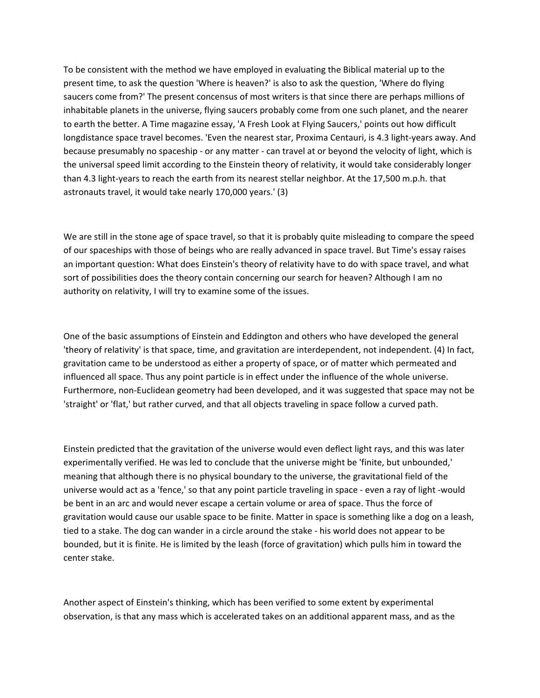To be consistent with the method we have employed in evaluating the Biblical material up to the present time, to ask the question 'Where is heaven?' is also to ask the question, 'Where do flying saucers come from?' The present concensus of most writers is that since there are perhaps millions of inhabitable planets in the universe, flying saucers probably come from one such planet, and the nearer to earth the better. A Time magazine essay, 'A Fresh Look at Flying Saucers,' points out how difficult longdistance space travel becomes. 'Even the nearest star, Proxima Centauri, is 4.3 light-years away. And because presumably no spaceship - or any matter - can travel at or beyond the velocity of light, which is the universal speed limit according to the Einstein theory of relativity, it would take considerably longer than 4.3 light-years to reach the earth from its nearest stellar neighbor. At the 17,500 m.p.h. that astronauts travel, it would take nearly 170,000 years.' (3)

We are still in the stone age of space travel, so that it is probably quite misleading to compare the speed of our spaceships with those of beings who are really advanced in space travel. But Time's essay raises an important question: What does Einstein's theory of relativity have to do with space travel, and what sort of possibilities does the theory contain concerning our search for heaven? Although I am no authority on relativity, I will try to examine some of the issues.

One of the basic assumptions of Einstein and Eddington and others who have developed the general 'theory of relativity' is that space, time, and gravitation are interdependent, not independent. (4) In fact, gravitation came to be understood as either a property of space, or of matter which permeated and influenced all space. Thus any point particle is in effect under the influence of the whole universe. Furthermore, non-Euclidean geometry had been developed, and it was suggested that space may not be 'straight' or 'flat,' but rather curved, and that all objects traveling in space follow a curved path.

Einstein predicted that the gravitation of the universe would even deflect light rays, and this was later experimentally verified. He was led to conclude that the universe might be 'finite, but unbounded,' meaning that although there is no physical boundary to the universe, the gravitational field of the universe would act as a 'fence,' so that any point particle traveling in space - even a ray of light -would be bent in an arc and would never escape a certain volume or area of space. Thus the force of gravitation would cause our usable space to be finite. Matter in space is something like a dog on a leash, tied to a stake. The dog can wander in a circle around the stake - his world does not appear to be bounded, but it is finite. He is limited by the leash (force of gravitation) which pulls him in toward the center stake.

Another aspect of Einstein's thinking, which has been verified to some extent by experimental observation, is that any mass which is accelerated takes on an additional apparent mass, and as the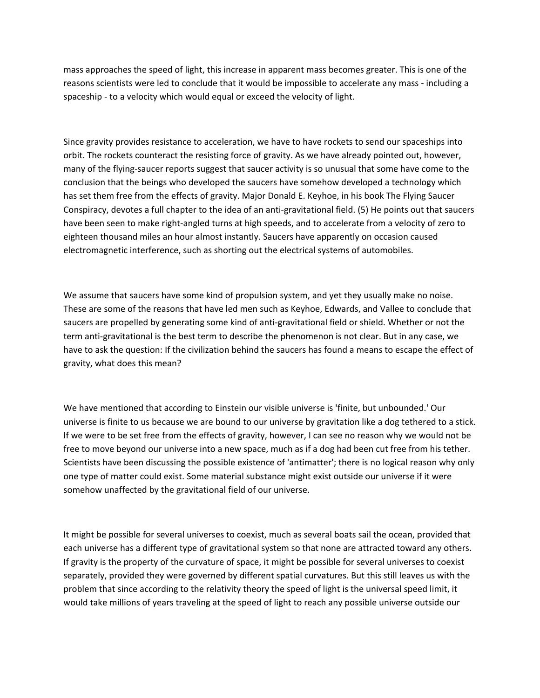mass approaches the speed of light, this increase in apparent mass becomes greater. This is one of the reasons scientists were led to conclude that it would be impossible to accelerate any mass - including a spaceship - to a velocity which would equal or exceed the velocity of light.

Since gravity provides resistance to acceleration, we have to have rockets to send our spaceships into orbit. The rockets counteract the resisting force of gravity. As we have already pointed out, however, many of the flying-saucer reports suggest that saucer activity is so unusual that some have come to the conclusion that the beings who developed the saucers have somehow developed a technology which has set them free from the effects of gravity. Major Donald E. Keyhoe, in his book The Flying Saucer Conspiracy, devotes a full chapter to the idea of an anti-gravitational field. (5) He points out that saucers have been seen to make right-angled turns at high speeds, and to accelerate from a velocity of zero to eighteen thousand miles an hour almost instantly. Saucers have apparently on occasion caused electromagnetic interference, such as shorting out the electrical systems of automobiles.

We assume that saucers have some kind of propulsion system, and yet they usually make no noise. These are some of the reasons that have led men such as Keyhoe, Edwards, and Vallee to conclude that saucers are propelled by generating some kind of anti-gravitational field or shield. Whether or not the term anti-gravitational is the best term to describe the phenomenon is not clear. But in any case, we have to ask the question: If the civilization behind the saucers has found a means to escape the effect of gravity, what does this mean?

We have mentioned that according to Einstein our visible universe is 'finite, but unbounded.' Our universe is finite to us because we are bound to our universe by gravitation like a dog tethered to a stick. If we were to be set free from the effects of gravity, however, I can see no reason why we would not be free to move beyond our universe into a new space, much as if a dog had been cut free from his tether. Scientists have been discussing the possible existence of 'antimatter'; there is no logical reason why only one type of matter could exist. Some material substance might exist outside our universe if it were somehow unaffected by the gravitational field of our universe.

It might be possible for several universes to coexist, much as several boats sail the ocean, provided that each universe has a different type of gravitational system so that none are attracted toward any others. If gravity is the property of the curvature of space, it might be possible for several universes to coexist separately, provided they were governed by different spatial curvatures. But this still leaves us with the problem that since according to the relativity theory the speed of light is the universal speed limit, it would take millions of years traveling at the speed of light to reach any possible universe outside our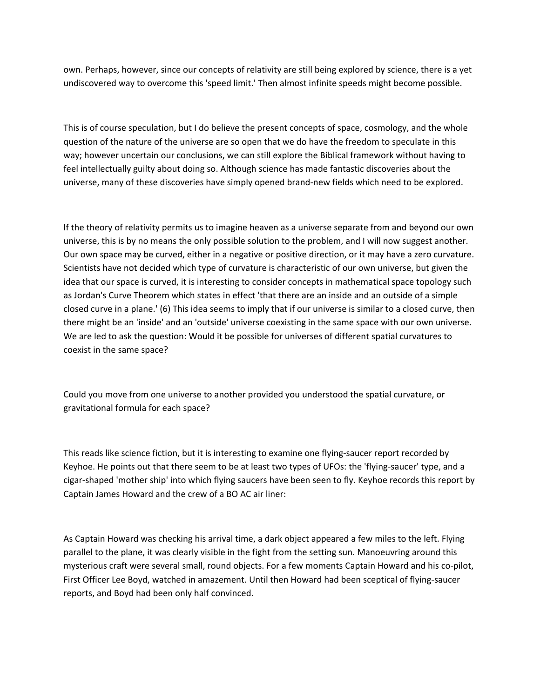own. Perhaps, however, since our concepts of relativity are still being explored by science, there is a yet undiscovered way to overcome this 'speed limit.' Then almost infinite speeds might become possible.

This is of course speculation, but I do believe the present concepts of space, cosmology, and the whole question of the nature of the universe are so open that we do have the freedom to speculate in this way; however uncertain our conclusions, we can still explore the Biblical framework without having to feel intellectually guilty about doing so. Although science has made fantastic discoveries about the universe, many of these discoveries have simply opened brand-new fields which need to be explored.

If the theory of relativity permits us to imagine heaven as a universe separate from and beyond our own universe, this is by no means the only possible solution to the problem, and I will now suggest another. Our own space may be curved, either in a negative or positive direction, or it may have a zero curvature. Scientists have not decided which type of curvature is characteristic of our own universe, but given the idea that our space is curved, it is interesting to consider concepts in mathematical space topology such as Jordan's Curve Theorem which states in effect 'that there are an inside and an outside of a simple closed curve in a plane.' (6) This idea seems to imply that if our universe is similar to a closed curve, then there might be an 'inside' and an 'outside' universe coexisting in the same space with our own universe. We are led to ask the question: Would it be possible for universes of different spatial curvatures to coexist in the same space?

Could you move from one universe to another provided you understood the spatial curvature, or gravitational formula for each space?

This reads like science fiction, but it is interesting to examine one flying-saucer report recorded by Keyhoe. He points out that there seem to be at least two types of UFOs: the 'flying-saucer' type, and a cigar-shaped 'mother ship' into which flying saucers have been seen to fly. Keyhoe records this report by Captain James Howard and the crew of a BO AC air liner:

As Captain Howard was checking his arrival time, a dark object appeared a few miles to the left. Flying parallel to the plane, it was clearly visible in the fight from the setting sun. Manoeuvring around this mysterious craft were several small, round objects. For a few moments Captain Howard and his co-pilot, First Officer Lee Boyd, watched in amazement. Until then Howard had been sceptical of flying-saucer reports, and Boyd had been only half convinced.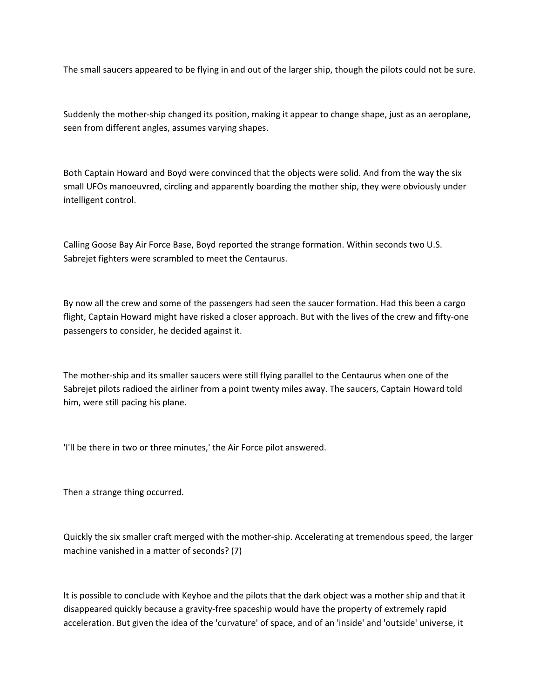The small saucers appeared to be flying in and out of the larger ship, though the pilots could not be sure.

Suddenly the mother-ship changed its position, making it appear to change shape, just as an aeroplane, seen from different angles, assumes varying shapes.

Both Captain Howard and Boyd were convinced that the objects were solid. And from the way the six small UFOs manoeuvred, circling and apparently boarding the mother ship, they were obviously under intelligent control.

Calling Goose Bay Air Force Base, Boyd reported the strange formation. Within seconds two U.S. Sabrejet fighters were scrambled to meet the Centaurus.

By now all the crew and some of the passengers had seen the saucer formation. Had this been a cargo flight, Captain Howard might have risked a closer approach. But with the lives of the crew and fifty-one passengers to consider, he decided against it.

The mother-ship and its smaller saucers were still flying parallel to the Centaurus when one of the Sabrejet pilots radioed the airliner from a point twenty miles away. The saucers, Captain Howard told him, were still pacing his plane.

'I'll be there in two or three minutes,' the Air Force pilot answered.

Then a strange thing occurred.

Quickly the six smaller craft merged with the mother-ship. Accelerating at tremendous speed, the larger machine vanished in a matter of seconds? (7)

It is possible to conclude with Keyhoe and the pilots that the dark object was a mother ship and that it disappeared quickly because a gravity-free spaceship would have the property of extremely rapid acceleration. But given the idea of the 'curvature' of space, and of an 'inside' and 'outside' universe, it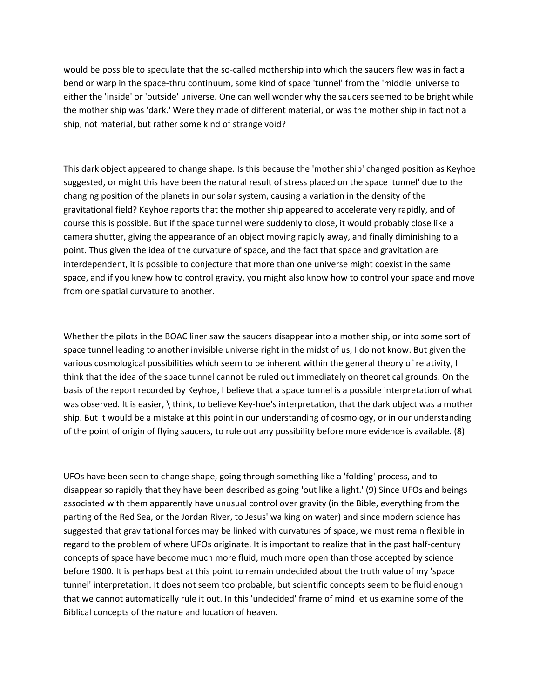would be possible to speculate that the so-called mothership into which the saucers flew was in fact a bend or warp in the space-thru continuum, some kind of space 'tunnel' from the 'middle' universe to either the 'inside' or 'outside' universe. One can well wonder why the saucers seemed to be bright while the mother ship was 'dark.' Were they made of different material, or was the mother ship in fact not a ship, not material, but rather some kind of strange void?

This dark object appeared to change shape. Is this because the 'mother ship' changed position as Keyhoe suggested, or might this have been the natural result of stress placed on the space 'tunnel' due to the changing position of the planets in our solar system, causing a variation in the density of the gravitational field? Keyhoe reports that the mother ship appeared to accelerate very rapidly, and of course this is possible. But if the space tunnel were suddenly to close, it would probably close like a camera shutter, giving the appearance of an object moving rapidly away, and finally diminishing to a point. Thus given the idea of the curvature of space, and the fact that space and gravitation are interdependent, it is possible to conjecture that more than one universe might coexist in the same space, and if you knew how to control gravity, you might also know how to control your space and move from one spatial curvature to another.

Whether the pilots in the BOAC liner saw the saucers disappear into a mother ship, or into some sort of space tunnel leading to another invisible universe right in the midst of us, I do not know. But given the various cosmological possibilities which seem to be inherent within the general theory of relativity, I think that the idea of the space tunnel cannot be ruled out immediately on theoretical grounds. On the basis of the report recorded by Keyhoe, I believe that a space tunnel is a possible interpretation of what was observed. It is easier, \ think, to believe Key-hoe's interpretation, that the dark object was a mother ship. But it would be a mistake at this point in our understanding of cosmology, or in our understanding of the point of origin of flying saucers, to rule out any possibility before more evidence is available. (8)

UFOs have been seen to change shape, going through something like a 'folding' process, and to disappear so rapidly that they have been described as going 'out like a light.' (9) Since UFOs and beings associated with them apparently have unusual control over gravity (in the Bible, everything from the parting of the Red Sea, or the Jordan River, to Jesus' walking on water) and since modern science has suggested that gravitational forces may be linked with curvatures of space, we must remain flexible in regard to the problem of where UFOs originate. It is important to realize that in the past half-century concepts of space have become much more fluid, much more open than those accepted by science before 1900. It is perhaps best at this point to remain undecided about the truth value of my 'space tunnel' interpretation. It does not seem too probable, but scientific concepts seem to be fluid enough that we cannot automatically rule it out. In this 'undecided' frame of mind let us examine some of the Biblical concepts of the nature and location of heaven.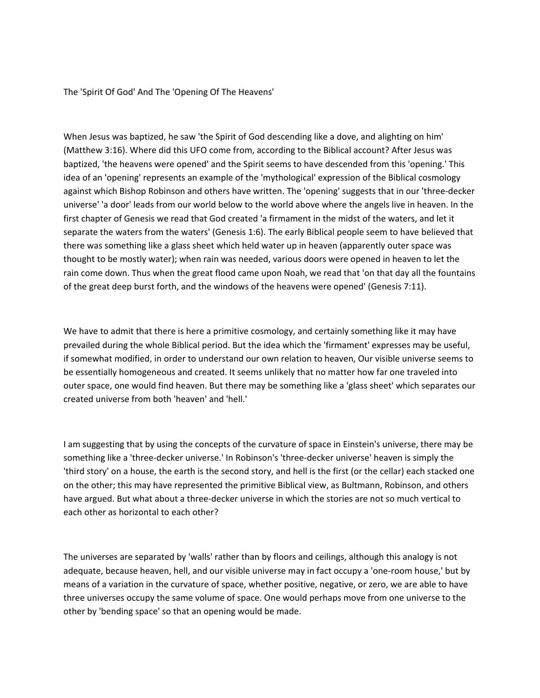The 'Spirit Of God' And The 'Opening Of The Heavens'

When Jesus was baptized, he saw 'the Spirit of God descending like a dove, and alighting on him' (Matthew 3:16). Where did this UFO come from, according to the Biblical account? After Jesus was baptized, 'the heavens were opened' and the Spirit seems to have descended from this 'opening.' This idea of an 'opening' represents an example of the 'mythological' expression of the Biblical cosmology against which Bishop Robinson and others have written. The 'opening' suggests that in our 'three-decker universe' 'a door' leads from our world below to the world above where the angels live in heaven. In the first chapter of Genesis we read that God created 'a firmament in the midst of the waters, and let it separate the waters from the waters' (Genesis 1:6). The early Biblical people seem to have believed that there was something like a glass sheet which held water up in heaven (apparently outer space was thought to be mostly water); when rain was needed, various doors were opened in heaven to let the rain come down. Thus when the great flood came upon Noah, we read that 'on that day all the fountains of the great deep burst forth, and the windows of the heavens were opened' (Genesis 7:11).

We have to admit that there is here a primitive cosmology, and certainly something like it may have prevailed during the whole Biblical period. But the idea which the 'firmament' expresses may be useful, if somewhat modified, in order to understand our own relation to heaven, Our visible universe seems to be essentially homogeneous and created. It seems unlikely that no matter how far one traveled into outer space, one would find heaven. But there may be something like a 'glass sheet' which separates our created universe from both 'heaven' and 'hell.'

I am suggesting that by using the concepts of the curvature of space in Einstein's universe, there may be something like a 'three-decker universe.' In Robinson's 'three-decker universe' heaven is simply the 'third story' on a house, the earth is the second story, and hell is the first (or the cellar) each stacked one on the other; this may have represented the primitive Biblical view, as Bultmann, Robinson, and others have argued. But what about a three-decker universe in which the stories are not so much vertical to each other as horizontal to each other?

The universes are separated by 'walls' rather than by floors and ceilings, although this analogy is not adequate, because heaven, hell, and our visible universe may in fact occupy a 'one-room house,' but by means of a variation in the curvature of space, whether positive, negative, or zero, we are able to have three universes occupy the same volume of space. One would perhaps move from one universe to the other by 'bending space' so that an opening would be made.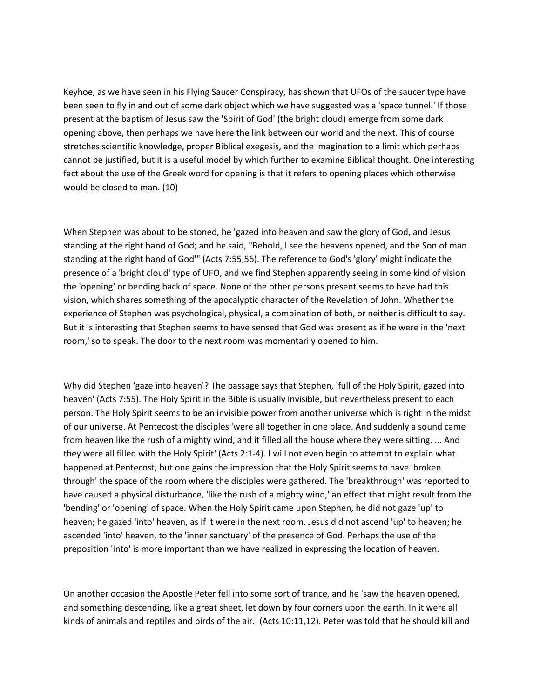Keyhoe, as we have seen in his Flying Saucer Conspiracy, has shown that UFOs of the saucer type have been seen to fly in and out of some dark object which we have suggested was a 'space tunnel.' If those present at the baptism of Jesus saw the 'Spirit of God' (the bright cloud) emerge from some dark opening above, then perhaps we have here the link between our world and the next. This of course stretches scientific knowledge, proper Biblical exegesis, and the imagination to a limit which perhaps cannot be justified, but it is a useful model by which further to examine Biblical thought. One interesting fact about the use of the Greek word for opening is that it refers to opening places which otherwise would be closed to man. (10)

When Stephen was about to be stoned, he 'gazed into heaven and saw the glory of God, and Jesus standing at the right hand of God; and he said, "Behold, I see the heavens opened, and the Son of man standing at the right hand of God'" (Acts 7:55,56). The reference to God's 'glory' might indicate the presence of a 'bright cloud' type of UFO, and we find Stephen apparently seeing in some kind of vision the 'opening' or bending back of space. None of the other persons present seems to have had this vision, which shares something of the apocalyptic character of the Revelation of John. Whether the experience of Stephen was psychological, physical, a combination of both, or neither is difficult to say. But it is interesting that Stephen seems to have sensed that God was present as if he were in the 'next room,' so to speak. The door to the next room was momentarily opened to him.

Why did Stephen 'gaze into heaven'? The passage says that Stephen, 'full of the Holy Spirit, gazed into heaven' (Acts 7:55). The Holy Spirit in the Bible is usually invisible, but nevertheless present to each person. The Holy Spirit seems to be an invisible power from another universe which is right in the midst of our universe. At Pentecost the disciples 'were all together in one place. And suddenly a sound came from heaven like the rush of a mighty wind, and it filled all the house where they were sitting. ... And they were all filled with the Holy Spirit' (Acts 2:1-4). I will not even begin to attempt to explain what happened at Pentecost, but one gains the impression that the Holy Spirit seems to have 'broken through' the space of the room where the disciples were gathered. The 'breakthrough' was reported to have caused a physical disturbance, 'like the rush of a mighty wind,' an effect that might result from the 'bending' or 'opening' of space. When the Holy Spirit came upon Stephen, he did not gaze 'up' to heaven; he gazed 'into' heaven, as if it were in the next room. Jesus did not ascend 'up' to heaven; he ascended 'into' heaven, to the 'inner sanctuary' of the presence of God. Perhaps the use of the preposition 'into' is more important than we have realized in expressing the location of heaven.

On another occasion the Apostle Peter fell into some sort of trance, and he 'saw the heaven opened, and something descending, like a great sheet, let down by four corners upon the earth. In it were all kinds of animals and reptiles and birds of the air.' (Acts 10:11,12). Peter was told that he should kill and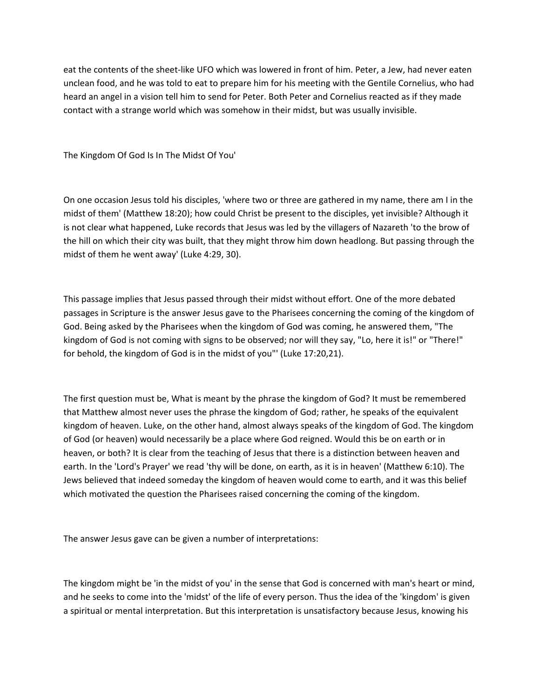eat the contents of the sheet-like UFO which was lowered in front of him. Peter, a Jew, had never eaten unclean food, and he was told to eat to prepare him for his meeting with the Gentile Cornelius, who had heard an angel in a vision tell him to send for Peter. Both Peter and Cornelius reacted as if they made contact with a strange world which was somehow in their midst, but was usually invisible.

The Kingdom Of God Is In The Midst Of You'

On one occasion Jesus told his disciples, 'where two or three are gathered in my name, there am I in the midst of them' (Matthew 18:20); how could Christ be present to the disciples, yet invisible? Although it is not clear what happened, Luke records that Jesus was led by the villagers of Nazareth 'to the brow of the hill on which their city was built, that they might throw him down headlong. But passing through the midst of them he went away' (Luke 4:29, 30).

This passage implies that Jesus passed through their midst without effort. One of the more debated passages in Scripture is the answer Jesus gave to the Pharisees concerning the coming of the kingdom of God. Being asked by the Pharisees when the kingdom of God was coming, he answered them, "The kingdom of God is not coming with signs to be observed; nor will they say, "Lo, here it is!" or "There!" for behold, the kingdom of God is in the midst of you"' (Luke 17:20,21).

The first question must be, What is meant by the phrase the kingdom of God? It must be remembered that Matthew almost never uses the phrase the kingdom of God; rather, he speaks of the equivalent kingdom of heaven. Luke, on the other hand, almost always speaks of the kingdom of God. The kingdom of God (or heaven) would necessarily be a place where God reigned. Would this be on earth or in heaven, or both? It is clear from the teaching of Jesus that there is a distinction between heaven and earth. In the 'Lord's Prayer' we read 'thy will be done, on earth, as it is in heaven' (Matthew 6:10). The Jews believed that indeed someday the kingdom of heaven would come to earth, and it was this belief which motivated the question the Pharisees raised concerning the coming of the kingdom.

The answer Jesus gave can be given a number of interpretations:

The kingdom might be 'in the midst of you' in the sense that God is concerned with man's heart or mind, and he seeks to come into the 'midst' of the life of every person. Thus the idea of the 'kingdom' is given a spiritual or mental interpretation. But this interpretation is unsatisfactory because Jesus, knowing his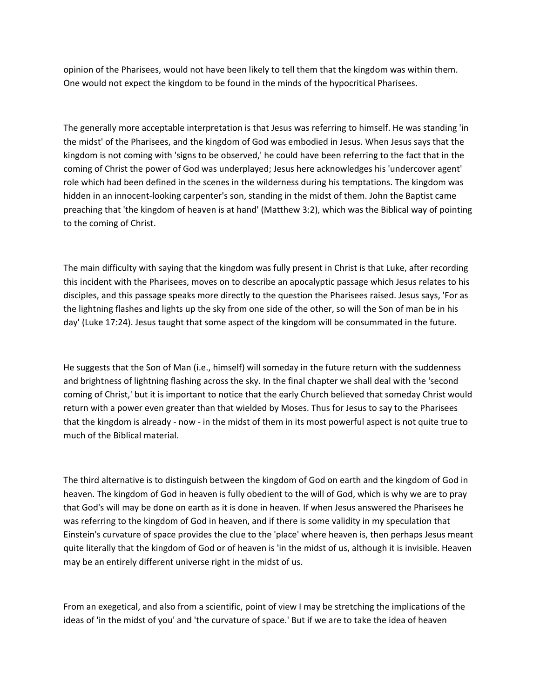opinion of the Pharisees, would not have been likely to tell them that the kingdom was within them. One would not expect the kingdom to be found in the minds of the hypocritical Pharisees.

The generally more acceptable interpretation is that Jesus was referring to himself. He was standing 'in the midst' of the Pharisees, and the kingdom of God was embodied in Jesus. When Jesus says that the kingdom is not coming with 'signs to be observed,' he could have been referring to the fact that in the coming of Christ the power of God was underplayed; Jesus here acknowledges his 'undercover agent' role which had been defined in the scenes in the wilderness during his temptations. The kingdom was hidden in an innocent-looking carpenter's son, standing in the midst of them. John the Baptist came preaching that 'the kingdom of heaven is at hand' (Matthew 3:2), which was the Biblical way of pointing to the coming of Christ.

The main difficulty with saying that the kingdom was fully present in Christ is that Luke, after recording this incident with the Pharisees, moves on to describe an apocalyptic passage which Jesus relates to his disciples, and this passage speaks more directly to the question the Pharisees raised. Jesus says, 'For as the lightning flashes and lights up the sky from one side of the other, so will the Son of man be in his day' (Luke 17:24). Jesus taught that some aspect of the kingdom will be consummated in the future.

He suggests that the Son of Man (i.e., himself) will someday in the future return with the suddenness and brightness of lightning flashing across the sky. In the final chapter we shall deal with the 'second coming of Christ,' but it is important to notice that the early Church believed that someday Christ would return with a power even greater than that wielded by Moses. Thus for Jesus to say to the Pharisees that the kingdom is already - now - in the midst of them in its most powerful aspect is not quite true to much of the Biblical material.

The third alternative is to distinguish between the kingdom of God on earth and the kingdom of God in heaven. The kingdom of God in heaven is fully obedient to the will of God, which is why we are to pray that God's will may be done on earth as it is done in heaven. If when Jesus answered the Pharisees he was referring to the kingdom of God in heaven, and if there is some validity in my speculation that Einstein's curvature of space provides the clue to the 'place' where heaven is, then perhaps Jesus meant quite literally that the kingdom of God or of heaven is 'in the midst of us, although it is invisible. Heaven may be an entirely different universe right in the midst of us.

From an exegetical, and also from a scientific, point of view I may be stretching the implications of the ideas of 'in the midst of you' and 'the curvature of space.' But if we are to take the idea of heaven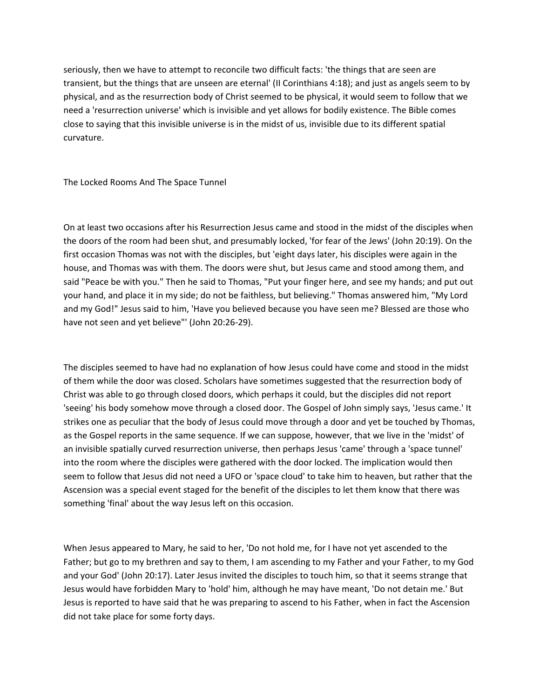seriously, then we have to attempt to reconcile two difficult facts: 'the things that are seen are transient, but the things that are unseen are eternal' (II Corinthians 4:18); and just as angels seem to by physical, and as the resurrection body of Christ seemed to be physical, it would seem to follow that we need a 'resurrection universe' which is invisible and yet allows for bodily existence. The Bible comes close to saying that this invisible universe is in the midst of us, invisible due to its different spatial curvature.

The Locked Rooms And The Space Tunnel

On at least two occasions after his Resurrection Jesus came and stood in the midst of the disciples when the doors of the room had been shut, and presumably locked, 'for fear of the Jews' (John 20:19). On the first occasion Thomas was not with the disciples, but 'eight days later, his disciples were again in the house, and Thomas was with them. The doors were shut, but Jesus came and stood among them, and said "Peace be with you." Then he said to Thomas, "Put your finger here, and see my hands; and put out your hand, and place it in my side; do not be faithless, but believing." Thomas answered him, "My Lord and my God!" Jesus said to him, 'Have you believed because you have seen me? Blessed are those who have not seen and yet believe"' (John 20:26-29).

The disciples seemed to have had no explanation of how Jesus could have come and stood in the midst of them while the door was closed. Scholars have sometimes suggested that the resurrection body of Christ was able to go through closed doors, which perhaps it could, but the disciples did not report 'seeing' his body somehow move through a closed door. The Gospel of John simply says, 'Jesus came.' It strikes one as peculiar that the body of Jesus could move through a door and yet be touched by Thomas, as the Gospel reports in the same sequence. If we can suppose, however, that we live in the 'midst' of an invisible spatially curved resurrection universe, then perhaps Jesus 'came' through a 'space tunnel' into the room where the disciples were gathered with the door locked. The implication would then seem to follow that Jesus did not need a UFO or 'space cloud' to take him to heaven, but rather that the Ascension was a special event staged for the benefit of the disciples to let them know that there was something 'final' about the way Jesus left on this occasion.

When Jesus appeared to Mary, he said to her, 'Do not hold me, for I have not yet ascended to the Father; but go to my brethren and say to them, I am ascending to my Father and your Father, to my God and your God' (John 20:17). Later Jesus invited the disciples to touch him, so that it seems strange that Jesus would have forbidden Mary to 'hold' him, although he may have meant, 'Do not detain me.' But Jesus is reported to have said that he was preparing to ascend to his Father, when in fact the Ascension did not take place for some forty days.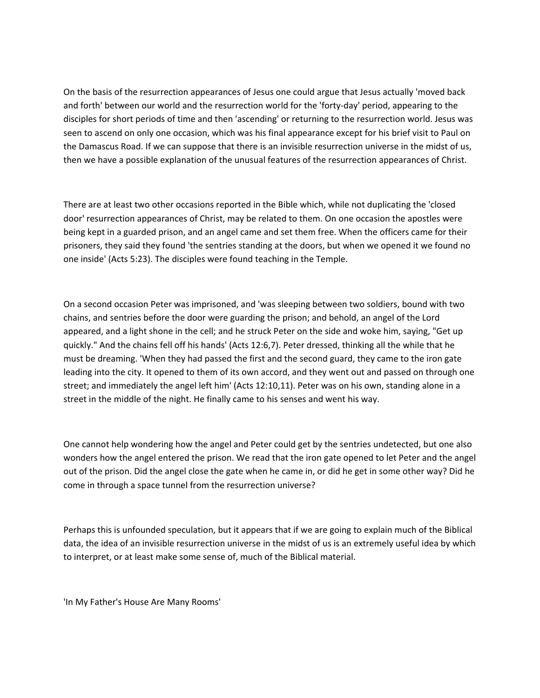On the basis of the resurrection appearances of Jesus one could argue that Jesus actually 'moved back and forth' between our world and the resurrection world for the 'forty-day' period, appearing to the disciples for short periods of time and then 'ascending' or returning to the resurrection world. Jesus was seen to ascend on only one occasion, which was his final appearance except for his brief visit to Paul on the Damascus Road. If we can suppose that there is an invisible resurrection universe in the midst of us, then we have a possible explanation of the unusual features of the resurrection appearances of Christ.

There are at least two other occasions reported in the Bible which, while not duplicating the 'closed door' resurrection appearances of Christ, may be related to them. On one occasion the apostles were being kept in a guarded prison, and an angel came and set them free. When the officers came for their prisoners, they said they found 'the sentries standing at the doors, but when we opened it we found no one inside' (Acts 5:23). The disciples were found teaching in the Temple.

On a second occasion Peter was imprisoned, and 'was sleeping between two soldiers, bound with two chains, and sentries before the door were guarding the prison; and behold, an angel of the Lord appeared, and a light shone in the cell; and he struck Peter on the side and woke him, saying, "Get up quickly." And the chains fell off his hands' (Acts 12:6,7). Peter dressed, thinking all the while that he must be dreaming. 'When they had passed the first and the second guard, they came to the iron gate leading into the city. It opened to them of its own accord, and they went out and passed on through one street; and immediately the angel left him' (Acts 12:10,11). Peter was on his own, standing alone in a street in the middle of the night. He finally came to his senses and went his way.

One cannot help wondering how the angel and Peter could get by the sentries undetected, but one also wonders how the angel entered the prison. We read that the iron gate opened to let Peter and the angel out of the prison. Did the angel close the gate when he came in, or did he get in some other way? Did he come in through a space tunnel from the resurrection universe?

Perhaps this is unfounded speculation, but it appears that if we are going to explain much of the Biblical data, the idea of an invisible resurrection universe in the midst of us is an extremely useful idea by which to interpret, or at least make some sense of, much of the Biblical material.

'In My Father's House Are Many Rooms'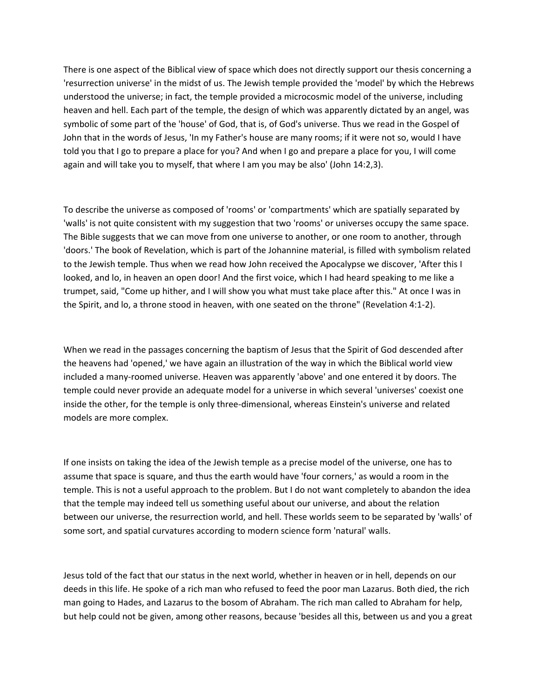There is one aspect of the Biblical view of space which does not directly support our thesis concerning a 'resurrection universe' in the midst of us. The Jewish temple provided the 'model' by which the Hebrews understood the universe; in fact, the temple provided a microcosmic model of the universe, including heaven and hell. Each part of the temple, the design of which was apparently dictated by an angel, was symbolic of some part of the 'house' of God, that is, of God's universe. Thus we read in the Gospel of John that in the words of Jesus, 'In my Father's house are many rooms; if it were not so, would I have told you that I go to prepare a place for you? And when I go and prepare a place for you, I will come again and will take you to myself, that where I am you may be also' (John 14:2,3).

To describe the universe as composed of 'rooms' or 'compartments' which are spatially separated by 'walls' is not quite consistent with my suggestion that two 'rooms' or universes occupy the same space. The Bible suggests that we can move from one universe to another, or one room to another, through 'doors.' The book of Revelation, which is part of the Johannine material, is filled with symbolism related to the Jewish temple. Thus when we read how John received the Apocalypse we discover, 'After this I looked, and lo, in heaven an open door! And the first voice, which I had heard speaking to me like a trumpet, said, "Come up hither, and I will show you what must take place after this." At once I was in the Spirit, and lo, a throne stood in heaven, with one seated on the throne" (Revelation 4:1-2).

When we read in the passages concerning the baptism of Jesus that the Spirit of God descended after the heavens had 'opened,' we have again an illustration of the way in which the Biblical world view included a many-roomed universe. Heaven was apparently 'above' and one entered it by doors. The temple could never provide an adequate model for a universe in which several 'universes' coexist one inside the other, for the temple is only three-dimensional, whereas Einstein's universe and related models are more complex.

If one insists on taking the idea of the Jewish temple as a precise model of the universe, one has to assume that space is square, and thus the earth would have 'four corners,' as would a room in the temple. This is not a useful approach to the problem. But I do not want completely to abandon the idea that the temple may indeed tell us something useful about our universe, and about the relation between our universe, the resurrection world, and hell. These worlds seem to be separated by 'walls' of some sort, and spatial curvatures according to modern science form 'natural' walls.

Jesus told of the fact that our status in the next world, whether in heaven or in hell, depends on our deeds in this life. He spoke of a rich man who refused to feed the poor man Lazarus. Both died, the rich man going to Hades, and Lazarus to the bosom of Abraham. The rich man called to Abraham for help, but help could not be given, among other reasons, because 'besides all this, between us and you a great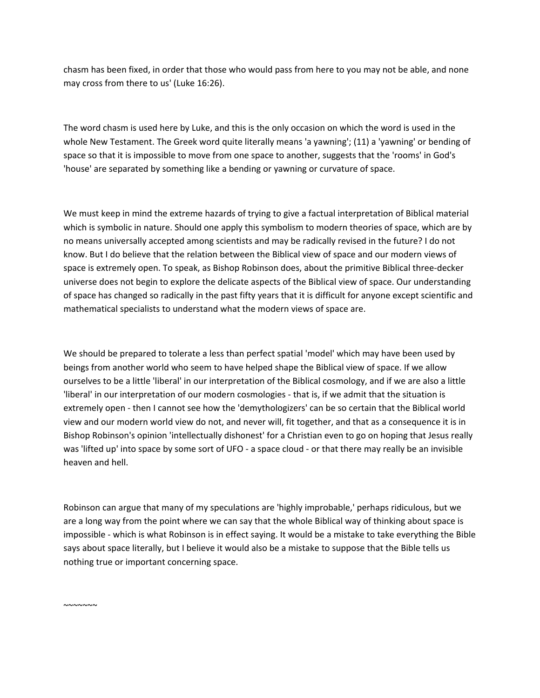chasm has been fixed, in order that those who would pass from here to you may not be able, and none may cross from there to us' (Luke 16:26).

The word chasm is used here by Luke, and this is the only occasion on which the word is used in the whole New Testament. The Greek word quite literally means 'a yawning'; (11) a 'yawning' or bending of space so that it is impossible to move from one space to another, suggests that the 'rooms' in God's 'house' are separated by something like a bending or yawning or curvature of space.

We must keep in mind the extreme hazards of trying to give a factual interpretation of Biblical material which is symbolic in nature. Should one apply this symbolism to modern theories of space, which are by no means universally accepted among scientists and may be radically revised in the future? I do not know. But I do believe that the relation between the Biblical view of space and our modern views of space is extremely open. To speak, as Bishop Robinson does, about the primitive Biblical three-decker universe does not begin to explore the delicate aspects of the Biblical view of space. Our understanding of space has changed so radically in the past fifty years that it is difficult for anyone except scientific and mathematical specialists to understand what the modern views of space are.

We should be prepared to tolerate a less than perfect spatial 'model' which may have been used by beings from another world who seem to have helped shape the Biblical view of space. If we allow ourselves to be a little 'liberal' in our interpretation of the Biblical cosmology, and if we are also a little 'liberal' in our interpretation of our modern cosmologies - that is, if we admit that the situation is extremely open - then I cannot see how the 'demythologizers' can be so certain that the Biblical world view and our modern world view do not, and never will, fit together, and that as a consequence it is in Bishop Robinson's opinion 'intellectually dishonest' for a Christian even to go on hoping that Jesus really was 'lifted up' into space by some sort of UFO - a space cloud - or that there may really be an invisible heaven and hell.

Robinson can argue that many of my speculations are 'highly improbable,' perhaps ridiculous, but we are a long way from the point where we can say that the whole Biblical way of thinking about space is impossible - which is what Robinson is in effect saying. It would be a mistake to take everything the Bible says about space literally, but I believe it would also be a mistake to suppose that the Bible tells us nothing true or important concerning space.

~~~~~~~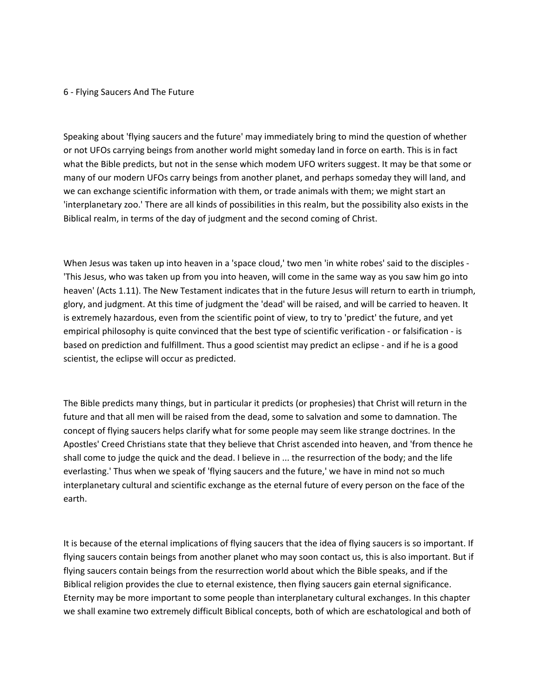## 6 - Flying Saucers And The Future

Speaking about 'flying saucers and the future' may immediately bring to mind the question of whether or not UFOs carrying beings from another world might someday land in force on earth. This is in fact what the Bible predicts, but not in the sense which modem UFO writers suggest. It may be that some or many of our modern UFOs carry beings from another planet, and perhaps someday they will land, and we can exchange scientific information with them, or trade animals with them; we might start an 'interplanetary zoo.' There are all kinds of possibilities in this realm, but the possibility also exists in the Biblical realm, in terms of the day of judgment and the second coming of Christ.

When Jesus was taken up into heaven in a 'space cloud,' two men 'in white robes' said to the disciples - 'This Jesus, who was taken up from you into heaven, will come in the same way as you saw him go into heaven' (Acts 1.11). The New Testament indicates that in the future Jesus will return to earth in triumph, glory, and judgment. At this time of judgment the 'dead' will be raised, and will be carried to heaven. It is extremely hazardous, even from the scientific point of view, to try to 'predict' the future, and yet empirical philosophy is quite convinced that the best type of scientific verification - or falsification - is based on prediction and fulfillment. Thus a good scientist may predict an eclipse - and if he is a good scientist, the eclipse will occur as predicted.

The Bible predicts many things, but in particular it predicts (or prophesies) that Christ will return in the future and that all men will be raised from the dead, some to salvation and some to damnation. The concept of flying saucers helps clarify what for some people may seem like strange doctrines. In the Apostles' Creed Christians state that they believe that Christ ascended into heaven, and 'from thence he shall come to judge the quick and the dead. I believe in ... the resurrection of the body; and the life everlasting.' Thus when we speak of 'flying saucers and the future,' we have in mind not so much interplanetary cultural and scientific exchange as the eternal future of every person on the face of the earth.

It is because of the eternal implications of flying saucers that the idea of flying saucers is so important. If flying saucers contain beings from another planet who may soon contact us, this is also important. But if flying saucers contain beings from the resurrection world about which the Bible speaks, and if the Biblical religion provides the clue to eternal existence, then flying saucers gain eternal significance. Eternity may be more important to some people than interplanetary cultural exchanges. In this chapter we shall examine two extremely difficult Biblical concepts, both of which are eschatological and both of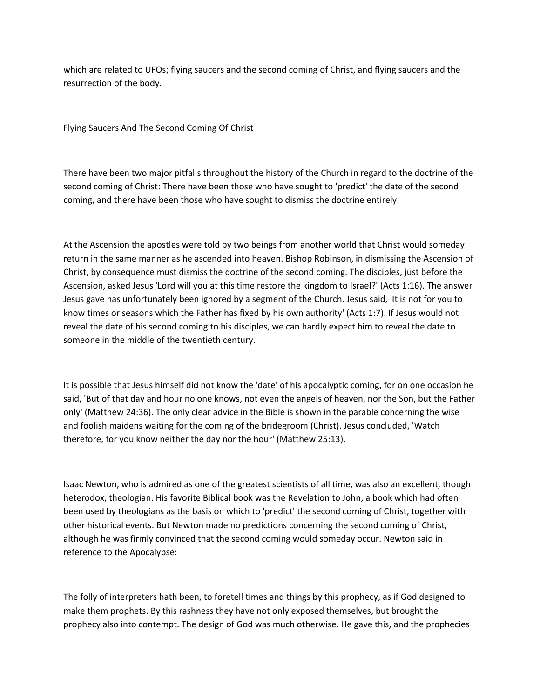which are related to UFOs; flying saucers and the second coming of Christ, and flying saucers and the resurrection of the body.

Flying Saucers And The Second Coming Of Christ

There have been two major pitfalls throughout the history of the Church in regard to the doctrine of the second coming of Christ: There have been those who have sought to 'predict' the date of the second coming, and there have been those who have sought to dismiss the doctrine entirely.

At the Ascension the apostles were told by two beings from another world that Christ would someday return in the same manner as he ascended into heaven. Bishop Robinson, in dismissing the Ascension of Christ, by consequence must dismiss the doctrine of the second coming. The disciples, just before the Ascension, asked Jesus 'Lord will you at this time restore the kingdom to Israel?' (Acts 1:16). The answer Jesus gave has unfortunately been ignored by a segment of the Church. Jesus said, 'It is not for you to know times or seasons which the Father has fixed by his own authority' (Acts 1:7). If Jesus would not reveal the date of his second coming to his disciples, we can hardly expect him to reveal the date to someone in the middle of the twentieth century.

It is possible that Jesus himself did not know the 'date' of his apocalyptic coming, for on one occasion he said, 'But of that day and hour no one knows, not even the angels of heaven, nor the Son, but the Father only' (Matthew 24:36). The only clear advice in the Bible is shown in the parable concerning the wise and foolish maidens waiting for the coming of the bridegroom (Christ). Jesus concluded, 'Watch therefore, for you know neither the day nor the hour' (Matthew 25:13).

Isaac Newton, who is admired as one of the greatest scientists of all time, was also an excellent, though heterodox, theologian. His favorite Biblical book was the Revelation to John, a book which had often been used by theologians as the basis on which to 'predict' the second coming of Christ, together with other historical events. But Newton made no predictions concerning the second coming of Christ, although he was firmly convinced that the second coming would someday occur. Newton said in reference to the Apocalypse:

The folly of interpreters hath been, to foretell times and things by this prophecy, as if God designed to make them prophets. By this rashness they have not only exposed themselves, but brought the prophecy also into contempt. The design of God was much otherwise. He gave this, and the prophecies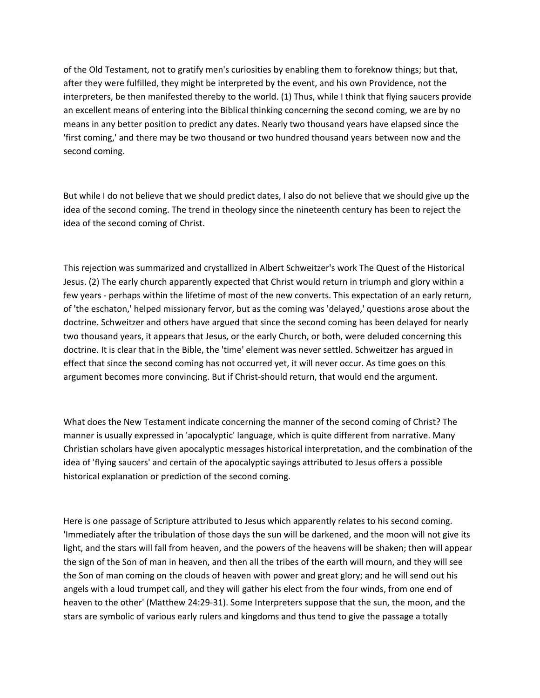of the Old Testament, not to gratify men's curiosities by enabling them to foreknow things; but that, after they were fulfilled, they might be interpreted by the event, and his own Providence, not the interpreters, be then manifested thereby to the world. (1) Thus, while I think that flying saucers provide an excellent means of entering into the Biblical thinking concerning the second coming, we are by no means in any better position to predict any dates. Nearly two thousand years have elapsed since the 'first coming,' and there may be two thousand or two hundred thousand years between now and the second coming.

But while I do not believe that we should predict dates, I also do not believe that we should give up the idea of the second coming. The trend in theology since the nineteenth century has been to reject the idea of the second coming of Christ.

This rejection was summarized and crystallized in Albert Schweitzer's work The Quest of the Historical Jesus. (2) The early church apparently expected that Christ would return in triumph and glory within a few years - perhaps within the lifetime of most of the new converts. This expectation of an early return, of 'the eschaton,' helped missionary fervor, but as the coming was 'delayed,' questions arose about the doctrine. Schweitzer and others have argued that since the second coming has been delayed for nearly two thousand years, it appears that Jesus, or the early Church, or both, were deluded concerning this doctrine. It is clear that in the Bible, the 'time' element was never settled. Schweitzer has argued in effect that since the second coming has not occurred yet, it will never occur. As time goes on this argument becomes more convincing. But if Christ-should return, that would end the argument.

What does the New Testament indicate concerning the manner of the second coming of Christ? The manner is usually expressed in 'apocalyptic' language, which is quite different from narrative. Many Christian scholars have given apocalyptic messages historical interpretation, and the combination of the idea of 'flying saucers' and certain of the apocalyptic sayings attributed to Jesus offers a possible historical explanation or prediction of the second coming.

Here is one passage of Scripture attributed to Jesus which apparently relates to his second coming. 'Immediately after the tribulation of those days the sun will be darkened, and the moon will not give its light, and the stars will fall from heaven, and the powers of the heavens will be shaken; then will appear the sign of the Son of man in heaven, and then all the tribes of the earth will mourn, and they will see the Son of man coming on the clouds of heaven with power and great glory; and he will send out his angels with a loud trumpet call, and they will gather his elect from the four winds, from one end of heaven to the other' (Matthew 24:29-31). Some Interpreters suppose that the sun, the moon, and the stars are symbolic of various early rulers and kingdoms and thus tend to give the passage a totally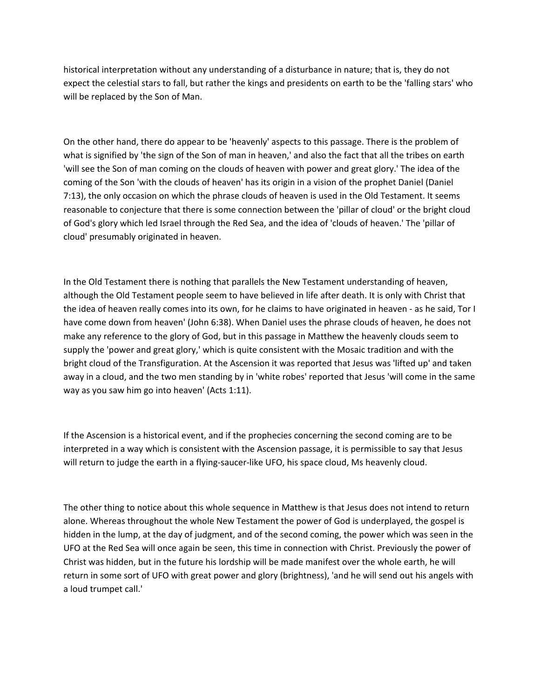historical interpretation without any understanding of a disturbance in nature; that is, they do not expect the celestial stars to fall, but rather the kings and presidents on earth to be the 'falling stars' who will be replaced by the Son of Man.

On the other hand, there do appear to be 'heavenly' aspects to this passage. There is the problem of what is signified by 'the sign of the Son of man in heaven,' and also the fact that all the tribes on earth 'will see the Son of man coming on the clouds of heaven with power and great glory.' The idea of the coming of the Son 'with the clouds of heaven' has its origin in a vision of the prophet Daniel (Daniel 7:13), the only occasion on which the phrase clouds of heaven is used in the Old Testament. It seems reasonable to conjecture that there is some connection between the 'pillar of cloud' or the bright cloud of God's glory which led Israel through the Red Sea, and the idea of 'clouds of heaven.' The 'pillar of cloud' presumably originated in heaven.

In the Old Testament there is nothing that parallels the New Testament understanding of heaven, although the Old Testament people seem to have believed in life after death. It is only with Christ that the idea of heaven really comes into its own, for he claims to have originated in heaven - as he said, Tor I have come down from heaven' (John 6:38). When Daniel uses the phrase clouds of heaven, he does not make any reference to the glory of God, but in this passage in Matthew the heavenly clouds seem to supply the 'power and great glory,' which is quite consistent with the Mosaic tradition and with the bright cloud of the Transfiguration. At the Ascension it was reported that Jesus was 'lifted up' and taken away in a cloud, and the two men standing by in 'white robes' reported that Jesus 'will come in the same way as you saw him go into heaven' (Acts 1:11).

If the Ascension is a historical event, and if the prophecies concerning the second coming are to be interpreted in a way which is consistent with the Ascension passage, it is permissible to say that Jesus will return to judge the earth in a flying-saucer-like UFO, his space cloud, Ms heavenly cloud.

The other thing to notice about this whole sequence in Matthew is that Jesus does not intend to return alone. Whereas throughout the whole New Testament the power of God is underplayed, the gospel is hidden in the lump, at the day of judgment, and of the second coming, the power which was seen in the UFO at the Red Sea will once again be seen, this time in connection with Christ. Previously the power of Christ was hidden, but in the future his lordship will be made manifest over the whole earth, he will return in some sort of UFO with great power and glory (brightness), 'and he will send out his angels with a loud trumpet call.'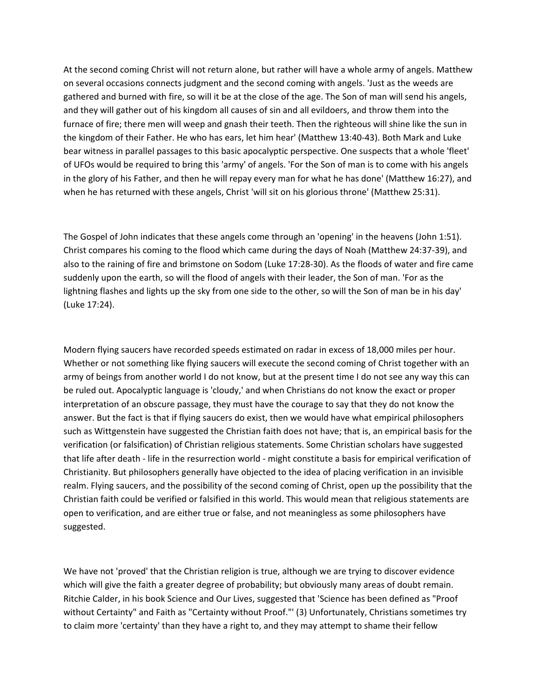At the second coming Christ will not return alone, but rather will have a whole army of angels. Matthew on several occasions connects judgment and the second coming with angels. 'Just as the weeds are gathered and burned with fire, so will it be at the close of the age. The Son of man will send his angels, and they will gather out of his kingdom all causes of sin and all evildoers, and throw them into the furnace of fire; there men will weep and gnash their teeth. Then the righteous will shine like the sun in the kingdom of their Father. He who has ears, let him hear' (Matthew 13:40-43). Both Mark and Luke bear witness in parallel passages to this basic apocalyptic perspective. One suspects that a whole 'fleet' of UFOs would be required to bring this 'army' of angels. 'For the Son of man is to come with his angels in the glory of his Father, and then he will repay every man for what he has done' (Matthew 16:27), and when he has returned with these angels, Christ 'will sit on his glorious throne' (Matthew 25:31).

The Gospel of John indicates that these angels come through an 'opening' in the heavens (John 1:51). Christ compares his coming to the flood which came during the days of Noah (Matthew 24:37-39), and also to the raining of fire and brimstone on Sodom (Luke 17:28-30). As the floods of water and fire came suddenly upon the earth, so will the flood of angels with their leader, the Son of man. 'For as the lightning flashes and lights up the sky from one side to the other, so will the Son of man be in his day' (Luke 17:24).

Modern flying saucers have recorded speeds estimated on radar in excess of 18,000 miles per hour. Whether or not something like flying saucers will execute the second coming of Christ together with an army of beings from another world I do not know, but at the present time I do not see any way this can be ruled out. Apocalyptic language is 'cloudy,' and when Christians do not know the exact or proper interpretation of an obscure passage, they must have the courage to say that they do not know the answer. But the fact is that if flying saucers do exist, then we would have what empirical philosophers such as Wittgenstein have suggested the Christian faith does not have; that is, an empirical basis for the verification (or falsification) of Christian religious statements. Some Christian scholars have suggested that life after death - life in the resurrection world - might constitute a basis for empirical verification of Christianity. But philosophers generally have objected to the idea of placing verification in an invisible realm. Flying saucers, and the possibility of the second coming of Christ, open up the possibility that the Christian faith could be verified or falsified in this world. This would mean that religious statements are open to verification, and are either true or false, and not meaningless as some philosophers have suggested.

We have not 'proved' that the Christian religion is true, although we are trying to discover evidence which will give the faith a greater degree of probability; but obviously many areas of doubt remain. Ritchie Calder, in his book Science and Our Lives, suggested that 'Science has been defined as "Proof without Certainty" and Faith as "Certainty without Proof."' (3) Unfortunately, Christians sometimes try to claim more 'certainty' than they have a right to, and they may attempt to shame their fellow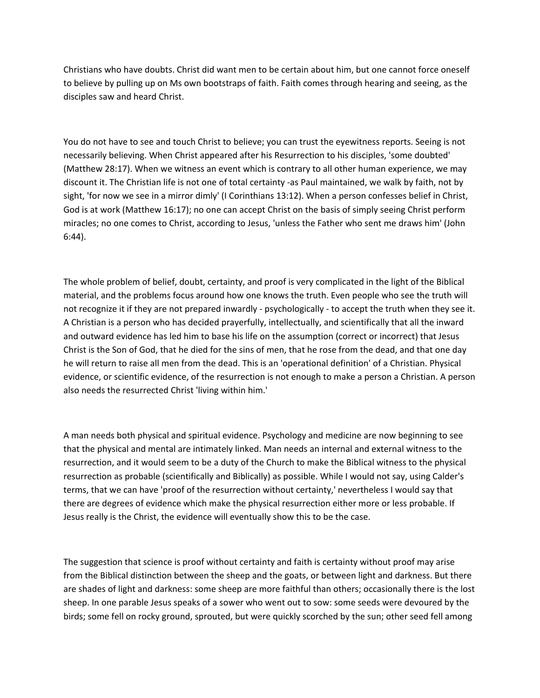Christians who have doubts. Christ did want men to be certain about him, but one cannot force oneself to believe by pulling up on Ms own bootstraps of faith. Faith comes through hearing and seeing, as the disciples saw and heard Christ.

You do not have to see and touch Christ to believe; you can trust the eyewitness reports. Seeing is not necessarily believing. When Christ appeared after his Resurrection to his disciples, 'some doubted' (Matthew 28:17). When we witness an event which is contrary to all other human experience, we may discount it. The Christian life is not one of total certainty -as Paul maintained, we walk by faith, not by sight, 'for now we see in a mirror dimly' (I Corinthians 13:12). When a person confesses belief in Christ, God is at work (Matthew 16:17); no one can accept Christ on the basis of simply seeing Christ perform miracles; no one comes to Christ, according to Jesus, 'unless the Father who sent me draws him' (John 6:44).

The whole problem of belief, doubt, certainty, and proof is very complicated in the light of the Biblical material, and the problems focus around how one knows the truth. Even people who see the truth will not recognize it if they are not prepared inwardly - psychologically - to accept the truth when they see it. A Christian is a person who has decided prayerfully, intellectually, and scientifically that all the inward and outward evidence has led him to base his life on the assumption (correct or incorrect) that Jesus Christ is the Son of God, that he died for the sins of men, that he rose from the dead, and that one day he will return to raise all men from the dead. This is an 'operational definition' of a Christian. Physical evidence, or scientific evidence, of the resurrection is not enough to make a person a Christian. A person also needs the resurrected Christ 'living within him.'

A man needs both physical and spiritual evidence. Psychology and medicine are now beginning to see that the physical and mental are intimately linked. Man needs an internal and external witness to the resurrection, and it would seem to be a duty of the Church to make the Biblical witness to the physical resurrection as probable (scientifically and Biblically) as possible. While I would not say, using Calder's terms, that we can have 'proof of the resurrection without certainty,' nevertheless I would say that there are degrees of evidence which make the physical resurrection either more or less probable. If Jesus really is the Christ, the evidence will eventually show this to be the case.

The suggestion that science is proof without certainty and faith is certainty without proof may arise from the Biblical distinction between the sheep and the goats, or between light and darkness. But there are shades of light and darkness: some sheep are more faithful than others; occasionally there is the lost sheep. In one parable Jesus speaks of a sower who went out to sow: some seeds were devoured by the birds; some fell on rocky ground, sprouted, but were quickly scorched by the sun; other seed fell among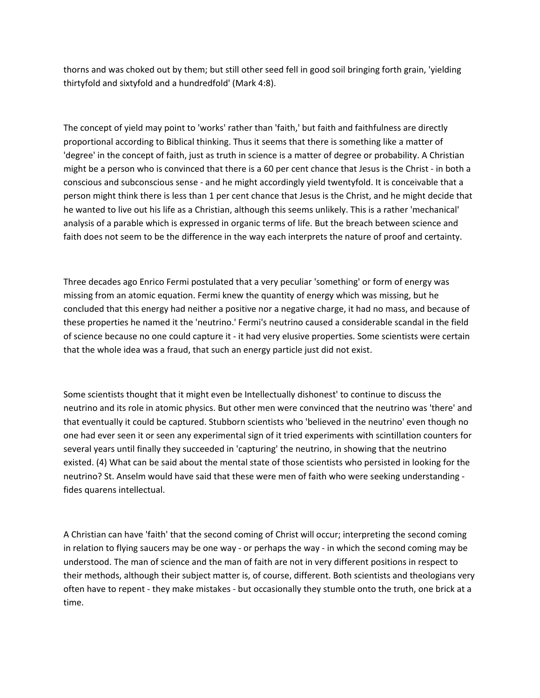thorns and was choked out by them; but still other seed fell in good soil bringing forth grain, 'yielding thirtyfold and sixtyfold and a hundredfold' (Mark 4:8).

The concept of yield may point to 'works' rather than 'faith,' but faith and faithfulness are directly proportional according to Biblical thinking. Thus it seems that there is something like a matter of 'degree' in the concept of faith, just as truth in science is a matter of degree or probability. A Christian might be a person who is convinced that there is a 60 per cent chance that Jesus is the Christ - in both a conscious and subconscious sense - and he might accordingly yield twentyfold. It is conceivable that a person might think there is less than 1 per cent chance that Jesus is the Christ, and he might decide that he wanted to live out his life as a Christian, although this seems unlikely. This is a rather 'mechanical' analysis of a parable which is expressed in organic terms of life. But the breach between science and faith does not seem to be the difference in the way each interprets the nature of proof and certainty.

Three decades ago Enrico Fermi postulated that a very peculiar 'something' or form of energy was missing from an atomic equation. Fermi knew the quantity of energy which was missing, but he concluded that this energy had neither a positive nor a negative charge, it had no mass, and because of these properties he named it the 'neutrino.' Fermi's neutrino caused a considerable scandal in the field of science because no one could capture it - it had very elusive properties. Some scientists were certain that the whole idea was a fraud, that such an energy particle just did not exist.

Some scientists thought that it might even be Intellectually dishonest' to continue to discuss the neutrino and its role in atomic physics. But other men were convinced that the neutrino was 'there' and that eventually it could be captured. Stubborn scientists who 'believed in the neutrino' even though no one had ever seen it or seen any experimental sign of it tried experiments with scintillation counters for several years until finally they succeeded in 'capturing' the neutrino, in showing that the neutrino existed. (4) What can be said about the mental state of those scientists who persisted in looking for the neutrino? St. Anselm would have said that these were men of faith who were seeking understanding fides quarens intellectual.

A Christian can have 'faith' that the second coming of Christ will occur; interpreting the second coming in relation to flying saucers may be one way - or perhaps the way - in which the second coming may be understood. The man of science and the man of faith are not in very different positions in respect to their methods, although their subject matter is, of course, different. Both scientists and theologians very often have to repent - they make mistakes - but occasionally they stumble onto the truth, one brick at a time.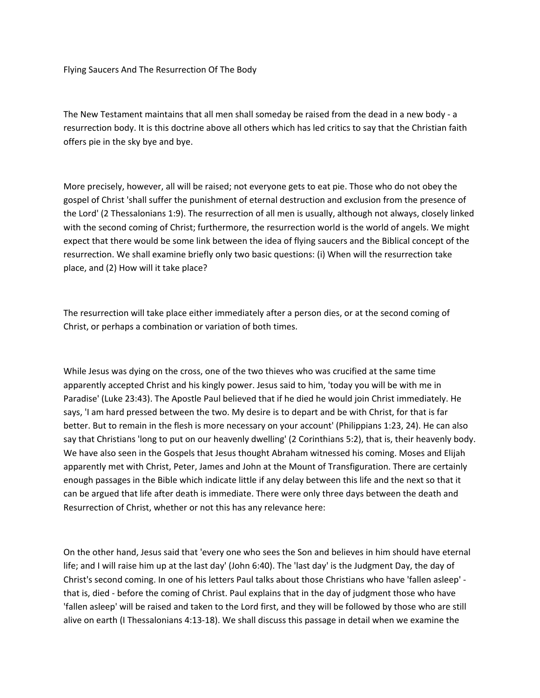Flying Saucers And The Resurrection Of The Body

The New Testament maintains that all men shall someday be raised from the dead in a new body - a resurrection body. It is this doctrine above all others which has led critics to say that the Christian faith offers pie in the sky bye and bye.

More precisely, however, all will be raised; not everyone gets to eat pie. Those who do not obey the gospel of Christ 'shall suffer the punishment of eternal destruction and exclusion from the presence of the Lord' (2 Thessalonians 1:9). The resurrection of all men is usually, although not always, closely linked with the second coming of Christ; furthermore, the resurrection world is the world of angels. We might expect that there would be some link between the idea of flying saucers and the Biblical concept of the resurrection. We shall examine briefly only two basic questions: (i) When will the resurrection take place, and (2) How will it take place?

The resurrection will take place either immediately after a person dies, or at the second coming of Christ, or perhaps a combination or variation of both times.

While Jesus was dying on the cross, one of the two thieves who was crucified at the same time apparently accepted Christ and his kingly power. Jesus said to him, 'today you will be with me in Paradise' (Luke 23:43). The Apostle Paul believed that if he died he would join Christ immediately. He says, 'I am hard pressed between the two. My desire is to depart and be with Christ, for that is far better. But to remain in the flesh is more necessary on your account' (Philippians 1:23, 24). He can also say that Christians 'long to put on our heavenly dwelling' (2 Corinthians 5:2), that is, their heavenly body. We have also seen in the Gospels that Jesus thought Abraham witnessed his coming. Moses and Elijah apparently met with Christ, Peter, James and John at the Mount of Transfiguration. There are certainly enough passages in the Bible which indicate little if any delay between this life and the next so that it can be argued that life after death is immediate. There were only three days between the death and Resurrection of Christ, whether or not this has any relevance here:

On the other hand, Jesus said that 'every one who sees the Son and believes in him should have eternal life; and I will raise him up at the last day' (John 6:40). The 'last day' is the Judgment Day, the day of Christ's second coming. In one of his letters Paul talks about those Christians who have 'fallen asleep' that is, died - before the coming of Christ. Paul explains that in the day of judgment those who have 'fallen asleep' will be raised and taken to the Lord first, and they will be followed by those who are still alive on earth (I Thessalonians 4:13-18). We shall discuss this passage in detail when we examine the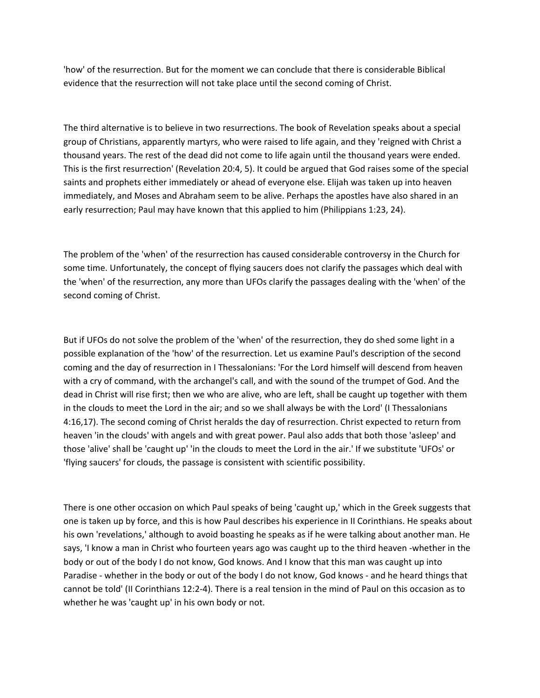'how' of the resurrection. But for the moment we can conclude that there is considerable Biblical evidence that the resurrection will not take place until the second coming of Christ.

The third alternative is to believe in two resurrections. The book of Revelation speaks about a special group of Christians, apparently martyrs, who were raised to life again, and they 'reigned with Christ a thousand years. The rest of the dead did not come to life again until the thousand years were ended. This is the first resurrection' (Revelation 20:4, 5). It could be argued that God raises some of the special saints and prophets either immediately or ahead of everyone else. Elijah was taken up into heaven immediately, and Moses and Abraham seem to be alive. Perhaps the apostles have also shared in an early resurrection; Paul may have known that this applied to him (Philippians 1:23, 24).

The problem of the 'when' of the resurrection has caused considerable controversy in the Church for some time. Unfortunately, the concept of flying saucers does not clarify the passages which deal with the 'when' of the resurrection, any more than UFOs clarify the passages dealing with the 'when' of the second coming of Christ.

But if UFOs do not solve the problem of the 'when' of the resurrection, they do shed some light in a possible explanation of the 'how' of the resurrection. Let us examine Paul's description of the second coming and the day of resurrection in I Thessalonians: 'For the Lord himself will descend from heaven with a cry of command, with the archangel's call, and with the sound of the trumpet of God. And the dead in Christ will rise first; then we who are alive, who are left, shall be caught up together with them in the clouds to meet the Lord in the air; and so we shall always be with the Lord' (I Thessalonians 4:16,17). The second coming of Christ heralds the day of resurrection. Christ expected to return from heaven 'in the clouds' with angels and with great power. Paul also adds that both those 'asleep' and those 'alive' shall be 'caught up' 'in the clouds to meet the Lord in the air.' If we substitute 'UFOs' or 'flying saucers' for clouds, the passage is consistent with scientific possibility.

There is one other occasion on which Paul speaks of being 'caught up,' which in the Greek suggests that one is taken up by force, and this is how Paul describes his experience in II Corinthians. He speaks about his own 'revelations,' although to avoid boasting he speaks as if he were talking about another man. He says, 'I know a man in Christ who fourteen years ago was caught up to the third heaven -whether in the body or out of the body I do not know, God knows. And I know that this man was caught up into Paradise - whether in the body or out of the body I do not know, God knows - and he heard things that cannot be told' (II Corinthians 12:2-4). There is a real tension in the mind of Paul on this occasion as to whether he was 'caught up' in his own body or not.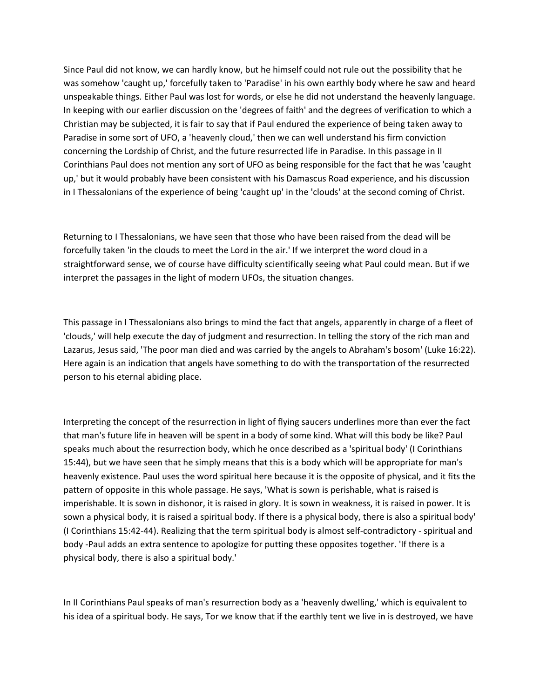Since Paul did not know, we can hardly know, but he himself could not rule out the possibility that he was somehow 'caught up,' forcefully taken to 'Paradise' in his own earthly body where he saw and heard unspeakable things. Either Paul was lost for words, or else he did not understand the heavenly language. In keeping with our earlier discussion on the 'degrees of faith' and the degrees of verification to which a Christian may be subjected, it is fair to say that if Paul endured the experience of being taken away to Paradise in some sort of UFO, a 'heavenly cloud,' then we can well understand his firm conviction concerning the Lordship of Christ, and the future resurrected life in Paradise. In this passage in II Corinthians Paul does not mention any sort of UFO as being responsible for the fact that he was 'caught up,' but it would probably have been consistent with his Damascus Road experience, and his discussion in I Thessalonians of the experience of being 'caught up' in the 'clouds' at the second coming of Christ.

Returning to I Thessalonians, we have seen that those who have been raised from the dead will be forcefully taken 'in the clouds to meet the Lord in the air.' If we interpret the word cloud in a straightforward sense, we of course have difficulty scientifically seeing what Paul could mean. But if we interpret the passages in the light of modern UFOs, the situation changes.

This passage in I Thessalonians also brings to mind the fact that angels, apparently in charge of a fleet of 'clouds,' will help execute the day of judgment and resurrection. In telling the story of the rich man and Lazarus, Jesus said, 'The poor man died and was carried by the angels to Abraham's bosom' (Luke 16:22). Here again is an indication that angels have something to do with the transportation of the resurrected person to his eternal abiding place.

Interpreting the concept of the resurrection in light of flying saucers underlines more than ever the fact that man's future life in heaven will be spent in a body of some kind. What will this body be like? Paul speaks much about the resurrection body, which he once described as a 'spiritual body' (I Corinthians 15:44), but we have seen that he simply means that this is a body which will be appropriate for man's heavenly existence. Paul uses the word spiritual here because it is the opposite of physical, and it fits the pattern of opposite in this whole passage. He says, 'What is sown is perishable, what is raised is imperishable. It is sown in dishonor, it is raised in glory. It is sown in weakness, it is raised in power. It is sown a physical body, it is raised a spiritual body. If there is a physical body, there is also a spiritual body' (I Corinthians 15:42-44). Realizing that the term spiritual body is almost self-contradictory - spiritual and body -Paul adds an extra sentence to apologize for putting these opposites together. 'If there is a physical body, there is also a spiritual body.'

In II Corinthians Paul speaks of man's resurrection body as a 'heavenly dwelling,' which is equivalent to his idea of a spiritual body. He says, Tor we know that if the earthly tent we live in is destroyed, we have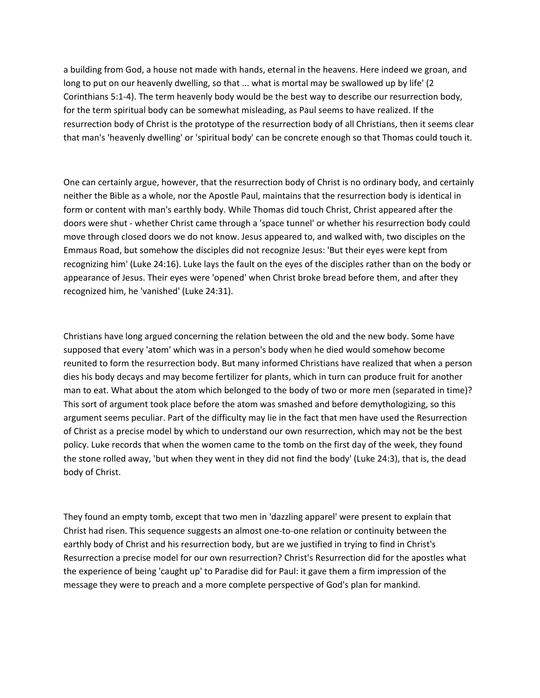a building from God, a house not made with hands, eternal in the heavens. Here indeed we groan, and long to put on our heavenly dwelling, so that ... what is mortal may be swallowed up by life' (2) Corinthians 5:1-4). The term heavenly body would be the best way to describe our resurrection body, for the term spiritual body can be somewhat misleading, as Paul seems to have realized. If the resurrection body of Christ is the prototype of the resurrection body of all Christians, then it seems clear that man's 'heavenly dwelling' or 'spiritual body' can be concrete enough so that Thomas could touch it.

One can certainly argue, however, that the resurrection body of Christ is no ordinary body, and certainly neither the Bible as a whole, nor the Apostle Paul, maintains that the resurrection body is identical in form or content with man's earthly body. While Thomas did touch Christ, Christ appeared after the doors were shut - whether Christ came through a 'space tunnel' or whether his resurrection body could move through closed doors we do not know. Jesus appeared to, and walked with, two disciples on the Emmaus Road, but somehow the disciples did not recognize Jesus: 'But their eyes were kept from recognizing him' (Luke 24:16). Luke lays the fault on the eyes of the disciples rather than on the body or appearance of Jesus. Their eyes were 'opened' when Christ broke bread before them, and after they recognized him, he 'vanished' (Luke 24:31).

Christians have long argued concerning the relation between the old and the new body. Some have supposed that every 'atom' which was in a person's body when he died would somehow become reunited to form the resurrection body. But many informed Christians have realized that when a person dies his body decays and may become fertilizer for plants, which in turn can produce fruit for another man to eat. What about the atom which belonged to the body of two or more men (separated in time)? This sort of argument took place before the atom was smashed and before demythologizing, so this argument seems peculiar. Part of the difficulty may lie in the fact that men have used the Resurrection of Christ as a precise model by which to understand our own resurrection, which may not be the best policy. Luke records that when the women came to the tomb on the first day of the week, they found the stone rolled away, 'but when they went in they did not find the body' (Luke 24:3), that is, the dead body of Christ.

They found an empty tomb, except that two men in 'dazzling apparel' were present to explain that Christ had risen. This sequence suggests an almost one-to-one relation or continuity between the earthly body of Christ and his resurrection body, but are we justified in trying to find in Christ's Resurrection a precise model for our own resurrection? Christ's Resurrection did for the apostles what the experience of being 'caught up' to Paradise did for Paul: it gave them a firm impression of the message they were to preach and a more complete perspective of God's plan for mankind.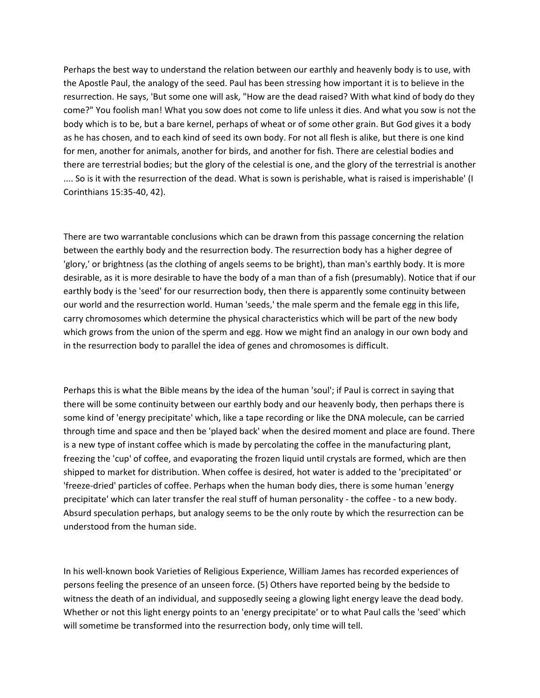Perhaps the best way to understand the relation between our earthly and heavenly body is to use, with the Apostle Paul, the analogy of the seed. Paul has been stressing how important it is to believe in the resurrection. He says, 'But some one will ask, "How are the dead raised? With what kind of body do they come?" You foolish man! What you sow does not come to life unless it dies. And what you sow is not the body which is to be, but a bare kernel, perhaps of wheat or of some other grain. But God gives it a body as he has chosen, and to each kind of seed its own body. For not all flesh is alike, but there is one kind for men, another for animals, another for birds, and another for fish. There are celestial bodies and there are terrestrial bodies; but the glory of the celestial is one, and the glory of the terrestrial is another .... So is it with the resurrection of the dead. What is sown is perishable, what is raised is imperishable' (I Corinthians 15:35-40, 42).

There are two warrantable conclusions which can be drawn from this passage concerning the relation between the earthly body and the resurrection body. The resurrection body has a higher degree of 'glory,' or brightness (as the clothing of angels seems to be bright), than man's earthly body. It is more desirable, as it is more desirable to have the body of a man than of a fish (presumably). Notice that if our earthly body is the 'seed' for our resurrection body, then there is apparently some continuity between our world and the resurrection world. Human 'seeds,' the male sperm and the female egg in this life, carry chromosomes which determine the physical characteristics which will be part of the new body which grows from the union of the sperm and egg. How we might find an analogy in our own body and in the resurrection body to parallel the idea of genes and chromosomes is difficult.

Perhaps this is what the Bible means by the idea of the human 'soul'; if Paul is correct in saying that there will be some continuity between our earthly body and our heavenly body, then perhaps there is some kind of 'energy precipitate' which, like a tape recording or like the DNA molecule, can be carried through time and space and then be 'played back' when the desired moment and place are found. There is a new type of instant coffee which is made by percolating the coffee in the manufacturing plant, freezing the 'cup' of coffee, and evaporating the frozen liquid until crystals are formed, which are then shipped to market for distribution. When coffee is desired, hot water is added to the 'precipitated' or 'freeze-dried' particles of coffee. Perhaps when the human body dies, there is some human 'energy precipitate' which can later transfer the real stuff of human personality - the coffee - to a new body. Absurd speculation perhaps, but analogy seems to be the only route by which the resurrection can be understood from the human side.

In his well-known book Varieties of Religious Experience, William James has recorded experiences of persons feeling the presence of an unseen force. (5) Others have reported being by the bedside to witness the death of an individual, and supposedly seeing a glowing light energy leave the dead body. Whether or not this light energy points to an 'energy precipitate' or to what Paul calls the 'seed' which will sometime be transformed into the resurrection body, only time will tell.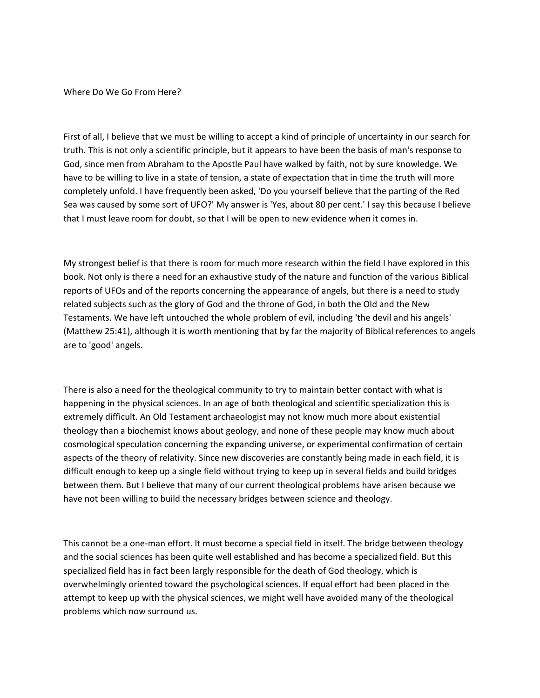Where Do We Go From Here?

First of all, I believe that we must be willing to accept a kind of principle of uncertainty in our search for truth. This is not only a scientific principle, but it appears to have been the basis of man's response to God, since men from Abraham to the Apostle Paul have walked by faith, not by sure knowledge. We have to be willing to live in a state of tension, a state of expectation that in time the truth will more completely unfold. I have frequently been asked, 'Do you yourself believe that the parting of the Red Sea was caused by some sort of UFO?' My answer is 'Yes, about 80 per cent.' I say this because I believe that I must leave room for doubt, so that I will be open to new evidence when it comes in.

My strongest belief is that there is room for much more research within the field I have explored in this book. Not only is there a need for an exhaustive study of the nature and function of the various Biblical reports of UFOs and of the reports concerning the appearance of angels, but there is a need to study related subjects such as the glory of God and the throne of God, in both the Old and the New Testaments. We have left untouched the whole problem of evil, including 'the devil and his angels' (Matthew 25:41), although it is worth mentioning that by far the majority of Biblical references to angels are to 'good' angels.

There is also a need for the theological community to try to maintain better contact with what is happening in the physical sciences. In an age of both theological and scientific specialization this is extremely difficult. An Old Testament archaeologist may not know much more about existential theology than a biochemist knows about geology, and none of these people may know much about cosmological speculation concerning the expanding universe, or experimental confirmation of certain aspects of the theory of relativity. Since new discoveries are constantly being made in each field, it is difficult enough to keep up a single field without trying to keep up in several fields and build bridges between them. But I believe that many of our current theological problems have arisen because we have not been willing to build the necessary bridges between science and theology.

This cannot be a one-man effort. It must become a special field in itself. The bridge between theology and the social sciences has been quite well established and has become a specialized field. But this specialized field has in fact been largly responsible for the death of God theology, which is overwhelmingly oriented toward the psychological sciences. If equal effort had been placed in the attempt to keep up with the physical sciences, we might well have avoided many of the theological problems which now surround us.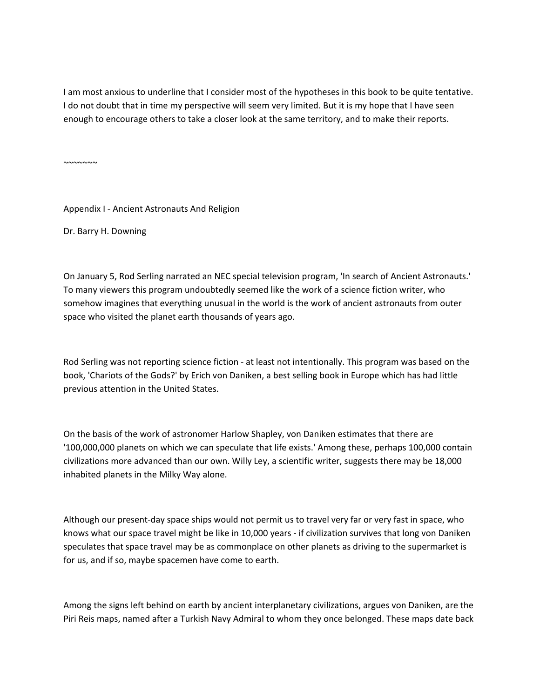I am most anxious to underline that I consider most of the hypotheses in this book to be quite tentative. I do not doubt that in time my perspective will seem very limited. But it is my hope that I have seen enough to encourage others to take a closer look at the same territory, and to make their reports.

~~~~~~~

Appendix I - Ancient Astronauts And Religion

Dr. Barry H. Downing

On January 5, Rod Serling narrated an NEC special television program, 'In search of Ancient Astronauts.' To many viewers this program undoubtedly seemed like the work of a science fiction writer, who somehow imagines that everything unusual in the world is the work of ancient astronauts from outer space who visited the planet earth thousands of years ago.

Rod Serling was not reporting science fiction - at least not intentionally. This program was based on the book, 'Chariots of the Gods?' by Erich von Daniken, a best selling book in Europe which has had little previous attention in the United States.

On the basis of the work of astronomer Harlow Shapley, von Daniken estimates that there are '100,000,000 planets on which we can speculate that life exists.' Among these, perhaps 100,000 contain civilizations more advanced than our own. Willy Ley, a scientific writer, suggests there may be 18,000 inhabited planets in the Milky Way alone.

Although our present-day space ships would not permit us to travel very far or very fast in space, who knows what our space travel might be like in 10,000 years - if civilization survives that long von Daniken speculates that space travel may be as commonplace on other planets as driving to the supermarket is for us, and if so, maybe spacemen have come to earth.

Among the signs left behind on earth by ancient interplanetary civilizations, argues von Daniken, are the Piri Reis maps, named after a Turkish Navy Admiral to whom they once belonged. These maps date back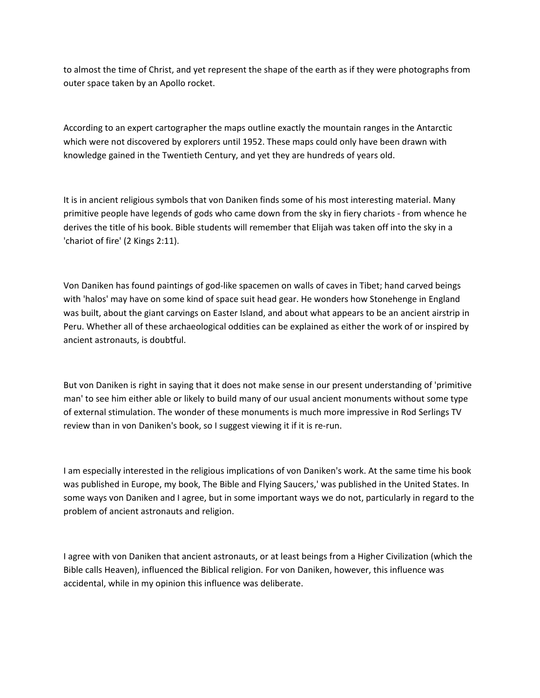to almost the time of Christ, and yet represent the shape of the earth as if they were photographs from outer space taken by an Apollo rocket.

According to an expert cartographer the maps outline exactly the mountain ranges in the Antarctic which were not discovered by explorers until 1952. These maps could only have been drawn with knowledge gained in the Twentieth Century, and yet they are hundreds of years old.

It is in ancient religious symbols that von Daniken finds some of his most interesting material. Many primitive people have legends of gods who came down from the sky in fiery chariots - from whence he derives the title of his book. Bible students will remember that Elijah was taken off into the sky in a 'chariot of fire' (2 Kings 2:11).

Von Daniken has found paintings of god-like spacemen on walls of caves in Tibet; hand carved beings with 'halos' may have on some kind of space suit head gear. He wonders how Stonehenge in England was built, about the giant carvings on Easter Island, and about what appears to be an ancient airstrip in Peru. Whether all of these archaeological oddities can be explained as either the work of or inspired by ancient astronauts, is doubtful.

But von Daniken is right in saying that it does not make sense in our present understanding of 'primitive man' to see him either able or likely to build many of our usual ancient monuments without some type of external stimulation. The wonder of these monuments is much more impressive in Rod Serlings TV review than in von Daniken's book, so I suggest viewing it if it is re-run.

I am especially interested in the religious implications of von Daniken's work. At the same time his book was published in Europe, my book, The Bible and Flying Saucers,' was published in the United States. In some ways von Daniken and I agree, but in some important ways we do not, particularly in regard to the problem of ancient astronauts and religion.

I agree with von Daniken that ancient astronauts, or at least beings from a Higher Civilization (which the Bible calls Heaven), influenced the Biblical religion. For von Daniken, however, this influence was accidental, while in my opinion this influence was deliberate.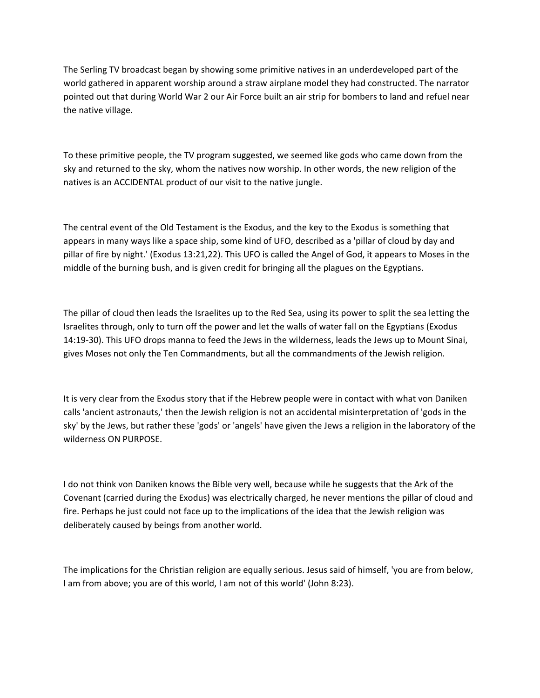The Serling TV broadcast began by showing some primitive natives in an underdeveloped part of the world gathered in apparent worship around a straw airplane model they had constructed. The narrator pointed out that during World War 2 our Air Force built an air strip for bombers to land and refuel near the native village.

To these primitive people, the TV program suggested, we seemed like gods who came down from the sky and returned to the sky, whom the natives now worship. In other words, the new religion of the natives is an ACCIDENTAL product of our visit to the native jungle.

The central event of the Old Testament is the Exodus, and the key to the Exodus is something that appears in many ways like a space ship, some kind of UFO, described as a 'pillar of cloud by day and pillar of fire by night.' (Exodus 13:21,22). This UFO is called the Angel of God, it appears to Moses in the middle of the burning bush, and is given credit for bringing all the plagues on the Egyptians.

The pillar of cloud then leads the Israelites up to the Red Sea, using its power to split the sea letting the Israelites through, only to turn off the power and let the walls of water fall on the Egyptians (Exodus 14:19-30). This UFO drops manna to feed the Jews in the wilderness, leads the Jews up to Mount Sinai, gives Moses not only the Ten Commandments, but all the commandments of the Jewish religion.

It is very clear from the Exodus story that if the Hebrew people were in contact with what von Daniken calls 'ancient astronauts,' then the Jewish religion is not an accidental misinterpretation of 'gods in the sky' by the Jews, but rather these 'gods' or 'angels' have given the Jews a religion in the laboratory of the wilderness ON PURPOSE.

I do not think von Daniken knows the Bible very well, because while he suggests that the Ark of the Covenant (carried during the Exodus) was electrically charged, he never mentions the pillar of cloud and fire. Perhaps he just could not face up to the implications of the idea that the Jewish religion was deliberately caused by beings from another world.

The implications for the Christian religion are equally serious. Jesus said of himself, 'you are from below, I am from above; you are of this world, I am not of this world' (John 8:23).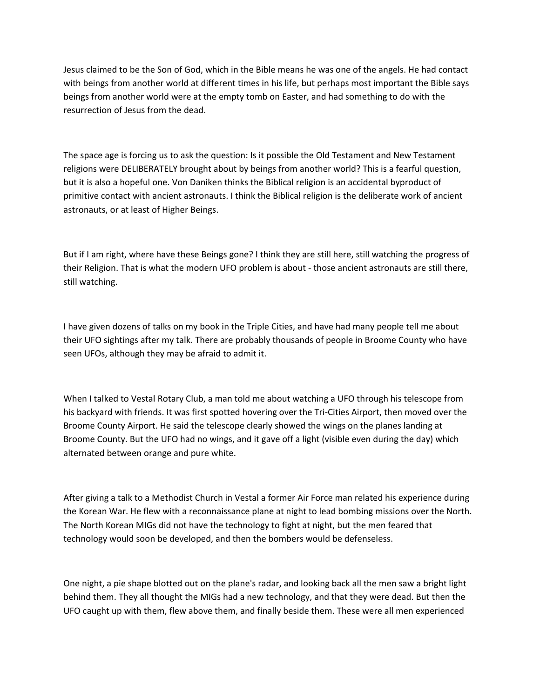Jesus claimed to be the Son of God, which in the Bible means he was one of the angels. He had contact with beings from another world at different times in his life, but perhaps most important the Bible says beings from another world were at the empty tomb on Easter, and had something to do with the resurrection of Jesus from the dead.

The space age is forcing us to ask the question: Is it possible the Old Testament and New Testament religions were DELIBERATELY brought about by beings from another world? This is a fearful question, but it is also a hopeful one. Von Daniken thinks the Biblical religion is an accidental byproduct of primitive contact with ancient astronauts. I think the Biblical religion is the deliberate work of ancient astronauts, or at least of Higher Beings.

But if I am right, where have these Beings gone? I think they are still here, still watching the progress of their Religion. That is what the modern UFO problem is about - those ancient astronauts are still there, still watching.

I have given dozens of talks on my book in the Triple Cities, and have had many people tell me about their UFO sightings after my talk. There are probably thousands of people in Broome County who have seen UFOs, although they may be afraid to admit it.

When I talked to Vestal Rotary Club, a man told me about watching a UFO through his telescope from his backyard with friends. It was first spotted hovering over the Tri-Cities Airport, then moved over the Broome County Airport. He said the telescope clearly showed the wings on the planes landing at Broome County. But the UFO had no wings, and it gave off a light (visible even during the day) which alternated between orange and pure white.

After giving a talk to a Methodist Church in Vestal a former Air Force man related his experience during the Korean War. He flew with a reconnaissance plane at night to lead bombing missions over the North. The North Korean MIGs did not have the technology to fight at night, but the men feared that technology would soon be developed, and then the bombers would be defenseless.

One night, a pie shape blotted out on the plane's radar, and looking back all the men saw a bright light behind them. They all thought the MIGs had a new technology, and that they were dead. But then the UFO caught up with them, flew above them, and finally beside them. These were all men experienced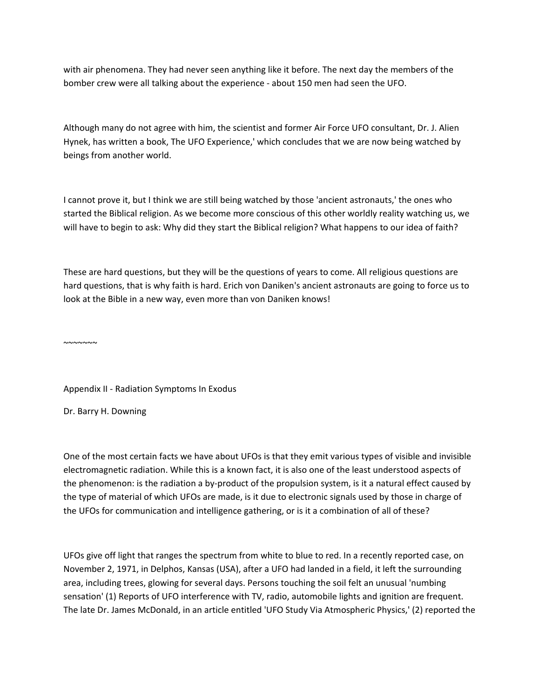with air phenomena. They had never seen anything like it before. The next day the members of the bomber crew were all talking about the experience - about 150 men had seen the UFO.

Although many do not agree with him, the scientist and former Air Force UFO consultant, Dr. J. Alien Hynek, has written a book, The UFO Experience,' which concludes that we are now being watched by beings from another world.

I cannot prove it, but I think we are still being watched by those 'ancient astronauts,' the ones who started the Biblical religion. As we become more conscious of this other worldly reality watching us, we will have to begin to ask: Why did they start the Biblical religion? What happens to our idea of faith?

These are hard questions, but they will be the questions of years to come. All religious questions are hard questions, that is why faith is hard. Erich von Daniken's ancient astronauts are going to force us to look at the Bible in a new way, even more than von Daniken knows!

~~~~~~~

Appendix II - Radiation Symptoms In Exodus

Dr. Barry H. Downing

One of the most certain facts we have about UFOs is that they emit various types of visible and invisible electromagnetic radiation. While this is a known fact, it is also one of the least understood aspects of the phenomenon: is the radiation a by-product of the propulsion system, is it a natural effect caused by the type of material of which UFOs are made, is it due to electronic signals used by those in charge of the UFOs for communication and intelligence gathering, or is it a combination of all of these?

UFOs give off light that ranges the spectrum from white to blue to red. In a recently reported case, on November 2, 1971, in Delphos, Kansas (USA), after a UFO had landed in a field, it left the surrounding area, including trees, glowing for several days. Persons touching the soil felt an unusual 'numbing sensation' (1) Reports of UFO interference with TV, radio, automobile lights and ignition are frequent. The late Dr. James McDonald, in an article entitled 'UFO Study Via Atmospheric Physics,' (2) reported the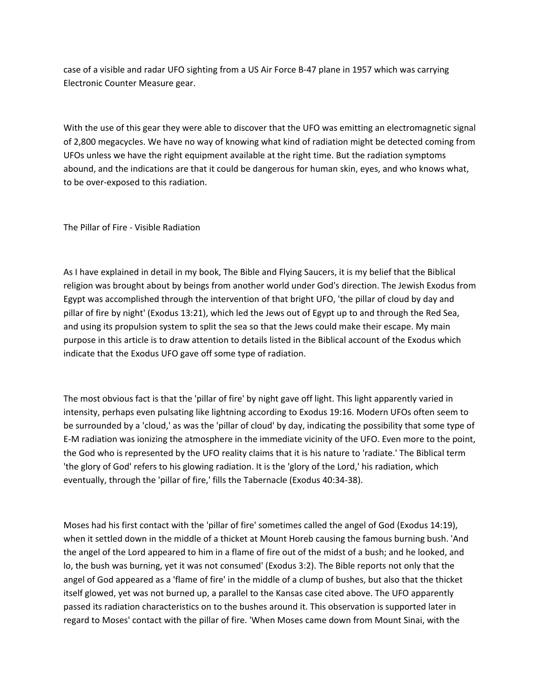case of a visible and radar UFO sighting from a US Air Force B-47 plane in 1957 which was carrying Electronic Counter Measure gear.

With the use of this gear they were able to discover that the UFO was emitting an electromagnetic signal of 2,800 megacycles. We have no way of knowing what kind of radiation might be detected coming from UFOs unless we have the right equipment available at the right time. But the radiation symptoms abound, and the indications are that it could be dangerous for human skin, eyes, and who knows what, to be over-exposed to this radiation.

The Pillar of Fire - Visible Radiation

As I have explained in detail in my book, The Bible and Flying Saucers, it is my belief that the Biblical religion was brought about by beings from another world under God's direction. The Jewish Exodus from Egypt was accomplished through the intervention of that bright UFO, 'the pillar of cloud by day and pillar of fire by night' (Exodus 13:21), which led the Jews out of Egypt up to and through the Red Sea, and using its propulsion system to split the sea so that the Jews could make their escape. My main purpose in this article is to draw attention to details listed in the Biblical account of the Exodus which indicate that the Exodus UFO gave off some type of radiation.

The most obvious fact is that the 'pillar of fire' by night gave off light. This light apparently varied in intensity, perhaps even pulsating like lightning according to Exodus 19:16. Modern UFOs often seem to be surrounded by a 'cloud,' as was the 'pillar of cloud' by day, indicating the possibility that some type of E-M radiation was ionizing the atmosphere in the immediate vicinity of the UFO. Even more to the point, the God who is represented by the UFO reality claims that it is his nature to 'radiate.' The Biblical term 'the glory of God' refers to his glowing radiation. It is the 'glory of the Lord,' his radiation, which eventually, through the 'pillar of fire,' fills the Tabernacle (Exodus 40:34-38).

Moses had his first contact with the 'pillar of fire' sometimes called the angel of God (Exodus 14:19), when it settled down in the middle of a thicket at Mount Horeb causing the famous burning bush. 'And the angel of the Lord appeared to him in a flame of fire out of the midst of a bush; and he looked, and lo, the bush was burning, yet it was not consumed' (Exodus 3:2). The Bible reports not only that the angel of God appeared as a 'flame of fire' in the middle of a clump of bushes, but also that the thicket itself glowed, yet was not burned up, a parallel to the Kansas case cited above. The UFO apparently passed its radiation characteristics on to the bushes around it. This observation is supported later in regard to Moses' contact with the pillar of fire. 'When Moses came down from Mount Sinai, with the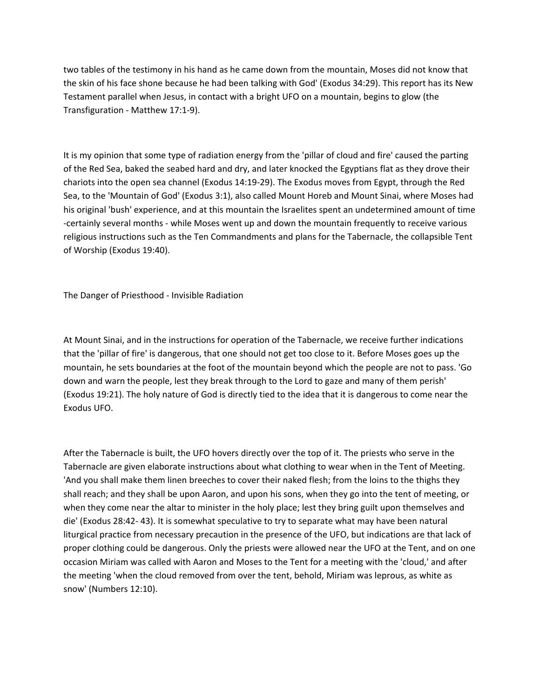two tables of the testimony in his hand as he came down from the mountain, Moses did not know that the skin of his face shone because he had been talking with God' (Exodus 34:29). This report has its New Testament parallel when Jesus, in contact with a bright UFO on a mountain, begins to glow (the Transfiguration - Matthew 17:1-9).

It is my opinion that some type of radiation energy from the 'pillar of cloud and fire' caused the parting of the Red Sea, baked the seabed hard and dry, and later knocked the Egyptians flat as they drove their chariots into the open sea channel (Exodus 14:19-29). The Exodus moves from Egypt, through the Red Sea, to the 'Mountain of God' (Exodus 3:1), also called Mount Horeb and Mount Sinai, where Moses had his original 'bush' experience, and at this mountain the Israelites spent an undetermined amount of time -certainly several months - while Moses went up and down the mountain frequently to receive various religious instructions such as the Ten Commandments and plans for the Tabernacle, the collapsible Tent of Worship (Exodus 19:40).

The Danger of Priesthood - Invisible Radiation

At Mount Sinai, and in the instructions for operation of the Tabernacle, we receive further indications that the 'pillar of fire' is dangerous, that one should not get too close to it. Before Moses goes up the mountain, he sets boundaries at the foot of the mountain beyond which the people are not to pass. 'Go down and warn the people, lest they break through to the Lord to gaze and many of them perish' (Exodus 19:21). The holy nature of God is directly tied to the idea that it is dangerous to come near the Exodus UFO.

After the Tabernacle is built, the UFO hovers directly over the top of it. The priests who serve in the Tabernacle are given elaborate instructions about what clothing to wear when in the Tent of Meeting. 'And you shall make them linen breeches to cover their naked flesh; from the loins to the thighs they shall reach; and they shall be upon Aaron, and upon his sons, when they go into the tent of meeting, or when they come near the altar to minister in the holy place; lest they bring guilt upon themselves and die' (Exodus 28:42- 43). It is somewhat speculative to try to separate what may have been natural liturgical practice from necessary precaution in the presence of the UFO, but indications are that lack of proper clothing could be dangerous. Only the priests were allowed near the UFO at the Tent, and on one occasion Miriam was called with Aaron and Moses to the Tent for a meeting with the 'cloud,' and after the meeting 'when the cloud removed from over the tent, behold, Miriam was leprous, as white as snow' (Numbers 12:10).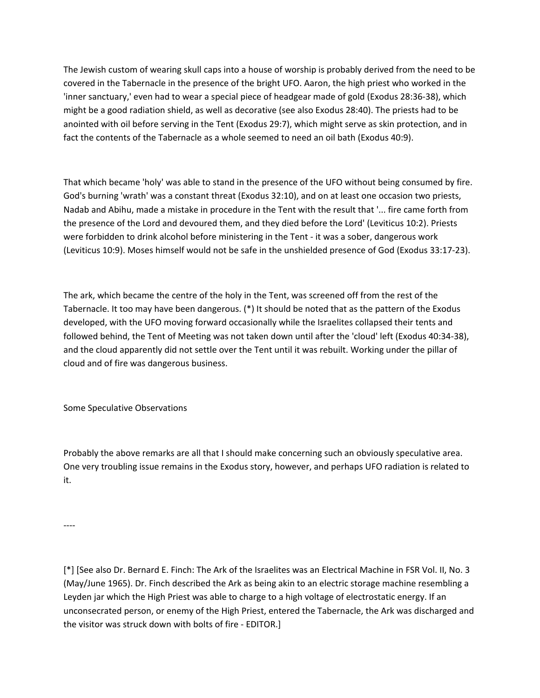The Jewish custom of wearing skull caps into a house of worship is probably derived from the need to be covered in the Tabernacle in the presence of the bright UFO. Aaron, the high priest who worked in the 'inner sanctuary,' even had to wear a special piece of headgear made of gold (Exodus 28:36-38), which might be a good radiation shield, as well as decorative (see also Exodus 28:40). The priests had to be anointed with oil before serving in the Tent (Exodus 29:7), which might serve as skin protection, and in fact the contents of the Tabernacle as a whole seemed to need an oil bath (Exodus 40:9).

That which became 'holy' was able to stand in the presence of the UFO without being consumed by fire. God's burning 'wrath' was a constant threat (Exodus 32:10), and on at least one occasion two priests, Nadab and Abihu, made a mistake in procedure in the Tent with the result that '... fire came forth from the presence of the Lord and devoured them, and they died before the Lord' (Leviticus 10:2). Priests were forbidden to drink alcohol before ministering in the Tent - it was a sober, dangerous work (Leviticus 10:9). Moses himself would not be safe in the unshielded presence of God (Exodus 33:17-23).

The ark, which became the centre of the holy in the Tent, was screened off from the rest of the Tabernacle. It too may have been dangerous. (\*) It should be noted that as the pattern of the Exodus developed, with the UFO moving forward occasionally while the Israelites collapsed their tents and followed behind, the Tent of Meeting was not taken down until after the 'cloud' left (Exodus 40:34-38), and the cloud apparently did not settle over the Tent until it was rebuilt. Working under the pillar of cloud and of fire was dangerous business.

Some Speculative Observations

Probably the above remarks are all that I should make concerning such an obviously speculative area. One very troubling issue remains in the Exodus story, however, and perhaps UFO radiation is related to it.

----

[\*] [See also Dr. Bernard E. Finch: The Ark of the Israelites was an Electrical Machine in FSR Vol. II, No. 3 (May/June 1965). Dr. Finch described the Ark as being akin to an electric storage machine resembling a Leyden jar which the High Priest was able to charge to a high voltage of electrostatic energy. If an unconsecrated person, or enemy of the High Priest, entered the Tabernacle, the Ark was discharged and the visitor was struck down with bolts of fire - EDITOR.]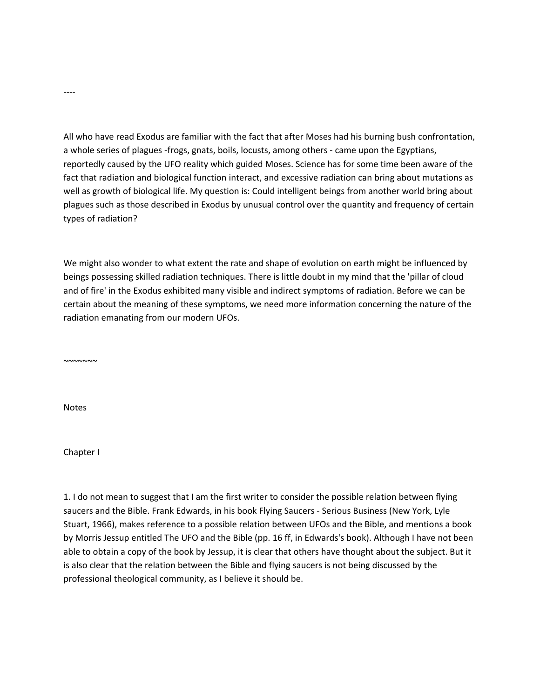All who have read Exodus are familiar with the fact that after Moses had his burning bush confrontation, a whole series of plagues -frogs, gnats, boils, locusts, among others - came upon the Egyptians, reportedly caused by the UFO reality which guided Moses. Science has for some time been aware of the fact that radiation and biological function interact, and excessive radiation can bring about mutations as well as growth of biological life. My question is: Could intelligent beings from another world bring about plagues such as those described in Exodus by unusual control over the quantity and frequency of certain types of radiation?

We might also wonder to what extent the rate and shape of evolution on earth might be influenced by beings possessing skilled radiation techniques. There is little doubt in my mind that the 'pillar of cloud and of fire' in the Exodus exhibited many visible and indirect symptoms of radiation. Before we can be certain about the meaning of these symptoms, we need more information concerning the nature of the radiation emanating from our modern UFOs.

Notes

~~~~~~~

Chapter I

1. I do not mean to suggest that I am the first writer to consider the possible relation between flying saucers and the Bible. Frank Edwards, in his book Flying Saucers - Serious Business (New York, Lyle Stuart, 1966), makes reference to a possible relation between UFOs and the Bible, and mentions a book by Morris Jessup entitled The UFO and the Bible (pp. 16 ff, in Edwards's book). Although I have not been able to obtain a copy of the book by Jessup, it is clear that others have thought about the subject. But it is also clear that the relation between the Bible and flying saucers is not being discussed by the professional theological community, as I believe it should be.

----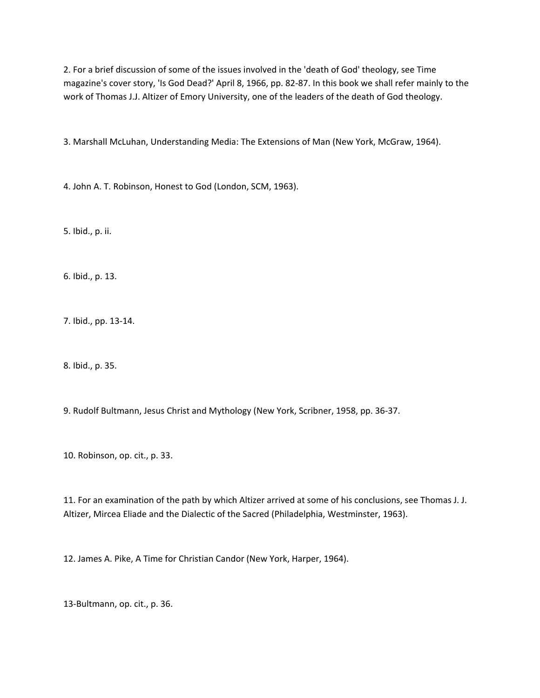2. For a brief discussion of some of the issues involved in the 'death of God' theology, see Time magazine's cover story, 'Is God Dead?' April 8, 1966, pp. 82-87. In this book we shall refer mainly to the work of Thomas J.J. Altizer of Emory University, one of the leaders of the death of God theology.

3. Marshall McLuhan, Understanding Media: The Extensions of Man (New York, McGraw, 1964).

4. John A. T. Robinson, Honest to God (London, SCM, 1963).

5. Ibid., p. ii.

6. Ibid., p. 13.

7. Ibid., pp. 13-14.

8. Ibid., p. 35.

9. Rudolf Bultmann, Jesus Christ and Mythology (New York, Scribner, 1958, pp. 36-37.

10. Robinson, op. cit., p. 33.

11. For an examination of the path by which Altizer arrived at some of his conclusions, see Thomas J. J. Altizer, Mircea Eliade and the Dialectic of the Sacred (Philadelphia, Westminster, 1963).

12. James A. Pike, A Time for Christian Candor (New York, Harper, 1964).

13-Bultmann, op. cit., p. 36.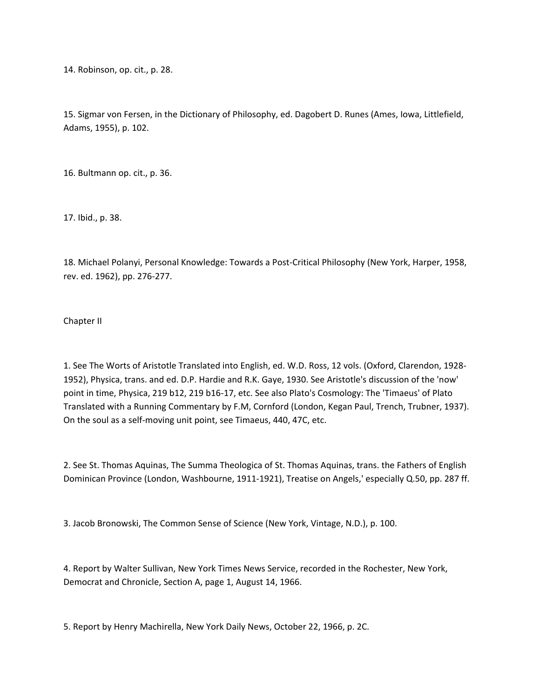14. Robinson, op. cit., p. 28.

15. Sigmar von Fersen, in the Dictionary of Philosophy, ed. Dagobert D. Runes (Ames, Iowa, Littlefield, Adams, 1955), p. 102.

16. Bultmann op. cit., p. 36.

17. Ibid., p. 38.

18. Michael Polanyi, Personal Knowledge: Towards a Post-Critical Philosophy (New York, Harper, 1958, rev. ed. 1962), pp. 276-277.

Chapter II

1. See The Worts of Aristotle Translated into English, ed. W.D. Ross, 12 vols. (Oxford, Clarendon, 1928- 1952), Physica, trans. and ed. D.P. Hardie and R.K. Gaye, 1930. See Aristotle's discussion of the 'now' point in time, Physica, 219 b12, 219 b16-17, etc. See also Plato's Cosmology: The 'Timaeus' of Plato Translated with a Running Commentary by F.M, Cornford (London, Kegan Paul, Trench, Trubner, 1937). On the soul as a self-moving unit point, see Timaeus, 440, 47C, etc.

2. See St. Thomas Aquinas, The Summa Theologica of St. Thomas Aquinas, trans. the Fathers of English Dominican Province (London, Washbourne, 1911-1921), Treatise on Angels,' especially Q.50, pp. 287 ff.

3. Jacob Bronowski, The Common Sense of Science (New York, Vintage, N.D.), p. 100.

4. Report by Walter Sullivan, New York Times News Service, recorded in the Rochester, New York, Democrat and Chronicle, Section A, page 1, August 14, 1966.

5. Report by Henry Machirella, New York Daily News, October 22, 1966, p. 2C.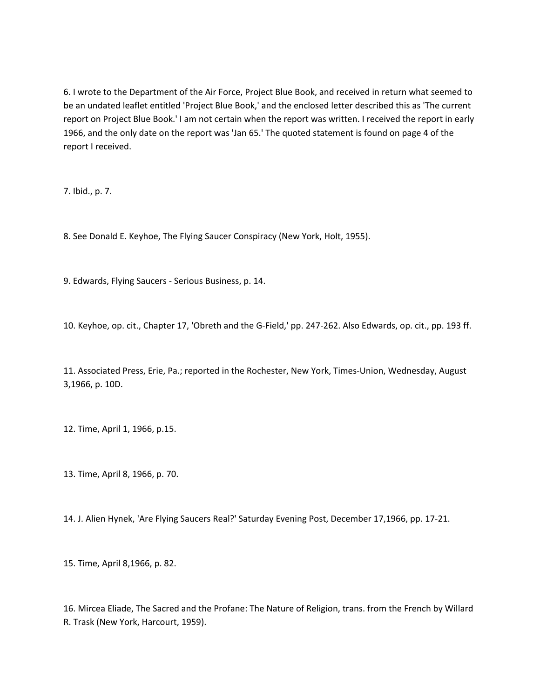6. I wrote to the Department of the Air Force, Project Blue Book, and received in return what seemed to be an undated leaflet entitled 'Project Blue Book,' and the enclosed letter described this as 'The current report on Project Blue Book.' I am not certain when the report was written. I received the report in early 1966, and the only date on the report was 'Jan 65.' The quoted statement is found on page 4 of the report I received.

7. Ibid., p. 7.

8. See Donald E. Keyhoe, The Flying Saucer Conspiracy (New York, Holt, 1955).

9. Edwards, Flying Saucers - Serious Business, p. 14.

10. Keyhoe, op. cit., Chapter 17, 'Obreth and the G-Field,' pp. 247-262. Also Edwards, op. cit., pp. 193 ff.

11. Associated Press, Erie, Pa.; reported in the Rochester, New York, Times-Union, Wednesday, August 3,1966, p. 10D.

12. Time, April 1, 1966, p.15.

13. Time, April 8, 1966, p. 70.

14. J. Alien Hynek, 'Are Flying Saucers Real?' Saturday Evening Post, December 17,1966, pp. 17-21.

15. Time, April 8,1966, p. 82.

16. Mircea Eliade, The Sacred and the Profane: The Nature of Religion, trans. from the French by Willard R. Trask (New York, Harcourt, 1959).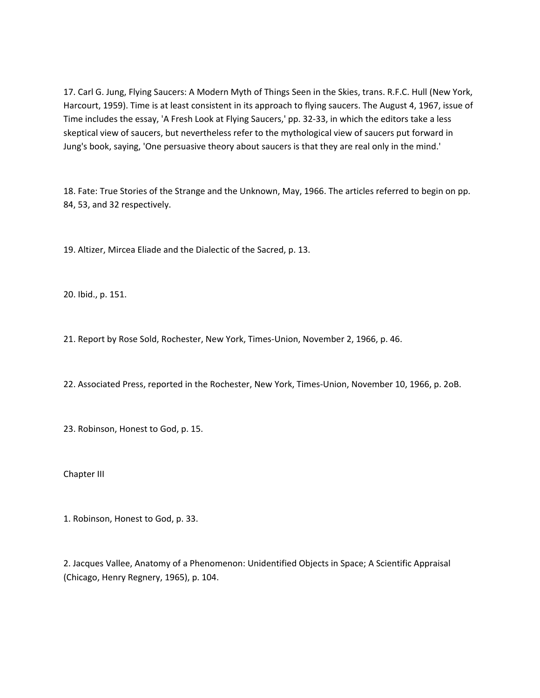17. Carl G. Jung, Flying Saucers: A Modern Myth of Things Seen in the Skies, trans. R.F.C. Hull (New York, Harcourt, 1959). Time is at least consistent in its approach to flying saucers. The August 4, 1967, issue of Time includes the essay, 'A Fresh Look at Flying Saucers,' pp. 32-33, in which the editors take a less skeptical view of saucers, but nevertheless refer to the mythological view of saucers put forward in Jung's book, saying, 'One persuasive theory about saucers is that they are real only in the mind.'

18. Fate: True Stories of the Strange and the Unknown, May, 1966. The articles referred to begin on pp. 84, 53, and 32 respectively.

19. Altizer, Mircea Eliade and the Dialectic of the Sacred, p. 13.

20. Ibid., p. 151.

21. Report by Rose Sold, Rochester, New York, Times-Union, November 2, 1966, p. 46.

22. Associated Press, reported in the Rochester, New York, Times-Union, November 10, 1966, p. 2oB.

23. Robinson, Honest to God, p. 15.

Chapter III

1. Robinson, Honest to God, p. 33.

2. Jacques Vallee, Anatomy of a Phenomenon: Unidentified Objects in Space; A Scientific Appraisal (Chicago, Henry Regnery, 1965), p. 104.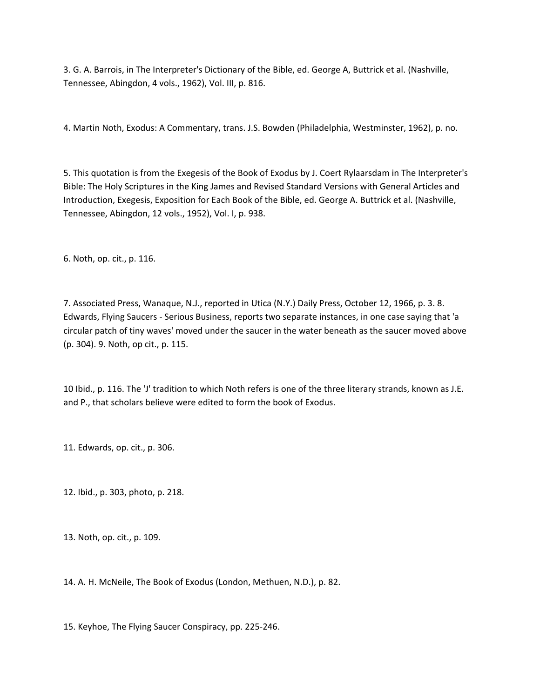3. G. A. Barrois, in The Interpreter's Dictionary of the Bible, ed. George A, Buttrick et al. (Nashville, Tennessee, Abingdon, 4 vols., 1962), Vol. III, p. 816.

4. Martin Noth, Exodus: A Commentary, trans. J.S. Bowden (Philadelphia, Westminster, 1962), p. no.

5. This quotation is from the Exegesis of the Book of Exodus by J. Coert Rylaarsdam in The Interpreter's Bible: The Holy Scriptures in the King James and Revised Standard Versions with General Articles and Introduction, Exegesis, Exposition for Each Book of the Bible, ed. George A. Buttrick et al. (Nashville, Tennessee, Abingdon, 12 vols., 1952), Vol. I, p. 938.

6. Noth, op. cit., p. 116.

7. Associated Press, Wanaque, N.J., reported in Utica (N.Y.) Daily Press, October 12, 1966, p. 3. 8. Edwards, Flying Saucers - Serious Business, reports two separate instances, in one case saying that 'a circular patch of tiny waves' moved under the saucer in the water beneath as the saucer moved above (p. 304). 9. Noth, op cit., p. 115.

10 Ibid., p. 116. The 'J' tradition to which Noth refers is one of the three literary strands, known as J.E. and P., that scholars believe were edited to form the book of Exodus.

11. Edwards, op. cit., p. 306.

12. Ibid., p. 303, photo, p. 218.

13. Noth, op. cit., p. 109.

14. A. H. McNeile, The Book of Exodus (London, Methuen, N.D.), p. 82.

15. Keyhoe, The Flying Saucer Conspiracy, pp. 225-246.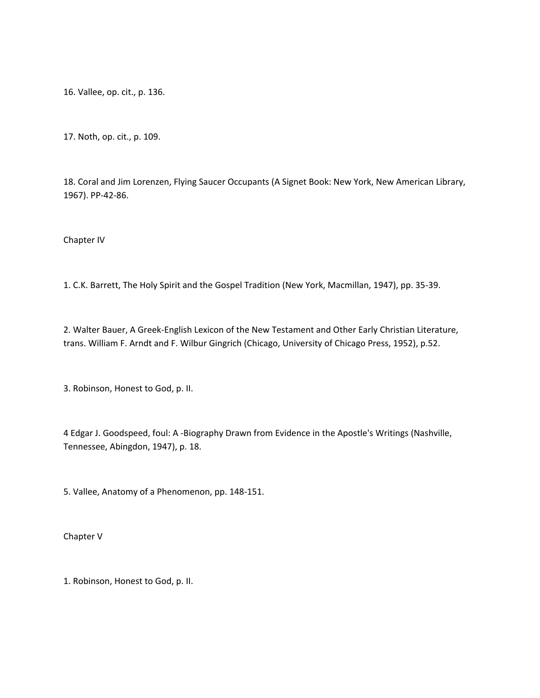16. Vallee, op. cit., p. 136.

17. Noth, op. cit., p. 109.

18. Coral and Jim Lorenzen, Flying Saucer Occupants (A Signet Book: New York, New American Library, 1967). PP-42-86.

Chapter IV

1. C.K. Barrett, The Holy Spirit and the Gospel Tradition (New York, Macmillan, 1947), pp. 35-39.

2. Walter Bauer, A Greek-English Lexicon of the New Testament and Other Early Christian Literature, trans. William F. Arndt and F. Wilbur Gingrich (Chicago, University of Chicago Press, 1952), p.52.

3. Robinson, Honest to God, p. II.

4 Edgar J. Goodspeed, foul: A -Biography Drawn from Evidence in the Apostle's Writings (Nashville, Tennessee, Abingdon, 1947), p. 18.

5. Vallee, Anatomy of a Phenomenon, pp. 148-151.

Chapter V

1. Robinson, Honest to God, p. II.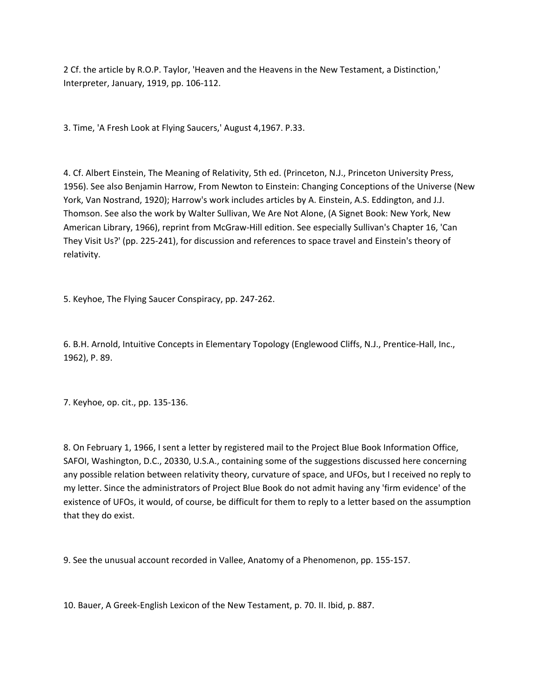2 Cf. the article by R.O.P. Taylor, 'Heaven and the Heavens in the New Testament, a Distinction,' Interpreter, January, 1919, pp. 106-112.

3. Time, 'A Fresh Look at Flying Saucers,' August 4,1967. P.33.

4. Cf. Albert Einstein, The Meaning of Relativity, 5th ed. (Princeton, N.J., Princeton University Press, 1956). See also Benjamin Harrow, From Newton to Einstein: Changing Conceptions of the Universe (New York, Van Nostrand, 1920); Harrow's work includes articles by A. Einstein, A.S. Eddington, and J.J. Thomson. See also the work by Walter Sullivan, We Are Not Alone, (A Signet Book: New York, New American Library, 1966), reprint from McGraw-Hill edition. See especially Sullivan's Chapter 16, 'Can They Visit Us?' (pp. 225-241), for discussion and references to space travel and Einstein's theory of relativity.

5. Keyhoe, The Flying Saucer Conspiracy, pp. 247-262.

6. B.H. Arnold, Intuitive Concepts in Elementary Topology (Englewood Cliffs, N.J., Prentice-Hall, Inc., 1962), P. 89.

7. Keyhoe, op. cit., pp. 135-136.

8. On February 1, 1966, I sent a letter by registered mail to the Project Blue Book Information Office, SAFOI, Washington, D.C., 20330, U.S.A., containing some of the suggestions discussed here concerning any possible relation between relativity theory, curvature of space, and UFOs, but I received no reply to my letter. Since the administrators of Project Blue Book do not admit having any 'firm evidence' of the existence of UFOs, it would, of course, be difficult for them to reply to a letter based on the assumption that they do exist.

9. See the unusual account recorded in Vallee, Anatomy of a Phenomenon, pp. 155-157.

10. Bauer, A Greek-English Lexicon of the New Testament, p. 70. II. Ibid, p. 887.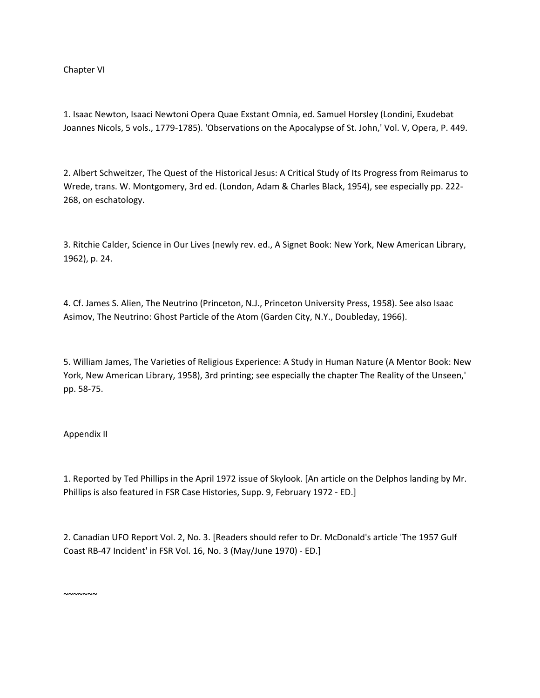Chapter VI

1. Isaac Newton, Isaaci Newtoni Opera Quae Exstant Omnia, ed. Samuel Horsley (Londini, Exudebat Joannes Nicols, 5 vols., 1779-1785). 'Observations on the Apocalypse of St. John,' Vol. V, Opera, P. 449.

2. Albert Schweitzer, The Quest of the Historical Jesus: A Critical Study of Its Progress from Reimarus to Wrede, trans. W. Montgomery, 3rd ed. (London, Adam & Charles Black, 1954), see especially pp. 222- 268, on eschatology.

3. Ritchie Calder, Science in Our Lives (newly rev. ed., A Signet Book: New York, New American Library, 1962), p. 24.

4. Cf. James S. Alien, The Neutrino (Princeton, N.J., Princeton University Press, 1958). See also Isaac Asimov, The Neutrino: Ghost Particle of the Atom (Garden City, N.Y., Doubleday, 1966).

5. William James, The Varieties of Religious Experience: A Study in Human Nature (A Mentor Book: New York, New American Library, 1958), 3rd printing; see especially the chapter The Reality of the Unseen,' pp. 58-75.

Appendix II

~~~~~~~

1. Reported by Ted Phillips in the April 1972 issue of Skylook. [An article on the Delphos landing by Mr. Phillips is also featured in FSR Case Histories, Supp. 9, February 1972 - ED.]

2. Canadian UFO Report Vol. 2, No. 3. [Readers should refer to Dr. McDonald's article 'The 1957 Gulf Coast RB-47 Incident' in FSR Vol. 16, No. 3 (May/June 1970) - ED.]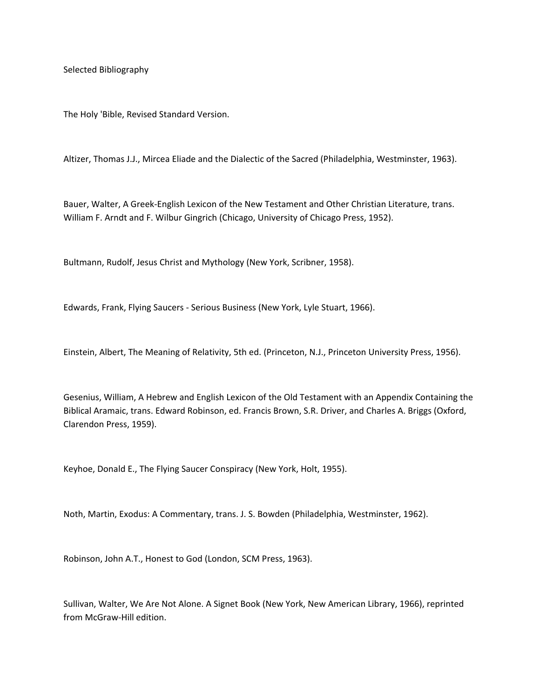Selected Bibliography

The Holy 'Bible, Revised Standard Version.

Altizer, Thomas J.J., Mircea Eliade and the Dialectic of the Sacred (Philadelphia, Westminster, 1963).

Bauer, Walter, A Greek-English Lexicon of the New Testament and Other Christian Literature, trans. William F. Arndt and F. Wilbur Gingrich (Chicago, University of Chicago Press, 1952).

Bultmann, Rudolf, Jesus Christ and Mythology (New York, Scribner, 1958).

Edwards, Frank, Flying Saucers - Serious Business (New York, Lyle Stuart, 1966).

Einstein, Albert, The Meaning of Relativity, 5th ed. (Princeton, N.J., Princeton University Press, 1956).

Gesenius, William, A Hebrew and English Lexicon of the Old Testament with an Appendix Containing the Biblical Aramaic, trans. Edward Robinson, ed. Francis Brown, S.R. Driver, and Charles A. Briggs (Oxford, Clarendon Press, 1959).

Keyhoe, Donald E., The Flying Saucer Conspiracy (New York, Holt, 1955).

Noth, Martin, Exodus: A Commentary, trans. J. S. Bowden (Philadelphia, Westminster, 1962).

Robinson, John A.T., Honest to God (London, SCM Press, 1963).

Sullivan, Walter, We Are Not Alone. A Signet Book (New York, New American Library, 1966), reprinted from McGraw-Hill edition.